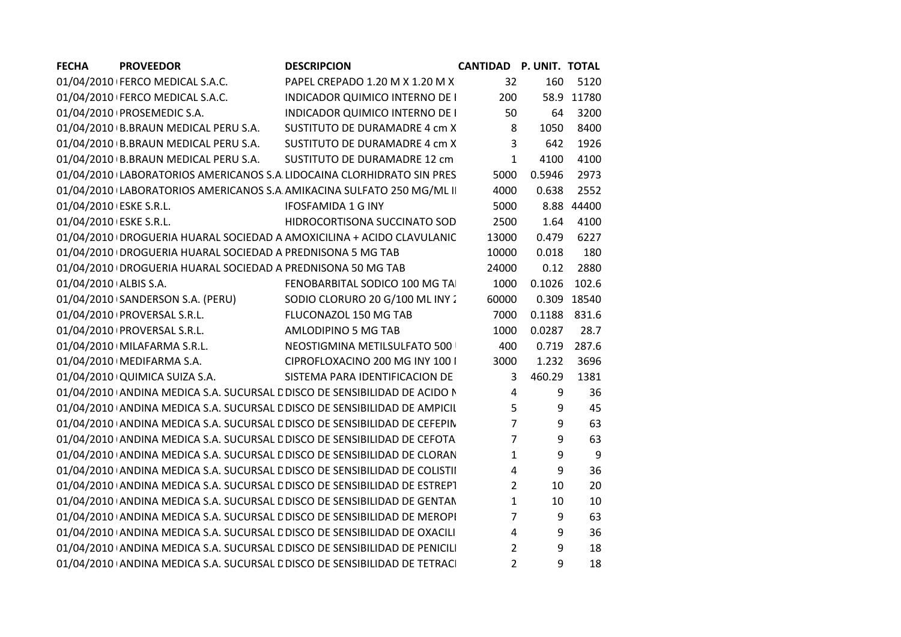| <b>FECHA</b>           | <b>PROVEEDOR</b>                                            | <b>DESCRIPCION</b>                                                         | <b>CANTIDAD P. UNIT. TOTAL</b> |              |             |
|------------------------|-------------------------------------------------------------|----------------------------------------------------------------------------|--------------------------------|--------------|-------------|
|                        | 01/04/2010 FERCO MEDICAL S.A.C.                             | PAPEL CREPADO 1.20 M X 1.20 M X                                            | 32                             | 160          | 5120        |
|                        | 01/04/2010   FERCO MEDICAL S.A.C.                           | INDICADOR QUIMICO INTERNO DE I                                             | 200                            |              | 58.9 11780  |
|                        | 01/04/2010 PROSEMEDIC S.A.                                  | INDICADOR QUIMICO INTERNO DE I                                             | 50                             | 64           | 3200        |
|                        | 01/04/2010 B.BRAUN MEDICAL PERU S.A.                        | SUSTITUTO DE DURAMADRE 4 cm X                                              | 8                              | 1050         | 8400        |
|                        | 01/04/2010 B.BRAUN MEDICAL PERU S.A.                        | SUSTITUTO DE DURAMADRE 4 cm X                                              | $\overline{3}$                 | 642          | 1926        |
|                        | 01/04/2010 B.BRAUN MEDICAL PERU S.A.                        | SUSTITUTO DE DURAMADRE 12 cm                                               | $\mathbf{1}$                   | 4100         | 4100        |
|                        |                                                             | 01/04/2010 LABORATORIOS AMERICANOS S.A LIDOCAINA CLORHIDRATO SIN PRES      | 5000                           | 0.5946       | 2973        |
|                        |                                                             | 01/04/2010 LABORATORIOS AMERICANOS S.A AMIKACINA SULFATO 250 MG/ML II      | 4000                           | 0.638        | 2552        |
| 01/04/2010 ESKE S.R.L. |                                                             | <b>IFOSFAMIDA 1 G INY</b>                                                  | 5000                           |              | 8.88 44400  |
| 01/04/2010 ESKE S.R.L. |                                                             | HIDROCORTISONA SUCCINATO SOD                                               | 2500                           | 1.64         | 4100        |
|                        |                                                             | 01/04/2010   DROGUERIA HUARAL SOCIEDAD A AMOXICILINA + ACIDO CLAVULANIC    | 13000                          | 0.479        | 6227        |
|                        | 01/04/2010 DROGUERIA HUARAL SOCIEDAD A PREDNISONA 5 MG TAB  |                                                                            | 10000                          | 0.018        | 180         |
|                        | 01/04/2010 DROGUERIA HUARAL SOCIEDAD A PREDNISONA 50 MG TAB |                                                                            | 24000                          | 0.12         | 2880        |
| 01/04/2010 ALBIS S.A.  |                                                             | FENOBARBITAL SODICO 100 MG TA                                              | 1000                           | 0.1026       | 102.6       |
|                        | 01/04/2010+SANDERSON S.A. (PERU)                            | SODIO CLORURO 20 G/100 ML INY 2                                            | 60000                          |              | 0.309 18540 |
|                        | 01/04/2010 PROVERSAL S.R.L.                                 | FLUCONAZOL 150 MG TAB                                                      | 7000                           | 0.1188 831.6 |             |
|                        | 01/04/2010 PROVERSAL S.R.L.                                 | AMLODIPINO 5 MG TAB                                                        | 1000                           | 0.0287       | 28.7        |
|                        | 01/04/2010   MILAFARMA S.R.L.                               | NEOSTIGMINA METILSULFATO 500                                               | 400                            | 0.719        | 287.6       |
|                        | 01/04/2010   MEDIFARMA S.A.                                 | CIPROFLOXACINO 200 MG INY 100 I                                            | 3000                           | 1.232        | 3696        |
|                        | 01/04/2010 QUIMICA SUIZA S.A.                               | SISTEMA PARA IDENTIFICACION DE                                             | 3                              | 460.29       | 1381        |
|                        |                                                             | 01/04/2010 ANDINA MEDICA S.A. SUCURSAL E DISCO DE SENSIBILIDAD DE ACIDO N  | $\overline{4}$                 | 9            | 36          |
|                        |                                                             | 01/04/2010 ANDINA MEDICA S.A. SUCURSAL E DISCO DE SENSIBILIDAD DE AMPICIL  | 5                              | 9            | 45          |
|                        |                                                             | 01/04/2010 ANDINA MEDICA S.A. SUCURSAL E DISCO DE SENSIBILIDAD DE CEFEPIN  | $\overline{7}$                 | 9            | 63          |
|                        |                                                             | 01/04/2010 ANDINA MEDICA S.A. SUCURSAL E DISCO DE SENSIBILIDAD DE CEFOTA   | $\overline{7}$                 | 9            | 63          |
|                        |                                                             | 01/04/2010 ANDINA MEDICA S.A. SUCURSAL E DISCO DE SENSIBILIDAD DE CLORAN   | $\mathbf{1}$                   | 9            | 9           |
|                        |                                                             | 01/04/2010 ANDINA MEDICA S.A. SUCURSAL E DISCO DE SENSIBILIDAD DE COLISTII | 4                              | 9            | 36          |
|                        |                                                             | 01/04/2010 ANDINA MEDICA S.A. SUCURSAL E DISCO DE SENSIBILIDAD DE ESTREPT  | $\overline{2}$                 | 10           | 20          |
|                        |                                                             | 01/04/2010 ANDINA MEDICA S.A. SUCURSAL E DISCO DE SENSIBILIDAD DE GENTAN   | $\mathbf{1}$                   | 10           | 10          |
|                        |                                                             | 01/04/2010 ANDINA MEDICA S.A. SUCURSAL E DISCO DE SENSIBILIDAD DE MEROPI   | $\overline{7}$                 | 9            | 63          |
|                        |                                                             | 01/04/2010 ANDINA MEDICA S.A. SUCURSAL E DISCO DE SENSIBILIDAD DE OXACILI  | 4                              | 9            | 36          |
|                        |                                                             | 01/04/2010 ANDINA MEDICA S.A. SUCURSAL E DISCO DE SENSIBILIDAD DE PENICILI | $2^{\circ}$                    | 9            | 18          |
|                        |                                                             | 01/04/2010 ANDINA MEDICA S.A. SUCURSAL E DISCO DE SENSIBILIDAD DE TETRACI  | $\overline{2}$                 | 9            | 18          |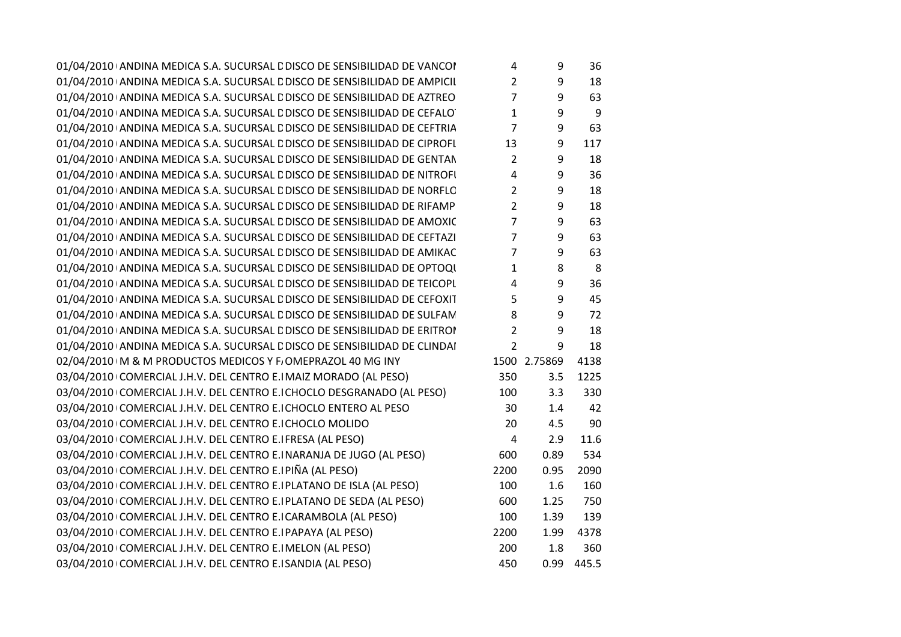01/04/2010 ANDINA MEDICA S.A. SUCURSAL L'DISCO DE SENSIBILIDAD DE VANCOI de la partida de la posta de la part<br>Internationale de la provincia de la provincia de la provincia de la provincia de la provincia de la provincia  $01/04/2010$  ANDINA MEDICA S.A. SUCURSAL L'DISCO DE SENSIBILIDAD DE AMPICIL $2$  2 9 18  $01/04/2010$  ANDINA MEDICA S.A. SUCURSAL L'DISCO DE SENSIBILIDAD DE AZTREO $7$   $9$   $63$  $01/04/2010$  ANDINA MEDICA S.A. SUCURSAL L'DISCO DE SENSIBILIDAD DE CEFALOTUM  $30 \over 30 \over 30 \over 30$ 01/04/2010 ANDINA MEDICA S.A. SUCURSAL L'DISCO DE SENSIBILIDAD DE CEFTRIA  $\begin{array}{ccc} 7 & 9 & 63 \end{array}$  $01/04/2010$  ANDINA MEDICA S.A. SUCURSAL L'DISCO DE SENSIBILIDAD DE CIPROFL $\qquad \qquad 13 \qquad \qquad 9 \qquad 117$  $01/04/2010$  ANDINA MEDICA S.A. SUCURSAL L'DISCO DE SENSIBILIDAD DE GENTAN $2$  2 9 18  $01/04/2010$  ANDINA MEDICA S.A. SUCURSAL L'DISCO DE SENSIBILIDAD DE NITROFI $4 \qquad 9 \qquad 36$  $01/04/2010$  ANDINA MEDICA S.A. SUCURSAL L'DISCO DE SENSIBILIDAD DE NORFLO $2$  a  $9$   $18$  $01/04/2010$  ANDINA MEDICA S.A. SUCURSAL L'DISCO DE SENSIBILIDAD DE RIFAMP $\qquad \qquad 2 \qquad \qquad 9 \qquad 18$  $01/04/2010$  ANDINA MEDICA S.A. SUCURSAL L'DISCO DE SENSIBILIDAD DE AMOXIC  $\hspace{1cm} 7 \hspace{1cm} 9 \hspace{1cm} 63$ 01/04/2010 ANDINA MEDICA S.A. SUCURSAL L'DISCO DE SENSIBILIDAD DE CEFTAZI  $\begin{array}{ccc} 7 & 9 & 63 \end{array}$ 01/04/2010 ANDINA MEDICA S.A. SUCURSAL L'DISCO DE SENSIBILIDAD DE AMIKAC  $\begin{array}{cc} 7 & 9 & 63 \end{array}$  $01/04/2010$  ANDINA MEDICA S.A. SUCURSAL L'DISCO DE SENSIBILIDAD DE OPTOQU $1 \qquad 8 \qquad 8$  $01/04/2010$  ANDINA MEDICA S.A. SUCURSAL L'DISCO DE SENSIBILIDAD DE TEICOPL $\begin{array}{ccc} 4 & 9 & 36 \end{array}$ 01/04/2010 ANDINA MEDICA S.A. SUCURSAL L'DISCO DE SENSIBILIDAD DE CEFOXIT  $\begin{array}{ccc} 5 & 9 & 45 \end{array}$ 01/04/2010 ANDINA MEDICA S.A. SUCURSAL L'DISCO DE SENSIBILIDAD DE SULFAM $3.72\pm 1.33$ 01/04/2010 ANDINA MEDICA S.A. SUCURSAL L'DISCO DE SENSIBILIDAD DE ERITROMICINA 2 a  $9 - 18$  $01/04/2010$  ANDINA MEDICA S.A. SUCURSAL L'DISCO DE SENSIBILIDAD DE CLINDAI  $2$  9 18 02/04/2010 M & M PRODUCTOS MEDICOS Y F. OMEPRAZOL 40 MG INY  $1500$  2.75869 4138  $03/04/2010$  COMERCIAL J.H.V. DEL CENTRO E.I MAIZ MORADO (AL PESO)  $350$  3.5 1225 03/04/2010 COMERCIAL J.H.V. DEL CENTRO E.I CHOCLO DESGRANADO (AL PESO)  $100$  3.3 330 03/04/2010 <mark>COMERCIAL J.H.V. DEL CENTRO E.I CHOCLO ENTERO AL PESO</mark> <sup>30</sup> 1.4 <sup>42</sup> 03/04/2010 <mark>COMERCIAL J.H.V. DEL CENTRO E.I CHOCLO MOLIDO</mark> <sup>20</sup> 4.5 <sup>90</sup>  $03/04/2010$  COMERCIAL J.H.V. DEL CENTRO E.I FRESA (AL PESO)  $4$  2.9 11.6 03/04/2010 COMERCIAL J.H.V. DEL CENTRO E.INARANJA DE JUGO (AL PESO) 600 600 6.89 534 03/04/2010 COMERCIAL J.H.V. DEL CENTRO E.I PIÑA (AL PESO) 2200 2200 0.95 2090  $03/04/2010$  COMERCIAL J.H.V. DEL CENTRO E.I PLATANO DE ISLA (AL PESO)  $100$  1.6 160 03/04/2010 COMERCIAL J.H.V. DEL CENTRO E.I PLATANO DE SEDA (AL PESO) 600 1.25 750 03/04/2010 COMERCIAL J.H.V. DEL CENTRO E.I CARAMBOLA (AL PESO) 100 1.39 139 03/04/2010 COMERCIAL J.H.V. DEL CENTRO E.I PAPAYA (AL PESO) 2200 2200 1.99 4378 03/04/2010 COMERCIAL J.H.V. DEL CENTRO E.IMELON (AL PESO) 200 1.8 360  $03/04/2010$  COMERCIAL J.H.V. DEL CENTRO E.ISANDIA (AL PESO)  $445.5$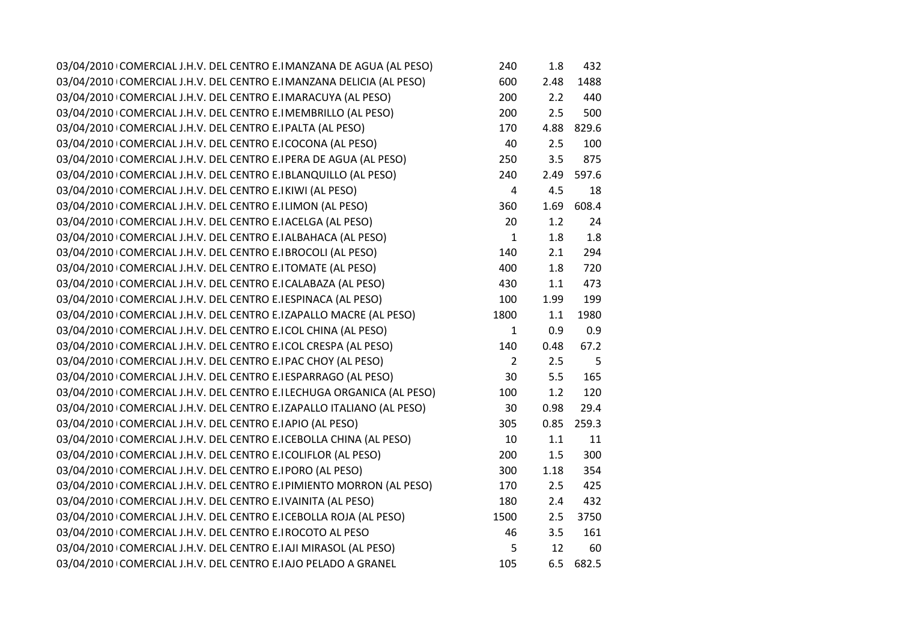| 03/04/2010 COMERCIAL J.H.V. DEL CENTRO E.I MANZANA DE AGUA (AL PESO) | 240            | 1.8  | 432   |
|----------------------------------------------------------------------|----------------|------|-------|
| 03/04/2010 COMERCIAL J.H.V. DEL CENTRO E.I MANZANA DELICIA (AL PESO) | 600            | 2.48 | 1488  |
| 03/04/2010 COMERCIAL J.H.V. DEL CENTRO E.I MARACUYA (AL PESO)        | 200            | 2.2  | 440   |
| 03/04/2010 COMERCIAL J.H.V. DEL CENTRO E.IMEMBRILLO (AL PESO)        | 200            | 2.5  | 500   |
| 03/04/2010 COMERCIAL J.H.V. DEL CENTRO E.IPALTA (AL PESO)            | 170            | 4.88 | 829.6 |
| 03/04/2010 COMERCIAL J.H.V. DEL CENTRO E.ICOCONA (AL PESO)           | 40             | 2.5  | 100   |
| 03/04/2010 COMERCIAL J.H.V. DEL CENTRO E.I PERA DE AGUA (AL PESO)    | 250            | 3.5  | 875   |
| 03/04/2010 COMERCIAL J.H.V. DEL CENTRO E. BLANQUILLO (AL PESO)       | 240            | 2.49 | 597.6 |
| 03/04/2010 COMERCIAL J.H.V. DEL CENTRO E.I KIWI (AL PESO)            | $\overline{4}$ | 4.5  | 18    |
| 03/04/2010 COMERCIAL J.H.V. DEL CENTRO E.ILIMON (AL PESO)            | 360            | 1.69 | 608.4 |
| 03/04/2010 COMERCIAL J.H.V. DEL CENTRO E.I ACELGA (AL PESO)          | 20             | 1.2  | 24    |
| 03/04/2010 COMERCIAL J.H.V. DEL CENTRO E. ALBAHACA (AL PESO)         | $\mathbf{1}$   | 1.8  | 1.8   |
| 03/04/2010 COMERCIAL J.H.V. DEL CENTRO E. BROCOLI (AL PESO)          | 140            | 2.1  | 294   |
| 03/04/2010 COMERCIAL J.H.V. DEL CENTRO E.ITOMATE (AL PESO)           | 400            | 1.8  | 720   |
| 03/04/2010 COMERCIAL J.H.V. DEL CENTRO E.I CALABAZA (AL PESO)        | 430            | 1.1  | 473   |
| 03/04/2010 COMERCIAL J.H.V. DEL CENTRO E. ESPINACA (AL PESO)         | 100            | 1.99 | 199   |
| 03/04/2010 COMERCIAL J.H.V. DEL CENTRO E.IZAPALLO MACRE (AL PESO)    | 1800           | 1.1  | 1980  |
| 03/04/2010 COMERCIAL J.H.V. DEL CENTRO E.I COL CHINA (AL PESO)       | $\mathbf{1}$   | 0.9  | 0.9   |
| 03/04/2010 COMERCIAL J.H.V. DEL CENTRO E.I COL CRESPA (AL PESO)      | 140            | 0.48 | 67.2  |
| 03/04/2010 COMERCIAL J.H.V. DEL CENTRO E.IPAC CHOY (AL PESO)         | $\overline{2}$ | 2.5  | 5     |
| 03/04/2010 COMERCIAL J.H.V. DEL CENTRO E.I ESPARRAGO (AL PESO)       | 30             | 5.5  | 165   |
| 03/04/2010 COMERCIAL J.H.V. DEL CENTRO E.ILECHUGA ORGANICA (AL PESO) | 100            | 1.2  | 120   |
| 03/04/2010 COMERCIAL J.H.V. DEL CENTRO E.IZAPALLO ITALIANO (AL PESO) | 30             | 0.98 | 29.4  |
| 03/04/2010 COMERCIAL J.H.V. DEL CENTRO E. APIO (AL PESO)             | 305            | 0.85 | 259.3 |
| 03/04/2010 COMERCIAL J.H.V. DEL CENTRO E.I CEBOLLA CHINA (AL PESO)   | 10             | 1.1  | 11    |
| 03/04/2010 COMERCIAL J.H.V. DEL CENTRO E.I COLIFLOR (AL PESO)        | 200            | 1.5  | 300   |
| 03/04/2010 COMERCIAL J.H.V. DEL CENTRO E.IPORO (AL PESO)             | 300            | 1.18 | 354   |
| 03/04/2010 COMERCIAL J.H.V. DEL CENTRO E. PIMIENTO MORRON (AL PESO)  | 170            | 2.5  | 425   |
| 03/04/2010 COMERCIAL J.H.V. DEL CENTRO E.IVAINITA (AL PESO)          | 180            | 2.4  | 432   |
| 03/04/2010 COMERCIAL J.H.V. DEL CENTRO E.I CEBOLLA ROJA (AL PESO)    | 1500           | 2.5  | 3750  |
| 03/04/2010 COMERCIAL J.H.V. DEL CENTRO E. ROCOTO AL PESO             | 46             | 3.5  | 161   |
| 03/04/2010 COMERCIAL J.H.V. DEL CENTRO E.IAJI MIRASOL (AL PESO)      | 5              | 12   | 60    |
| 03/04/2010 COMERCIAL J.H.V. DEL CENTRO E.IAJO PELADO A GRANEL        | 105            | 6.5  | 682.5 |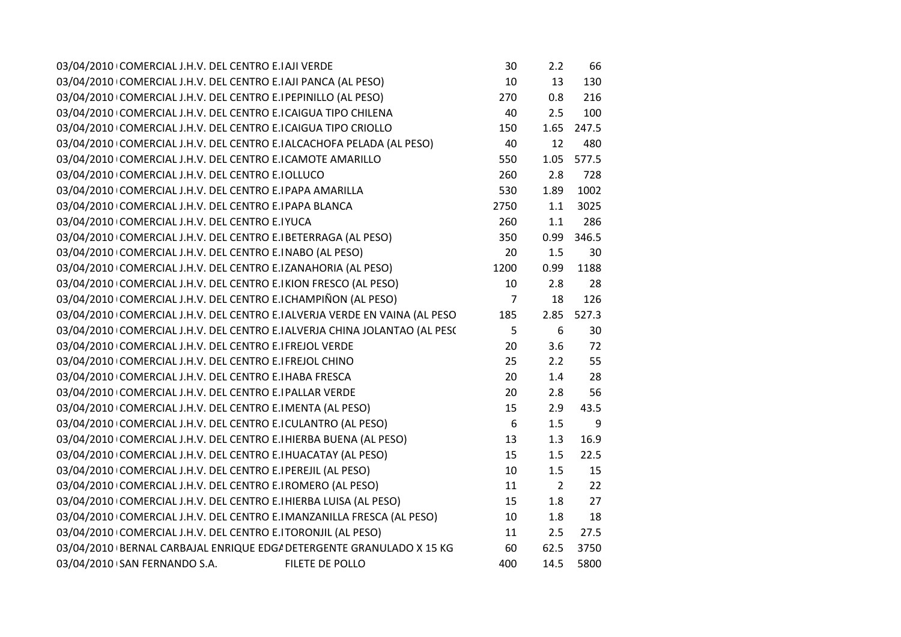| 03/04/2010 COMERCIAL J.H.V. DEL CENTRO E. AJI VERDE                        | 30               | 2.2            | 66    |
|----------------------------------------------------------------------------|------------------|----------------|-------|
| 03/04/2010 COMERCIAL J.H.V. DEL CENTRO E.IAJI PANCA (AL PESO)              | 10               | 13             | 130   |
| 03/04/2010 COMERCIAL J.H.V. DEL CENTRO E. PEPINILLO (AL PESO)              | 270              | 0.8            | 216   |
| 03/04/2010 COMERCIAL J.H.V. DEL CENTRO E.I CAIGUA TIPO CHILENA             | 40               | 2.5            | 100   |
| 03/04/2010 COMERCIAL J.H.V. DEL CENTRO E.I CAIGUA TIPO CRIOLLO             | 150              | 1.65           | 247.5 |
| 03/04/2010 COMERCIAL J.H.V. DEL CENTRO E.IALCACHOFA PELADA (AL PESO)       | 40               | 12             | 480   |
| 03/04/2010 COMERCIAL J.H.V. DEL CENTRO E.I CAMOTE AMARILLO                 | 550              | 1.05           | 577.5 |
| 03/04/2010 COMERCIAL J.H.V. DEL CENTRO E. IOLLUCO                          | 260              | 2.8            | 728   |
| 03/04/2010 COMERCIAL J.H.V. DEL CENTRO E.I PAPA AMARILLA                   | 530              | 1.89           | 1002  |
| 03/04/2010 COMERCIAL J.H.V. DEL CENTRO E.I PAPA BLANCA                     | 2750             | 1.1            | 3025  |
| 03/04/2010 COMERCIAL J.H.V. DEL CENTRO E.IYUCA                             | 260              | 1.1            | 286   |
| 03/04/2010 COMERCIAL J.H.V. DEL CENTRO E. BETERRAGA (AL PESO)              | 350              | 0.99           | 346.5 |
| 03/04/2010 COMERCIAL J.H.V. DEL CENTRO E.INABO (AL PESO)                   | 20               | 1.5            | 30    |
| 03/04/2010 COMERCIAL J.H.V. DEL CENTRO E.IZANAHORIA (AL PESO)              | 1200             | 0.99           | 1188  |
| 03/04/2010 COMERCIAL J.H.V. DEL CENTRO E.IKION FRESCO (AL PESO)            | 10               | 2.8            | 28    |
| 03/04/2010 COMERCIAL J.H.V. DEL CENTRO E.I CHAMPIÑON (AL PESO)             | $\overline{7}$   | 18             | 126   |
| 03/04/2010 COMERCIAL J.H.V. DEL CENTRO E.I ALVERJA VERDE EN VAINA (AL PESO | 185              | 2.85           | 527.3 |
| 03/04/2010 COMERCIAL J.H.V. DEL CENTRO E. ALVERJA CHINA JOLANTAO (AL PESC  | 5                | 6              | 30    |
| 03/04/2010 COMERCIAL J.H.V. DEL CENTRO E.I FREJOL VERDE                    | 20               | 3.6            | 72    |
| 03/04/2010 COMERCIAL J.H.V. DEL CENTRO E.I FREJOL CHINO                    | 25               | 2.2            | 55    |
| 03/04/2010 COMERCIAL J.H.V. DEL CENTRO E.I HABA FRESCA                     | 20               | 1.4            | 28    |
| 03/04/2010 COMERCIAL J.H.V. DEL CENTRO E.I PALLAR VERDE                    | 20               | 2.8            | 56    |
| 03/04/2010 COMERCIAL J.H.V. DEL CENTRO E.I MENTA (AL PESO)                 | 15               | 2.9            | 43.5  |
| 03/04/2010 COMERCIAL J.H.V. DEL CENTRO E.I CULANTRO (AL PESO)              | $\boldsymbol{6}$ | 1.5            | 9     |
| 03/04/2010 COMERCIAL J.H.V. DEL CENTRO E.I HIERBA BUENA (AL PESO)          | 13               | 1.3            | 16.9  |
| 03/04/2010 COMERCIAL J.H.V. DEL CENTRO E. HUACATAY (AL PESO)               | 15               | 1.5            | 22.5  |
| 03/04/2010 COMERCIAL J.H.V. DEL CENTRO E.I PEREJIL (AL PESO)               | 10               | 1.5            | 15    |
| 03/04/2010 COMERCIAL J.H.V. DEL CENTRO E. ROMERO (AL PESO)                 | 11               | $\overline{2}$ | 22    |
| 03/04/2010 COMERCIAL J.H.V. DEL CENTRO E. HIERBA LUISA (AL PESO)           | 15               | 1.8            | 27    |
| 03/04/2010 COMERCIAL J.H.V. DEL CENTRO E.IMANZANILLA FRESCA (AL PESO)      | 10               | 1.8            | 18    |
| 03/04/2010 COMERCIAL J.H.V. DEL CENTRO E.ITORONJIL (AL PESO)               | 11               | 2.5            | 27.5  |
| 03/04/2010 BERNAL CARBAJAL ENRIQUE EDG/ DETERGENTE GRANULADO X 15 KG       | 60               | 62.5           | 3750  |
| 03/04/2010 SAN FERNANDO S.A.<br>FILETE DE POLLO                            | 400              | 14.5           | 5800  |
|                                                                            |                  |                |       |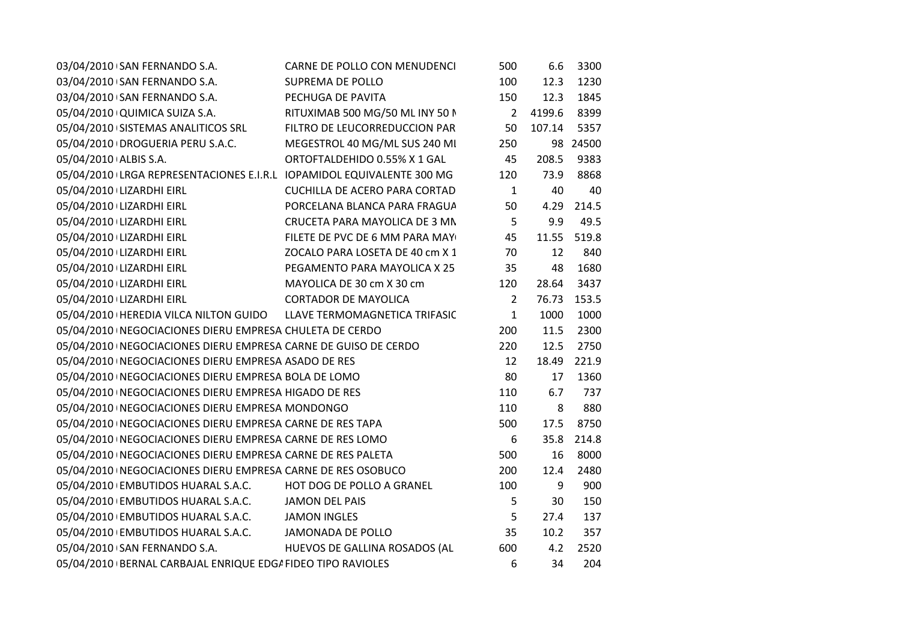| 03/04/2010 SAN FERNANDO S.A.                                          | CARNE DE POLLO CON MENUDENCI         | 500            | 6.6    | 3300  |
|-----------------------------------------------------------------------|--------------------------------------|----------------|--------|-------|
| 03/04/2010 \ SAN FERNANDO S.A.                                        | <b>SUPREMA DE POLLO</b>              | 100            | 12.3   | 1230  |
| 03/04/2010 SAN FERNANDO S.A.                                          | PECHUGA DE PAVITA                    | 150            | 12.3   | 1845  |
| 05/04/2010 QUIMICA SUIZA S.A.                                         | RITUXIMAB 500 MG/50 ML INY 50 N      | $\overline{2}$ | 4199.6 | 8399  |
| 05/04/2010 SISTEMAS ANALITICOS SRL                                    | FILTRO DE LEUCORREDUCCION PAR        | 50             | 107.14 | 5357  |
| 05/04/2010 DROGUERIA PERU S.A.C.                                      | MEGESTROL 40 MG/ML SUS 240 MI        | 250            | 98     | 24500 |
| 05/04/2010 ALBIS S.A.                                                 | ORTOFTALDEHIDO 0.55% X 1 GAL         | 45             | 208.5  | 9383  |
| 05/04/2010 LRGA REPRESENTACIONES E.I.R.L IOPAMIDOL EQUIVALENTE 300 MG |                                      | 120            | 73.9   | 8868  |
| 05/04/2010 LIZARDHI EIRL                                              | <b>CUCHILLA DE ACERO PARA CORTAD</b> | $\mathbf{1}$   | 40     | 40    |
| 05/04/2010 LIZARDHI EIRL                                              | PORCELANA BLANCA PARA FRAGUA         | 50             | 4.29   | 214.5 |
| 05/04/2010 LIZARDHI EIRL                                              | CRUCETA PARA MAYOLICA DE 3 MN        | 5              | 9.9    | 49.5  |
| 05/04/2010 LIZARDHI EIRL                                              | FILETE DE PVC DE 6 MM PARA MAY       | 45             | 11.55  | 519.8 |
| 05/04/2010 LIZARDHI EIRL                                              | ZOCALO PARA LOSETA DE 40 cm X 1      | 70             | 12     | 840   |
| 05/04/2010 LIZARDHI EIRL                                              | PEGAMENTO PARA MAYOLICA X 25         | 35             | 48     | 1680  |
| 05/04/2010 LIZARDHI EIRL                                              | MAYOLICA DE 30 cm X 30 cm            | 120            | 28.64  | 3437  |
| 05/04/2010 LIZARDHI EIRL                                              | <b>CORTADOR DE MAYOLICA</b>          | $\overline{2}$ | 76.73  | 153.5 |
| 05/04/2010   HEREDIA VILCA NILTON GUIDO LLAVE TERMOMAGNETICA TRIFASIC |                                      | $\mathbf{1}$   | 1000   | 1000  |
| 05/04/2010   NEGOCIACIONES DIERU EMPRESA CHULETA DE CERDO             |                                      | 200            | 11.5   | 2300  |
| 05/04/2010   NEGOCIACIONES DIERU EMPRESA CARNE DE GUISO DE CERDO      |                                      | 220            | 12.5   | 2750  |
| 05/04/2010   NEGOCIACIONES DIERU EMPRESA ASADO DE RES                 |                                      | 12             | 18.49  | 221.9 |
| 05/04/2010   NEGOCIACIONES DIERU EMPRESA BOLA DE LOMO                 |                                      | 80             | 17     | 1360  |
| 05/04/2010   NEGOCIACIONES DIERU EMPRESA HIGADO DE RES                |                                      | 110            | 6.7    | 737   |
| 05/04/2010   NEGOCIACIONES DIERU EMPRESA MONDONGO                     |                                      | 110            | 8      | 880   |
| 05/04/2010   NEGOCIACIONES DIERU EMPRESA CARNE DE RES TAPA            |                                      | 500            | 17.5   | 8750  |
| 05/04/2010   NEGOCIACIONES DIERU EMPRESA CARNE DE RES LOMO            |                                      | 6              | 35.8   | 214.8 |
| 05/04/2010   NEGOCIACIONES DIERU EMPRESA CARNE DE RES PALETA          |                                      | 500            | 16     | 8000  |
| 05/04/2010   NEGOCIACIONES DIERU EMPRESA CARNE DE RES OSOBUCO         |                                      | 200            | 12.4   | 2480  |
| 05/04/2010 EMBUTIDOS HUARAL S.A.C.                                    | HOT DOG DE POLLO A GRANEL            | 100            | 9      | 900   |
| 05/04/2010 EMBUTIDOS HUARAL S.A.C.                                    | <b>JAMON DEL PAIS</b>                | 5              | 30     | 150   |
| 05/04/2010 EMBUTIDOS HUARAL S.A.C.                                    | <b>JAMON INGLES</b>                  | 5              | 27.4   | 137   |
| 05/04/2010 EMBUTIDOS HUARAL S.A.C.                                    | JAMONADA DE POLLO                    | 35             | 10.2   | 357   |
| 05/04/2010 \ SAN FERNANDO S.A.                                        | HUEVOS DE GALLINA ROSADOS (AL        | 600            | 4.2    | 2520  |
| 05/04/2010 BERNAL CARBAJAL ENRIQUE EDG/ FIDEO TIPO RAVIOLES           |                                      | 6              | 34     | 204   |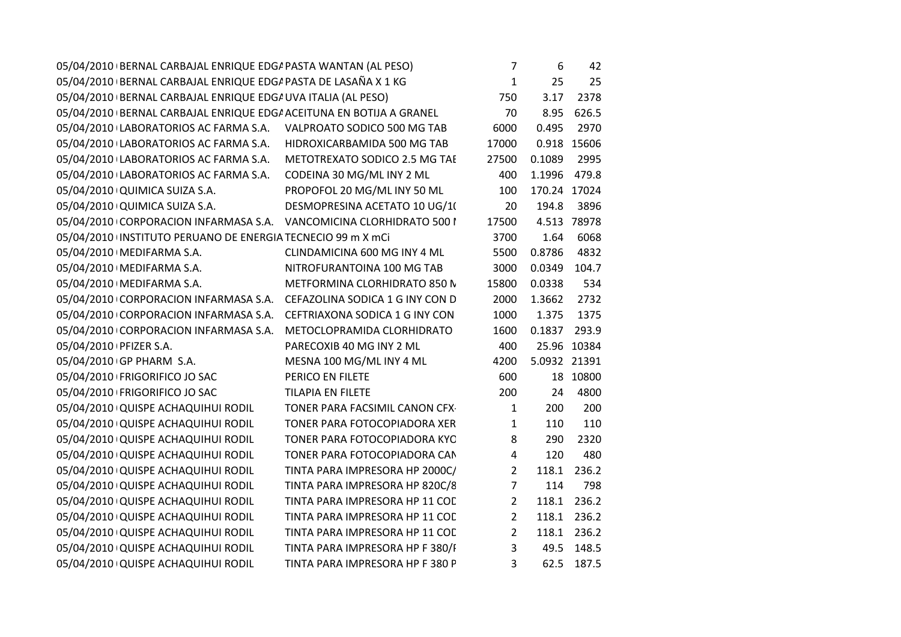| 05/04/2010 BERNAL CARBAJAL ENRIQUE EDG/ PASTA DE LASAÑA X 1 KG<br>$\mathbf{1}$<br>25<br>25<br>05/04/2010 BERNAL CARBAJAL ENRIQUE EDG/ UVA ITALIA (AL PESO)<br>2378<br>750<br>3.17<br>05/04/2010 BERNAL CARBAJAL ENRIQUE EDG/ ACEITUNA EN BOTIJA A GRANEL<br>626.5<br>70<br>8.95<br>05/04/2010 LABORATORIOS AC FARMA S.A. VALPROATO SODICO 500 MG TAB<br>0.495<br>2970<br>6000<br>05/04/2010 LABORATORIOS AC FARMA S.A.<br>HIDROXICARBAMIDA 500 MG TAB<br>17000<br>0.918 15606<br>05/04/2010 LABORATORIOS AC FARMA S.A.<br>METOTREXATO SODICO 2.5 MG TAE<br>27500<br>0.1089<br>2995<br>CODEINA 30 MG/ML INY 2 ML<br>1.1996<br>479.8<br>05/04/2010 LABORATORIOS AC FARMA S.A.<br>400<br>PROPOFOL 20 MG/ML INY 50 ML<br>170.24 17024<br>05/04/2010 QUIMICA SUIZA S.A.<br>100<br>05/04/2010 QUIMICA SUIZA S.A.<br>DESMOPRESINA ACETATO 10 UG/1(<br>20<br>194.8<br>3896<br>4.513 78978<br>05/04/2010 CORPORACION INFARMASA S.A. VANCOMICINA CLORHIDRATO 500 I<br>17500<br>05/04/2010 INSTITUTO PERUANO DE ENERGIA TECNECIO 99 m X mCi<br>1.64<br>6068<br>3700<br>05/04/2010   MEDIFARMA S.A.<br>CLINDAMICINA 600 MG INY 4 ML<br>5500<br>0.8786<br>4832<br>05/04/2010   MEDIFARMA S.A.<br>NITROFURANTOINA 100 MG TAB<br>3000<br>0.0349<br>104.7<br>05/04/2010   MEDIFARMA S.A.<br>METFORMINA CLORHIDRATO 850 N<br>15800<br>0.0338<br>534<br>05/04/2010 CORPORACION INFARMASA S.A. CEFAZOLINA SODICA 1 G INY CON D<br>2000<br>1.3662<br>2732<br>05/04/2010 CORPORACION INFARMASA S.A. CEFTRIAXONA SODICA 1 G INY CON<br>1000<br>1.375<br>1375<br>1600<br>05/04/2010 CORPORACION INFARMASA S.A.<br>METOCLOPRAMIDA CLORHIDRATO<br>0.1837<br>293.9<br>PARECOXIB 40 MG INY 2 ML<br>400<br>25.96 10384<br>05/04/2010 PFIZER S.A.<br>05/04/2010 GP PHARM S.A.<br>MESNA 100 MG/ML INY 4 ML<br>4200<br>5.0932 21391<br>05/04/2010   FRIGORIFICO JO SAC<br>PERICO EN FILETE<br>600<br>18 10800<br>05/04/2010   FRIGORIFICO JO SAC<br>200<br>4800<br><b>TILAPIA EN FILETE</b><br>24<br>200<br>05/04/2010 QUISPE ACHAQUIHUI RODIL<br>TONER PARA FACSIMIL CANON CFX-<br>$\mathbf{1}$<br>200<br>110<br>05/04/2010 QUISPE ACHAQUIHUI RODIL<br>TONER PARA FOTOCOPIADORA XER<br>$\mathbf{1}$<br>110<br>8<br>05/04/2010 QUISPE ACHAQUIHUI RODIL<br>TONER PARA FOTOCOPIADORA KYC<br>290<br>2320<br>05/04/2010 QUISPE ACHAQUIHUI RODIL<br>TONER PARA FOTOCOPIADORA CAN<br>$\pmb{4}$<br>480<br>120<br>$\overline{2}$<br>05/04/2010 QUISPE ACHAQUIHUI RODIL<br>TINTA PARA IMPRESORA HP 2000C/<br>118.1<br>236.2<br>$\overline{7}$<br>05/04/2010 QUISPE ACHAQUIHUI RODIL<br>TINTA PARA IMPRESORA HP 820C/8<br>114<br>798<br>$\overline{2}$<br>05/04/2010 QUISPE ACHAQUIHUI RODIL<br>TINTA PARA IMPRESORA HP 11 COL<br>118.1 236.2<br>$\overline{2}$<br>05/04/2010 QUISPE ACHAQUIHUI RODIL<br>TINTA PARA IMPRESORA HP 11 COL<br>118.1<br>236.2 |
|------------------------------------------------------------------------------------------------------------------------------------------------------------------------------------------------------------------------------------------------------------------------------------------------------------------------------------------------------------------------------------------------------------------------------------------------------------------------------------------------------------------------------------------------------------------------------------------------------------------------------------------------------------------------------------------------------------------------------------------------------------------------------------------------------------------------------------------------------------------------------------------------------------------------------------------------------------------------------------------------------------------------------------------------------------------------------------------------------------------------------------------------------------------------------------------------------------------------------------------------------------------------------------------------------------------------------------------------------------------------------------------------------------------------------------------------------------------------------------------------------------------------------------------------------------------------------------------------------------------------------------------------------------------------------------------------------------------------------------------------------------------------------------------------------------------------------------------------------------------------------------------------------------------------------------------------------------------------------------------------------------------------------------------------------------------------------------------------------------------------------------------------------------------------------------------------------------------------------------------------------------------------------------------------------------------------------------------------------------------------------------------------------------------------------------------------------------------------------------------------------------------------------------------------------------------------------------------------------------------------------------------------------------------------------------------------------------------------------------------------------------------------------------------------------------------|
|                                                                                                                                                                                                                                                                                                                                                                                                                                                                                                                                                                                                                                                                                                                                                                                                                                                                                                                                                                                                                                                                                                                                                                                                                                                                                                                                                                                                                                                                                                                                                                                                                                                                                                                                                                                                                                                                                                                                                                                                                                                                                                                                                                                                                                                                                                                                                                                                                                                                                                                                                                                                                                                                                                                                                                                                                  |
|                                                                                                                                                                                                                                                                                                                                                                                                                                                                                                                                                                                                                                                                                                                                                                                                                                                                                                                                                                                                                                                                                                                                                                                                                                                                                                                                                                                                                                                                                                                                                                                                                                                                                                                                                                                                                                                                                                                                                                                                                                                                                                                                                                                                                                                                                                                                                                                                                                                                                                                                                                                                                                                                                                                                                                                                                  |
|                                                                                                                                                                                                                                                                                                                                                                                                                                                                                                                                                                                                                                                                                                                                                                                                                                                                                                                                                                                                                                                                                                                                                                                                                                                                                                                                                                                                                                                                                                                                                                                                                                                                                                                                                                                                                                                                                                                                                                                                                                                                                                                                                                                                                                                                                                                                                                                                                                                                                                                                                                                                                                                                                                                                                                                                                  |
|                                                                                                                                                                                                                                                                                                                                                                                                                                                                                                                                                                                                                                                                                                                                                                                                                                                                                                                                                                                                                                                                                                                                                                                                                                                                                                                                                                                                                                                                                                                                                                                                                                                                                                                                                                                                                                                                                                                                                                                                                                                                                                                                                                                                                                                                                                                                                                                                                                                                                                                                                                                                                                                                                                                                                                                                                  |
|                                                                                                                                                                                                                                                                                                                                                                                                                                                                                                                                                                                                                                                                                                                                                                                                                                                                                                                                                                                                                                                                                                                                                                                                                                                                                                                                                                                                                                                                                                                                                                                                                                                                                                                                                                                                                                                                                                                                                                                                                                                                                                                                                                                                                                                                                                                                                                                                                                                                                                                                                                                                                                                                                                                                                                                                                  |
|                                                                                                                                                                                                                                                                                                                                                                                                                                                                                                                                                                                                                                                                                                                                                                                                                                                                                                                                                                                                                                                                                                                                                                                                                                                                                                                                                                                                                                                                                                                                                                                                                                                                                                                                                                                                                                                                                                                                                                                                                                                                                                                                                                                                                                                                                                                                                                                                                                                                                                                                                                                                                                                                                                                                                                                                                  |
|                                                                                                                                                                                                                                                                                                                                                                                                                                                                                                                                                                                                                                                                                                                                                                                                                                                                                                                                                                                                                                                                                                                                                                                                                                                                                                                                                                                                                                                                                                                                                                                                                                                                                                                                                                                                                                                                                                                                                                                                                                                                                                                                                                                                                                                                                                                                                                                                                                                                                                                                                                                                                                                                                                                                                                                                                  |
|                                                                                                                                                                                                                                                                                                                                                                                                                                                                                                                                                                                                                                                                                                                                                                                                                                                                                                                                                                                                                                                                                                                                                                                                                                                                                                                                                                                                                                                                                                                                                                                                                                                                                                                                                                                                                                                                                                                                                                                                                                                                                                                                                                                                                                                                                                                                                                                                                                                                                                                                                                                                                                                                                                                                                                                                                  |
|                                                                                                                                                                                                                                                                                                                                                                                                                                                                                                                                                                                                                                                                                                                                                                                                                                                                                                                                                                                                                                                                                                                                                                                                                                                                                                                                                                                                                                                                                                                                                                                                                                                                                                                                                                                                                                                                                                                                                                                                                                                                                                                                                                                                                                                                                                                                                                                                                                                                                                                                                                                                                                                                                                                                                                                                                  |
|                                                                                                                                                                                                                                                                                                                                                                                                                                                                                                                                                                                                                                                                                                                                                                                                                                                                                                                                                                                                                                                                                                                                                                                                                                                                                                                                                                                                                                                                                                                                                                                                                                                                                                                                                                                                                                                                                                                                                                                                                                                                                                                                                                                                                                                                                                                                                                                                                                                                                                                                                                                                                                                                                                                                                                                                                  |
|                                                                                                                                                                                                                                                                                                                                                                                                                                                                                                                                                                                                                                                                                                                                                                                                                                                                                                                                                                                                                                                                                                                                                                                                                                                                                                                                                                                                                                                                                                                                                                                                                                                                                                                                                                                                                                                                                                                                                                                                                                                                                                                                                                                                                                                                                                                                                                                                                                                                                                                                                                                                                                                                                                                                                                                                                  |
|                                                                                                                                                                                                                                                                                                                                                                                                                                                                                                                                                                                                                                                                                                                                                                                                                                                                                                                                                                                                                                                                                                                                                                                                                                                                                                                                                                                                                                                                                                                                                                                                                                                                                                                                                                                                                                                                                                                                                                                                                                                                                                                                                                                                                                                                                                                                                                                                                                                                                                                                                                                                                                                                                                                                                                                                                  |
|                                                                                                                                                                                                                                                                                                                                                                                                                                                                                                                                                                                                                                                                                                                                                                                                                                                                                                                                                                                                                                                                                                                                                                                                                                                                                                                                                                                                                                                                                                                                                                                                                                                                                                                                                                                                                                                                                                                                                                                                                                                                                                                                                                                                                                                                                                                                                                                                                                                                                                                                                                                                                                                                                                                                                                                                                  |
|                                                                                                                                                                                                                                                                                                                                                                                                                                                                                                                                                                                                                                                                                                                                                                                                                                                                                                                                                                                                                                                                                                                                                                                                                                                                                                                                                                                                                                                                                                                                                                                                                                                                                                                                                                                                                                                                                                                                                                                                                                                                                                                                                                                                                                                                                                                                                                                                                                                                                                                                                                                                                                                                                                                                                                                                                  |
|                                                                                                                                                                                                                                                                                                                                                                                                                                                                                                                                                                                                                                                                                                                                                                                                                                                                                                                                                                                                                                                                                                                                                                                                                                                                                                                                                                                                                                                                                                                                                                                                                                                                                                                                                                                                                                                                                                                                                                                                                                                                                                                                                                                                                                                                                                                                                                                                                                                                                                                                                                                                                                                                                                                                                                                                                  |
|                                                                                                                                                                                                                                                                                                                                                                                                                                                                                                                                                                                                                                                                                                                                                                                                                                                                                                                                                                                                                                                                                                                                                                                                                                                                                                                                                                                                                                                                                                                                                                                                                                                                                                                                                                                                                                                                                                                                                                                                                                                                                                                                                                                                                                                                                                                                                                                                                                                                                                                                                                                                                                                                                                                                                                                                                  |
|                                                                                                                                                                                                                                                                                                                                                                                                                                                                                                                                                                                                                                                                                                                                                                                                                                                                                                                                                                                                                                                                                                                                                                                                                                                                                                                                                                                                                                                                                                                                                                                                                                                                                                                                                                                                                                                                                                                                                                                                                                                                                                                                                                                                                                                                                                                                                                                                                                                                                                                                                                                                                                                                                                                                                                                                                  |
|                                                                                                                                                                                                                                                                                                                                                                                                                                                                                                                                                                                                                                                                                                                                                                                                                                                                                                                                                                                                                                                                                                                                                                                                                                                                                                                                                                                                                                                                                                                                                                                                                                                                                                                                                                                                                                                                                                                                                                                                                                                                                                                                                                                                                                                                                                                                                                                                                                                                                                                                                                                                                                                                                                                                                                                                                  |
|                                                                                                                                                                                                                                                                                                                                                                                                                                                                                                                                                                                                                                                                                                                                                                                                                                                                                                                                                                                                                                                                                                                                                                                                                                                                                                                                                                                                                                                                                                                                                                                                                                                                                                                                                                                                                                                                                                                                                                                                                                                                                                                                                                                                                                                                                                                                                                                                                                                                                                                                                                                                                                                                                                                                                                                                                  |
|                                                                                                                                                                                                                                                                                                                                                                                                                                                                                                                                                                                                                                                                                                                                                                                                                                                                                                                                                                                                                                                                                                                                                                                                                                                                                                                                                                                                                                                                                                                                                                                                                                                                                                                                                                                                                                                                                                                                                                                                                                                                                                                                                                                                                                                                                                                                                                                                                                                                                                                                                                                                                                                                                                                                                                                                                  |
|                                                                                                                                                                                                                                                                                                                                                                                                                                                                                                                                                                                                                                                                                                                                                                                                                                                                                                                                                                                                                                                                                                                                                                                                                                                                                                                                                                                                                                                                                                                                                                                                                                                                                                                                                                                                                                                                                                                                                                                                                                                                                                                                                                                                                                                                                                                                                                                                                                                                                                                                                                                                                                                                                                                                                                                                                  |
|                                                                                                                                                                                                                                                                                                                                                                                                                                                                                                                                                                                                                                                                                                                                                                                                                                                                                                                                                                                                                                                                                                                                                                                                                                                                                                                                                                                                                                                                                                                                                                                                                                                                                                                                                                                                                                                                                                                                                                                                                                                                                                                                                                                                                                                                                                                                                                                                                                                                                                                                                                                                                                                                                                                                                                                                                  |
|                                                                                                                                                                                                                                                                                                                                                                                                                                                                                                                                                                                                                                                                                                                                                                                                                                                                                                                                                                                                                                                                                                                                                                                                                                                                                                                                                                                                                                                                                                                                                                                                                                                                                                                                                                                                                                                                                                                                                                                                                                                                                                                                                                                                                                                                                                                                                                                                                                                                                                                                                                                                                                                                                                                                                                                                                  |
|                                                                                                                                                                                                                                                                                                                                                                                                                                                                                                                                                                                                                                                                                                                                                                                                                                                                                                                                                                                                                                                                                                                                                                                                                                                                                                                                                                                                                                                                                                                                                                                                                                                                                                                                                                                                                                                                                                                                                                                                                                                                                                                                                                                                                                                                                                                                                                                                                                                                                                                                                                                                                                                                                                                                                                                                                  |
|                                                                                                                                                                                                                                                                                                                                                                                                                                                                                                                                                                                                                                                                                                                                                                                                                                                                                                                                                                                                                                                                                                                                                                                                                                                                                                                                                                                                                                                                                                                                                                                                                                                                                                                                                                                                                                                                                                                                                                                                                                                                                                                                                                                                                                                                                                                                                                                                                                                                                                                                                                                                                                                                                                                                                                                                                  |
|                                                                                                                                                                                                                                                                                                                                                                                                                                                                                                                                                                                                                                                                                                                                                                                                                                                                                                                                                                                                                                                                                                                                                                                                                                                                                                                                                                                                                                                                                                                                                                                                                                                                                                                                                                                                                                                                                                                                                                                                                                                                                                                                                                                                                                                                                                                                                                                                                                                                                                                                                                                                                                                                                                                                                                                                                  |
|                                                                                                                                                                                                                                                                                                                                                                                                                                                                                                                                                                                                                                                                                                                                                                                                                                                                                                                                                                                                                                                                                                                                                                                                                                                                                                                                                                                                                                                                                                                                                                                                                                                                                                                                                                                                                                                                                                                                                                                                                                                                                                                                                                                                                                                                                                                                                                                                                                                                                                                                                                                                                                                                                                                                                                                                                  |
|                                                                                                                                                                                                                                                                                                                                                                                                                                                                                                                                                                                                                                                                                                                                                                                                                                                                                                                                                                                                                                                                                                                                                                                                                                                                                                                                                                                                                                                                                                                                                                                                                                                                                                                                                                                                                                                                                                                                                                                                                                                                                                                                                                                                                                                                                                                                                                                                                                                                                                                                                                                                                                                                                                                                                                                                                  |
|                                                                                                                                                                                                                                                                                                                                                                                                                                                                                                                                                                                                                                                                                                                                                                                                                                                                                                                                                                                                                                                                                                                                                                                                                                                                                                                                                                                                                                                                                                                                                                                                                                                                                                                                                                                                                                                                                                                                                                                                                                                                                                                                                                                                                                                                                                                                                                                                                                                                                                                                                                                                                                                                                                                                                                                                                  |
| $\overline{2}$<br>118.1 236.2<br>05/04/2010 QUISPE ACHAQUIHUI RODIL<br>TINTA PARA IMPRESORA HP 11 COL                                                                                                                                                                                                                                                                                                                                                                                                                                                                                                                                                                                                                                                                                                                                                                                                                                                                                                                                                                                                                                                                                                                                                                                                                                                                                                                                                                                                                                                                                                                                                                                                                                                                                                                                                                                                                                                                                                                                                                                                                                                                                                                                                                                                                                                                                                                                                                                                                                                                                                                                                                                                                                                                                                            |
| $\overline{3}$<br>05/04/2010 QUISPE ACHAQUIHUI RODIL<br>TINTA PARA IMPRESORA HP F 380/F<br>49.5 148.5                                                                                                                                                                                                                                                                                                                                                                                                                                                                                                                                                                                                                                                                                                                                                                                                                                                                                                                                                                                                                                                                                                                                                                                                                                                                                                                                                                                                                                                                                                                                                                                                                                                                                                                                                                                                                                                                                                                                                                                                                                                                                                                                                                                                                                                                                                                                                                                                                                                                                                                                                                                                                                                                                                            |
| 3<br>62.5 187.5<br>05/04/2010 QUISPE ACHAQUIHUI RODIL<br>TINTA PARA IMPRESORA HP F 380 P                                                                                                                                                                                                                                                                                                                                                                                                                                                                                                                                                                                                                                                                                                                                                                                                                                                                                                                                                                                                                                                                                                                                                                                                                                                                                                                                                                                                                                                                                                                                                                                                                                                                                                                                                                                                                                                                                                                                                                                                                                                                                                                                                                                                                                                                                                                                                                                                                                                                                                                                                                                                                                                                                                                         |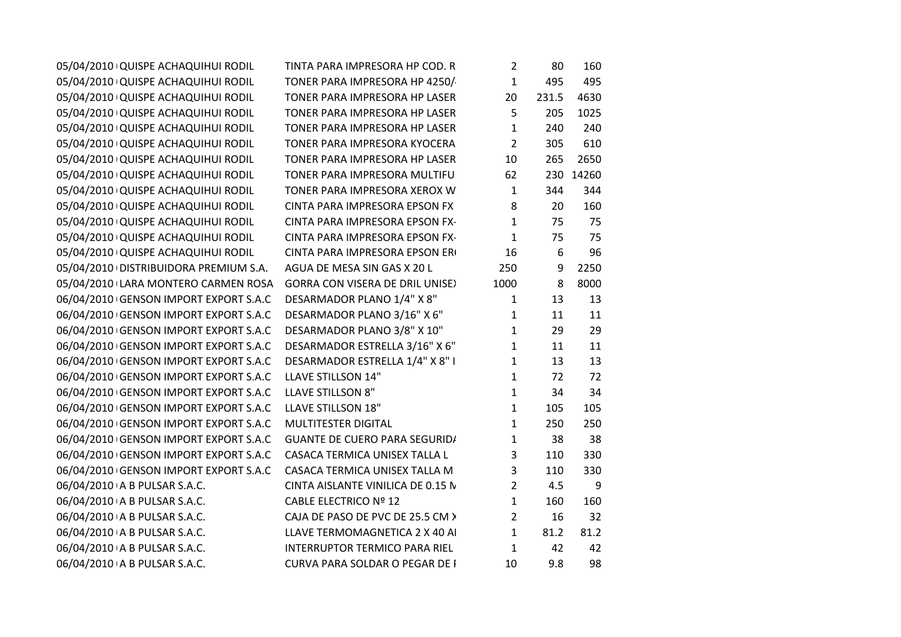| 05/04/2010 QUISPE ACHAQUIHUI RODIL    | TINTA PARA IMPRESORA HP COD. R         | $\overline{2}$ | 80    | 160       |
|---------------------------------------|----------------------------------------|----------------|-------|-----------|
| 05/04/2010 QUISPE ACHAQUIHUI RODIL    | TONER PARA IMPRESORA HP 4250/          | $\mathbf{1}$   | 495   | 495       |
| 05/04/2010 QUISPE ACHAQUIHUI RODIL    | TONER PARA IMPRESORA HP LASER          | 20             | 231.5 | 4630      |
| 05/04/2010 QUISPE ACHAQUIHUI RODIL    | TONER PARA IMPRESORA HP LASER          | 5              | 205   | 1025      |
| 05/04/2010 QUISPE ACHAQUIHUI RODIL    | TONER PARA IMPRESORA HP LASER          | $\mathbf{1}$   | 240   | 240       |
| 05/04/2010 QUISPE ACHAQUIHUI RODIL    | TONER PARA IMPRESORA KYOCERA           | $\overline{2}$ | 305   | 610       |
| 05/04/2010 QUISPE ACHAQUIHUI RODIL    | TONER PARA IMPRESORA HP LASER          | 10             | 265   | 2650      |
| 05/04/2010 QUISPE ACHAQUIHUI RODIL    | TONER PARA IMPRESORA MULTIFU           | 62             |       | 230 14260 |
| 05/04/2010 QUISPE ACHAQUIHUI RODIL    | TONER PARA IMPRESORA XEROX W           | $\mathbf{1}$   | 344   | 344       |
| 05/04/2010 QUISPE ACHAQUIHUI RODIL    | CINTA PARA IMPRESORA EPSON FX          | 8              | 20    | 160       |
| 05/04/2010 QUISPE ACHAQUIHUI RODIL    | CINTA PARA IMPRESORA EPSON FX-         | $\mathbf{1}$   | 75    | 75        |
| 05/04/2010 QUISPE ACHAQUIHUI RODIL    | CINTA PARA IMPRESORA EPSON FX-         | $\mathbf{1}$   | 75    | 75        |
| 05/04/2010 QUISPE ACHAQUIHUI RODIL    | CINTA PARA IMPRESORA EPSON ERI         | 16             | 6     | 96        |
| 05/04/2010 DISTRIBUIDORA PREMIUM S.A. | AGUA DE MESA SIN GAS X 20 L            | 250            | 9     | 2250      |
| 05/04/2010 LARA MONTERO CARMEN ROSA   | <b>GORRA CON VISERA DE DRIL UNISE)</b> | 1000           | 8     | 8000      |
| 06/04/2010 GENSON IMPORT EXPORT S.A.C | DESARMADOR PLANO 1/4" X 8"             | $\mathbf{1}$   | 13    | 13        |
| 06/04/2010 GENSON IMPORT EXPORT S.A.C | DESARMADOR PLANO 3/16" X 6"            | $\mathbf{1}$   | 11    | 11        |
| 06/04/2010 GENSON IMPORT EXPORT S.A.C | DESARMADOR PLANO 3/8" X 10"            | $\mathbf{1}$   | 29    | 29        |
| 06/04/2010 GENSON IMPORT EXPORT S.A.C | DESARMADOR ESTRELLA 3/16" X 6"         | $\mathbf{1}$   | 11    | 11        |
| 06/04/2010 GENSON IMPORT EXPORT S.A.C | DESARMADOR ESTRELLA 1/4" X 8" I        | $\mathbf{1}$   | 13    | 13        |
| 06/04/2010 GENSON IMPORT EXPORT S.A.C | LLAVE STILLSON 14"                     | $\mathbf{1}$   | 72    | 72        |
| 06/04/2010 GENSON IMPORT EXPORT S.A.C | <b>LLAVE STILLSON 8"</b>               | $\mathbf{1}$   | 34    | 34        |
| 06/04/2010 GENSON IMPORT EXPORT S.A.C | LLAVE STILLSON 18"                     | $\mathbf{1}$   | 105   | 105       |
| 06/04/2010 GENSON IMPORT EXPORT S.A.C | MULTITESTER DIGITAL                    | $\mathbf{1}$   | 250   | 250       |
| 06/04/2010 GENSON IMPORT EXPORT S.A.C | <b>GUANTE DE CUERO PARA SEGURID/</b>   | $\mathbf{1}$   | 38    | 38        |
| 06/04/2010 GENSON IMPORT EXPORT S.A.C | CASACA TERMICA UNISEX TALLA L          | 3              | 110   | 330       |
| 06/04/2010 GENSON IMPORT EXPORT S.A.C | CASACA TERMICA UNISEX TALLA M          | 3              | 110   | 330       |
| 06/04/2010 A B PULSAR S.A.C.          | CINTA AISLANTE VINILICA DE 0.15 N      | $\overline{2}$ | 4.5   | 9         |
| 06/04/2010 A B PULSAR S.A.C.          | <b>CABLE ELECTRICO Nº 12</b>           | $\mathbf{1}$   | 160   | 160       |
| 06/04/2010 A B PULSAR S.A.C.          | CAJA DE PASO DE PVC DE 25.5 CM >       | $\overline{2}$ | 16    | 32        |
| 06/04/2010 A B PULSAR S.A.C.          | LLAVE TERMOMAGNETICA 2 X 40 AI         | $\mathbf{1}$   | 81.2  | 81.2      |
| 06/04/2010 A B PULSAR S.A.C.          | INTERRUPTOR TERMICO PARA RIEL          | $\mathbf{1}$   | 42    | 42        |
| 06/04/2010 A B PULSAR S.A.C.          | <b>CURVA PARA SOLDAR O PEGAR DE I</b>  | 10             | 9.8   | 98        |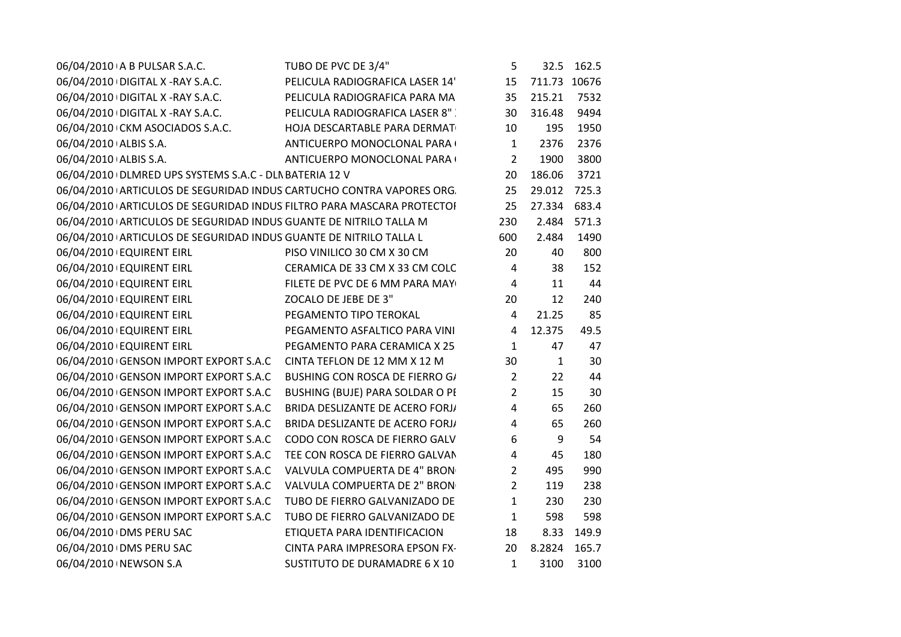| 06/04/2010 A B PULSAR S.A.C. |                                                                   | TUBO DE PVC DE 3/4"                                                   | 5                |              | 32.5 162.5  |
|------------------------------|-------------------------------------------------------------------|-----------------------------------------------------------------------|------------------|--------------|-------------|
|                              | 06/04/2010 DIGITAL X - RAY S.A.C.                                 | PELICULA RADIOGRAFICA LASER 14'                                       | 15               | 711.73 10676 |             |
|                              | 06/04/2010 DIGITAL X - RAY S.A.C.                                 | PELICULA RADIOGRAFICA PARA MA                                         | 35               | 215.21       | 7532        |
|                              | 06/04/2010 DIGITAL X - RAY S.A.C.                                 | PELICULA RADIOGRAFICA LASER 8"                                        | 30               | 316.48       | 9494        |
|                              | 06/04/2010 CKM ASOCIADOS S.A.C.                                   | HOJA DESCARTABLE PARA DERMAT                                          | 10               | 195          | 1950        |
| 06/04/2010 ALBIS S.A.        |                                                                   | ANTICUERPO MONOCLONAL PARA (                                          | $\mathbf{1}$     | 2376         | 2376        |
| 06/04/2010 ALBIS S.A.        |                                                                   | ANTICUERPO MONOCLONAL PARA (                                          | $\overline{2}$   | 1900         | 3800        |
|                              | 06/04/2010 DLMRED UPS SYSTEMS S.A.C - DLN BATERIA 12 V            |                                                                       | 20               | 186.06       | 3721        |
|                              |                                                                   | 06/04/2010 ARTICULOS DE SEGURIDAD INDUS CARTUCHO CONTRA VAPORES ORG.  | 25               | 29.012 725.3 |             |
|                              |                                                                   | 06/04/2010 ARTICULOS DE SEGURIDAD INDUS FILTRO PARA MASCARA PROTECTOI | 25               | 27.334 683.4 |             |
|                              | 06/04/2010 ARTICULOS DE SEGURIDAD INDUS GUANTE DE NITRILO TALLA M |                                                                       | 230              |              | 2.484 571.3 |
|                              | 06/04/2010 ARTICULOS DE SEGURIDAD INDUS GUANTE DE NITRILO TALLA L |                                                                       | 600              | 2.484        | 1490        |
| 06/04/2010 EQUIRENT EIRL     |                                                                   | PISO VINILICO 30 CM X 30 CM                                           | 20               | 40           | 800         |
| 06/04/2010 EQUIRENT EIRL     |                                                                   | CERAMICA DE 33 CM X 33 CM COLC                                        | $\overline{4}$   | 38           | 152         |
| 06/04/2010 EQUIRENT EIRL     |                                                                   | FILETE DE PVC DE 6 MM PARA MAY                                        | $\overline{4}$   | 11           | 44          |
| 06/04/2010 EQUIRENT EIRL     |                                                                   | ZOCALO DE JEBE DE 3"                                                  | 20               | 12           | 240         |
| 06/04/2010 EQUIRENT EIRL     |                                                                   | PEGAMENTO TIPO TEROKAL                                                | $\overline{4}$   | 21.25        | 85          |
| 06/04/2010 EQUIRENT EIRL     |                                                                   | PEGAMENTO ASFALTICO PARA VINI                                         | $\overline{4}$   | 12.375       | 49.5        |
| 06/04/2010 EQUIRENT EIRL     |                                                                   | PEGAMENTO PARA CERAMICA X 25                                          | $\mathbf{1}$     | 47           | 47          |
|                              |                                                                   | 06/04/2010 GENSON IMPORT EXPORT S.A.C CINTA TEFLON DE 12 MM X 12 M    | 30               | $\mathbf{1}$ | 30          |
|                              |                                                                   | 06/04/2010 GENSON IMPORT EXPORT S.A.C BUSHING CON ROSCA DE FIERRO G/  | $2^{\circ}$      | 22           | 44          |
|                              | 06/04/2010 GENSON IMPORT EXPORT S.A.C                             | BUSHING (BUJE) PARA SOLDAR O PI                                       | $\overline{2}$   | 15           | 30          |
|                              | 06/04/2010 GENSON IMPORT EXPORT S.A.C                             | BRIDA DESLIZANTE DE ACERO FORJ/                                       | $\overline{4}$   | 65           | 260         |
|                              | 06/04/2010 GENSON IMPORT EXPORT S.A.C                             | BRIDA DESLIZANTE DE ACERO FORJ/                                       | $\overline{4}$   | 65           | 260         |
|                              | 06/04/2010 GENSON IMPORT EXPORT S.A.C                             | CODO CON ROSCA DE FIERRO GALV                                         | $\boldsymbol{6}$ | 9            | 54          |
|                              | 06/04/2010 GENSON IMPORT EXPORT S.A.C                             | TEE CON ROSCA DE FIERRO GALVAN                                        | $\overline{4}$   | 45           | 180         |
|                              | 06/04/2010 GENSON IMPORT EXPORT S.A.C                             | VALVULA COMPUERTA DE 4" BRON                                          | $2^{\circ}$      | 495          | 990         |
|                              | 06/04/2010 GENSON IMPORT EXPORT S.A.C                             | VALVULA COMPUERTA DE 2" BRON                                          | $\overline{2}$   | 119          | 238         |
|                              | 06/04/2010 GENSON IMPORT EXPORT S.A.C                             | TUBO DE FIERRO GALVANIZADO DE                                         | $\mathbf{1}$     | 230          | 230         |
|                              | 06/04/2010 GENSON IMPORT EXPORT S.A.C                             | TUBO DE FIERRO GALVANIZADO DE                                         | $\mathbf{1}$     | 598          | 598         |
| 06/04/2010 DMS PERU SAC      |                                                                   | ETIQUETA PARA IDENTIFICACION                                          | 18               | 8.33         | 149.9       |
| 06/04/2010 DMS PERU SAC      |                                                                   | CINTA PARA IMPRESORA EPSON FX-                                        | 20               | 8.2824 165.7 |             |
| 06/04/2010 NEWSON S.A        |                                                                   | SUSTITUTO DE DURAMADRE 6 X 10                                         | $\mathbf{1}$     | 3100         | 3100        |
|                              |                                                                   |                                                                       |                  |              |             |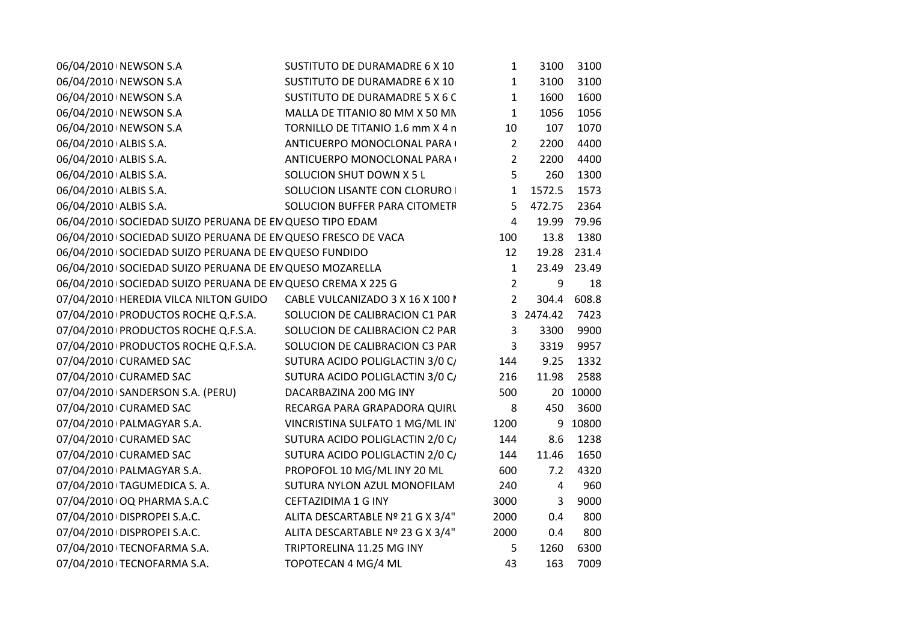| 06/04/2010 NEWSON S.A                                                    | SUSTITUTO DE DURAMADRE 6 X 10    | 1              | 3100      | 3100        |
|--------------------------------------------------------------------------|----------------------------------|----------------|-----------|-------------|
| 06/04/2010 NEWSON S.A                                                    | SUSTITUTO DE DURAMADRE 6 X 10    | $\mathbf{1}$   | 3100      | 3100        |
| 06/04/2010 NEWSON S.A                                                    | SUSTITUTO DE DURAMADRE 5 X 6 C   | $\mathbf{1}$   | 1600      | 1600        |
| 06/04/2010 NEWSON S.A                                                    | MALLA DE TITANIO 80 MM X 50 MN   | $\mathbf{1}$   | 1056      | 1056        |
| 06/04/2010 NEWSON S.A                                                    | TORNILLO DE TITANIO 1.6 mm X 4 n | 10             | 107       | 1070        |
| 06/04/2010 ALBIS S.A.                                                    | ANTICUERPO MONOCLONAL PARA (     | $\overline{2}$ | 2200      | 4400        |
| 06/04/2010 ALBIS S.A.                                                    | ANTICUERPO MONOCLONAL PARA (     | $\overline{2}$ | 2200      | 4400        |
| 06/04/2010 ALBIS S.A.<br>SOLUCION SHUT DOWN X 5 L                        |                                  | 5              | 260       | 1300        |
| 06/04/2010 ALBIS S.A.                                                    | SOLUCION LISANTE CON CLORURO     | $\mathbf{1}$   | 1572.5    | 1573        |
| 06/04/2010 ALBIS S.A.                                                    | SOLUCION BUFFER PARA CITOMETR    | 5              | 472.75    | 2364        |
| 06/04/2010 SOCIEDAD SUIZO PERUANA DE EN QUESO TIPO EDAM                  |                                  | $\overline{4}$ |           | 19.99 79.96 |
| 06/04/2010 SOCIEDAD SUIZO PERUANA DE EN QUESO FRESCO DE VACA             |                                  | 100            | 13.8      | 1380        |
| 06/04/2010 SOCIEDAD SUIZO PERUANA DE EN QUESO FUNDIDO                    |                                  | 12             |           | 19.28 231.4 |
| 06/04/2010 SOCIEDAD SUIZO PERUANA DE EN QUESO MOZARELLA                  |                                  | $\mathbf{1}$   |           | 23.49 23.49 |
| 06/04/2010 SOCIEDAD SUIZO PERUANA DE EN QUESO CREMA X 225 G              |                                  | $\overline{2}$ | 9         | 18          |
| 07/04/2010   HEREDIA VILCA NILTON GUIDO CABLE VULCANIZADO 3 X 16 X 100 I |                                  | $\overline{2}$ | 304.4     | 608.8       |
| 07/04/2010 PRODUCTOS ROCHE Q.F.S.A.                                      | SOLUCION DE CALIBRACION C1 PAR   |                | 3 2474.42 | 7423        |
| 07/04/2010 PRODUCTOS ROCHE Q.F.S.A.                                      | SOLUCION DE CALIBRACION C2 PAR   | 3              | 3300      | 9900        |
| 07/04/2010 PRODUCTOS ROCHE Q.F.S.A.                                      | SOLUCION DE CALIBRACION C3 PAR   | $\mathbf{3}$   | 3319      | 9957        |
| 07/04/2010 CURAMED SAC                                                   | SUTURA ACIDO POLIGLACTIN 3/0 C/  | 144            | 9.25      | 1332        |
| 07/04/2010 CURAMED SAC                                                   | SUTURA ACIDO POLIGLACTIN 3/0 C/  | 216            | 11.98     | 2588        |
| 07/04/2010 SANDERSON S.A. (PERU)<br>DACARBAZINA 200 MG INY               |                                  | 500            |           | 20 10000    |
| 07/04/2010 CURAMED SAC                                                   | RECARGA PARA GRAPADORA QUIRL     | 8              | 450       | 3600        |
| 07/04/2010   PALMAGYAR S.A.                                              | VINCRISTINA SULFATO 1 MG/ML IN   | 1200           |           | 9 10800     |
| 07/04/2010 CURAMED SAC                                                   | SUTURA ACIDO POLIGLACTIN 2/0 C/  | 144            | 8.6       | 1238        |
| 07/04/2010 CURAMED SAC                                                   | SUTURA ACIDO POLIGLACTIN 2/0 C/  | 144            | 11.46     | 1650        |
| 07/04/2010 PALMAGYAR S.A.                                                | PROPOFOL 10 MG/ML INY 20 ML      | 600            | 7.2       | 4320        |
| 07/04/2010 TAGUMEDICA S.A.                                               | SUTURA NYLON AZUL MONOFILAM      | 240            | 4         | 960         |
| 07/04/2010 OQ PHARMA S.A.C<br>CEFTAZIDIMA 1 G INY                        |                                  | 3000           | 3         | 9000        |
| 07/04/2010 DISPROPEI S.A.C.                                              | ALITA DESCARTABLE Nº 21 G X 3/4" | 2000           | 0.4       | 800         |
| 07/04/2010 DISPROPEI S.A.C.                                              | ALITA DESCARTABLE Nº 23 G X 3/4" | 2000           | 0.4       | 800         |
| 07/04/2010 TECNOFARMA S.A.<br>TRIPTORELINA 11.25 MG INY                  |                                  | 5.             | 1260      | 6300        |
| 07/04/2010 TECNOFARMA S.A.<br>TOPOTECAN 4 MG/4 ML                        |                                  | 43             | 163       | 7009        |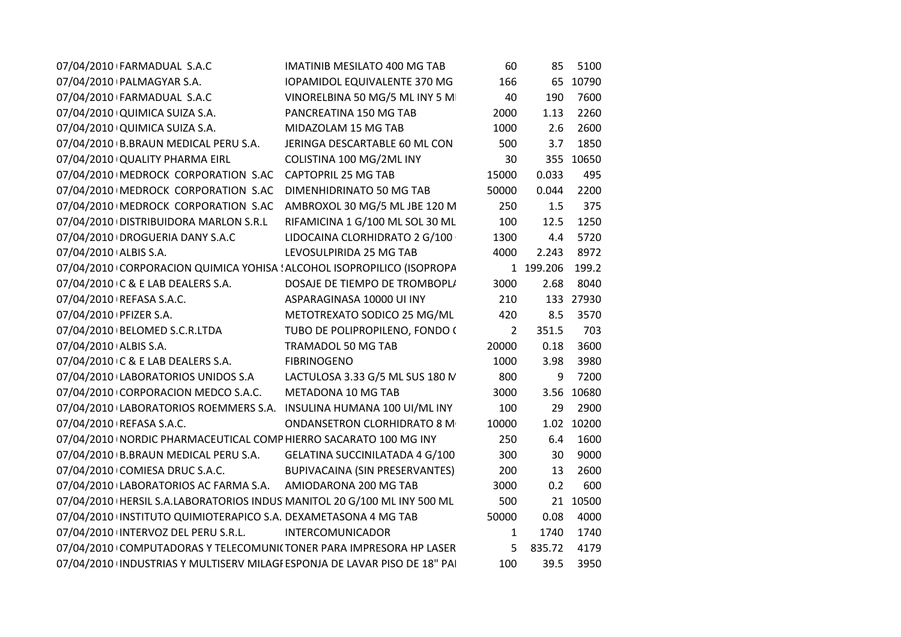| 07/04/2010 FARMADUAL S.A.C                                                | <b>IMATINIB MESILATO 400 MG TAB</b>   | 60             | 85        | 5100       |
|---------------------------------------------------------------------------|---------------------------------------|----------------|-----------|------------|
| 07/04/2010   PALMAGYAR S.A.                                               | <b>IOPAMIDOL EQUIVALENTE 370 MG</b>   | 166            |           | 65 10790   |
| 07/04/2010 FARMADUAL S.A.C                                                | VINORELBINA 50 MG/5 ML INY 5 M        | 40             | 190       | 7600       |
| 07/04/2010 QUIMICA SUIZA S.A.                                             | PANCREATINA 150 MG TAB                | 2000           | 1.13      | 2260       |
| 07/04/2010 QUIMICA SUIZA S.A.                                             | MIDAZOLAM 15 MG TAB                   | 1000           | 2.6       | 2600       |
| 07/04/2010 B.BRAUN MEDICAL PERU S.A.                                      | JERINGA DESCARTABLE 60 ML CON         | 500            | 3.7       | 1850       |
| 07/04/2010 QUALITY PHARMA EIRL                                            | COLISTINA 100 MG/2ML INY              | 30             |           | 355 10650  |
| 07/04/2010 MEDROCK CORPORATION S.AC                                       | <b>CAPTOPRIL 25 MG TAB</b>            | 15000          | 0.033     | 495        |
| 07/04/2010   MEDROCK CORPORATION S.AC                                     | DIMENHIDRINATO 50 MG TAB              | 50000          | 0.044     | 2200       |
| 07/04/2010   MEDROCK CORPORATION S.AC                                     | AMBROXOL 30 MG/5 ML JBE 120 M         | 250            | 1.5       | 375        |
| 07/04/2010 DISTRIBUIDORA MARLON S.R.L                                     | RIFAMICINA 1 G/100 ML SOL 30 ML       | 100            | 12.5      | 1250       |
| 07/04/2010 DROGUERIA DANY S.A.C                                           | LIDOCAINA CLORHIDRATO 2 G/100         | 1300           | 4.4       | 5720       |
| 07/04/2010 ALBIS S.A.                                                     | LEVOSULPIRIDA 25 MG TAB               | 4000           | 2.243     | 8972       |
| 07/04/2010 CORPORACION QUIMICA YOHISA ! ALCOHOL ISOPROPILICO (ISOPROPA    |                                       |                | 1 199.206 | 199.2      |
| 07/04/2010 C & E LAB DEALERS S.A.                                         | DOSAJE DE TIEMPO DE TROMBOPL/         | 3000           | 2.68      | 8040       |
| 07/04/2010   REFASA S.A.C.                                                | ASPARAGINASA 10000 UI INY             | 210            |           | 133 27930  |
| 07/04/2010   PFIZER S.A.                                                  | METOTREXATO SODICO 25 MG/ML           | 420            | 8.5       | 3570       |
| 07/04/2010   BELOMED S.C.R.LTDA                                           | TUBO DE POLIPROPILENO, FONDO (        | $\overline{2}$ | 351.5     | 703        |
| 07/04/2010 ALBIS S.A.                                                     | TRAMADOL 50 MG TAB                    | 20000          | 0.18      | 3600       |
| 07/04/2010 C & E LAB DEALERS S.A.                                         | <b>FIBRINOGENO</b>                    | 1000           | 3.98      | 3980       |
| 07/04/2010 LABORATORIOS UNIDOS S.A                                        | LACTULOSA 3.33 G/5 ML SUS 180 N       | 800            | 9         | 7200       |
| 07/04/2010 CORPORACION MEDCO S.A.C.                                       | METADONA 10 MG TAB                    | 3000           | 3.56      | 10680      |
| 07/04/2010 LABORATORIOS ROEMMERS S.A. INSULINA HUMANA 100 UI/ML INY       |                                       | 100            | 29        | 2900       |
| 07/04/2010   REFASA S.A.C.                                                | ONDANSETRON CLORHIDRATO 8 M           | 10000          |           | 1.02 10200 |
| 07/04/2010 INORDIC PHARMACEUTICAL COMP HIERRO SACARATO 100 MG INY         |                                       | 250            | 6.4       | 1600       |
| 07/04/2010 B.BRAUN MEDICAL PERU S.A. GELATINA SUCCINILATADA 4 G/100       |                                       | 300            | 30        | 9000       |
| 07/04/2010 COMIESA DRUC S.A.C.                                            | <b>BUPIVACAINA (SIN PRESERVANTES)</b> | 200            | 13        | 2600       |
| 07/04/2010 LABORATORIOS AC FARMA S.A. AMIODARONA 200 MG TAB               |                                       | 3000           | 0.2       | 600        |
| 07/04/2010   HERSIL S.A.LABORATORIOS INDUS MANITOL 20 G/100 ML INY 500 ML |                                       | 500            |           | 21 10500   |
| 07/04/2010 INSTITUTO QUIMIOTERAPICO S.A. DEXAMETASONA 4 MG TAB            |                                       | 50000          | 0.08      | 4000       |
| 07/04/2010 INTERVOZ DEL PERU S.R.L. INTERCOMUNICADOR                      |                                       | $\mathbf{1}$   | 1740      | 1740       |
| 07/04/2010 COMPUTADORAS Y TELECOMUNI(TONER PARA IMPRESORA HP LASER        |                                       | 5              | 835.72    | 4179       |
| 07/04/2010 INDUSTRIAS Y MULTISERV MILAGI ESPONJA DE LAVAR PISO DE 18" PAI |                                       | 100            | 39.5      | 3950       |
|                                                                           |                                       |                |           |            |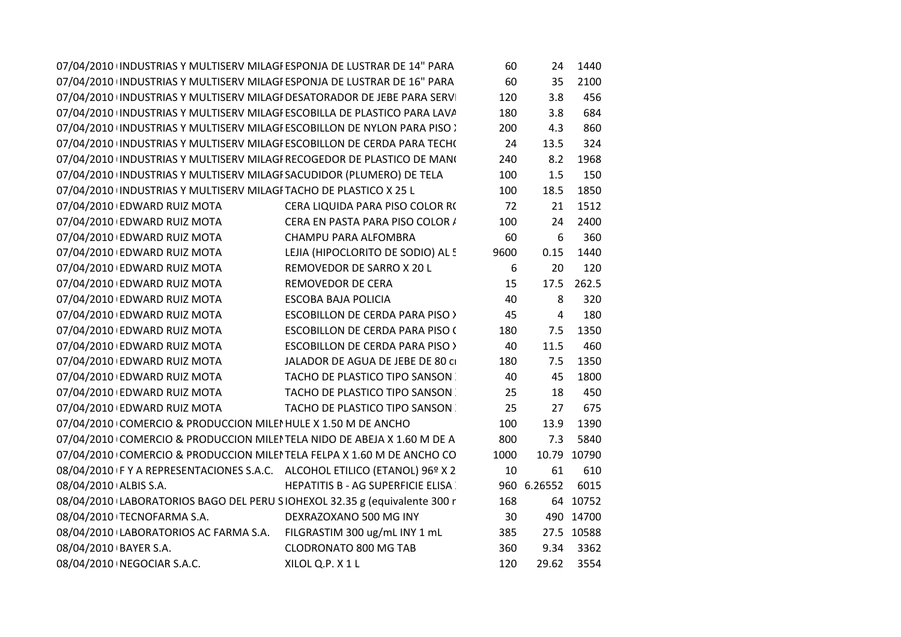| 07/04/2010 INDUSTRIAS Y MULTISERV MILAGI ESPONJA DE LUSTRAR DE 14" PARA  |                                           | 60   | 24   | 1440  |
|--------------------------------------------------------------------------|-------------------------------------------|------|------|-------|
| 07/04/2010 INDUSTRIAS Y MULTISERV MILAGI ESPONJA DE LUSTRAR DE 16" PARA  |                                           | 60   | 35   | 2100  |
| 07/04/2010 INDUSTRIAS Y MULTISERV MILAGI DESATORADOR DE JEBE PARA SERVI  |                                           | 120  | 3.8  | 456   |
| 07/04/2010 INDUSTRIAS Y MULTISERV MILAGI ESCOBILLA DE PLASTICO PARA LAVA |                                           | 180  | 3.8  | 684   |
| 07/04/2010 INDUSTRIAS Y MULTISERV MILAGI ESCOBILLON DE NYLON PARA PISO : |                                           | 200  | 4.3  | 860   |
| 07/04/2010 INDUSTRIAS Y MULTISERV MILAGI ESCOBILLON DE CERDA PARA TECH(  |                                           | 24   | 13.5 | 324   |
| 07/04/2010 INDUSTRIAS Y MULTISERV MILAGI RECOGEDOR DE PLASTICO DE MANO   |                                           | 240  | 8.2  | 1968  |
| 07/04/2010 INDUSTRIAS Y MULTISERV MILAGI SACUDIDOR (PLUMERO) DE TELA     |                                           | 100  | 1.5  | 150   |
| 07/04/2010 INDUSTRIAS Y MULTISERV MILAGI TACHO DE PLASTICO X 25 L        |                                           | 100  | 18.5 | 1850  |
| 07/04/2010 EDWARD RUIZ MOTA                                              | CERA LIQUIDA PARA PISO COLOR RO           | 72   | 21   | 1512  |
| 07/04/2010 EDWARD RUIZ MOTA                                              | CERA EN PASTA PARA PISO COLOR /           | 100  | 24   | 2400  |
| 07/04/2010 EDWARD RUIZ MOTA                                              | CHAMPU PARA ALFOMBRA                      | 60   | 6    | 360   |
| 07/04/2010 EDWARD RUIZ MOTA                                              | LEJIA (HIPOCLORITO DE SODIO) AL 5         | 9600 | 0.15 | 1440  |
| 07/04/2010 EDWARD RUIZ MOTA                                              | REMOVEDOR DE SARRO X 20 L                 | 6    | 20   | 120   |
| 07/04/2010 EDWARD RUIZ MOTA                                              | REMOVEDOR DE CERA                         | 15   | 17.5 | 262.5 |
| 07/04/2010 EDWARD RUIZ MOTA                                              | ESCOBA BAJA POLICIA                       | 40   | 8    | 320   |
| 07/04/2010 EDWARD RUIZ MOTA                                              | <b>ESCOBILLON DE CERDA PARA PISO &gt;</b> | 45   | 4    | 180   |
| 07/04/2010 EDWARD RUIZ MOTA                                              | <b>ESCOBILLON DE CERDA PARA PISO (</b>    | 180  | 7.5  | 1350  |
| 07/04/2010 EDWARD RUIZ MOTA                                              | <b>ESCOBILLON DE CERDA PARA PISO &gt;</b> | 40   | 11.5 | 460   |
| 07/04/2010 EDWARD RUIZ MOTA                                              | JALADOR DE AGUA DE JEBE DE 80 CI          | 180  | 7.5  | 1350  |
| 07/04/2010 EDWARD RUIZ MOTA                                              | <b>TACHO DE PLASTICO TIPO SANSON</b>      | 40   | 45   | 1800  |
| 07/04/2010 EDWARD RUIZ MOTA                                              | <b>TACHO DE PLASTICO TIPO SANSON</b>      | 25   | 18   | 450   |
| 07/04/2010 EDWARD RUIZ MOTA                                              | <b>TACHO DE PLASTICO TIPO SANSON</b>      | 25   | 27   | 675   |
| 07/04/2010 COMERCIO & PRODUCCION MILEI HULE X 1.50 M DE ANCHO            |                                           | 100  | 13.9 | 1390  |
| 07/04/2010 COMERCIO & PRODUCCION MILEI TELA NIDO DE ABEJA X 1.60 M DE A  |                                           | 800  | 7.3  | 5840  |
|                                                                          |                                           |      |      |       |

COMERCIO & PRODUCCION MILEI TELA NIDO DE ABEJA X 1.60 M DE A $\,$  800  $\,$  7.3  $07/04/2010$   $\cdot$  COMERCIO & PRODUCCION MILEI TELA FELPA X 1.60 M DE ANCHO CO $_{\cdot}$   $\cdot$  1000 08/04/2010 F Y A REPRESENTACIONES S.A.C. ALCOHOL ETILICO (ETANOL) 96º X 2  $10$  e 61 610 08/04/2010 ALBIS S.A. HEPATITIS B - AG SUPERFICIE ELISA 300 6.26552 6015<br>SIOHEXOL 32.35 g (equivalente 300 r 168 64 10752 08/04/2010 LABORATORIOS BAGO DEL PERU SIOHEXOL 32.35 g (equivalente 300 r $\qquad \qquad 168 \qquad \qquad 64 \quad 10752$ 08/04/2010 TECNOFARMA S.A. DEXRAZOXANO 500 MG INY 1 mL 30 490 14700<br>FILGRASTIM 300 ug/mL INY 1 mL 385 27.5 10588 08/04/2010 LABORATORIOS AC FARMA S.A. FILGRASTIM 300 ug/mL INY 1 mL 385 27.5 10588 08/04/2010 BAYER S.A. CLODRONATO 800 MG TAB<br>XILOL Q.P. X 1 L 08/04/2010 00:00:00 NEGOCIAR S.A.C. XILOL Q.P. X 1 L <sup>120</sup> 29.62 <sup>3554</sup>

<sup>360</sup> 9.34 <sup>3362</sup>

<sup>1000</sup> 10.79 <sup>10790</sup>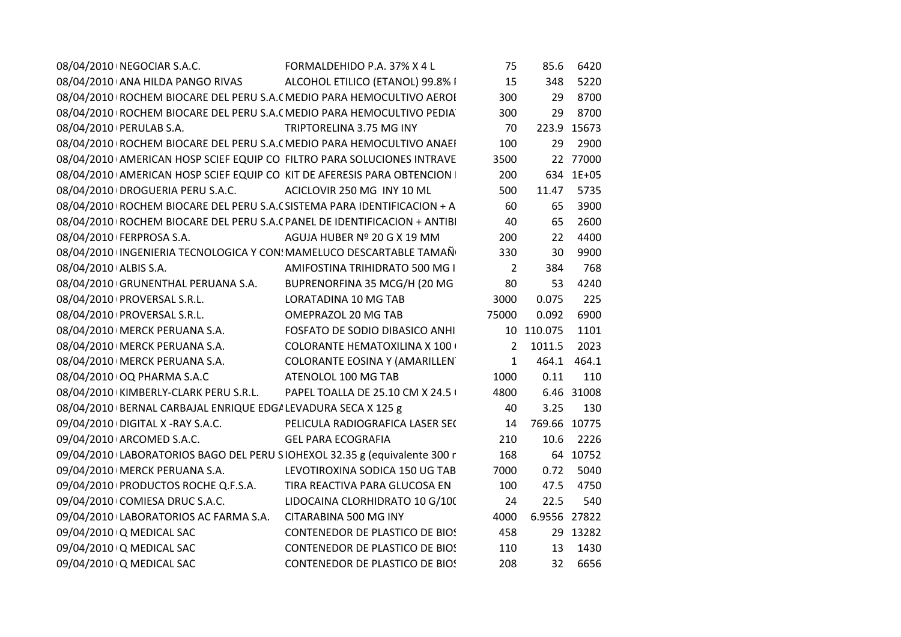|                       | 08/04/2010   NEGOCIAR S.A.C.                                  | FORMALDEHIDO P.A. 37% X 4 L                                                 | 75             | 85.6         | 6420        |
|-----------------------|---------------------------------------------------------------|-----------------------------------------------------------------------------|----------------|--------------|-------------|
|                       | 08/04/2010 ANA HILDA PANGO RIVAS                              | ALCOHOL ETILICO (ETANOL) 99.8% I                                            | 15             | 348          | 5220        |
|                       |                                                               | 08/04/2010   ROCHEM BIOCARE DEL PERU S.A. ( MEDIO PARA HEMOCULTIVO AEROI    | 300            | 29           | 8700        |
|                       |                                                               | 08/04/2010 ROCHEM BIOCARE DEL PERU S.A. ( MEDIO PARA HEMOCULTIVO PEDIA      | 300            |              | 29 8700     |
|                       | 08/04/2010   PERULAB S.A.                                     | TRIPTORELINA 3.75 MG INY                                                    | 70             |              | 223.9 15673 |
|                       |                                                               | 08/04/2010   ROCHEM BIOCARE DEL PERU S.A. ( MEDIO PARA HEMOCULTIVO ANAEI    | 100            | 29           | 2900        |
|                       |                                                               | 08/04/2010 AMERICAN HOSP SCIEF EQUIP CO FILTRO PARA SOLUCIONES INTRAVE      | 3500           |              | 22 77000    |
|                       |                                                               | 08/04/2010 AMERICAN HOSP SCIEF EQUIP CO KIT DE AFERESIS PARA OBTENCION      | 200            |              | 634 1E+05   |
|                       | 08/04/2010 DROGUERIA PERU S.A.C.                              | ACICLOVIR 250 MG INY 10 ML                                                  | 500            | 11.47        | 5735        |
|                       |                                                               | 08/04/2010   ROCHEM BIOCARE DEL PERU S.A. (SISTEMA PARA IDENTIFICACION + A  | 60             | 65           | 3900        |
|                       |                                                               | 08/04/2010   ROCHEM BIOCARE DEL PERU S.A. (PANEL DE IDENTIFICACION + ANTIBI | 40             | 65           | 2600        |
|                       | 08/04/2010 FERPROSA S.A.                                      | AGUJA HUBER Nº 20 G X 19 MM                                                 | 200            | 22           | 4400        |
|                       |                                                               | 08/04/2010 INGENIERIA TECNOLOGICA Y CON: MAMELUCO DESCARTABLE TAMAÑ         | 330            | 30           | 9900        |
| 08/04/2010 ALBIS S.A. |                                                               | AMIFOSTINA TRIHIDRATO 500 MG I                                              | $\overline{2}$ | 384          | 768         |
|                       | 08/04/2010 GRUNENTHAL PERUANA S.A.                            | BUPRENORFINA 35 MCG/H (20 MG                                                | 80             | 53           | 4240        |
|                       | 08/04/2010 PROVERSAL S.R.L.                                   | LORATADINA 10 MG TAB                                                        | 3000           | 0.075        | 225         |
|                       | 08/04/2010   PROVERSAL S.R.L.                                 | OMEPRAZOL 20 MG TAB                                                         | 75000          | 0.092        | 6900        |
|                       | 08/04/2010   MERCK PERUANA S.A.                               | FOSFATO DE SODIO DIBASICO ANHI                                              |                | 10 110.075   | 1101        |
|                       | 08/04/2010   MERCK PERUANA S.A.                               | <b>COLORANTE HEMATOXILINA X 100 (</b>                                       | $\overline{2}$ | 1011.5       | 2023        |
|                       | 08/04/2010   MERCK PERUANA S.A.                               | COLORANTE EOSINA Y (AMARILLEN                                               | $\mathbf{1}$   |              | 464.1 464.1 |
|                       | 08/04/2010 OQ PHARMA S.A.C                                    | ATENOLOL 100 MG TAB                                                         | 1000           | 0.11         | 110         |
|                       | 08/04/2010 KIMBERLY-CLARK PERU S.R.L.                         | PAPEL TOALLA DE 25.10 CM X 24.5 (                                           | 4800           |              | 6.46 31008  |
|                       | 08/04/2010 BERNAL CARBAJAL ENRIQUE EDG/ LEVADURA SECA X 125 g |                                                                             | 40             | 3.25         | 130         |
|                       | 09/04/2010 DIGITAL X -RAY S.A.C.                              | PELICULA RADIOGRAFICA LASER SEC                                             | 14             | 769.66 10775 |             |
|                       | 09/04/2010 ARCOMED S.A.C.                                     | <b>GEL PARA ECOGRAFIA</b>                                                   | 210            | 10.6         | 2226        |
|                       |                                                               | 09/04/2010 LABORATORIOS BAGO DEL PERU SIOHEXOL 32.35 g (equivalente 300 r   | 168            |              | 64 10752    |
|                       | 09/04/2010   MERCK PERUANA S.A.                               | LEVOTIROXINA SODICA 150 UG TAB                                              | 7000           | 0.72         | 5040        |
|                       | 09/04/2010 PRODUCTOS ROCHE Q.F.S.A.                           | TIRA REACTIVA PARA GLUCOSA EN                                               | 100            | 47.5         | 4750        |
|                       | 09/04/2010 COMIESA DRUC S.A.C.                                | LIDOCAINA CLORHIDRATO 10 G/100                                              | 24             | 22.5         | 540         |
|                       | 09/04/2010 LABORATORIOS AC FARMA S.A.                         | CITARABINA 500 MG INY                                                       | 4000           | 6.9556 27822 |             |
|                       | 09/04/2010 Q MEDICAL SAC                                      | CONTENEDOR DE PLASTICO DE BIOS                                              | 458            |              | 29 13282    |
|                       | 09/04/2010 Q MEDICAL SAC                                      | <b>CONTENEDOR DE PLASTICO DE BIOS</b>                                       | 110            | 13           | 1430        |
|                       | 09/04/2010 Q MEDICAL SAC                                      | <b>CONTENEDOR DE PLASTICO DE BIOS</b>                                       | 208            | 32           | 6656        |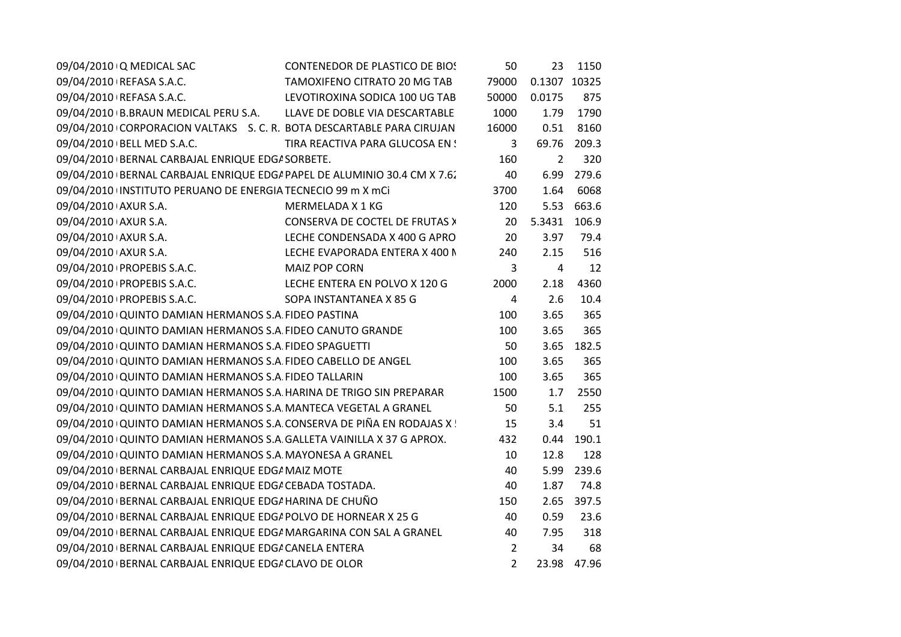| 09/04/2010 Q MEDICAL SAC                                                 | <b>CONTENEDOR DE PLASTICO DE BIOS</b> | 50             | 23             | 1150  |
|--------------------------------------------------------------------------|---------------------------------------|----------------|----------------|-------|
| 09/04/2010   REFASA S.A.C.                                               | <b>TAMOXIFENO CITRATO 20 MG TAB</b>   | 79000          | 0.1307         | 10325 |
| 09/04/2010   REFASA S.A.C.                                               | LEVOTIROXINA SODICA 100 UG TAB        | 50000          | 0.0175         | 875   |
| 09/04/2010 B.BRAUN MEDICAL PERU S.A. LLAVE DE DOBLE VIA DESCARTABLE      |                                       | 1000           | 1.79           | 1790  |
| 09/04/2010 CORPORACION VALTAKS S. C. R. BOTA DESCARTABLE PARA CIRUJAN    |                                       | 16000          | 0.51           | 8160  |
| 09/04/2010 BELL MED S.A.C.                                               | TIRA REACTIVA PARA GLUCOSA EN !       | 3              | 69.76          | 209.3 |
| 09/04/2010 BERNAL CARBAJAL ENRIQUE EDG/ SORBETE.                         |                                       | 160            | $\overline{2}$ | 320   |
| 09/04/2010 BERNAL CARBAJAL ENRIQUE EDG/ PAPEL DE ALUMINIO 30.4 CM X 7.6. |                                       | 40             | 6.99           | 279.6 |
| 09/04/2010 INSTITUTO PERUANO DE ENERGIA TECNECIO 99 m X mCi              |                                       | 3700           | 1.64           | 6068  |
| 09/04/2010 AXUR S.A.                                                     | MERMELADA X 1 KG                      | 120            | 5.53           | 663.6 |
| 09/04/2010 AXUR S.A.                                                     | CONSERVA DE COCTEL DE FRUTAS >        | 20             | 5.3431         | 106.9 |
| 09/04/2010 AXUR S.A.                                                     | LECHE CONDENSADA X 400 G APRO         | 20             | 3.97           | 79.4  |
| 09/04/2010 AXUR S.A.                                                     | LECHE EVAPORADA ENTERA X 400 N        | 240            | 2.15           | 516   |
| 09/04/2010 PROPEBIS S.A.C.                                               | <b>MAIZ POP CORN</b>                  | 3              | 4              | 12    |
| 09/04/2010 PROPEBIS S.A.C.                                               | LECHE ENTERA EN POLVO X 120 G         | 2000           | 2.18           | 4360  |
| 09/04/2010 PROPEBIS S.A.C.                                               | SOPA INSTANTANEA X 85 G               | 4              | 2.6            | 10.4  |
| 09/04/2010 QUINTO DAMIAN HERMANOS S.A FIDEO PASTINA                      |                                       | 100            | 3.65           | 365   |
| 09/04/2010 QUINTO DAMIAN HERMANOS S.A. FIDEO CANUTO GRANDE               |                                       | 100            | 3.65           | 365   |
| 09/04/2010 QUINTO DAMIAN HERMANOS S.A. FIDEO SPAGUETTI                   |                                       | 50             | 3.65           | 182.5 |
| 09/04/2010 QUINTO DAMIAN HERMANOS S.A FIDEO CABELLO DE ANGEL             |                                       | 100            | 3.65           | 365   |
| 09/04/2010 QUINTO DAMIAN HERMANOS S.A. FIDEO TALLARIN                    |                                       | 100            | 3.65           | 365   |
| 09/04/2010 QUINTO DAMIAN HERMANOS S.A. HARINA DE TRIGO SIN PREPARAR      |                                       | 1500           | 1.7            | 2550  |
| 09/04/2010 QUINTO DAMIAN HERMANOS S.A. MANTECA VEGETAL A GRANEL          |                                       | 50             | 5.1            | 255   |
| 09/04/2010 QUINTO DAMIAN HERMANOS S.A. CONSERVA DE PIÑA EN RODAJAS X !   |                                       | 15             | 3.4            | 51    |
| 09/04/2010 QUINTO DAMIAN HERMANOS S.A GALLETA VAINILLA X 37 G APROX.     |                                       | 432            | 0.44           | 190.1 |
| 09/04/2010 QUINTO DAMIAN HERMANOS S.A. MAYONESA A GRANEL                 |                                       | 10             | 12.8           | 128   |
| 09/04/2010 BERNAL CARBAJAL ENRIQUE EDG/ MAIZ MOTE                        |                                       | 40             | 5.99           | 239.6 |
| 09/04/2010 BERNAL CARBAJAL ENRIQUE EDG/ CEBADA TOSTADA.                  |                                       | 40             | 1.87           | 74.8  |
| 09/04/2010 BERNAL CARBAJAL ENRIQUE EDG/ HARINA DE CHUÑO                  |                                       | 150            | 2.65           | 397.5 |
| 09/04/2010 BERNAL CARBAJAL ENRIQUE EDG/ POLVO DE HORNEAR X 25 G          |                                       | 40             | 0.59           | 23.6  |
| 09/04/2010 BERNAL CARBAJAL ENRIQUE EDG/ MARGARINA CON SAL A GRANEL       |                                       | 40             | 7.95           | 318   |
| 09/04/2010 BERNAL CARBAJAL ENRIQUE EDG/ CANELA ENTERA                    |                                       | $\overline{2}$ | 34             | 68    |
| 09/04/2010 BERNAL CARBAJAL ENRIQUE EDG/ CLAVO DE OLOR                    |                                       | $\overline{2}$ | 23.98          | 47.96 |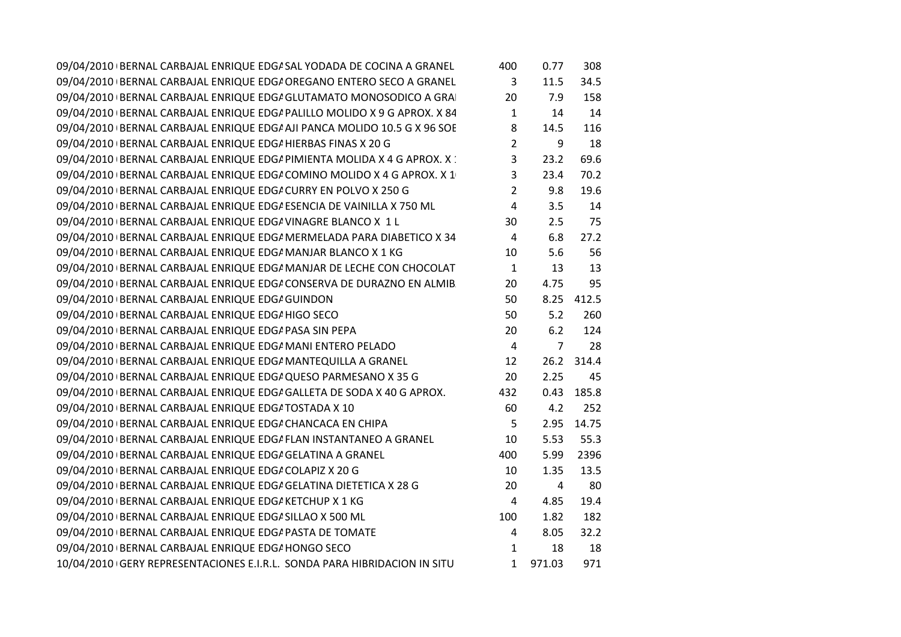| 09/04/2010 BERNAL CARBAJAL ENRIQUE EDG/ SAL YODADA DE COCINA A GRANEL      | 400            | 0.77           | 308   |  |
|----------------------------------------------------------------------------|----------------|----------------|-------|--|
| 09/04/2010 BERNAL CARBAJAL ENRIQUE EDGI OREGANO ENTERO SECO A GRANEL       | 3              | 11.5           | 34.5  |  |
| 09/04/2010 BERNAL CARBAJAL ENRIQUE EDGI GLUTAMATO MONOSODICO A GRA         | 20             | 7.9            | 158   |  |
| 09/04/2010 BERNAL CARBAJAL ENRIQUE EDG/ PALILLO MOLIDO X 9 G APROX. X 84   | $\mathbf{1}$   | 14             | 14    |  |
| 09/04/2010   BERNAL CARBAJAL ENRIQUE EDG/ AJI PANCA MOLIDO 10.5 G X 96 SOE | 8              | 14.5           | 116   |  |
| 09/04/2010 BERNAL CARBAJAL ENRIQUE EDG/ HIERBAS FINAS X 20 G               | $\overline{2}$ | 9              | 18    |  |
| 09/04/2010 BERNAL CARBAJAL ENRIQUE EDG/ PIMIENTA MOLIDA X 4 G APROX. X :   | $\overline{3}$ | 23.2           | 69.6  |  |
| 09/04/2010 BERNAL CARBAJAL ENRIQUE EDGA COMINO MOLIDO X 4 G APROX. X 1     | 3              | 23.4           | 70.2  |  |
| 09/04/2010 BERNAL CARBAJAL ENRIQUE EDG/ CURRY EN POLVO X 250 G             | $\overline{2}$ | 9.8            | 19.6  |  |
| 09/04/2010 BERNAL CARBAJAL ENRIQUE EDG/ ESENCIA DE VAINILLA X 750 ML       | 4              | 3.5            | 14    |  |
| 09/04/2010 BERNAL CARBAJAL ENRIQUE EDG/ VINAGRE BLANCO X 1 L               | 30             | 2.5            | 75    |  |
| 09/04/2010   BERNAL CARBAJAL ENRIQUE EDG/ MERMELADA PARA DIABETICO X 34    | 4              | 6.8            | 27.2  |  |
| 09/04/2010 BERNAL CARBAJAL ENRIQUE EDG/ MANJAR BLANCO X 1 KG               | 10             | 5.6            | 56    |  |
| 09/04/2010 BERNAL CARBAJAL ENRIQUE EDG/ MANJAR DE LECHE CON CHOCOLAT       | $\mathbf{1}$   | 13             | 13    |  |
| 09/04/2010 BERNAL CARBAJAL ENRIQUE EDG/ CONSERVA DE DURAZNO EN ALMIB       | 20             | 4.75           | 95    |  |
| 09/04/2010 BERNAL CARBAJAL ENRIQUE EDG/ GUINDON                            | 50             | 8.25           | 412.5 |  |
| 09/04/2010 BERNAL CARBAJAL ENRIQUE EDG/HIGO SECO                           | 50             | 5.2            | 260   |  |
| 09/04/2010 BERNAL CARBAJAL ENRIQUE EDG/ PASA SIN PEPA                      | 20             | 6.2            | 124   |  |
| 09/04/2010 BERNAL CARBAJAL ENRIQUE EDG/ MANI ENTERO PELADO                 | $\overline{4}$ | $\overline{7}$ | 28    |  |
| 09/04/2010 BERNAL CARBAJAL ENRIQUE EDG/ MANTEQUILLA A GRANEL               | 12             | 26.2           | 314.4 |  |
| 09/04/2010 BERNAL CARBAJAL ENRIQUE EDG/ QUESO PARMESANO X 35 G             | 20             | 2.25           | 45    |  |
| 09/04/2010   BERNAL CARBAJAL ENRIQUE EDG/ GALLETA DE SODA X 40 G APROX.    | 432            | 0.43           | 185.8 |  |
| 09/04/2010 BERNAL CARBAJAL ENRIQUE EDG/ TOSTADA X 10                       | 60             | 4.2            | 252   |  |
| 09/04/2010 BERNAL CARBAJAL ENRIQUE EDG/ CHANCACA EN CHIPA                  | 5              | 2.95           | 14.75 |  |
| 09/04/2010 BERNAL CARBAJAL ENRIQUE EDG/ FLAN INSTANTANEO A GRANEL          | 10             | 5.53           | 55.3  |  |
| 09/04/2010 BERNAL CARBAJAL ENRIQUE EDGA GELATINA A GRANEL                  | 400            | 5.99           | 2396  |  |
| 09/04/2010 BERNAL CARBAJAL ENRIQUE EDGA COLAPIZ X 20 G                     | 10             | 1.35           | 13.5  |  |
| 09/04/2010   BERNAL CARBAJAL ENRIQUE EDG/ GELATINA DIETETICA X 28 G        | 20             | 4              | 80    |  |
| 09/04/2010 BERNAL CARBAJAL ENRIQUE EDG/ KETCHUP X 1 KG                     | 4              | 4.85           | 19.4  |  |
| 09/04/2010 BERNAL CARBAJAL ENRIQUE EDG/ SILLAO X 500 ML                    | 100            | 1.82           | 182   |  |
| 09/04/2010 BERNAL CARBAJAL ENRIQUE EDG/ PASTA DE TOMATE                    | 4              | 8.05           | 32.2  |  |
| 09/04/2010 BERNAL CARBAJAL ENRIQUE EDG/HONGO SECO                          | $\mathbf{1}$   | 18             | 18    |  |
| 10/04/2010 GERY REPRESENTACIONES E.I.R.L. SONDA PARA HIBRIDACION IN SITU   | $\mathbf{1}$   | 971.03         | 971   |  |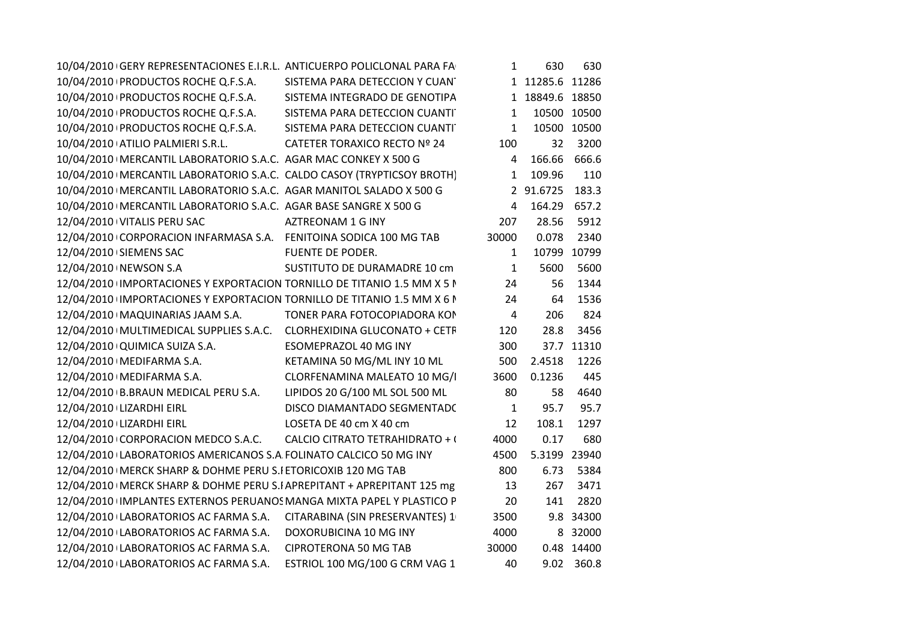| 10/04/2010 GERY REPRESENTACIONES E.I.R.L. ANTICUERPO POLICLONAL PARA FA  |                                | 1            | 630             | 630         |
|--------------------------------------------------------------------------|--------------------------------|--------------|-----------------|-------------|
| 10/04/2010 PRODUCTOS ROCHE Q.F.S.A.                                      | SISTEMA PARA DETECCION Y CUAN  |              | 1 11285.6 11286 |             |
| 10/04/2010 PRODUCTOS ROCHE Q.F.S.A.                                      | SISTEMA INTEGRADO DE GENOTIPA  |              | 1 18849.6 18850 |             |
| 10/04/2010 PRODUCTOS ROCHE Q.F.S.A.                                      | SISTEMA PARA DETECCION CUANTI  | $\mathbf{1}$ |                 | 10500 10500 |
| 10/04/2010 PRODUCTOS ROCHE Q.F.S.A.                                      | SISTEMA PARA DETECCION CUANTI  | $\mathbf{1}$ |                 | 10500 10500 |
| 10/04/2010 ATILIO PALMIERI S.R.L.                                        | CATETER TORAXICO RECTO Nº 24   | 100          | 32 <sup>2</sup> | 3200        |
| 10/04/2010   MERCANTIL LABORATORIO S.A.C. AGAR MAC CONKEY X 500 G        |                                | 4            | 166.66 666.6    |             |
| 10/04/2010   MERCANTIL LABORATORIO S.A.C. CALDO CASOY (TRYPTICSOY BROTH) |                                | $\mathbf{1}$ | 109.96          | 110         |
| 10/04/2010   MERCANTIL LABORATORIO S.A.C. AGAR MANITOL SALADO X 500 G    |                                |              | 2 91.6725       | 183.3       |
| 10/04/2010   MERCANTIL LABORATORIO S.A.C. AGAR BASE SANGRE X 500 G       |                                | 4            | 164.29 657.2    |             |
| 12/04/2010 VITALIS PERU SAC                                              | AZTREONAM 1 G INY              | 207          | 28.56           | 5912        |
| 12/04/2010 CORPORACION INFARMASA S.A. FENITOINA SODICA 100 MG TAB        |                                | 30000        | 0.078           | 2340        |
| 12/04/2010 SIEMENS SAC                                                   | FUENTE DE PODER.               | 1            |                 | 10799 10799 |
| 12/04/2010 NEWSON S.A                                                    | SUSTITUTO DE DURAMADRE 10 cm   | $\mathbf{1}$ | 5600            | 5600        |
| 12/04/2010 IMPORTACIONES Y EXPORTACION TORNILLO DE TITANIO 1.5 MM X 5 I  |                                | 24           | 56              | 1344        |
| 12/04/2010 IMPORTACIONES Y EXPORTACION TORNILLO DE TITANIO 1.5 MM X 6 N  |                                | 24           | 64              | 1536        |
| 12/04/2010   MAQUINARIAS JAAM S.A.                                       | TONER PARA FOTOCOPIADORA KON   | 4            | 206             | 824         |
| 12/04/2010   MULTIMEDICAL SUPPLIES S.A.C. CLORHEXIDINA GLUCONATO + CETF  |                                | 120          | 28.8            | 3456        |
| 12/04/2010 QUIMICA SUIZA S.A.                                            | ESOMEPRAZOL 40 MG INY          | 300          |                 | 37.7 11310  |
| 12/04/2010   MEDIFARMA S.A.                                              | KETAMINA 50 MG/ML INY 10 ML    | 500          | 2.4518          | 1226        |
| 12/04/2010   MEDIFARMA S.A.                                              | CLORFENAMINA MALEATO 10 MG/I   | 3600         | 0.1236          | 445         |
| 12/04/2010 B.BRAUN MEDICAL PERU S.A.                                     | LIPIDOS 20 G/100 ML SOL 500 ML | 80           | 58              | 4640        |
| 12/04/2010 LIZARDHI EIRL                                                 | DISCO DIAMANTADO SEGMENTADO    | $\mathbf{1}$ | 95.7            | 95.7        |
| 12/04/2010 LIZARDHI EIRL                                                 | LOSETA DE 40 cm X 40 cm        | 12           | 108.1           | 1297        |
| 12/04/2010 CORPORACION MEDCO S.A.C. CALCIO CITRATO TETRAHIDRATO + (      |                                | 4000         | 0.17            | 680         |
| 12/04/2010 LABORATORIOS AMERICANOS S.A FOLINATO CALCICO 50 MG INY        |                                | 4500         | 5.3199 23940    |             |
| 12/04/2010   MERCK SHARP & DOHME PERU S.I ETORICOXIB 120 MG TAB          |                                | 800          | 6.73            | 5384        |
| 12/04/2010   MERCK SHARP & DOHME PERU S.I APREPITANT + APREPITANT 125 mg |                                | 13           | 267             | 3471        |
| 12/04/2010 IMPLANTES EXTERNOS PERUANOS MANGA MIXTA PAPEL Y PLASTICO P    |                                | 20           | 141             | 2820        |
| 12/04/2010 LABORATORIOS AC FARMA S.A. CITARABINA (SIN PRESERVANTES) 1    |                                | 3500         |                 | 9.8 34300   |
| 12/04/2010 LABORATORIOS AC FARMA S.A. DOXORUBICINA 10 MG INY             |                                | 4000         |                 | 8 32000     |
| 12/04/2010 LABORATORIOS AC FARMA S.A.                                    | <b>CIPROTERONA 50 MG TAB</b>   | 30000        |                 | 0.48 14400  |
| 12/04/2010 LABORATORIOS AC FARMA S.A.                                    | ESTRIOL 100 MG/100 G CRM VAG 1 | 40           |                 | 9.02 360.8  |
|                                                                          |                                |              |                 |             |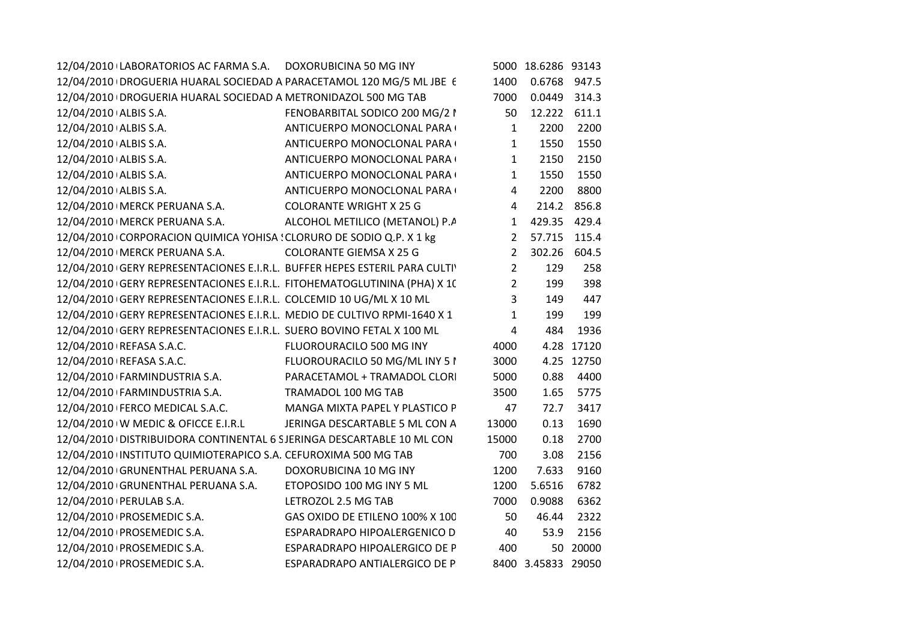| 12/04/2010 LABORATORIOS AC FARMA S.A. DOXORUBICINA 50 MG INY               |                                 |                | 5000 18.6286 93143 |             |
|----------------------------------------------------------------------------|---------------------------------|----------------|--------------------|-------------|
| 12/04/2010   DROGUERIA HUARAL SOCIEDAD A PARACETAMOL 120 MG/5 ML JBE 6     |                                 | 1400           | 0.6768 947.5       |             |
| 12/04/2010   DROGUERIA HUARAL SOCIEDAD A METRONIDAZOL 500 MG TAB           |                                 | 7000           | 0.0449 314.3       |             |
| 12/04/2010 ALBIS S.A.                                                      | FENOBARBITAL SODICO 200 MG/2 I  | 50             | 12.222 611.1       |             |
| 12/04/2010 ALBIS S.A.                                                      | ANTICUERPO MONOCLONAL PARA (    | $\mathbf{1}$   | 2200               | 2200        |
| 12/04/2010 ALBIS S.A.                                                      | ANTICUERPO MONOCLONAL PARA (    | $\mathbf{1}$   | 1550               | 1550        |
| 12/04/2010 ALBIS S.A.                                                      | ANTICUERPO MONOCLONAL PARA (    | $\mathbf{1}$   | 2150               | 2150        |
| 12/04/2010 ALBIS S.A.                                                      | ANTICUERPO MONOCLONAL PARA (    | $\mathbf{1}$   | 1550               | 1550        |
| 12/04/2010 ALBIS S.A.                                                      | ANTICUERPO MONOCLONAL PARA (    | $\overline{4}$ | 2200               | 8800        |
| 12/04/2010   MERCK PERUANA S.A.                                            | <b>COLORANTE WRIGHT X 25 G</b>  | $4 \quad$      |                    | 214.2 856.8 |
| 12/04/2010   MERCK PERUANA S.A.                                            | ALCOHOL METILICO (METANOL) P.A  |                | 1 429.35 429.4     |             |
| 12/04/2010 CORPORACION QUIMICA YOHISA : CLORURO DE SODIO Q.P. X 1 kg       |                                 |                | 2 57.715 115.4     |             |
| 12/04/2010   MERCK PERUANA S.A.                                            | COLORANTE GIEMSA X 25 G         | $2^{\circ}$    | 302.26 604.5       |             |
| 12/04/2010 GERY REPRESENTACIONES E.I.R.L. BUFFER HEPES ESTERIL PARA CULTIV |                                 | $2^{\circ}$    | 129                | 258         |
| 12/04/2010 GERY REPRESENTACIONES E.I.R.L. FITOHEMATOGLUTININA (PHA) X 10   |                                 | $2^{\circ}$    | 199                | 398         |
| 12/04/2010 GERY REPRESENTACIONES E.I.R.L. COLCEMID 10 UG/ML X 10 ML        |                                 | $\overline{3}$ | 149                | 447         |
| 12/04/2010 GERY REPRESENTACIONES E.I.R.L. MEDIO DE CULTIVO RPMI-1640 X 1   |                                 | $\mathbf{1}$   | 199                | 199         |
| 12/04/2010 GERY REPRESENTACIONES E.I.R.L. SUERO BOVINO FETAL X 100 ML      |                                 | $\overline{4}$ | 484                | 1936        |
| 12/04/2010 REFASA S.A.C.                                                   | FLUOROURACILO 500 MG INY        | 4000           |                    | 4.28 17120  |
| 12/04/2010 REFASA S.A.C.                                                   | FLUOROURACILO 50 MG/ML INY 51   | 3000           |                    | 4.25 12750  |
| 12/04/2010 FARMINDUSTRIA S.A.                                              | PARACETAMOL + TRAMADOL CLORI    | 5000           | 0.88               | 4400        |
| 12/04/2010 FARMINDUSTRIA S.A.                                              | TRAMADOL 100 MG TAB             | 3500           | 1.65               | 5775        |
| 12/04/2010 FERCO MEDICAL S.A.C.                                            | MANGA MIXTA PAPEL Y PLASTICO P  | 47             | 72.7               | 3417        |
| 12/04/2010 W MEDIC & OFICCE E.I.R.L                                        | JERINGA DESCARTABLE 5 ML CON A  | 13000          | 0.13               | 1690        |
| 12/04/2010 DISTRIBUIDORA CONTINENTAL 6 SJERINGA DESCARTABLE 10 ML CON      |                                 | 15000          | 0.18               | 2700        |
| 12/04/2010 INSTITUTO QUIMIOTERAPICO S.A. CEFUROXIMA 500 MG TAB             |                                 | 700            | 3.08               | 2156        |
| 12/04/2010 GRUNENTHAL PERUANA S.A. DOXORUBICINA 10 MG INY                  |                                 | 1200           | 7.633              | 9160        |
| 12/04/2010 GRUNENTHAL PERUANA S.A. ETOPOSIDO 100 MG INY 5 ML               |                                 | 1200           | 5.6516             | 6782        |
| 12/04/2010   PERULAB S.A.                                                  | LETROZOL 2.5 MG TAB             | 7000           | 0.9088             | 6362        |
| 12/04/2010   PROSEMEDIC S.A.                                               | GAS OXIDO DE ETILENO 100% X 100 | 50             | 46.44              | 2322        |
| 12/04/2010   PROSEMEDIC S.A.                                               | ESPARADRAPO HIPOALERGENICO D    | 40             | 53.9               | 2156        |
| 12/04/2010   PROSEMEDIC S.A.                                               | ESPARADRAPO HIPOALERGICO DE P   | 400            |                    | 50 20000    |
| 12/04/2010   PROSEMEDIC S.A.                                               | ESPARADRAPO ANTIALERGICO DE P   |                | 8400 3.45833 29050 |             |
|                                                                            |                                 |                |                    |             |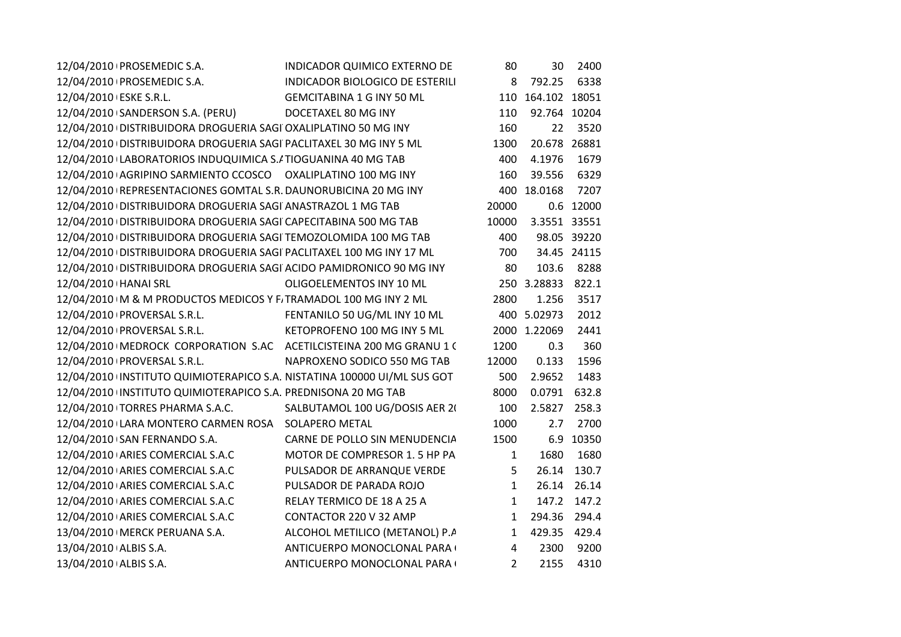|                        | 12/04/2010   PROSEMEDIC S.A.                                            | INDICADOR QUIMICO EXTERNO DE     | 80           | 30                | 2400        |  |
|------------------------|-------------------------------------------------------------------------|----------------------------------|--------------|-------------------|-------------|--|
|                        | 12/04/2010   PROSEMEDIC S.A.                                            | INDICADOR BIOLOGICO DE ESTERILI  | 8            | 792.25            | 6338        |  |
| 12/04/2010 ESKE S.R.L. |                                                                         | <b>GEMCITABINA 1 G INY 50 ML</b> |              | 110 164.102 18051 |             |  |
|                        | 12/04/2010 SANDERSON S.A. (PERU)                                        | DOCETAXEL 80 MG INY              | 110          | 92.764 10204      |             |  |
|                        | 12/04/2010 DISTRIBUIDORA DROGUERIA SAGI OXALIPLATINO 50 MG INY          |                                  | 160          | 22                | 3520        |  |
|                        | 12/04/2010 DISTRIBUIDORA DROGUERIA SAGI PACLITAXEL 30 MG INY 5 ML       |                                  | 1300         | 20.678 26881      |             |  |
|                        | 12/04/2010 LABORATORIOS INDUQUIMICA S./ TIOGUANINA 40 MG TAB            |                                  | 400          | 4.1976            | 1679        |  |
|                        | 12/04/2010 AGRIPINO SARMIENTO CCOSCO OXALIPLATINO 100 MG INY            |                                  | 160          | 39.556            | 6329        |  |
|                        | 12/04/2010 REPRESENTACIONES GOMTAL S.R. DAUNORUBICINA 20 MG INY         |                                  |              | 400 18.0168       | 7207        |  |
|                        | 12/04/2010 DISTRIBUIDORA DROGUERIA SAGI ANASTRAZOL 1 MG TAB             |                                  | 20000        |                   | 0.6 12000   |  |
|                        | 12/04/2010   DISTRIBUIDORA DROGUERIA SAGI CAPECITABINA 500 MG TAB       |                                  | 10000        | 3.3551 33551      |             |  |
|                        | 12/04/2010 DISTRIBUIDORA DROGUERIA SAGI TEMOZOLOMIDA 100 MG TAB         |                                  | 400          |                   | 98.05 39220 |  |
|                        | 12/04/2010 DISTRIBUIDORA DROGUERIA SAGI PACLITAXEL 100 MG INY 17 ML     |                                  | 700          |                   | 34.45 24115 |  |
|                        | 12/04/2010 DISTRIBUIDORA DROGUERIA SAGI ACIDO PAMIDRONICO 90 MG INY     |                                  | 80           | 103.6             | 8288        |  |
| 12/04/2010   HANAI SRL |                                                                         | OLIGOELEMENTOS INY 10 ML         |              | 250 3.28833       | 822.1       |  |
|                        | 12/04/2010 IM & M PRODUCTOS MEDICOS Y F. TRAMADOL 100 MG INY 2 ML       |                                  | 2800         | 1.256             | 3517        |  |
|                        | 12/04/2010   PROVERSAL S.R.L.                                           | FENTANILO 50 UG/ML INY 10 ML     |              | 400 5.02973       | 2012        |  |
|                        | 12/04/2010   PROVERSAL S.R.L.                                           | KETOPROFENO 100 MG INY 5 ML      |              | 2000 1.22069      | 2441        |  |
|                        | 12/04/2010   MEDROCK CORPORATION S.AC ACETILCISTEINA 200 MG GRANU 1 (   |                                  | 1200         | 0.3               | 360         |  |
|                        | 12/04/2010   PROVERSAL S.R.L.                                           | NAPROXENO SODICO 550 MG TAB      | 12000        | 0.133             | 1596        |  |
|                        | 12/04/2010 INSTITUTO QUIMIOTERAPICO S.A. NISTATINA 100000 UI/ML SUS GOT |                                  | 500          | 2.9652            | 1483        |  |
|                        | 12/04/2010 INSTITUTO QUIMIOTERAPICO S.A. PREDNISONA 20 MG TAB           |                                  | 8000         | 0.0791            | 632.8       |  |
|                        | 12/04/2010 TORRES PHARMA S.A.C.                                         | SALBUTAMOL 100 UG/DOSIS AER 20   | 100          | 2.5827            | 258.3       |  |
|                        | 12/04/2010 LARA MONTERO CARMEN ROSA SOLAPERO METAL                      |                                  | 1000         | 2.7               | 2700        |  |
|                        | 12/04/2010 SAN FERNANDO S.A.                                            | CARNE DE POLLO SIN MENUDENCIA    | 1500         |                   | 6.9 10350   |  |
|                        | 12/04/2010 ARIES COMERCIAL S.A.C                                        | MOTOR DE COMPRESOR 1.5 HP PA     | $\mathbf{1}$ | 1680              | 1680        |  |
|                        | 12/04/2010 ARIES COMERCIAL S.A.C                                        | PULSADOR DE ARRANQUE VERDE       | 5            | 26.14             | 130.7       |  |
|                        | 12/04/2010 ARIES COMERCIAL S.A.C                                        | PULSADOR DE PARADA ROJO          | $\mathbf{1}$ | 26.14             | 26.14       |  |
|                        | 12/04/2010 ARIES COMERCIAL S.A.C                                        | RELAY TERMICO DE 18 A 25 A       | $\mathbf{1}$ | 147.2             | 147.2       |  |
|                        | 12/04/2010 ARIES COMERCIAL S.A.C                                        | CONTACTOR 220 V 32 AMP           | $\mathbf{1}$ | 294.36            | 294.4       |  |
|                        | 13/04/2010   MERCK PERUANA S.A.                                         | ALCOHOL METILICO (METANOL) P.A   | $\mathbf{1}$ | 429.35 429.4      |             |  |
| 13/04/2010 ALBIS S.A.  |                                                                         | ANTICUERPO MONOCLONAL PARA (     | 4            | 2300              | 9200        |  |
| 13/04/2010 ALBIS S.A.  |                                                                         | ANTICUERPO MONOCLONAL PARA (     | $2^{\circ}$  | 2155              | 4310        |  |
|                        |                                                                         |                                  |              |                   |             |  |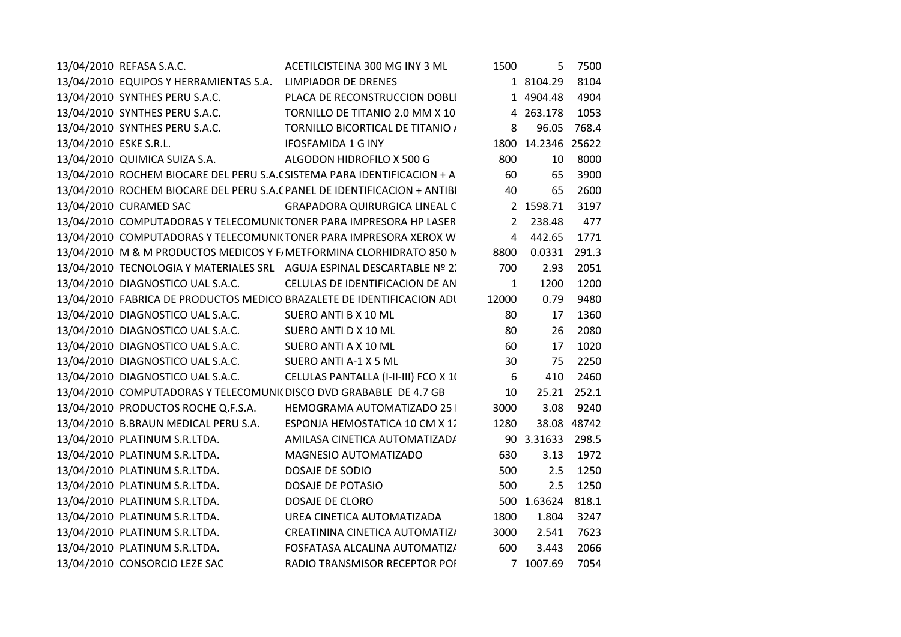| 13/04/2010   REFASA S.A.C.                                                  | ACETILCISTEINA 300 MG INY 3 ML       | 1500           | 5                  | 7500        |
|-----------------------------------------------------------------------------|--------------------------------------|----------------|--------------------|-------------|
| 13/04/2010 EQUIPOS Y HERRAMIENTAS S.A.                                      | <b>LIMPIADOR DE DRENES</b>           |                | 1 8104.29          | 8104        |
| 13/04/2010 SYNTHES PERU S.A.C.                                              | PLACA DE RECONSTRUCCION DOBLI        |                | 1 4904.48          | 4904        |
| 13/04/2010 SYNTHES PERU S.A.C.                                              | TORNILLO DE TITANIO 2.0 MM X 10      |                | 4 263.178          | 1053        |
| 13/04/2010 SYNTHES PERU S.A.C.                                              | TORNILLO BICORTICAL DE TITANIO /     | 8              | 96.05              | 768.4       |
| 13/04/2010 ESKE S.R.L.                                                      | <b>IFOSFAMIDA 1 G INY</b>            |                | 1800 14.2346 25622 |             |
| 13/04/2010 QUIMICA SUIZA S.A.                                               | ALGODON HIDROFILO X 500 G            | 800            | 10                 | 8000        |
| 13/04/2010   ROCHEM BIOCARE DEL PERU S.A. (SISTEMA PARA IDENTIFICACION + A  |                                      | 60             | 65                 | 3900        |
| 13/04/2010   ROCHEM BIOCARE DEL PERU S.A. (PANEL DE IDENTIFICACION + ANTIBI |                                      | 40             | 65                 | 2600        |
| 13/04/2010 CURAMED SAC                                                      | <b>GRAPADORA QUIRURGICA LINEAL C</b> |                | 2 1598.71          | 3197        |
| 13/04/2010 COMPUTADORAS Y TELECOMUNICTONER PARA IMPRESORA HP LASER          |                                      | $\overline{2}$ | 238.48             | 477         |
| 13/04/2010 COMPUTADORAS Y TELECOMUNICTONER PARA IMPRESORA XEROX W           |                                      | 4              | 442.65             | 1771        |
| 13/04/2010   M & M PRODUCTOS MEDICOS Y F. METFORMINA CLORHIDRATO 850 N      |                                      | 8800           | 0.0331             | 291.3       |
| 13/04/2010   TECNOLOGIA Y MATERIALES SRL AGUJA ESPINAL DESCARTABLE Nº 2.    |                                      | 700            | 2.93               | 2051        |
| 13/04/2010 DIAGNOSTICO UAL S.A.C.                                           | CELULAS DE IDENTIFICACION DE AN      | $\mathbf{1}$   | 1200               | 1200        |
| 13/04/2010 FABRICA DE PRODUCTOS MEDICO BRAZALETE DE IDENTIFICACION ADI      |                                      | 12000          | 0.79               | 9480        |
| 13/04/2010 DIAGNOSTICO UAL S.A.C.                                           | SUERO ANTI B X 10 ML                 | 80             | 17                 | 1360        |
| 13/04/2010 DIAGNOSTICO UAL S.A.C.                                           | SUERO ANTI D X 10 ML                 | 80             | 26                 | 2080        |
| 13/04/2010 DIAGNOSTICO UAL S.A.C.                                           | SUERO ANTI A X 10 ML                 | 60             | 17                 | 1020        |
| 13/04/2010 DIAGNOSTICO UAL S.A.C.                                           | SUERO ANTI A-1 X 5 ML                | 30             | 75                 | 2250        |
| 13/04/2010 DIAGNOSTICO UAL S.A.C.                                           | CELULAS PANTALLA (I-II-III) FCO X 10 | 6              | 410                | 2460        |
| 13/04/2010 COMPUTADORAS Y TELECOMUNI( DISCO DVD GRABABLE DE 4.7 GB          |                                      | 10             |                    | 25.21 252.1 |
| 13/04/2010 PRODUCTOS ROCHE Q.F.S.A.                                         | HEMOGRAMA AUTOMATIZADO 25            | 3000           | 3.08               | 9240        |
| 13/04/2010 B.BRAUN MEDICAL PERU S.A.                                        | ESPONJA HEMOSTATICA 10 CM X 12       | 1280           |                    | 38.08 48742 |
| 13/04/2010   PLATINUM S.R.LTDA.                                             | AMILASA CINETICA AUTOMATIZAD/        |                | 90 3.31633 298.5   |             |
| 13/04/2010 PLATINUM S.R.LTDA.                                               | MAGNESIO AUTOMATIZADO                | 630            | 3.13               | 1972        |
| 13/04/2010 PLATINUM S.R.LTDA.                                               | DOSAJE DE SODIO                      | 500            | 2.5                | 1250        |
| 13/04/2010 PLATINUM S.R.LTDA.                                               | DOSAJE DE POTASIO                    | 500            | 2.5                | 1250        |
| 13/04/2010   PLATINUM S.R.LTDA.                                             | <b>DOSAJE DE CLORO</b>               |                | 500 1.63624        | 818.1       |
| 13/04/2010 PLATINUM S.R.LTDA.                                               | UREA CINETICA AUTOMATIZADA           | 1800           | 1.804              | 3247        |
| 13/04/2010   PLATINUM S.R.LTDA.                                             | CREATININA CINETICA AUTOMATIZ/       | 3000           | 2.541              | 7623        |
| 13/04/2010 PLATINUM S.R.LTDA.                                               | FOSFATASA ALCALINA AUTOMATIZ/        | 600            | 3.443              | 2066        |
| 13/04/2010 CONSORCIO LEZE SAC                                               | RADIO TRANSMISOR RECEPTOR POI        |                | 7 1007.69          | 7054        |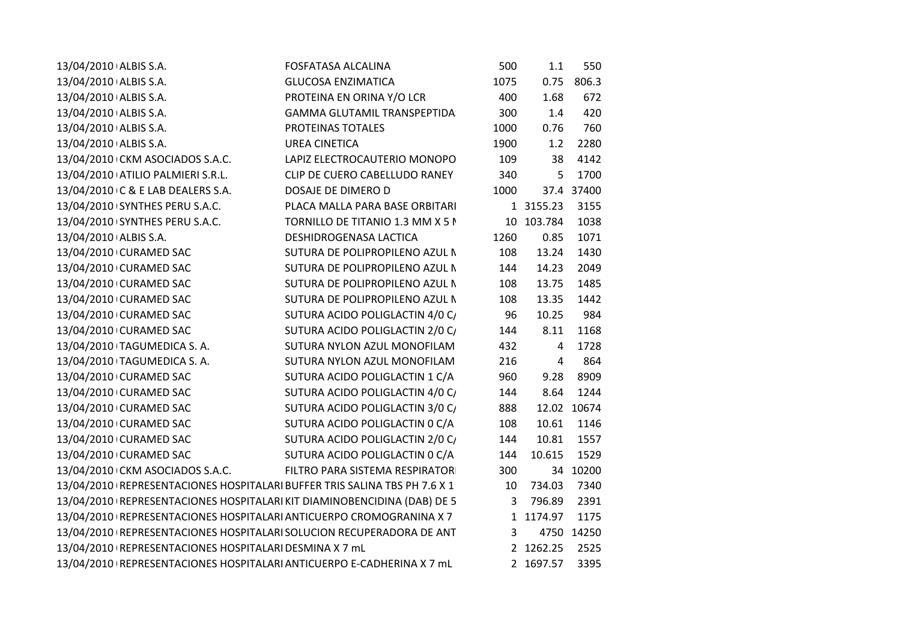| 13/04/2010 ALBIS S.A.                                                       | <b>FOSFATASA ALCALINA</b>          | 500  | 1.1            | 550         |
|-----------------------------------------------------------------------------|------------------------------------|------|----------------|-------------|
| 13/04/2010 ALBIS S.A.                                                       | <b>GLUCOSA ENZIMATICA</b>          | 1075 | 0.75           | 806.3       |
| 13/04/2010 ALBIS S.A.                                                       | PROTEINA EN ORINA Y/O LCR          | 400  | 1.68           | 672         |
| 13/04/2010 ALBIS S.A.                                                       | <b>GAMMA GLUTAMIL TRANSPEPTIDA</b> | 300  | 1.4            | 420         |
| 13/04/2010 ALBIS S.A.                                                       | PROTEINAS TOTALES                  | 1000 | 0.76           | 760         |
| 13/04/2010 ALBIS S.A.                                                       | <b>UREA CINETICA</b>               | 1900 | 1.2            | 2280        |
| 13/04/2010 CKM ASOCIADOS S.A.C.                                             | LAPIZ ELECTROCAUTERIO MONOPO       | 109  | 38             | 4142        |
| 13/04/2010 ATILIO PALMIERI S.R.L.                                           | CLIP DE CUERO CABELLUDO RANEY      | 340  | 5              | 1700        |
| 13/04/2010 C & E LAB DEALERS S.A.                                           | DOSAJE DE DIMERO D                 | 1000 |                | 37.4 37400  |
| 13/04/2010 SYNTHES PERU S.A.C.                                              | PLACA MALLA PARA BASE ORBITARI     |      | 1 3155.23      | 3155        |
| 13/04/2010 SYNTHES PERU S.A.C.                                              | TORNILLO DE TITANIO 1.3 MM X 5 N   |      | 10 103.784     | 1038        |
| 13/04/2010 ALBIS S.A.                                                       | DESHIDROGENASA LACTICA             | 1260 | 0.85           | 1071        |
| 13/04/2010 CURAMED SAC                                                      | SUTURA DE POLIPROPILENO AZUL N     | 108  | 13.24          | 1430        |
| 13/04/2010 CURAMED SAC                                                      | SUTURA DE POLIPROPILENO AZUL N     | 144  | 14.23          | 2049        |
| 13/04/2010 CURAMED SAC                                                      | SUTURA DE POLIPROPILENO AZUL N     | 108  | 13.75          | 1485        |
| 13/04/2010 CURAMED SAC                                                      | SUTURA DE POLIPROPILENO AZUL N     | 108  | 13.35          | 1442        |
| 13/04/2010 CURAMED SAC                                                      | SUTURA ACIDO POLIGLACTIN 4/0 C/    | 96   | 10.25          | 984         |
| 13/04/2010 CURAMED SAC                                                      | SUTURA ACIDO POLIGLACTIN 2/0 C/    | 144  | 8.11           | 1168        |
| 13/04/2010 TAGUMEDICA S. A.                                                 | SUTURA NYLON AZUL MONOFILAM        | 432  | 4              | 1728        |
| 13/04/2010 TAGUMEDICA S. A.                                                 | SUTURA NYLON AZUL MONOFILAM        | 216  | $\overline{4}$ | 864         |
| 13/04/2010 CURAMED SAC                                                      | SUTURA ACIDO POLIGLACTIN 1 C/A     | 960  | 9.28           | 8909        |
| 13/04/2010 CURAMED SAC                                                      | SUTURA ACIDO POLIGLACTIN 4/0 C/    | 144  | 8.64           | 1244        |
| 13/04/2010 CURAMED SAC                                                      | SUTURA ACIDO POLIGLACTIN 3/0 C/    | 888  |                | 12.02 10674 |
| 13/04/2010 CURAMED SAC                                                      | SUTURA ACIDO POLIGLACTIN 0 C/A     | 108  | 10.61          | 1146        |
| 13/04/2010 CURAMED SAC                                                      | SUTURA ACIDO POLIGLACTIN 2/0 C/    | 144  | 10.81          | 1557        |
| 13/04/2010 CURAMED SAC                                                      | SUTURA ACIDO POLIGLACTIN 0 C/A     | 144  | 10.615         | 1529        |
| 13/04/2010 CKM ASOCIADOS S.A.C.                                             | FILTRO PARA SISTEMA RESPIRATOR     | 300  |                | 34 10200    |
| 13/04/2010   REPRESENTACIONES HOSPITALARI BUFFER TRIS SALINA TBS PH 7.6 X 1 |                                    | 10   | 734.03         | 7340        |
| 13/04/2010   REPRESENTACIONES HOSPITALARI KIT DIAMINOBENCIDINA (DAB) DE 5   |                                    | 3    | 796.89         | 2391        |
| 13/04/2010   REPRESENTACIONES HOSPITALARI ANTICUERPO CROMOGRANINA X 7       |                                    |      | 1 1174.97      | 1175        |
| 13/04/2010   REPRESENTACIONES HOSPITALARI SOLUCION RECUPERADORA DE ANT      |                                    | 3    |                | 4750 14250  |
| 13/04/2010 REPRESENTACIONES HOSPITALARI DESMINA X 7 mL                      |                                    |      | 2 1262.25      | 2525        |
| 13/04/2010   REPRESENTACIONES HOSPITALARI ANTICUERPO E-CADHERINA X 7 mL     |                                    |      | 2 1697.57      | 3395        |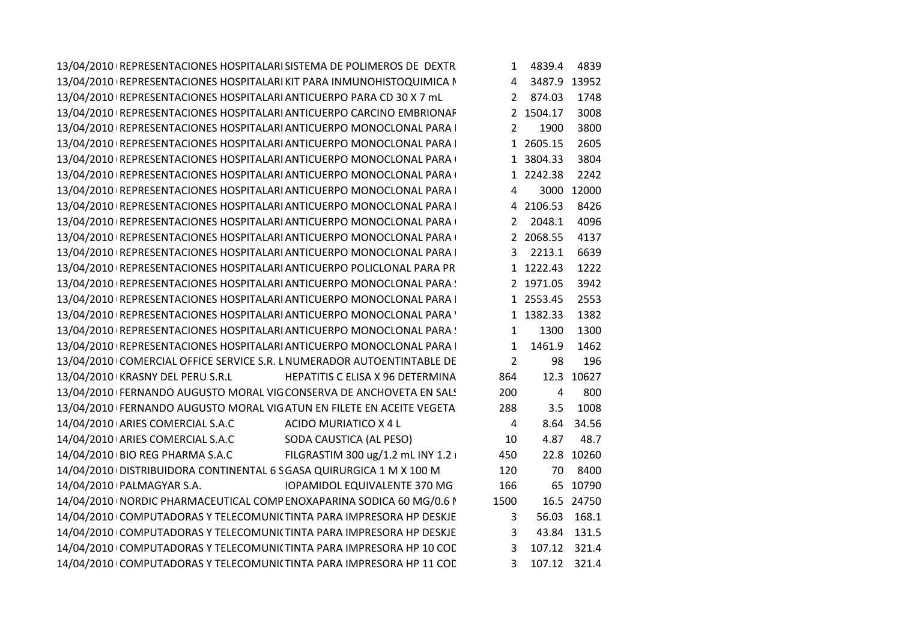| 13/04/2010   REPRESENTACIONES HOSPITALARI SISTEMA DE POLIMEROS DE DEXTR |                | 1 4839.4       | 4839        |
|-------------------------------------------------------------------------|----------------|----------------|-------------|
| 13/04/2010   REPRESENTACIONES HOSPITALARI KIT PARA INMUNOHISTOQUIMICA N |                | 4 3487.9 13952 |             |
| 13/04/2010   REPRESENTACIONES HOSPITALARI ANTICUERPO PARA CD 30 X 7 mL  |                | 2 874.03       | 1748        |
| 13/04/2010   REPRESENTACIONES HOSPITALARI ANTICUERPO CARCINO EMBRIONAF  |                | 2 1504.17      | 3008        |
| 13/04/2010   REPRESENTACIONES HOSPITALARI ANTICUERPO MONOCLONAL PARA    | 2              | 1900           | 3800        |
| 13/04/2010   REPRESENTACIONES HOSPITALARI ANTICUERPO MONOCLONAL PARA    |                | 1 2605.15      | 2605        |
| 13/04/2010   REPRESENTACIONES HOSPITALARI ANTICUERPO MONOCLONAL PARA (  |                | 1 3804.33      | 3804        |
| 13/04/2010   REPRESENTACIONES HOSPITALARI ANTICUERPO MONOCLONAL PARA    |                | 1 2242.38      | 2242        |
| 13/04/2010   REPRESENTACIONES HOSPITALARI ANTICUERPO MONOCLONAL PARA    | 4              |                | 3000 12000  |
| 13/04/2010   REPRESENTACIONES HOSPITALARI ANTICUERPO MONOCLONAL PARA    |                | 4 2106.53      | 8426        |
| 13/04/2010   REPRESENTACIONES HOSPITALARI ANTICUERPO MONOCLONAL PARA    |                | 2 2048.1       | 4096        |
| 13/04/2010   REPRESENTACIONES HOSPITALARI ANTICUERPO MONOCLONAL PARA    |                | 2 2068.55      | 4137        |
| 13/04/2010   REPRESENTACIONES HOSPITALARI ANTICUERPO MONOCLONAL PARA    |                | 3 2213.1       | 6639        |
| 13/04/2010   REPRESENTACIONES HOSPITALARI ANTICUERPO POLICLONAL PARA PR |                | 1 1222.43      | 1222        |
| 13/04/2010 REPRESENTACIONES HOSPITALARI ANTICUERPO MONOCLONAL PARA !    |                | 2 1971.05      | 3942        |
| 13/04/2010   REPRESENTACIONES HOSPITALARI ANTICUERPO MONOCLONAL PARA    |                | 1 2553.45      | 2553        |
| 13/04/2010   REPRESENTACIONES HOSPITALARI ANTICUERPO MONOCLONAL PARA '  |                | 1 1382.33      | 1382        |
| 13/04/2010 REPRESENTACIONES HOSPITALARI ANTICUERPO MONOCLONAL PARA !    | $\mathbf{1}$   | 1300           | 1300        |
| 13/04/2010   REPRESENTACIONES HOSPITALARI ANTICUERPO MONOCLONAL PARA    | $\mathbf{1}$   | 1461.9         | 1462        |
| 13/04/2010 COMERCIAL OFFICE SERVICE S.R. L NUMERADOR AUTOENTINTABLE DE  | $\overline{2}$ | 98             | 196         |
| 13/04/2010 KRASNY DEL PERU S.R.L<br>HEPATITIS C ELISA X 96 DETERMINA    | 864            |                | 12.3 10627  |
| 13/04/2010 FERNANDO AUGUSTO MORAL VIG CONSERVA DE ANCHOVETA EN SALS     | 200            | 4              | 800         |
| 13/04/2010 FERNANDO AUGUSTO MORAL VIGATUN EN FILETE EN ACEITE VEGETA    | 288            | 3.5            | 1008        |
| 14/04/2010 ARIES COMERCIAL S.A.C<br>ACIDO MURIATICO X 4 L               | 4              |                | 8.64 34.56  |
| 14/04/2010 ARIES COMERCIAL S.A.C<br>SODA CAUSTICA (AL PESO)             | 10             | 4.87           | 48.7        |
| FILGRASTIM 300 ug/1.2 mL INY 1.2  <br>14/04/2010 BIO REG PHARMA S.A.C   | 450            |                | 22.8 10260  |
| 14/04/2010   DISTRIBUIDORA CONTINENTAL 6 S GASA QUIRURGICA 1 M X 100 M  | 120            |                | 70 8400     |
| 14/04/2010   PALMAGYAR S.A.<br><b>IOPAMIDOL EQUIVALENTE 370 MG</b>      | 166            |                | 65 10790    |
| 14/04/2010   NORDIC PHARMACEUTICAL COMP ENOXAPARINA SODICA 60 MG/0.6 I  | 1500           |                | 16.5 24750  |
| 14/04/2010 COMPUTADORAS Y TELECOMUNI(TINTA PARA IMPRESORA HP DESKJE     | 3              |                | 56.03 168.1 |
| 14/04/2010 COMPUTADORAS Y TELECOMUNI(TINTA PARA IMPRESORA HP DESKJE     | 3              |                | 43.84 131.5 |
| 14/04/2010 COMPUTADORAS Y TELECOMUNI(TINTA PARA IMPRESORA HP 10 COL     | $\mathbf{3}$   | 107.12 321.4   |             |
| 14/04/2010 COMPUTADORAS Y TELECOMUNI(TINTA PARA IMPRESORA HP 11 COE     |                | 3 107.12 321.4 |             |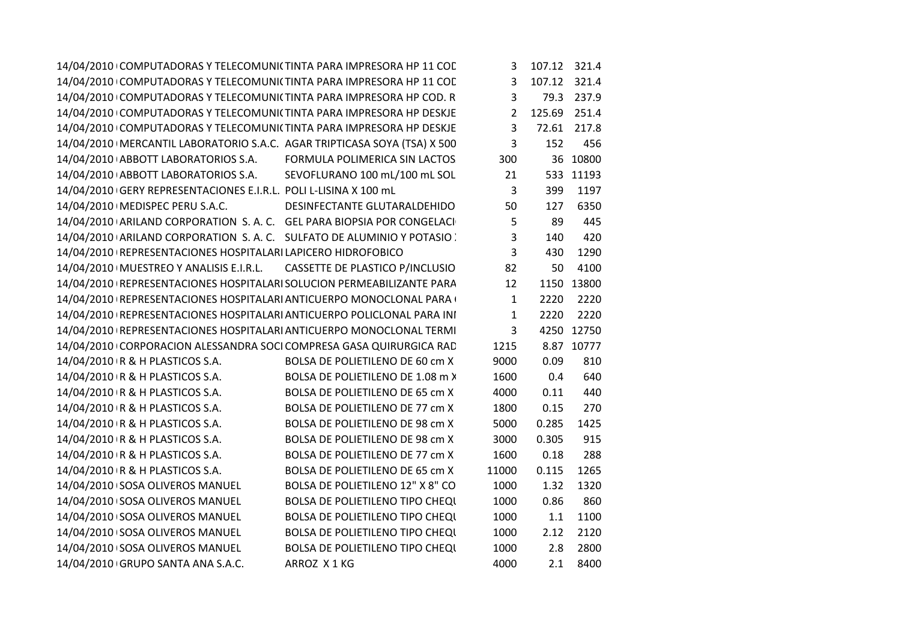| 14/04/2010 COMPUTADORAS Y TELECOMUNI(TINTA PARA IMPRESORA HP 11 COL        |                                        |                | 107.12 321.4 |             |
|----------------------------------------------------------------------------|----------------------------------------|----------------|--------------|-------------|
| 14/04/2010 COMPUTADORAS Y TELECOMUNI(TINTA PARA IMPRESORA HP 11 COL        |                                        | 3              | 107.12 321.4 |             |
| 14/04/2010 COMPUTADORAS Y TELECOMUNI(TINTA PARA IMPRESORA HP COD. R        |                                        | 3              |              | 79.3 237.9  |
| 14/04/2010 COMPUTADORAS Y TELECOMUNI(TINTA PARA IMPRESORA HP DESKJE        |                                        | $\overline{2}$ | 125.69 251.4 |             |
| 14/04/2010 COMPUTADORAS Y TELECOMUNI(TINTA PARA IMPRESORA HP DESKJE        |                                        | 3              |              | 72.61 217.8 |
| 14/04/2010   MERCANTIL LABORATORIO S.A.C. AGAR TRIPTICASA SOYA (TSA) X 500 |                                        | 3              | 152          | 456         |
| 14/04/2010 ABBOTT LABORATORIOS S.A. FORMULA POLIMERICA SIN LACTOS          |                                        | 300            |              | 36 10800    |
| 14/04/2010 ABBOTT LABORATORIOS S.A.                                        | SEVOFLURANO 100 mL/100 mL SOL          | 21             |              | 533 11193   |
| 14/04/2010 GERY REPRESENTACIONES E.I.R.L. POLI L-LISINA X 100 mL           |                                        | $\mathbf{3}$   | 399          | 1197        |
| 14/04/2010   MEDISPEC PERU S.A.C.                                          | DESINFECTANTE GLUTARALDEHIDO           | 50             | 127          | 6350        |
| 14/04/2010 ARILAND CORPORATION S.A.C. GEL PARA BIOPSIA POR CONGELACI       |                                        | 5              | 89           | 445         |
| 14/04/2010 ARILAND CORPORATION S.A.C. SULFATO DE ALUMINIO Y POTASIO :      |                                        | 3              | 140          | 420         |
| 14/04/2010   REPRESENTACIONES HOSPITALARI LAPICERO HIDROFOBICO             |                                        | 3              | 430          | 1290        |
| 14/04/2010   MUESTREO Y ANALISIS E.I.R.L.                                  | CASSETTE DE PLASTICO P/INCLUSIO        | 82             | 50           | 4100        |
| 14/04/2010   REPRESENTACIONES HOSPITALARI SOLUCION PERMEABILIZANTE PARA    |                                        | 12             |              | 1150 13800  |
| 14/04/2010 REPRESENTACIONES HOSPITALARI ANTICUERPO MONOCLONAL PARA (       |                                        | $\mathbf{1}$   | 2220         | 2220        |
| 14/04/2010   REPRESENTACIONES HOSPITALARI ANTICUERPO POLICLONAL PARA INI   |                                        | 1              | 2220         | 2220        |
| 14/04/2010 REPRESENTACIONES HOSPITALARI ANTICUERPO MONOCLONAL TERMI        |                                        | 3              |              | 4250 12750  |
| 14/04/2010 CORPORACION ALESSANDRA SOCI COMPRESA GASA QUIRURGICA RAD        |                                        | 1215           |              | 8.87 10777  |
| 14/04/2010 R & H PLASTICOS S.A.                                            | BOLSA DE POLIETILENO DE 60 cm X        | 9000           | 0.09         | 810         |
| 14/04/2010 R & H PLASTICOS S.A.                                            | BOLSA DE POLIETILENO DE 1.08 m >       | 1600           | 0.4          | 640         |
| 14/04/2010 R & H PLASTICOS S.A.                                            | BOLSA DE POLIETILENO DE 65 cm X        | 4000           | 0.11         | 440         |
| 14/04/2010 R & H PLASTICOS S.A.                                            | BOLSA DE POLIETILENO DE 77 cm X        | 1800           | 0.15         | 270         |
| 14/04/2010 R & H PLASTICOS S.A.                                            | BOLSA DE POLIETILENO DE 98 cm X        | 5000           | 0.285        | 1425        |
| 14/04/2010 R & H PLASTICOS S.A.                                            | BOLSA DE POLIETILENO DE 98 cm X        | 3000           | 0.305        | 915         |
| 14/04/2010 R & H PLASTICOS S.A.                                            | BOLSA DE POLIETILENO DE 77 cm X        | 1600           | 0.18         | 288         |
| 14/04/2010 R & H PLASTICOS S.A.                                            | BOLSA DE POLIETILENO DE 65 cm X        | 11000          | 0.115        | 1265        |
| 14/04/2010 SOSA OLIVEROS MANUEL                                            | BOLSA DE POLIETILENO 12" X 8" CO       | 1000           | 1.32         | 1320        |
| 14/04/2010 SOSA OLIVEROS MANUEL                                            | <b>BOLSA DE POLIETILENO TIPO CHEQU</b> | 1000           | 0.86         | 860         |
| 14/04/2010 SOSA OLIVEROS MANUEL                                            | <b>BOLSA DE POLIETILENO TIPO CHEQU</b> | 1000           | 1.1          | 1100        |
| 14/04/2010 SOSA OLIVEROS MANUEL                                            | <b>BOLSA DE POLIETILENO TIPO CHEQU</b> | 1000           | 2.12         | 2120        |
| 14/04/2010 SOSA OLIVEROS MANUEL                                            | <b>BOLSA DE POLIETILENO TIPO CHEQU</b> | 1000           | 2.8          | 2800        |
| 14/04/2010 GRUPO SANTA ANA S.A.C.                                          | ARROZ X1KG                             | 4000           |              | 2.1 8400    |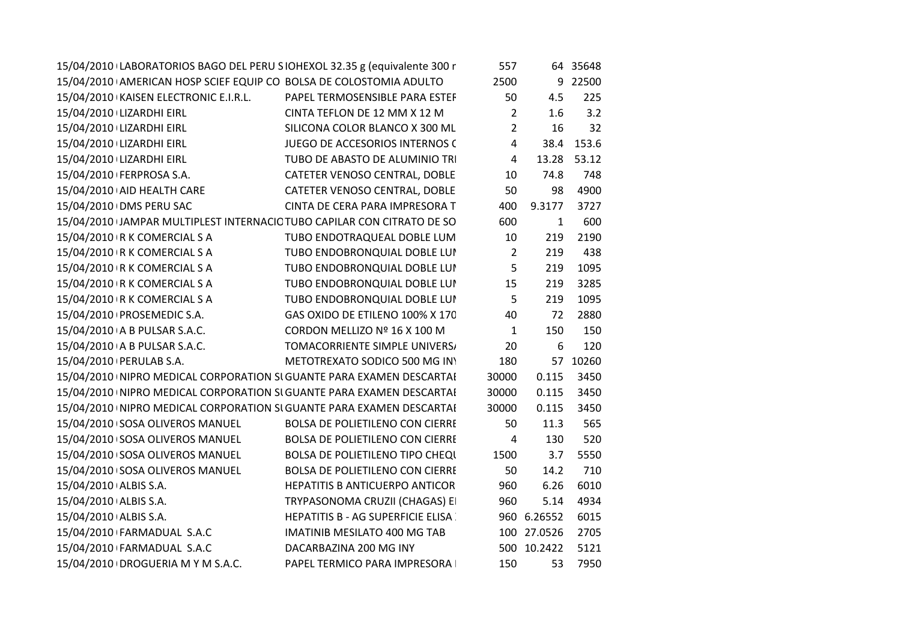| 15/04/2010 LABORATORIOS BAGO DEL PERU SIOHEXOL 32.35 g (equivalente 300 r |  |                                        | 557            |              | 64 35648    |
|---------------------------------------------------------------------------|--|----------------------------------------|----------------|--------------|-------------|
| 15/04/2010 AMERICAN HOSP SCIEF EQUIP CO BOLSA DE COLOSTOMIA ADULTO        |  |                                        | 2500           |              | 9 22500     |
| 15/04/2010 KAISEN ELECTRONIC E.I.R.L.                                     |  | PAPEL TERMOSENSIBLE PARA ESTEF         | 50             | 4.5          | 225         |
| 15/04/2010 LIZARDHI EIRL                                                  |  | CINTA TEFLON DE 12 MM X 12 M           | $\overline{2}$ | 1.6          | 3.2         |
| 15/04/2010 LIZARDHI EIRL                                                  |  | SILICONA COLOR BLANCO X 300 ML         | $\overline{2}$ | 16           | 32          |
| 15/04/2010 LIZARDHI EIRL                                                  |  | JUEGO DE ACCESORIOS INTERNOS (         | 4              |              | 38.4 153.6  |
| 15/04/2010 LIZARDHI EIRL                                                  |  | TUBO DE ABASTO DE ALUMINIO TRI         | $\overline{4}$ |              | 13.28 53.12 |
| 15/04/2010   FERPROSA S.A.                                                |  | CATETER VENOSO CENTRAL, DOBLE          | 10             | 74.8         | 748         |
| 15/04/2010 AID HEALTH CARE                                                |  | CATETER VENOSO CENTRAL, DOBLE          | 50             | 98           | 4900        |
| 15/04/2010 DMS PERU SAC                                                   |  | CINTA DE CERA PARA IMPRESORA T         | 400            | 9.3177       | 3727        |
| 15/04/2010 JAMPAR MULTIPLEST INTERNACIC TUBO CAPILAR CON CITRATO DE SO    |  |                                        | 600            | $\mathbf{1}$ | 600         |
| 15/04/2010 R K COMERCIAL S A                                              |  | TUBO ENDOTRAQUEAL DOBLE LUM            | 10             | 219          | 2190        |
| 15/04/2010 R K COMERCIAL S A                                              |  | TUBO ENDOBRONQUIAL DOBLE LUI           | $\overline{2}$ | 219          | 438         |
| 15/04/2010   R K COMERCIAL S A                                            |  | TUBO ENDOBRONQUIAL DOBLE LUI           | 5              | 219          | 1095        |
| 15/04/2010   R K COMERCIAL S A                                            |  | TUBO ENDOBRONQUIAL DOBLE LUI           | 15             | 219          | 3285        |
| 15/04/2010   R K COMERCIAL S A                                            |  | TUBO ENDOBRONQUIAL DOBLE LUI           | 5              | 219          | 1095        |
| 15/04/2010   PROSEMEDIC S.A.                                              |  | GAS OXIDO DE ETILENO 100% X 170        | 40             | 72           | 2880        |
| 15/04/2010 A B PULSAR S.A.C.                                              |  | CORDON MELLIZO Nº 16 X 100 M           | $\mathbf{1}$   | 150          | 150         |
| 15/04/2010 A B PULSAR S.A.C.                                              |  | TOMACORRIENTE SIMPLE UNIVERS/          | 20             | 6            | 120         |
| 15/04/2010   PERULAB S.A.                                                 |  | METOTREXATO SODICO 500 MG INY          | 180            |              | 57 10260    |
| 15/04/2010 INIPRO MEDICAL CORPORATION SI GUANTE PARA EXAMEN DESCARTAI     |  |                                        | 30000          | 0.115        | 3450        |
| 15/04/2010 INIPRO MEDICAL CORPORATION SI GUANTE PARA EXAMEN DESCARTAI     |  |                                        | 30000          | 0.115        | 3450        |
| 15/04/2010 INIPRO MEDICAL CORPORATION SI GUANTE PARA EXAMEN DESCARTAI     |  |                                        | 30000          | 0.115        | 3450        |
| 15/04/2010 SOSA OLIVEROS MANUEL                                           |  | BOLSA DE POLIETILENO CON CIERRE        | 50             | 11.3         | 565         |
| 15/04/2010 SOSA OLIVEROS MANUEL                                           |  | <b>BOLSA DE POLIETILENO CON CIERRE</b> | $\overline{4}$ | 130          | 520         |
| 15/04/2010 SOSA OLIVEROS MANUEL                                           |  | BOLSA DE POLIETILENO TIPO CHEQU        | 1500           | 3.7          | 5550        |
| 15/04/2010 SOSA OLIVEROS MANUEL                                           |  | <b>BOLSA DE POLIETILENO CON CIERRE</b> | 50             | 14.2         | 710         |
| 15/04/2010 ALBIS S.A.                                                     |  | <b>HEPATITIS B ANTICUERPO ANTICOR</b>  | 960            | 6.26         | 6010        |
| 15/04/2010 ALBIS S.A.                                                     |  | TRYPASONOMA CRUZII (CHAGAS) EI         | 960            | 5.14         | 4934        |
| 15/04/2010 ALBIS S.A.                                                     |  | HEPATITIS B - AG SUPERFICIE ELISA      |                | 960 6.26552  | 6015        |
| 15/04/2010 FARMADUAL S.A.C                                                |  | <b>IMATINIB MESILATO 400 MG TAB</b>    |                | 100 27.0526  | 2705        |
| 15/04/2010 FARMADUAL S.A.C                                                |  | DACARBAZINA 200 MG INY                 |                | 500 10.2422  | 5121        |
| 15/04/2010 DROGUERIA M Y M S.A.C.                                         |  | PAPEL TERMICO PARA IMPRESORA           | 150            | 53           | 7950        |
|                                                                           |  |                                        |                |              |             |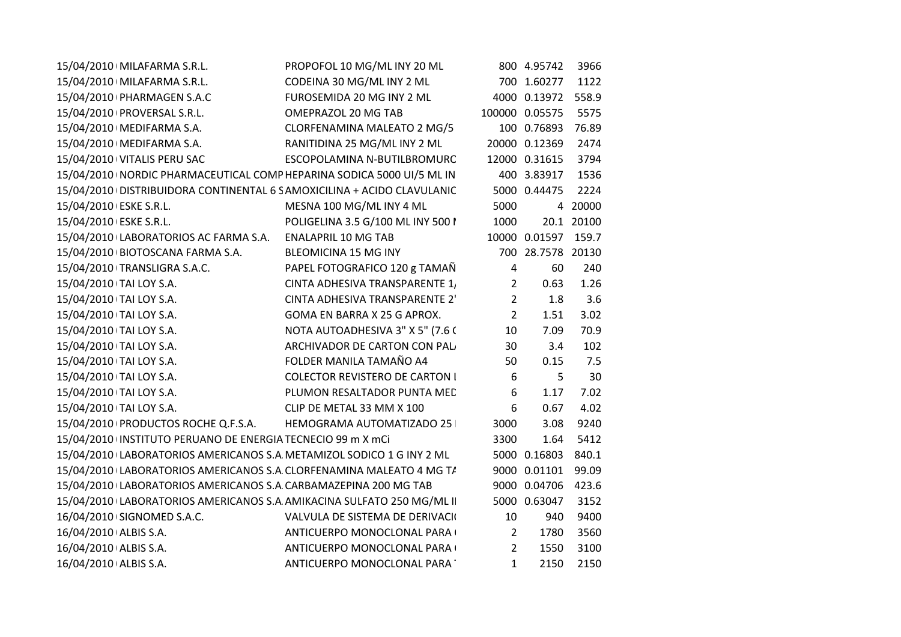| 15/04/2010   MILAFARMA S.R.L.                                          | PROPOFOL 10 MG/ML INY 20 ML           |                | 800 4.95742         | 3966       |
|------------------------------------------------------------------------|---------------------------------------|----------------|---------------------|------------|
| 15/04/2010 MILAFARMA S.R.L.                                            | CODEINA 30 MG/ML INY 2 ML             |                | 700 1.60277         | 1122       |
| 15/04/2010   PHARMAGEN S.A.C                                           | FUROSEMIDA 20 MG INY 2 ML             |                | 4000 0.13972 558.9  |            |
| 15/04/2010 PROVERSAL S.R.L.                                            | OMEPRAZOL 20 MG TAB                   |                | 100000 0.05575      | 5575       |
| 15/04/2010   MEDIFARMA S.A.                                            | CLORFENAMINA MALEATO 2 MG/5           |                | 100 0.76893 76.89   |            |
| 15/04/2010   MEDIFARMA S.A.                                            | RANITIDINA 25 MG/ML INY 2 ML          |                | 20000 0.12369       | 2474       |
| 15/04/2010 VITALIS PERU SAC                                            | ESCOPOLAMINA N-BUTILBROMURC           |                | 12000 0.31615       | 3794       |
| 15/04/2010 INORDIC PHARMACEUTICAL COMP HEPARINA SODICA 5000 UI/5 ML IN |                                       |                | 400 3.83917         | 1536       |
| 15/04/2010 DISTRIBUIDORA CONTINENTAL 6 SAMOXICILINA + ACIDO CLAVULANIC |                                       |                | 5000 0.44475        | 2224       |
| 15/04/2010 ESKE S.R.L.                                                 | MESNA 100 MG/ML INY 4 ML              | 5000           |                     | 4 20000    |
| 15/04/2010 ESKE S.R.L.                                                 | POLIGELINA 3.5 G/100 ML INY 500 I     | 1000           |                     | 20.1 20100 |
| 15/04/2010 LABORATORIOS AC FARMA S.A. ENALAPRIL 10 MG TAB              |                                       |                | 10000 0.01597 159.7 |            |
| 15/04/2010 BIOTOSCANA FARMA S.A.                                       | BLEOMICINA 15 MG INY                  |                | 700 28.7578 20130   |            |
| 15/04/2010 TRANSLIGRA S.A.C.                                           | PAPEL FOTOGRAFICO 120 g TAMAÑ         | $\overline{4}$ | 60                  | 240        |
| 15/04/2010 TAI LOY S.A.                                                | CINTA ADHESIVA TRANSPARENTE 1,        | $2^{\circ}$    | 0.63                | 1.26       |
| 15/04/2010 TAI LOY S.A.                                                | CINTA ADHESIVA TRANSPARENTE 2'        | $2^{\circ}$    | 1.8                 | 3.6        |
| 15/04/2010 TAI LOY S.A.                                                | GOMA EN BARRA X 25 G APROX.           | $2^{\circ}$    | 1.51                | 3.02       |
| 15/04/2010 TAI LOY S.A.                                                | NOTA AUTOADHESIVA 3" X 5" (7.6 C      | 10             | 7.09                | 70.9       |
| 15/04/2010   TAI LOY S.A.                                              | ARCHIVADOR DE CARTON CON PAL          | 30             | 3.4                 | 102        |
| 15/04/2010 TAI LOY S.A.                                                | FOLDER MANILA TAMAÑO A4               | 50             | 0.15                | 7.5        |
| 15/04/2010   TAI LOY S.A.                                              | <b>COLECTOR REVISTERO DE CARTON I</b> | 6              | 5                   | 30         |
| 15/04/2010   TAI LOY S.A.                                              | PLUMON RESALTADOR PUNTA MED           | 6              | 1.17                | 7.02       |
| 15/04/2010   TAI LOY S.A.                                              | CLIP DE METAL 33 MM X 100             | 6              | 0.67                | 4.02       |
| 15/04/2010 PRODUCTOS ROCHE Q.F.S.A. HEMOGRAMA AUTOMATIZADO 25          |                                       | 3000           | 3.08                | 9240       |
| 15/04/2010 INSTITUTO PERUANO DE ENERGIA TECNECIO 99 m X mCi            |                                       | 3300           | 1.64                | 5412       |
| 15/04/2010 LABORATORIOS AMERICANOS S.A METAMIZOL SODICO 1 G INY 2 ML   |                                       |                | 5000 0.16803 840.1  |            |
| 15/04/2010 LABORATORIOS AMERICANOS S.A CLORFENAMINA MALEATO 4 MG T/    |                                       |                | 9000 0.01101 99.09  |            |
| 15/04/2010 LABORATORIOS AMERICANOS S.A CARBAMAZEPINA 200 MG TAB        |                                       |                | 9000 0.04706 423.6  |            |
| 15/04/2010 LABORATORIOS AMERICANOS S.A AMIKACINA SULFATO 250 MG/ML II  |                                       |                | 5000 0.63047        | 3152       |
| 16/04/2010 SIGNOMED S.A.C.                                             | VALVULA DE SISTEMA DE DERIVACIO       | 10             | 940                 | 9400       |
| 16/04/2010 ALBIS S.A.                                                  | ANTICUERPO MONOCLONAL PARA (          | $2^{\circ}$    | 1780                | 3560       |
| 16/04/2010 ALBIS S.A.                                                  | ANTICUERPO MONOCLONAL PARA            | $2^{\circ}$    | 1550                | 3100       |
| 16/04/2010 ALBIS S.A.                                                  | ANTICUERPO MONOCLONAL PARA            | $\mathbf{1}$   | 2150                | 2150       |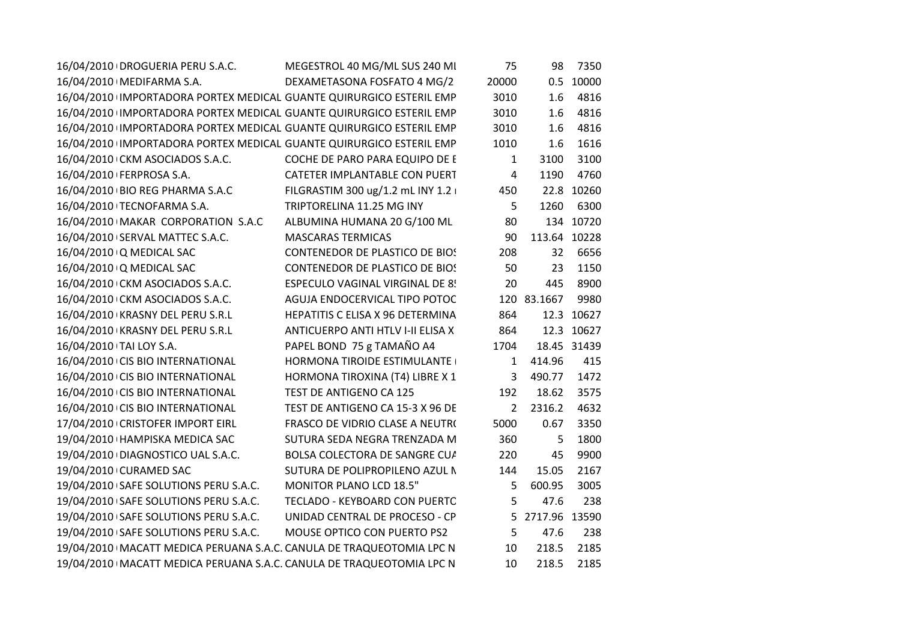|                                                                                                                                                                                                                                                                                                                                                                                                                                                                                                                                                                                                                                                                                                                                                                                                                                                                                                                                                                          | 75                                                                                                                                                                                                                                                                                                                                                                                                                                                                                                                                                                                                                                                                                                                                                                                                                                                                                                                                                                                                                                                                                                                                                                                                                                                                    | 98     | 7350                                           |
|--------------------------------------------------------------------------------------------------------------------------------------------------------------------------------------------------------------------------------------------------------------------------------------------------------------------------------------------------------------------------------------------------------------------------------------------------------------------------------------------------------------------------------------------------------------------------------------------------------------------------------------------------------------------------------------------------------------------------------------------------------------------------------------------------------------------------------------------------------------------------------------------------------------------------------------------------------------------------|-----------------------------------------------------------------------------------------------------------------------------------------------------------------------------------------------------------------------------------------------------------------------------------------------------------------------------------------------------------------------------------------------------------------------------------------------------------------------------------------------------------------------------------------------------------------------------------------------------------------------------------------------------------------------------------------------------------------------------------------------------------------------------------------------------------------------------------------------------------------------------------------------------------------------------------------------------------------------------------------------------------------------------------------------------------------------------------------------------------------------------------------------------------------------------------------------------------------------------------------------------------------------|--------|------------------------------------------------|
|                                                                                                                                                                                                                                                                                                                                                                                                                                                                                                                                                                                                                                                                                                                                                                                                                                                                                                                                                                          | 20000                                                                                                                                                                                                                                                                                                                                                                                                                                                                                                                                                                                                                                                                                                                                                                                                                                                                                                                                                                                                                                                                                                                                                                                                                                                                 |        | 0.5 10000                                      |
|                                                                                                                                                                                                                                                                                                                                                                                                                                                                                                                                                                                                                                                                                                                                                                                                                                                                                                                                                                          | 3010                                                                                                                                                                                                                                                                                                                                                                                                                                                                                                                                                                                                                                                                                                                                                                                                                                                                                                                                                                                                                                                                                                                                                                                                                                                                  | 1.6    | 4816                                           |
|                                                                                                                                                                                                                                                                                                                                                                                                                                                                                                                                                                                                                                                                                                                                                                                                                                                                                                                                                                          | 3010                                                                                                                                                                                                                                                                                                                                                                                                                                                                                                                                                                                                                                                                                                                                                                                                                                                                                                                                                                                                                                                                                                                                                                                                                                                                  | 1.6    | 4816                                           |
|                                                                                                                                                                                                                                                                                                                                                                                                                                                                                                                                                                                                                                                                                                                                                                                                                                                                                                                                                                          | 3010                                                                                                                                                                                                                                                                                                                                                                                                                                                                                                                                                                                                                                                                                                                                                                                                                                                                                                                                                                                                                                                                                                                                                                                                                                                                  | 1.6    | 4816                                           |
|                                                                                                                                                                                                                                                                                                                                                                                                                                                                                                                                                                                                                                                                                                                                                                                                                                                                                                                                                                          | 1010                                                                                                                                                                                                                                                                                                                                                                                                                                                                                                                                                                                                                                                                                                                                                                                                                                                                                                                                                                                                                                                                                                                                                                                                                                                                  | 1.6    | 1616                                           |
|                                                                                                                                                                                                                                                                                                                                                                                                                                                                                                                                                                                                                                                                                                                                                                                                                                                                                                                                                                          | 1                                                                                                                                                                                                                                                                                                                                                                                                                                                                                                                                                                                                                                                                                                                                                                                                                                                                                                                                                                                                                                                                                                                                                                                                                                                                     | 3100   | 3100                                           |
|                                                                                                                                                                                                                                                                                                                                                                                                                                                                                                                                                                                                                                                                                                                                                                                                                                                                                                                                                                          | $\overline{4}$                                                                                                                                                                                                                                                                                                                                                                                                                                                                                                                                                                                                                                                                                                                                                                                                                                                                                                                                                                                                                                                                                                                                                                                                                                                        | 1190   | 4760                                           |
|                                                                                                                                                                                                                                                                                                                                                                                                                                                                                                                                                                                                                                                                                                                                                                                                                                                                                                                                                                          | 450                                                                                                                                                                                                                                                                                                                                                                                                                                                                                                                                                                                                                                                                                                                                                                                                                                                                                                                                                                                                                                                                                                                                                                                                                                                                   |        | 22.8 10260                                     |
| TRIPTORELINA 11.25 MG INY                                                                                                                                                                                                                                                                                                                                                                                                                                                                                                                                                                                                                                                                                                                                                                                                                                                                                                                                                | 5                                                                                                                                                                                                                                                                                                                                                                                                                                                                                                                                                                                                                                                                                                                                                                                                                                                                                                                                                                                                                                                                                                                                                                                                                                                                     | 1260   | 6300                                           |
|                                                                                                                                                                                                                                                                                                                                                                                                                                                                                                                                                                                                                                                                                                                                                                                                                                                                                                                                                                          | 80                                                                                                                                                                                                                                                                                                                                                                                                                                                                                                                                                                                                                                                                                                                                                                                                                                                                                                                                                                                                                                                                                                                                                                                                                                                                    |        | 134 10720                                      |
| <b>MASCARAS TERMICAS</b>                                                                                                                                                                                                                                                                                                                                                                                                                                                                                                                                                                                                                                                                                                                                                                                                                                                                                                                                                 | 90                                                                                                                                                                                                                                                                                                                                                                                                                                                                                                                                                                                                                                                                                                                                                                                                                                                                                                                                                                                                                                                                                                                                                                                                                                                                    |        |                                                |
|                                                                                                                                                                                                                                                                                                                                                                                                                                                                                                                                                                                                                                                                                                                                                                                                                                                                                                                                                                          | 208                                                                                                                                                                                                                                                                                                                                                                                                                                                                                                                                                                                                                                                                                                                                                                                                                                                                                                                                                                                                                                                                                                                                                                                                                                                                   | 32     | 6656                                           |
|                                                                                                                                                                                                                                                                                                                                                                                                                                                                                                                                                                                                                                                                                                                                                                                                                                                                                                                                                                          | 50                                                                                                                                                                                                                                                                                                                                                                                                                                                                                                                                                                                                                                                                                                                                                                                                                                                                                                                                                                                                                                                                                                                                                                                                                                                                    | 23     | 1150                                           |
|                                                                                                                                                                                                                                                                                                                                                                                                                                                                                                                                                                                                                                                                                                                                                                                                                                                                                                                                                                          | 20                                                                                                                                                                                                                                                                                                                                                                                                                                                                                                                                                                                                                                                                                                                                                                                                                                                                                                                                                                                                                                                                                                                                                                                                                                                                    | 445    | 8900                                           |
|                                                                                                                                                                                                                                                                                                                                                                                                                                                                                                                                                                                                                                                                                                                                                                                                                                                                                                                                                                          |                                                                                                                                                                                                                                                                                                                                                                                                                                                                                                                                                                                                                                                                                                                                                                                                                                                                                                                                                                                                                                                                                                                                                                                                                                                                       |        | 9980                                           |
|                                                                                                                                                                                                                                                                                                                                                                                                                                                                                                                                                                                                                                                                                                                                                                                                                                                                                                                                                                          | 864                                                                                                                                                                                                                                                                                                                                                                                                                                                                                                                                                                                                                                                                                                                                                                                                                                                                                                                                                                                                                                                                                                                                                                                                                                                                   |        | 12.3 10627                                     |
|                                                                                                                                                                                                                                                                                                                                                                                                                                                                                                                                                                                                                                                                                                                                                                                                                                                                                                                                                                          | 864                                                                                                                                                                                                                                                                                                                                                                                                                                                                                                                                                                                                                                                                                                                                                                                                                                                                                                                                                                                                                                                                                                                                                                                                                                                                   |        | 12.3 10627                                     |
|                                                                                                                                                                                                                                                                                                                                                                                                                                                                                                                                                                                                                                                                                                                                                                                                                                                                                                                                                                          | 1704                                                                                                                                                                                                                                                                                                                                                                                                                                                                                                                                                                                                                                                                                                                                                                                                                                                                                                                                                                                                                                                                                                                                                                                                                                                                  |        | 18.45 31439                                    |
|                                                                                                                                                                                                                                                                                                                                                                                                                                                                                                                                                                                                                                                                                                                                                                                                                                                                                                                                                                          | 1                                                                                                                                                                                                                                                                                                                                                                                                                                                                                                                                                                                                                                                                                                                                                                                                                                                                                                                                                                                                                                                                                                                                                                                                                                                                     | 414.96 | 415                                            |
|                                                                                                                                                                                                                                                                                                                                                                                                                                                                                                                                                                                                                                                                                                                                                                                                                                                                                                                                                                          | 3                                                                                                                                                                                                                                                                                                                                                                                                                                                                                                                                                                                                                                                                                                                                                                                                                                                                                                                                                                                                                                                                                                                                                                                                                                                                     | 490.77 | 1472                                           |
| TEST DE ANTIGENO CA 125                                                                                                                                                                                                                                                                                                                                                                                                                                                                                                                                                                                                                                                                                                                                                                                                                                                                                                                                                  | 192                                                                                                                                                                                                                                                                                                                                                                                                                                                                                                                                                                                                                                                                                                                                                                                                                                                                                                                                                                                                                                                                                                                                                                                                                                                                   | 18.62  | 3575                                           |
|                                                                                                                                                                                                                                                                                                                                                                                                                                                                                                                                                                                                                                                                                                                                                                                                                                                                                                                                                                          | $\mathbf{2}$                                                                                                                                                                                                                                                                                                                                                                                                                                                                                                                                                                                                                                                                                                                                                                                                                                                                                                                                                                                                                                                                                                                                                                                                                                                          | 2316.2 | 4632                                           |
|                                                                                                                                                                                                                                                                                                                                                                                                                                                                                                                                                                                                                                                                                                                                                                                                                                                                                                                                                                          | 5000                                                                                                                                                                                                                                                                                                                                                                                                                                                                                                                                                                                                                                                                                                                                                                                                                                                                                                                                                                                                                                                                                                                                                                                                                                                                  | 0.67   | 3350                                           |
|                                                                                                                                                                                                                                                                                                                                                                                                                                                                                                                                                                                                                                                                                                                                                                                                                                                                                                                                                                          | 360                                                                                                                                                                                                                                                                                                                                                                                                                                                                                                                                                                                                                                                                                                                                                                                                                                                                                                                                                                                                                                                                                                                                                                                                                                                                   | 5      | 1800                                           |
|                                                                                                                                                                                                                                                                                                                                                                                                                                                                                                                                                                                                                                                                                                                                                                                                                                                                                                                                                                          | 220                                                                                                                                                                                                                                                                                                                                                                                                                                                                                                                                                                                                                                                                                                                                                                                                                                                                                                                                                                                                                                                                                                                                                                                                                                                                   | 45     | 9900                                           |
|                                                                                                                                                                                                                                                                                                                                                                                                                                                                                                                                                                                                                                                                                                                                                                                                                                                                                                                                                                          | 144                                                                                                                                                                                                                                                                                                                                                                                                                                                                                                                                                                                                                                                                                                                                                                                                                                                                                                                                                                                                                                                                                                                                                                                                                                                                   | 15.05  | 2167                                           |
| <b>MONITOR PLANO LCD 18.5"</b>                                                                                                                                                                                                                                                                                                                                                                                                                                                                                                                                                                                                                                                                                                                                                                                                                                                                                                                                           | 5                                                                                                                                                                                                                                                                                                                                                                                                                                                                                                                                                                                                                                                                                                                                                                                                                                                                                                                                                                                                                                                                                                                                                                                                                                                                     | 600.95 | 3005                                           |
|                                                                                                                                                                                                                                                                                                                                                                                                                                                                                                                                                                                                                                                                                                                                                                                                                                                                                                                                                                          | 5                                                                                                                                                                                                                                                                                                                                                                                                                                                                                                                                                                                                                                                                                                                                                                                                                                                                                                                                                                                                                                                                                                                                                                                                                                                                     | 47.6   | 238                                            |
|                                                                                                                                                                                                                                                                                                                                                                                                                                                                                                                                                                                                                                                                                                                                                                                                                                                                                                                                                                          |                                                                                                                                                                                                                                                                                                                                                                                                                                                                                                                                                                                                                                                                                                                                                                                                                                                                                                                                                                                                                                                                                                                                                                                                                                                                       |        |                                                |
|                                                                                                                                                                                                                                                                                                                                                                                                                                                                                                                                                                                                                                                                                                                                                                                                                                                                                                                                                                          | 5                                                                                                                                                                                                                                                                                                                                                                                                                                                                                                                                                                                                                                                                                                                                                                                                                                                                                                                                                                                                                                                                                                                                                                                                                                                                     | 47.6   | 238                                            |
|                                                                                                                                                                                                                                                                                                                                                                                                                                                                                                                                                                                                                                                                                                                                                                                                                                                                                                                                                                          | 10                                                                                                                                                                                                                                                                                                                                                                                                                                                                                                                                                                                                                                                                                                                                                                                                                                                                                                                                                                                                                                                                                                                                                                                                                                                                    | 218.5  | 2185                                           |
|                                                                                                                                                                                                                                                                                                                                                                                                                                                                                                                                                                                                                                                                                                                                                                                                                                                                                                                                                                          | 10                                                                                                                                                                                                                                                                                                                                                                                                                                                                                                                                                                                                                                                                                                                                                                                                                                                                                                                                                                                                                                                                                                                                                                                                                                                                    | 218.5  | 2185                                           |
| 16/04/2010 DROGUERIA PERU S.A.C.<br>16/04/2010   MEDIFARMA S.A.<br>16/04/2010 CKM ASOCIADOS S.A.C.<br>16/04/2010   FERPROSA S.A.<br>16/04/2010   BIO REG PHARMA S.A.C<br>16/04/2010 TECNOFARMA S.A.<br>16/04/2010 MAKAR CORPORATION S.A.C<br>16/04/2010 SERVAL MATTEC S.A.C.<br>16/04/2010 Q MEDICAL SAC<br>16/04/2010 Q MEDICAL SAC<br>16/04/2010 CKM ASOCIADOS S.A.C.<br>16/04/2010 CKM ASOCIADOS S.A.C.<br>16/04/2010 KRASNY DEL PERU S.R.L<br>16/04/2010 KRASNY DEL PERU S.R.L<br>16/04/2010   TAI LOY S.A.<br>16/04/2010 CIS BIO INTERNATIONAL<br>16/04/2010 CIS BIO INTERNATIONAL<br>16/04/2010 CIS BIO INTERNATIONAL<br>16/04/2010 CIS BIO INTERNATIONAL<br>17/04/2010 CRISTOFER IMPORT EIRL<br>19/04/2010 HAMPISKA MEDICA SAC<br>19/04/2010 DIAGNOSTICO UAL S.A.C.<br>19/04/2010 CURAMED SAC<br>19/04/2010 SAFE SOLUTIONS PERU S.A.C.<br>19/04/2010 SAFE SOLUTIONS PERU S.A.C.<br>19/04/2010 SAFE SOLUTIONS PERU S.A.C.<br>19/04/2010 SAFE SOLUTIONS PERU S.A.C. | MEGESTROL 40 MG/ML SUS 240 MI<br>DEXAMETASONA FOSFATO 4 MG/2<br>16/04/2010 IMPORTADORA PORTEX MEDICAL GUANTE QUIRURGICO ESTERIL EMP<br>16/04/2010 IMPORTADORA PORTEX MEDICAL GUANTE QUIRURGICO ESTERIL EMP<br>16/04/2010 IMPORTADORA PORTEX MEDICAL GUANTE QUIRURGICO ESTERIL EMP<br>16/04/2010 IMPORTADORA PORTEX MEDICAL GUANTE QUIRURGICO ESTERIL EMP<br>COCHE DE PARO PARA EQUIPO DE E<br>CATETER IMPLANTABLE CON PUERT<br>FILGRASTIM 300 ug/1.2 mL INY 1.2  <br>ALBUMINA HUMANA 20 G/100 ML<br><b>CONTENEDOR DE PLASTICO DE BIOS</b><br><b>CONTENEDOR DE PLASTICO DE BIOS</b><br><b>ESPECULO VAGINAL VIRGINAL DE 8!</b><br>AGUJA ENDOCERVICAL TIPO POTOC<br>HEPATITIS C ELISA X 96 DETERMINA<br>ANTICUERPO ANTI HTLV I-II ELISA X<br>PAPEL BOND 75 g TAMAÑO A4<br>HORMONA TIROIDE ESTIMULANTE<br>HORMONA TIROXINA (T4) LIBRE X 1<br>TEST DE ANTIGENO CA 15-3 X 96 DE<br>FRASCO DE VIDRIO CLASE A NEUTRO<br>SUTURA SEDA NEGRA TRENZADA M<br>BOLSA COLECTORA DE SANGRE CU/<br>SUTURA DE POLIPROPILENO AZUL N<br>TECLADO - KEYBOARD CON PUERTC<br>UNIDAD CENTRAL DE PROCESO - CP<br>MOUSE OPTICO CON PUERTO PS2<br>19/04/2010   MACATT MEDICA PERUANA S.A.C. CANULA DE TRAQUEOTOMIA LPC N<br>19/04/2010   MACATT MEDICA PERUANA S.A.C. CANULA DE TRAQUEOTOMIA LPC N |        | 113.64 10228<br>120 83.1667<br>5 2717.96 13590 |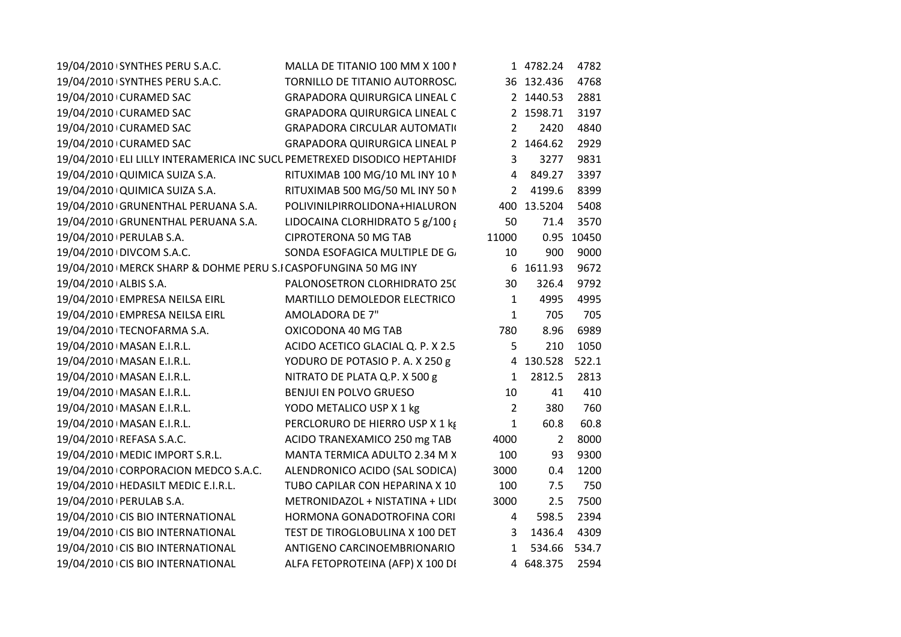| 19/04/2010 SYNTHES PERU S.A.C.                                   | MALLA DE TITANIO 100 MM X 100 N                                          |                | 1 4782.24      | 4782       |
|------------------------------------------------------------------|--------------------------------------------------------------------------|----------------|----------------|------------|
| 19/04/2010 SYNTHES PERU S.A.C.                                   | TORNILLO DE TITANIO AUTORROSC.                                           |                | 36 132.436     | 4768       |
| 19/04/2010 CURAMED SAC                                           | <b>GRAPADORA QUIRURGICA LINEAL C</b>                                     |                | 2 1440.53      | 2881       |
| 19/04/2010 CURAMED SAC                                           | <b>GRAPADORA QUIRURGICA LINEAL C</b>                                     |                | 2 1598.71      | 3197       |
| 19/04/2010 CURAMED SAC                                           | <b>GRAPADORA CIRCULAR AUTOMATI(</b>                                      | $\mathbf{2}$   | 2420           | 4840       |
| 19/04/2010 CURAMED SAC                                           | <b>GRAPADORA QUIRURGICA LINEAL P</b>                                     |                | 2 1464.62      | 2929       |
|                                                                  | 19/04/2010 ELI LILLY INTERAMERICA INC SUCL PEMETREXED DISODICO HEPTAHIDF | 3              | 3277           | 9831       |
| 19/04/2010 QUIMICA SUIZA S.A.                                    | RITUXIMAB 100 MG/10 ML INY 10 N                                          |                | 4 849.27       | 3397       |
| 19/04/2010 QUIMICA SUIZA S.A.                                    | RITUXIMAB 500 MG/50 ML INY 50 N                                          |                | 2 4199.6       | 8399       |
| 19/04/2010 GRUNENTHAL PERUANA S.A.                               | POLIVINILPIRROLIDONA+HIALURON                                            |                | 400 13.5204    | 5408       |
| 19/04/2010 GRUNENTHAL PERUANA S.A.                               | LIDOCAINA CLORHIDRATO 5 g/100 g                                          | 50             | 71.4           | 3570       |
| 19/04/2010   PERULAB S.A.                                        | CIPROTERONA 50 MG TAB                                                    | 11000          |                | 0.95 10450 |
| 19/04/2010 DIVCOM S.A.C.                                         | SONDA ESOFAGICA MULTIPLE DE G.                                           | 10             | 900            | 9000       |
| 19/04/2010   MERCK SHARP & DOHME PERU S.I CASPOFUNGINA 50 MG INY |                                                                          |                | 6 1611.93      | 9672       |
| 19/04/2010 ALBIS S.A.                                            | PALONOSETRON CLORHIDRATO 250                                             | 30             | 326.4          | 9792       |
| 19/04/2010 EMPRESA NEILSA EIRL                                   | MARTILLO DEMOLEDOR ELECTRICO                                             | 1              | 4995           | 4995       |
| 19/04/2010 EMPRESA NEILSA EIRL                                   | AMOLADORA DE 7"                                                          | $\mathbf{1}$   | 705            | 705        |
| 19/04/2010 TECNOFARMA S.A.                                       | OXICODONA 40 MG TAB                                                      | 780            | 8.96           | 6989       |
| 19/04/2010   MASAN E.I.R.L.                                      | ACIDO ACETICO GLACIAL Q. P. X 2.5                                        | 5.             | 210            | 1050       |
| 19/04/2010   MASAN E.I.R.L.                                      | YODURO DE POTASIO P. A. X 250 g                                          |                | 4 130.528      | 522.1      |
| 19/04/2010   MASAN E.I.R.L.                                      | NITRATO DE PLATA Q.P. X 500 g                                            | $\mathbf{1}$   | 2812.5         | 2813       |
| 19/04/2010   MASAN E.I.R.L.                                      | BENJUI EN POLVO GRUESO                                                   | 10             | 41             | 410        |
| 19/04/2010   MASAN E.I.R.L.                                      | YODO METALICO USP X 1 kg                                                 | $\overline{2}$ | 380            | 760        |
| 19/04/2010   MASAN E.I.R.L.                                      | PERCLORURO DE HIERRO USP X 1 kg                                          | $\mathbf{1}$   | 60.8           | 60.8       |
| 19/04/2010   REFASA S.A.C.                                       | ACIDO TRANEXAMICO 250 mg TAB                                             | 4000           | $\overline{2}$ | 8000       |
| 19/04/2010   MEDIC IMPORT S.R.L.                                 | MANTA TERMICA ADULTO 2.34 M X                                            | 100            | 93             | 9300       |
| 19/04/2010 CORPORACION MEDCO S.A.C.                              | ALENDRONICO ACIDO (SAL SODICA)                                           | 3000           | 0.4            | 1200       |
| 19/04/2010   HEDASILT MEDIC E.I.R.L.                             | TUBO CAPILAR CON HEPARINA X 10                                           | 100            | 7.5            | 750        |
| 19/04/2010   PERULAB S.A.                                        | METRONIDAZOL + NISTATINA + LIDO                                          | 3000           | 2.5            | 7500       |
| 19/04/2010 CIS BIO INTERNATIONAL                                 | HORMONA GONADOTROFINA CORI                                               | 4              | 598.5          | 2394       |
| 19/04/2010 CIS BIO INTERNATIONAL                                 | TEST DE TIROGLOBULINA X 100 DET                                          | 3              | 1436.4         | 4309       |
| 19/04/2010 CIS BIO INTERNATIONAL                                 | ANTIGENO CARCINOEMBRIONARIO                                              | 1              | 534.66 534.7   |            |
| 19/04/2010 CIS BIO INTERNATIONAL                                 | ALFA FETOPROTEINA (AFP) X 100 DI                                         |                | 4 648.375      | 2594       |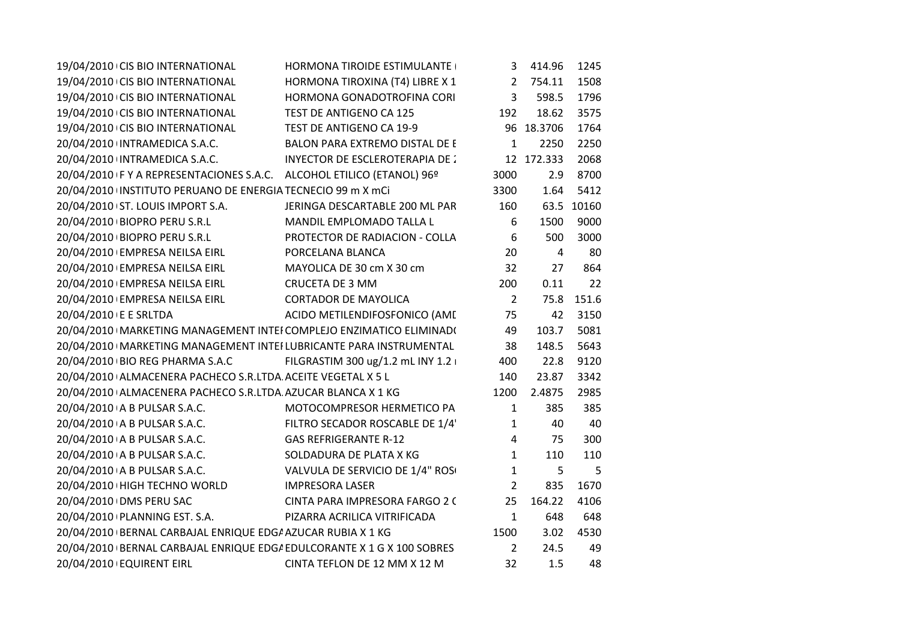|                       | 19/04/2010 CIS BIO INTERNATIONAL                                      | HORMONA TIROIDE ESTIMULANTE                                            |                | 3 414.96       | 1245       |
|-----------------------|-----------------------------------------------------------------------|------------------------------------------------------------------------|----------------|----------------|------------|
|                       | 19/04/2010 CIS BIO INTERNATIONAL                                      | HORMONA TIROXINA (T4) LIBRE X 1                                        |                | 2 754.11       | 1508       |
|                       | 19/04/2010 CIS BIO INTERNATIONAL                                      | HORMONA GONADOTROFINA CORI                                             | $\mathbf{3}$   | 598.5          | 1796       |
|                       | 19/04/2010 CIS BIO INTERNATIONAL                                      | TEST DE ANTIGENO CA 125                                                | 192            | 18.62          | 3575       |
|                       | 19/04/2010 CIS BIO INTERNATIONAL                                      | TEST DE ANTIGENO CA 19-9                                               |                | 96 18.3706     | 1764       |
|                       | 20/04/2010 INTRAMEDICA S.A.C.                                         | BALON PARA EXTREMO DISTAL DE E                                         | $\mathbf{1}$   | 2250           | 2250       |
|                       | 20/04/2010 INTRAMEDICA S.A.C.                                         | INYECTOR DE ESCLEROTERAPIA DE 2                                        |                | 12 172.333     | 2068       |
|                       | 20/04/2010 F Y A REPRESENTACIONES S.A.C. ALCOHOL ETILICO (ETANOL) 96º |                                                                        | 3000           | 2.9            | 8700       |
|                       | 20/04/2010 INSTITUTO PERUANO DE ENERGIA TECNECIO 99 m X mCi           |                                                                        | 3300           | 1.64           | 5412       |
|                       | 20/04/2010 ST. LOUIS IMPORT S.A.                                      | JERINGA DESCARTABLE 200 ML PAR                                         | 160            |                | 63.5 10160 |
|                       | 20/04/2010   BIOPRO PERU S.R.L                                        | MANDIL EMPLOMADO TALLA L                                               | 6              | 1500           | 9000       |
|                       | 20/04/2010 BIOPRO PERU S.R.L                                          | PROTECTOR DE RADIACION - COLLA                                         | 6              | 500            | 3000       |
|                       | 20/04/2010 EMPRESA NEILSA EIRL                                        | PORCELANA BLANCA                                                       | 20             | $\overline{4}$ | 80         |
|                       | 20/04/2010 EMPRESA NEILSA EIRL                                        | MAYOLICA DE 30 cm X 30 cm                                              | 32             | 27             | 864        |
|                       | 20/04/2010 EMPRESA NEILSA EIRL                                        | <b>CRUCETA DE 3 MM</b>                                                 | 200            | 0.11           | 22         |
|                       | 20/04/2010 EMPRESA NEILSA EIRL                                        | <b>CORTADOR DE MAYOLICA</b>                                            | $\overline{2}$ | 75.8           | 151.6      |
| 20/04/2010 E E SRLTDA |                                                                       | ACIDO METILENDIFOSFONICO (AME                                          | 75             | 42             | 3150       |
|                       |                                                                       | 20/04/2010   MARKETING MANAGEMENT INTEI COMPLEJO ENZIMATICO ELIMINADI  | 49             | 103.7          | 5081       |
|                       |                                                                       | 20/04/2010   MARKETING MANAGEMENT INTEI LUBRICANTE PARA INSTRUMENTAL   | 38             | 148.5          | 5643       |
|                       |                                                                       | 20/04/2010 BIO REG PHARMA S.A.C FILGRASTIM 300 ug/1.2 mL INY 1.2       | 400            | 22.8           | 9120       |
|                       | 20/04/2010 ALMACENERA PACHECO S.R.LTDA ACEITE VEGETAL X 5 L           |                                                                        | 140            | 23.87          | 3342       |
|                       | 20/04/2010 ALMACENERA PACHECO S.R.LTDA AZUCAR BLANCA X 1 KG           |                                                                        | 1200           | 2.4875         | 2985       |
|                       | 20/04/2010 A B PULSAR S.A.C.                                          | MOTOCOMPRESOR HERMETICO PA                                             | $\mathbf{1}$   | 385            | 385        |
|                       | 20/04/2010 A B PULSAR S.A.C.                                          | FILTRO SECADOR ROSCABLE DE 1/4                                         | $\mathbf{1}$   | 40             | 40         |
|                       | 20/04/2010 A B PULSAR S.A.C.                                          | <b>GAS REFRIGERANTE R-12</b>                                           | $\overline{4}$ | 75             | 300        |
|                       | 20/04/2010 A B PULSAR S.A.C.                                          | SOLDADURA DE PLATA X KG                                                | $\mathbf{1}$   | 110            | 110        |
|                       | 20/04/2010 A B PULSAR S.A.C.                                          | VALVULA DE SERVICIO DE 1/4" ROSI                                       | $\mathbf{1}$   | 5              | 5          |
|                       | 20/04/2010 HIGH TECHNO WORLD                                          | <b>IMPRESORA LASER</b>                                                 | $\overline{2}$ | 835            | 1670       |
|                       | 20/04/2010 DMS PERU SAC                                               | CINTA PARA IMPRESORA FARGO 2 (                                         | 25             | 164.22         | 4106       |
|                       | 20/04/2010 PLANNING EST. S.A.                                         | PIZARRA ACRILICA VITRIFICADA                                           | $\mathbf{1}$   | 648            | 648        |
|                       | 20/04/2010 BERNAL CARBAJAL ENRIQUE EDG/ AZUCAR RUBIA X 1 KG           |                                                                        | 1500           | 3.02           | 4530       |
|                       |                                                                       | 20/04/2010 BERNAL CARBAJAL ENRIQUE EDG/ EDULCORANTE X 1 G X 100 SOBRES | $\overline{2}$ | 24.5           | 49         |
|                       | 20/04/2010 EQUIRENT EIRL                                              | CINTA TEFLON DE 12 MM X 12 M                                           | 32             | 1.5            | 48         |
|                       |                                                                       |                                                                        |                |                |            |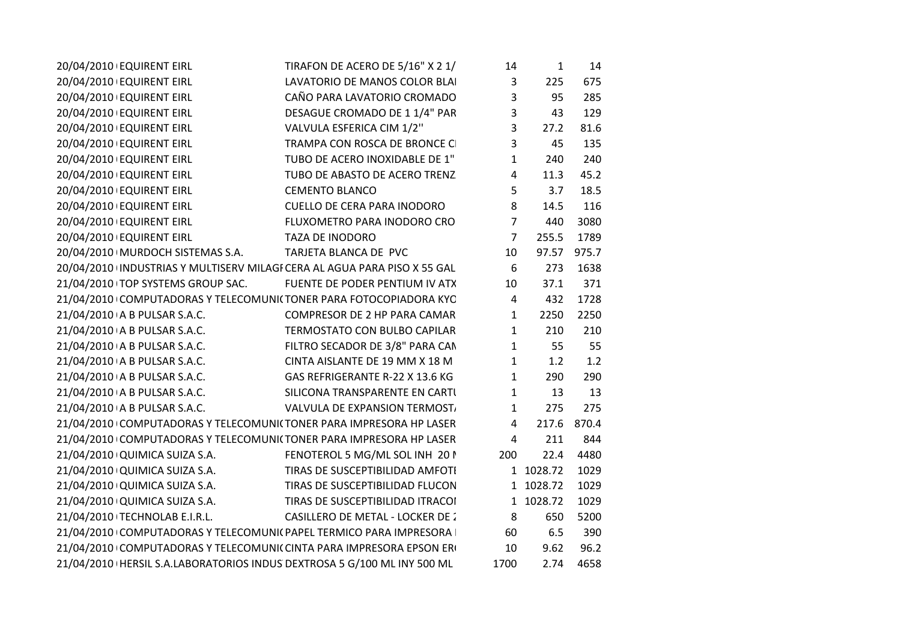| 20/04/2010 EQUIRENT EIRL                                                  | TIRAFON DE ACERO DE 5/16" X 2 1/        | 14             | $\mathbf{1}$ | 14    |  |
|---------------------------------------------------------------------------|-----------------------------------------|----------------|--------------|-------|--|
| 20/04/2010 EQUIRENT EIRL                                                  | LAVATORIO DE MANOS COLOR BLAI           | $\mathbf{3}$   | 225          | 675   |  |
| 20/04/2010 EQUIRENT EIRL                                                  | CAÑO PARA LAVATORIO CROMADO             | $\overline{3}$ | 95           | 285   |  |
| 20/04/2010 EQUIRENT EIRL                                                  | DESAGUE CROMADO DE 11/4" PAR            | $\overline{3}$ | 43           | 129   |  |
| 20/04/2010 EQUIRENT EIRL                                                  | VALVULA ESFERICA CIM 1/2"               | $\overline{3}$ | 27.2         | 81.6  |  |
| 20/04/2010 EQUIRENT EIRL                                                  | TRAMPA CON ROSCA DE BRONCE CI           | $\overline{3}$ | 45           | 135   |  |
| 20/04/2010 EQUIRENT EIRL                                                  | TUBO DE ACERO INOXIDABLE DE 1"          | $\mathbf{1}$   | 240          | 240   |  |
| 20/04/2010 EQUIRENT EIRL                                                  | TUBO DE ABASTO DE ACERO TRENZ           | $\overline{4}$ | 11.3         | 45.2  |  |
| 20/04/2010 EQUIRENT EIRL                                                  | <b>CEMENTO BLANCO</b>                   | 5              | 3.7          | 18.5  |  |
| 20/04/2010 EQUIRENT EIRL                                                  | <b>CUELLO DE CERA PARA INODORO</b>      | 8              | 14.5         | 116   |  |
| 20/04/2010 EQUIRENT EIRL                                                  | FLUXOMETRO PARA INODORO CRO             | $\overline{7}$ | 440          | 3080  |  |
| 20/04/2010 EQUIRENT EIRL                                                  | TAZA DE INODORO                         | $\overline{7}$ | 255.5        | 1789  |  |
| 20/04/2010 MURDOCH SISTEMAS S.A.                                          | TARJETA BLANCA DE PVC                   | 10             | 97.57        | 975.7 |  |
| 20/04/2010 INDUSTRIAS Y MULTISERV MILAGI CERA AL AGUA PARA PISO X 55 GAL  |                                         | 6              | 273          | 1638  |  |
| 21/04/2010 TOP SYSTEMS GROUP SAC. FUENTE DE PODER PENTIUM IV ATX          |                                         | 10             | 37.1         | 371   |  |
| 21/04/2010 COMPUTADORAS Y TELECOMUNI(TONER PARA FOTOCOPIADORA KYC         |                                         | $\overline{4}$ | 432          | 1728  |  |
| 21/04/2010 A B PULSAR S.A.C.                                              | COMPRESOR DE 2 HP PARA CAMAR            | $\mathbf{1}$   | 2250         | 2250  |  |
| 21/04/2010 A B PULSAR S.A.C.                                              | TERMOSTATO CON BULBO CAPILAR            | $\mathbf{1}$   | 210          | 210   |  |
| 21/04/2010 A B PULSAR S.A.C.                                              | FILTRO SECADOR DE 3/8" PARA CAN         | $\mathbf{1}$   | 55           | 55    |  |
| 21/04/2010 A B PULSAR S.A.C.                                              | CINTA AISLANTE DE 19 MM X 18 M          | $\mathbf{1}$   | 1.2          | 1.2   |  |
| 21/04/2010 A B PULSAR S.A.C.                                              | GAS REFRIGERANTE R-22 X 13.6 KG         | $\mathbf{1}$   | 290          | 290   |  |
| 21/04/2010 A B PULSAR S.A.C.                                              | SILICONA TRANSPARENTE EN CARTU          | $\mathbf{1}$   | 13           | 13    |  |
| 21/04/2010 A B PULSAR S.A.C.                                              | VALVULA DE EXPANSION TERMOST,           | $\mathbf{1}$   | 275          | 275   |  |
| 21/04/2010 COMPUTADORAS Y TELECOMUNI(TONER PARA IMPRESORA HP LASER        |                                         | $\overline{4}$ | 217.6        | 870.4 |  |
| 21/04/2010 COMPUTADORAS Y TELECOMUNI(TONER PARA IMPRESORA HP LASER        |                                         | 4              | 211          | 844   |  |
| 21/04/2010 QUIMICA SUIZA S.A.                                             | FENOTEROL 5 MG/ML SOL INH 20 N          | 200            | 22.4         | 4480  |  |
| 21/04/2010 QUIMICA SUIZA S.A.                                             | TIRAS DE SUSCEPTIBILIDAD AMFOTI         |                | 1 1028.72    | 1029  |  |
| 21/04/2010 QUIMICA SUIZA S.A.                                             | TIRAS DE SUSCEPTIBILIDAD FLUCON         |                | 1 1028.72    | 1029  |  |
| 21/04/2010 QUIMICA SUIZA S.A.                                             | TIRAS DE SUSCEPTIBILIDAD ITRACOI        |                | 1 1028.72    | 1029  |  |
| 21/04/2010 TECHNOLAB E.I.R.L.                                             | <b>CASILLERO DE METAL - LOCKER DE 2</b> | 8              | 650          | 5200  |  |
| 21/04/2010 COMPUTADORAS Y TELECOMUNI( PAPEL TERMICO PARA IMPRESORA        |                                         | 60             | 6.5          | 390   |  |
| 21/04/2010 COMPUTADORAS Y TELECOMUNI( CINTA PARA IMPRESORA EPSON ER       |                                         | 10             | 9.62         | 96.2  |  |
| 21/04/2010   HERSIL S.A.LABORATORIOS INDUS DEXTROSA 5 G/100 ML INY 500 ML |                                         | 1700           | 2.74         | 4658  |  |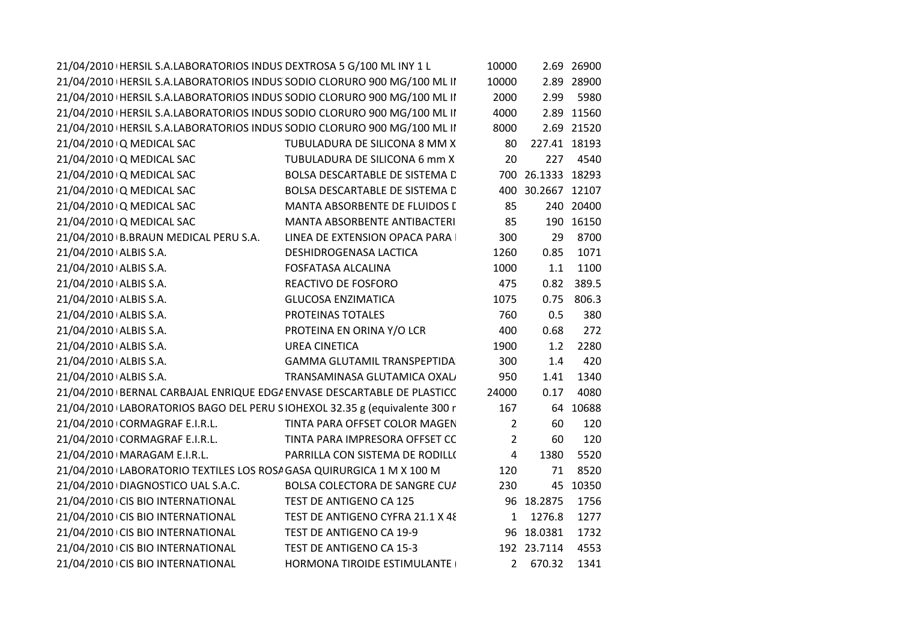| 21/04/2010   HERSIL S.A.LABORATORIOS INDUS DEXTROSA 5 G/100 ML INY 1 L    |                                    | 10000          |                   | 2.69 26900 |
|---------------------------------------------------------------------------|------------------------------------|----------------|-------------------|------------|
| 21/04/2010   HERSIL S.A.LABORATORIOS INDUS SODIO CLORURO 900 MG/100 ML II |                                    | 10000          |                   | 2.89 28900 |
| 21/04/2010   HERSIL S.A.LABORATORIOS INDUS SODIO CLORURO 900 MG/100 ML II |                                    | 2000           | 2.99              | 5980       |
| 21/04/2010   HERSIL S.A.LABORATORIOS INDUS SODIO CLORURO 900 MG/100 ML II |                                    | 4000           |                   | 2.89 11560 |
| 21/04/2010   HERSIL S.A.LABORATORIOS INDUS SODIO CLORURO 900 MG/100 ML II |                                    | 8000           |                   | 2.69 21520 |
| 21/04/2010 Q MEDICAL SAC                                                  | TUBULADURA DE SILICONA 8 MM X      | 80             | 227.41 18193      |            |
| 21/04/2010 Q MEDICAL SAC                                                  | TUBULADURA DE SILICONA 6 mm X      | 20             | 227               | 4540       |
| 21/04/2010 Q MEDICAL SAC                                                  | BOLSA DESCARTABLE DE SISTEMA D     |                | 700 26.1333 18293 |            |
| 21/04/2010 Q MEDICAL SAC                                                  | BOLSA DESCARTABLE DE SISTEMA D     |                | 400 30.2667 12107 |            |
| 21/04/2010 Q MEDICAL SAC                                                  | MANTA ABSORBENTE DE FLUIDOS L      | 85             |                   | 240 20400  |
| 21/04/2010 Q MEDICAL SAC                                                  | MANTA ABSORBENTE ANTIBACTERI       | 85             |                   | 190 16150  |
| 21/04/2010 B.BRAUN MEDICAL PERU S.A.                                      | LINEA DE EXTENSION OPACA PARA      | 300            | 29                | 8700       |
| 21/04/2010 ALBIS S.A.                                                     | DESHIDROGENASA LACTICA             | 1260           | 0.85              | 1071       |
| 21/04/2010 ALBIS S.A.                                                     | FOSFATASA ALCALINA                 | 1000           | 1.1               | 1100       |
| 21/04/2010 ALBIS S.A.                                                     | REACTIVO DE FOSFORO                | 475            |                   | 0.82 389.5 |
| 21/04/2010 ALBIS S.A.                                                     | <b>GLUCOSA ENZIMATICA</b>          | 1075           |                   | 0.75 806.3 |
| 21/04/2010 ALBIS S.A.                                                     | PROTEINAS TOTALES                  | 760            | 0.5               | 380        |
| 21/04/2010 ALBIS S.A.                                                     | PROTEINA EN ORINA Y/O LCR          | 400            | 0.68              | 272        |
| 21/04/2010 ALBIS S.A.                                                     | <b>UREA CINETICA</b>               | 1900           | 1.2               | 2280       |
| 21/04/2010 ALBIS S.A.                                                     | <b>GAMMA GLUTAMIL TRANSPEPTIDA</b> | 300            | 1.4               | 420        |
| 21/04/2010 ALBIS S.A.                                                     | TRANSAMINASA GLUTAMICA OXAL        | 950            | 1.41              | 1340       |
| 21/04/2010 BERNAL CARBAJAL ENRIQUE EDG/ ENVASE DESCARTABLE DE PLASTICC    |                                    | 24000          | 0.17              | 4080       |
| 21/04/2010 LABORATORIOS BAGO DEL PERU SIOHEXOL 32.35 g (equivalente 300 r |                                    | 167            |                   | 64 10688   |
| 21/04/2010 CORMAGRAF E.I.R.L.                                             | TINTA PARA OFFSET COLOR MAGEN      | $\overline{2}$ | 60                | 120        |
| 21/04/2010 CORMAGRAF E.I.R.L.                                             | TINTA PARA IMPRESORA OFFSET CC     | $\overline{2}$ | 60                | 120        |
| 21/04/2010   MARAGAM E.I.R.L.                                             | PARRILLA CON SISTEMA DE RODILLO    | $\overline{4}$ | 1380              | 5520       |
| 21/04/2010 LABORATORIO TEXTILES LOS ROSA GASA QUIRURGICA 1 M X 100 M      |                                    | 120            | 71                | 8520       |
| 21/04/2010 DIAGNOSTICO UAL S.A.C.                                         | BOLSA COLECTORA DE SANGRE CU/      | 230            |                   | 45 10350   |
| 21/04/2010 CIS BIO INTERNATIONAL                                          | TEST DE ANTIGENO CA 125            |                | 96 18.2875        | 1756       |
| 21/04/2010 CIS BIO INTERNATIONAL                                          | TEST DE ANTIGENO CYFRA 21.1 X 48   | $\mathbf{1}$   | 1276.8            | 1277       |
| 21/04/2010 CIS BIO INTERNATIONAL                                          | TEST DE ANTIGENO CA 19-9           |                | 96 18.0381        | 1732       |
| 21/04/2010 CIS BIO INTERNATIONAL                                          | TEST DE ANTIGENO CA 15-3           |                | 192 23.7114       | 4553       |
| 21/04/2010 CIS BIO INTERNATIONAL                                          | HORMONA TIROIDE ESTIMULANTE (      |                | 2 670.32          | 1341       |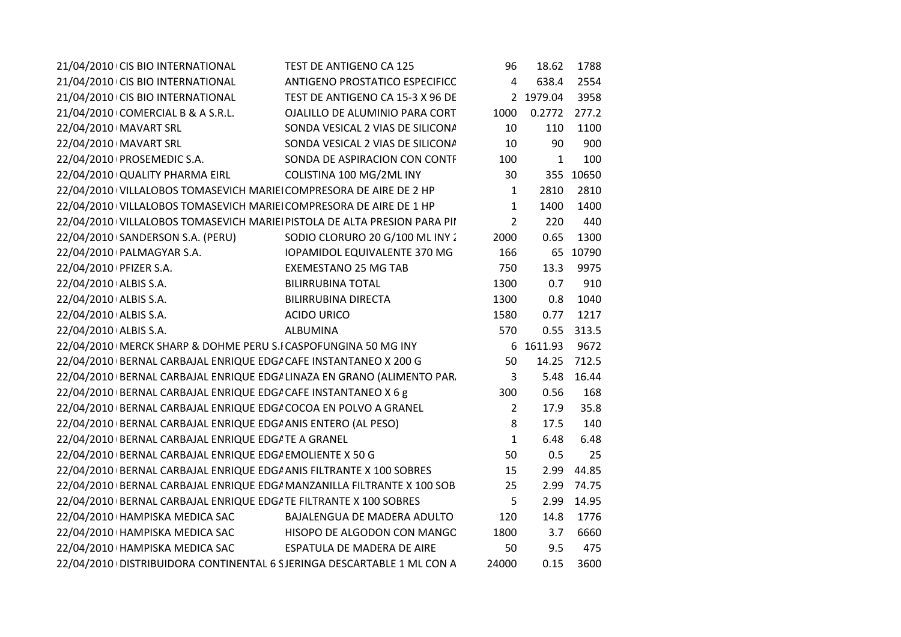| 21/04/2010 CIS BIO INTERNATIONAL                                         | TEST DE ANTIGENO CA 125               | 96             | 18.62     | 1788      |  |
|--------------------------------------------------------------------------|---------------------------------------|----------------|-----------|-----------|--|
| 21/04/2010 CIS BIO INTERNATIONAL                                         | <b>ANTIGENO PROSTATICO ESPECIFICC</b> | 4              | 638.4     | 2554      |  |
| 21/04/2010 CIS BIO INTERNATIONAL                                         | TEST DE ANTIGENO CA 15-3 X 96 DE      |                | 2 1979.04 | 3958      |  |
| 21/04/2010 COMERCIAL B & A S.R.L.                                        | OJALILLO DE ALUMINIO PARA CORT        | 1000           | 0.2772    | 277.2     |  |
| 22/04/2010   MAVART SRL                                                  | SONDA VESICAL 2 VIAS DE SILICONA      | 10             | 110       | 1100      |  |
| 22/04/2010   MAVART SRL                                                  | SONDA VESICAL 2 VIAS DE SILICONA      | 10             | 90        | 900       |  |
| 22/04/2010   PROSEMEDIC S.A.                                             | SONDA DE ASPIRACION CON CONTF         | 100            | 1         | 100       |  |
| 22/04/2010 QUALITY PHARMA EIRL                                           | COLISTINA 100 MG/2ML INY              | 30             |           | 355 10650 |  |
| 22/04/2010 VILLALOBOS TOMASEVICH MARIEI COMPRESORA DE AIRE DE 2 HP       |                                       | 1              | 2810      | 2810      |  |
| 22/04/2010 VILLALOBOS TOMASEVICH MARIEI COMPRESORA DE AIRE DE 1 HP       |                                       | 1              | 1400      | 1400      |  |
| 22/04/2010 VILLALOBOS TOMASEVICH MARIEI PISTOLA DE ALTA PRESION PARA PII |                                       | $\overline{2}$ | 220       | 440       |  |
| 22/04/2010 SANDERSON S.A. (PERU)                                         | SODIO CLORURO 20 G/100 ML INY 2       | 2000           | 0.65      | 1300      |  |
| 22/04/2010 PALMAGYAR S.A.                                                | <b>IOPAMIDOL EQUIVALENTE 370 MG</b>   | 166            |           | 65 10790  |  |
| 22/04/2010   PFIZER S.A.                                                 | <b>EXEMESTANO 25 MG TAB</b>           | 750            | 13.3      | 9975      |  |
| 22/04/2010 ALBIS S.A.                                                    | <b>BILIRRUBINA TOTAL</b>              | 1300           | 0.7       | 910       |  |
| 22/04/2010 ALBIS S.A.                                                    | <b>BILIRRUBINA DIRECTA</b>            | 1300           | 0.8       | 1040      |  |
| 22/04/2010 ALBIS S.A.                                                    | <b>ACIDO URICO</b>                    | 1580           | 0.77      | 1217      |  |
| 22/04/2010 ALBIS S.A.                                                    | ALBUMINA                              | 570            | 0.55      | 313.5     |  |
| 22/04/2010   MERCK SHARP & DOHME PERU S.I CASPOFUNGINA 50 MG INY         |                                       |                | 6 1611.93 | 9672      |  |
| 22/04/2010 BERNAL CARBAJAL ENRIQUE EDG/ CAFE INSTANTANEO X 200 G         |                                       | 50             | 14.25     | 712.5     |  |
| 22/04/2010 BERNAL CARBAJAL ENRIQUE EDG/ LINAZA EN GRANO (ALIMENTO PAR.   |                                       | 3              | 5.48      | 16.44     |  |
| 22/04/2010 BERNAL CARBAJAL ENRIQUE EDG/ CAFE INSTANTANEO X 6 g           |                                       | 300            | 0.56      | 168       |  |
| 22/04/2010 BERNAL CARBAJAL ENRIQUE EDG/ COCOA EN POLVO A GRANEL          |                                       | $\overline{2}$ | 17.9      | 35.8      |  |
| 22/04/2010 BERNAL CARBAJAL ENRIQUE EDG/ ANIS ENTERO (AL PESO)            |                                       | 8              | 17.5      | 140       |  |
| 22/04/2010 BERNAL CARBAJAL ENRIQUE EDG/ TE A GRANEL                      |                                       | $\mathbf{1}$   | 6.48      | 6.48      |  |
| 22/04/2010 BERNAL CARBAJAL ENRIQUE EDG/ EMOLIENTE X 50 G                 |                                       | 50             | 0.5       | 25        |  |
| 22/04/2010 BERNAL CARBAJAL ENRIQUE EDG/ ANIS FILTRANTE X 100 SOBRES      |                                       | 15             | 2.99      | 44.85     |  |
| 22/04/2010 BERNAL CARBAJAL ENRIQUE EDG/ MANZANILLA FILTRANTE X 100 SOB   |                                       | 25             | 2.99      | 74.75     |  |
| 22/04/2010   BERNAL CARBAJAL ENRIQUE EDG/ TE FILTRANTE X 100 SOBRES      |                                       | 5              | 2.99      | 14.95     |  |
| 22/04/2010 HAMPISKA MEDICA SAC                                           | BAJALENGUA DE MADERA ADULTO           | 120            | 14.8      | 1776      |  |
| 22/04/2010 HAMPISKA MEDICA SAC                                           | HISOPO DE ALGODON CON MANGC           | 1800           | 3.7       | 6660      |  |
| 22/04/2010 HAMPISKA MEDICA SAC                                           | ESPATULA DE MADERA DE AIRE            | 50             | 9.5       | 475       |  |
| 22/04/2010 DISTRIBUIDORA CONTINENTAL 6 SJERINGA DESCARTABLE 1 ML CON A   |                                       | 24000          | 0.15      | 3600      |  |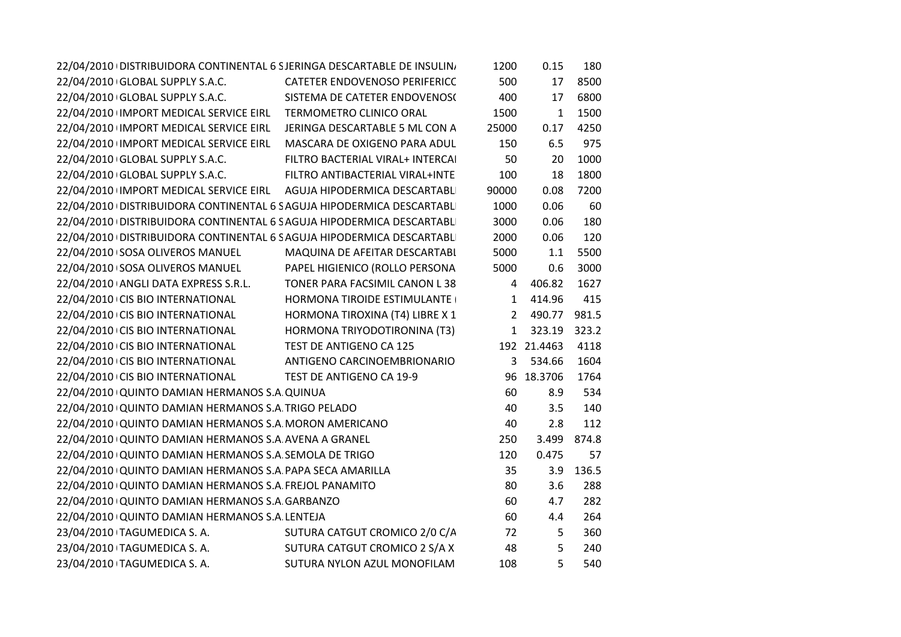|                                                                | 22/04/2010   DISTRIBUIDORA CONTINENTAL 6 SJERINGA DESCARTABLE DE INSULINI | 1200         | 0.15         | 180       |
|----------------------------------------------------------------|---------------------------------------------------------------------------|--------------|--------------|-----------|
| 22/04/2010 GLOBAL SUPPLY S.A.C.                                | CATETER ENDOVENOSO PERIFERICC                                             | 500          | 17           | 8500      |
| 22/04/2010 GLOBAL SUPPLY S.A.C.                                | SISTEMA DE CATETER ENDOVENOS(                                             | 400          | 17           | 6800      |
| 22/04/2010 IMPORT MEDICAL SERVICE EIRL TERMOMETRO CLINICO ORAL |                                                                           | 1500         | $\mathbf{1}$ | 1500      |
| 22/04/2010 IMPORT MEDICAL SERVICE EIRL                         | JERINGA DESCARTABLE 5 ML CON A                                            | 25000        | 0.17         | 4250      |
| 22/04/2010 IMPORT MEDICAL SERVICE EIRL                         | MASCARA DE OXIGENO PARA ADUL                                              | 150          | 6.5          | 975       |
| 22/04/2010 GLOBAL SUPPLY S.A.C.                                | FILTRO BACTERIAL VIRAL+ INTERCAI                                          | 50           | 20           | 1000      |
| 22/04/2010 GLOBAL SUPPLY S.A.C.                                | FILTRO ANTIBACTERIAL VIRAL+INTE                                           | 100          | 18           | 1800      |
|                                                                | 22/04/2010 IMPORT MEDICAL SERVICE EIRL AGUJA HIPODERMICA DESCARTABLI      | 90000        | 0.08         | 7200      |
|                                                                | 22/04/2010   DISTRIBUIDORA CONTINENTAL 6 SAGUJA HIPODERMICA DESCARTABLI   | 1000         | 0.06         | 60        |
|                                                                | 22/04/2010   DISTRIBUIDORA CONTINENTAL 6 S AGUJA HIPODERMICA DESCARTABLI  | 3000         | 0.06         | 180       |
|                                                                | 22/04/2010   DISTRIBUIDORA CONTINENTAL 6 SAGUJA HIPODERMICA DESCARTABLI   | 2000         | 0.06         | 120       |
| 22/04/2010 SOSA OLIVEROS MANUEL                                | MAQUINA DE AFEITAR DESCARTABL                                             | 5000         | 1.1          | 5500      |
| 22/04/2010 SOSA OLIVEROS MANUEL                                | PAPEL HIGIENICO (ROLLO PERSONA                                            | 5000         | 0.6          | 3000      |
| 22/04/2010 ANGLI DATA EXPRESS S.R.L.                           | TONER PARA FACSIMIL CANON L 38                                            | 4            | 406.82       | 1627      |
| 22/04/2010 CIS BIO INTERNATIONAL                               | HORMONA TIROIDE ESTIMULANTE                                               | $\mathbf{1}$ | 414.96       | 415       |
| 22/04/2010 CIS BIO INTERNATIONAL                               | HORMONA TIROXINA (T4) LIBRE X 1                                           | $2^{\circ}$  | 490.77       | 981.5     |
| 22/04/2010 CIS BIO INTERNATIONAL                               | HORMONA TRIYODOTIRONINA (T3)                                              |              | 1 323.19     | 323.2     |
| 22/04/2010 CIS BIO INTERNATIONAL                               | TEST DE ANTIGENO CA 125                                                   |              | 192 21.4463  | 4118      |
| 22/04/2010 CIS BIO INTERNATIONAL                               | ANTIGENO CARCINOEMBRIONARIO                                               | 3            | 534.66       | 1604      |
| 22/04/2010 CIS BIO INTERNATIONAL                               | TEST DE ANTIGENO CA 19-9                                                  |              | 96 18.3706   | 1764      |
| 22/04/2010 QUINTO DAMIAN HERMANOS S.A. QUINUA                  |                                                                           | 60           | 8.9          | 534       |
| 22/04/2010 QUINTO DAMIAN HERMANOS S.A. TRIGO PELADO            |                                                                           | 40           | 3.5          | 140       |
| 22/04/2010 QUINTO DAMIAN HERMANOS S.A MORON AMERICANO          |                                                                           | 40           | 2.8          | 112       |
| 22/04/2010 QUINTO DAMIAN HERMANOS S.A AVENA A GRANEL           |                                                                           | 250          | 3.499        | 874.8     |
| 22/04/2010 QUINTO DAMIAN HERMANOS S.A. SEMOLA DE TRIGO         |                                                                           | 120          | 0.475        | 57        |
| 22/04/2010 QUINTO DAMIAN HERMANOS S.A PAPA SECA AMARILLA       |                                                                           | 35           |              | 3.9 136.5 |
| 22/04/2010 QUINTO DAMIAN HERMANOS S.A. FREJOL PANAMITO         |                                                                           | 80           | 3.6          | 288       |
| 22/04/2010 QUINTO DAMIAN HERMANOS S.A. GARBANZO                |                                                                           | 60           | 4.7          | 282       |
| 22/04/2010 QUINTO DAMIAN HERMANOS S.A. LENTEJA                 |                                                                           | 60           | 4.4          | 264       |
| 23/04/2010 TAGUMEDICA S. A.                                    | SUTURA CATGUT CROMICO 2/0 C/A                                             | 72           | 5            | 360       |
| 23/04/2010 TAGUMEDICA S. A.                                    | SUTURA CATGUT CROMICO 2 S/A X                                             | 48           | 5            | 240       |
| 23/04/2010 TAGUMEDICA S. A.                                    | SUTURA NYLON AZUL MONOFILAM                                               | 108          | 5            | 540       |
|                                                                |                                                                           |              |              |           |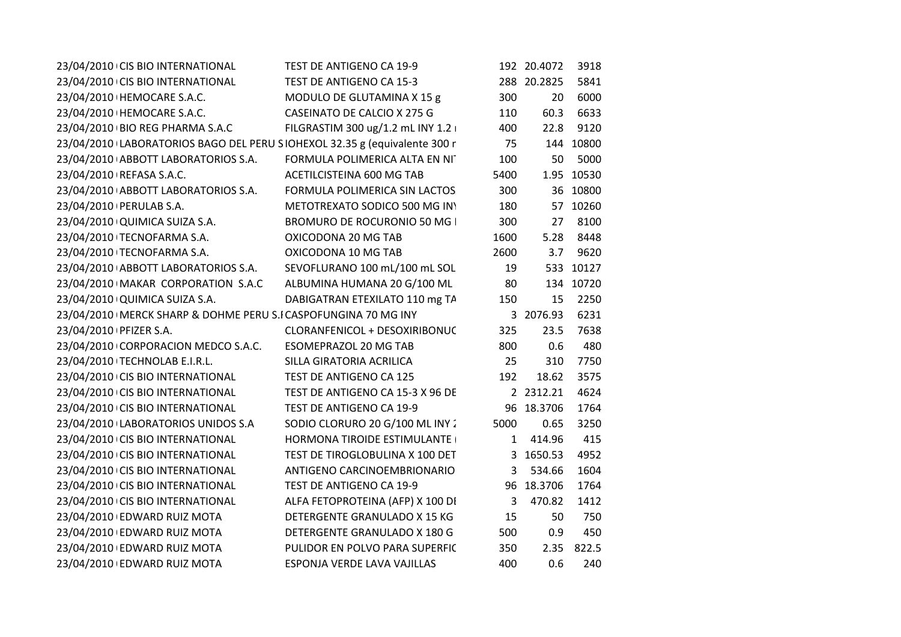| 23/04/2010 CIS BIO INTERNATIONAL                                          | TEST DE ANTIGENO CA 19-9           |              | 192 20.4072 | 3918       |
|---------------------------------------------------------------------------|------------------------------------|--------------|-------------|------------|
| 23/04/2010 CIS BIO INTERNATIONAL                                          | TEST DE ANTIGENO CA 15-3           |              | 288 20.2825 | 5841       |
| 23/04/2010   HEMOCARE S.A.C.                                              | MODULO DE GLUTAMINA X 15 g         | 300          | 20          | 6000       |
| 23/04/2010   HEMOCARE S.A.C.                                              | CASEINATO DE CALCIO X 275 G        | 110          | 60.3        | 6633       |
| 23/04/2010 BIO REG PHARMA S.A.C                                           | FILGRASTIM 300 ug/1.2 mL INY 1.2 i | 400          | 22.8        | 9120       |
| 23/04/2010 LABORATORIOS BAGO DEL PERU SIOHEXOL 32.35 g (equivalente 300 r |                                    | 75           |             | 144 10800  |
| 23/04/2010 ABBOTT LABORATORIOS S.A.                                       | FORMULA POLIMERICA ALTA EN NIT     | 100          | 50          | 5000       |
| 23/04/2010   REFASA S.A.C.                                                | ACETILCISTEINA 600 MG TAB          | 5400         |             | 1.95 10530 |
| 23/04/2010 ABBOTT LABORATORIOS S.A.                                       | FORMULA POLIMERICA SIN LACTOS      | 300          |             | 36 10800   |
| 23/04/2010   PERULAB S.A.                                                 | METOTREXATO SODICO 500 MG INY      | 180          |             | 57 10260   |
| 23/04/2010 QUIMICA SUIZA S.A.                                             | BROMURO DE ROCURONIO 50 MG I       | 300          | 27          | 8100       |
| 23/04/2010 TECNOFARMA S.A.                                                | OXICODONA 20 MG TAB                | 1600         | 5.28        | 8448       |
| 23/04/2010 TECNOFARMA S.A.                                                | OXICODONA 10 MG TAB                | 2600         | 3.7         | 9620       |
| 23/04/2010 ABBOTT LABORATORIOS S.A.                                       | SEVOFLURANO 100 mL/100 mL SOL      | 19           |             | 533 10127  |
| 23/04/2010   MAKAR CORPORATION S.A.C                                      | ALBUMINA HUMANA 20 G/100 ML        | 80           |             | 134 10720  |
| 23/04/2010 QUIMICA SUIZA S.A.                                             | DABIGATRAN ETEXILATO 110 mg TA     | 150          | 15          | 2250       |
| 23/04/2010   MERCK SHARP & DOHME PERU S.I CASPOFUNGINA 70 MG INY          |                                    |              | 3 2076.93   | 6231       |
| 23/04/2010   PFIZER S.A.                                                  | CLORANFENICOL + DESOXIRIBONUC      | 325          | 23.5        | 7638       |
| 23/04/2010 CORPORACION MEDCO S.A.C.                                       | <b>ESOMEPRAZOL 20 MG TAB</b>       | 800          | 0.6         | 480        |
| 23/04/2010 TECHNOLAB E.I.R.L.                                             | SILLA GIRATORIA ACRILICA           | 25           | 310         | 7750       |
| 23/04/2010 CIS BIO INTERNATIONAL                                          | TEST DE ANTIGENO CA 125            | 192          | 18.62       | 3575       |
| 23/04/2010 CIS BIO INTERNATIONAL                                          | TEST DE ANTIGENO CA 15-3 X 96 DE   |              | 2 2312.21   | 4624       |
| 23/04/2010 CIS BIO INTERNATIONAL                                          | TEST DE ANTIGENO CA 19-9           |              | 96 18.3706  | 1764       |
| 23/04/2010 LABORATORIOS UNIDOS S.A                                        | SODIO CLORURO 20 G/100 ML INY 2    | 5000         | 0.65        | 3250       |
| 23/04/2010 CIS BIO INTERNATIONAL                                          | <b>HORMONA TIROIDE ESTIMULANTE</b> |              | 1 414.96    | 415        |
| 23/04/2010 CIS BIO INTERNATIONAL                                          | TEST DE TIROGLOBULINA X 100 DET    |              | 3 1650.53   | 4952       |
| 23/04/2010 CIS BIO INTERNATIONAL                                          | ANTIGENO CARCINOEMBRIONARIO        | $\mathbf{3}$ | 534.66      | 1604       |
| 23/04/2010 CIS BIO INTERNATIONAL                                          | TEST DE ANTIGENO CA 19-9           |              | 96 18.3706  | 1764       |
| 23/04/2010 CIS BIO INTERNATIONAL                                          | ALFA FETOPROTEINA (AFP) X 100 DI   | 3            | 470.82      | 1412       |
| 23/04/2010 EDWARD RUIZ MOTA                                               | DETERGENTE GRANULADO X 15 KG       | 15           | 50          | 750        |
| 23/04/2010 EDWARD RUIZ MOTA                                               | DETERGENTE GRANULADO X 180 G       | 500          | 0.9         | 450        |
| 23/04/2010 EDWARD RUIZ MOTA                                               | PULIDOR EN POLVO PARA SUPERFIC     | 350          |             | 2.35 822.5 |
| 23/04/2010 EDWARD RUIZ MOTA                                               | ESPONJA VERDE LAVA VAJILLAS        | 400          | 0.6         | 240        |
|                                                                           |                                    |              |             |            |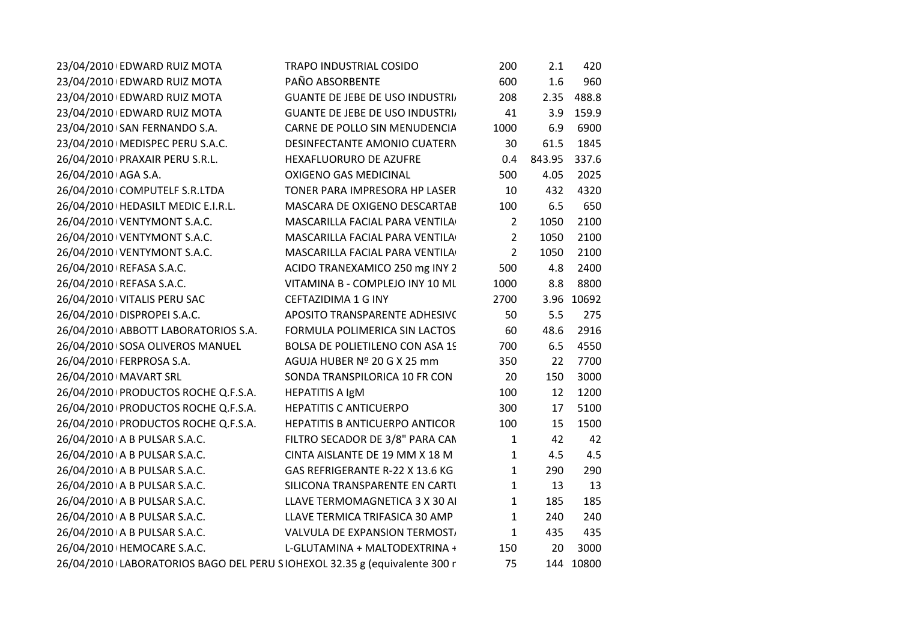| 23/04/2010 EDWARD RUIZ MOTA                                               | TRAPO INDUSTRIAL COSIDO               | 200            | 2.1    | 420        |
|---------------------------------------------------------------------------|---------------------------------------|----------------|--------|------------|
| 23/04/2010 EDWARD RUIZ MOTA                                               | PAÑO ABSORBENTE                       | 600            | 1.6    | 960        |
| 23/04/2010 EDWARD RUIZ MOTA                                               | <b>GUANTE DE JEBE DE USO INDUSTRI</b> | 208            |        | 2.35 488.8 |
| 23/04/2010 EDWARD RUIZ MOTA                                               | <b>GUANTE DE JEBE DE USO INDUSTRI</b> | 41             |        | 3.9 159.9  |
| 23/04/2010 SAN FERNANDO S.A.                                              | CARNE DE POLLO SIN MENUDENCIA         | 1000           | 6.9    | 6900       |
| 23/04/2010   MEDISPEC PERU S.A.C.                                         | DESINFECTANTE AMONIO CUATERN          | 30             | 61.5   | 1845       |
| 26/04/2010   PRAXAIR PERU S.R.L.                                          | HEXAFLUORURO DE AZUFRE                | 0.4            | 843.95 | 337.6      |
| 26/04/2010 AGA S.A.                                                       | <b>OXIGENO GAS MEDICINAL</b>          | 500            | 4.05   | 2025       |
| 26/04/2010 COMPUTELF S.R.LTDA                                             | TONER PARA IMPRESORA HP LASER         | 10             | 432    | 4320       |
| 26/04/2010   HEDASILT MEDIC E.I.R.L.                                      | MASCARA DE OXIGENO DESCARTAB          | 100            | 6.5    | 650        |
| 26/04/2010 VENTYMONT S.A.C.                                               | MASCARILLA FACIAL PARA VENTILA        | $\overline{2}$ | 1050   | 2100       |
| 26/04/2010 VENTYMONT S.A.C.                                               | MASCARILLA FACIAL PARA VENTILA        | $\overline{2}$ | 1050   | 2100       |
| 26/04/2010 VENTYMONT S.A.C.                                               | MASCARILLA FACIAL PARA VENTILA        | $\overline{2}$ | 1050   | 2100       |
| 26/04/2010   REFASA S.A.C.                                                | ACIDO TRANEXAMICO 250 mg INY 2        | 500            | 4.8    | 2400       |
| 26/04/2010   REFASA S.A.C.                                                | VITAMINA B - COMPLEJO INY 10 ML       | 1000           | 8.8    | 8800       |
| 26/04/2010 VITALIS PERU SAC                                               | CEFTAZIDIMA 1 G INY                   | 2700           |        | 3.96 10692 |
| 26/04/2010 DISPROPEI S.A.C.                                               | APOSITO TRANSPARENTE ADHESIVO         | 50             | 5.5    | 275        |
| 26/04/2010 ABBOTT LABORATORIOS S.A.                                       | FORMULA POLIMERICA SIN LACTOS         | 60             | 48.6   | 2916       |
| 26/04/2010 SOSA OLIVEROS MANUEL                                           | BOLSA DE POLIETILENO CON ASA 19       | 700            | 6.5    | 4550       |
| 26/04/2010 FERPROSA S.A.                                                  | AGUJA HUBER Nº 20 G X 25 mm           | 350            | 22     | 7700       |
| 26/04/2010   MAVART SRL                                                   | SONDA TRANSPILORICA 10 FR CON         | 20             | 150    | 3000       |
| 26/04/2010 PRODUCTOS ROCHE Q.F.S.A.                                       | <b>HEPATITIS A IgM</b>                | 100            | 12     | 1200       |
| 26/04/2010 PRODUCTOS ROCHE Q.F.S.A.                                       | <b>HEPATITIS C ANTICUERPO</b>         | 300            | 17     | 5100       |
| 26/04/2010 PRODUCTOS ROCHE Q.F.S.A.                                       | <b>HEPATITIS B ANTICUERPO ANTICOR</b> | 100            | 15     | 1500       |
| 26/04/2010 A B PULSAR S.A.C.                                              | FILTRO SECADOR DE 3/8" PARA CAN       | $\mathbf{1}$   | 42     | 42         |
| 26/04/2010 A B PULSAR S.A.C.                                              | CINTA AISLANTE DE 19 MM X 18 M        | $\mathbf{1}$   | 4.5    | 4.5        |
| 26/04/2010 A B PULSAR S.A.C.                                              | GAS REFRIGERANTE R-22 X 13.6 KG       | $\mathbf{1}$   | 290    | 290        |
| 26/04/2010 A B PULSAR S.A.C.                                              | SILICONA TRANSPARENTE EN CARTI        | $\mathbf{1}$   | 13     | 13         |
| 26/04/2010 A B PULSAR S.A.C.                                              | LLAVE TERMOMAGNETICA 3 X 30 AI        | $\mathbf{1}$   | 185    | 185        |
| 26/04/2010 A B PULSAR S.A.C.                                              | LLAVE TERMICA TRIFASICA 30 AMP        | $\mathbf{1}$   | 240    | 240        |
| 26/04/2010 A B PULSAR S.A.C.                                              | VALVULA DE EXPANSION TERMOST,         | $\mathbf{1}$   | 435    | 435        |
| 26/04/2010   HEMOCARE S.A.C.                                              | L-GLUTAMINA + MALTODEXTRINA +         | 150            | 20     | 3000       |
| 26/04/2010 LABORATORIOS BAGO DEL PERU SIOHEXOL 32.35 g (equivalente 300 r |                                       | 75             |        | 144 10800  |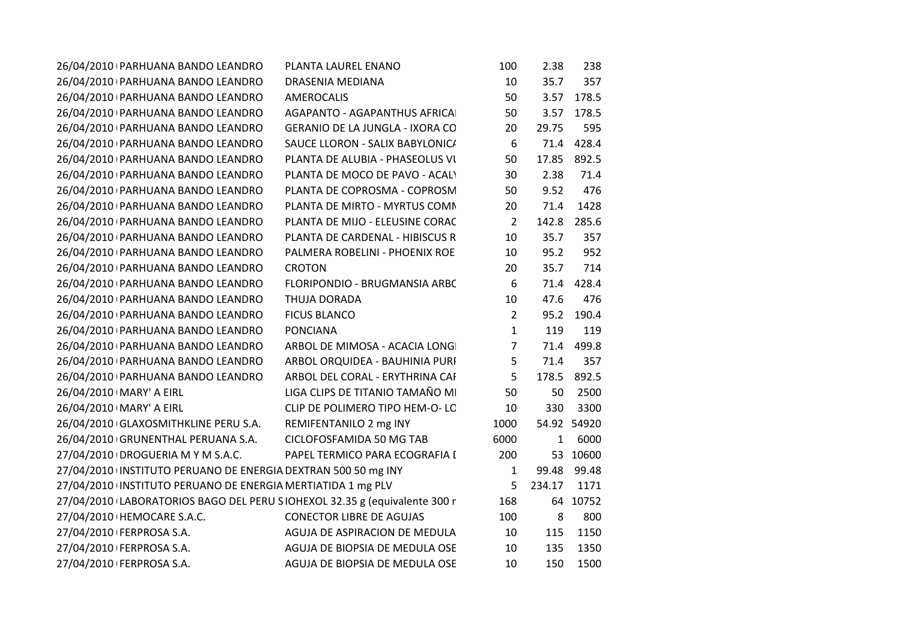| PLANTA LAUREL ENANO                                                       | 100            | 2.38         | 238   |                                     |
|---------------------------------------------------------------------------|----------------|--------------|-------|-------------------------------------|
| DRASENIA MEDIANA                                                          | 10             | 35.7         | 357   |                                     |
| <b>AMEROCALIS</b>                                                         | 50             | 3.57         | 178.5 |                                     |
| AGAPANTO - AGAPANTHUS AFRICAI                                             | 50             | 3.57         | 178.5 |                                     |
| <b>GERANIO DE LA JUNGLA - IXORA CO</b>                                    | 20             | 29.75        | 595   |                                     |
| SAUCE LLORON - SALIX BABYLONIC/                                           | 6              | 71.4         | 428.4 |                                     |
| PLANTA DE ALUBIA - PHASEOLUS VI                                           | 50             | 17.85        | 892.5 |                                     |
| PLANTA DE MOCO DE PAVO - ACALY                                            | 30             | 2.38         | 71.4  |                                     |
| PLANTA DE COPROSMA - COPROSM                                              | 50             | 9.52         | 476   |                                     |
| PLANTA DE MIRTO - MYRTUS COMN                                             | 20             | 71.4         | 1428  |                                     |
| PLANTA DE MIJO - ELEUSINE CORAC                                           | $\overline{2}$ | 142.8        | 285.6 |                                     |
| PLANTA DE CARDENAL - HIBISCUS R                                           | 10             | 35.7         | 357   |                                     |
| PALMERA ROBELINI - PHOENIX ROE                                            | 10             | 95.2         | 952   |                                     |
| <b>CROTON</b>                                                             | 20             | 35.7         | 714   |                                     |
| FLORIPONDIO - BRUGMANSIA ARBC                                             | 6              | 71.4         | 428.4 |                                     |
| <b>THUJA DORADA</b>                                                       | 10             | 47.6         | 476   |                                     |
| <b>FICUS BLANCO</b>                                                       | $\overline{2}$ | 95.2         | 190.4 |                                     |
| <b>PONCIANA</b>                                                           | $\mathbf{1}$   | 119          | 119   |                                     |
| ARBOL DE MIMOSA - ACACIA LONG                                             | $\overline{7}$ | 71.4         | 499.8 |                                     |
| ARBOL ORQUIDEA - BAUHINIA PURI                                            | 5              | 71.4         | 357   |                                     |
| ARBOL DEL CORAL - ERYTHRINA CAF                                           | 5              | 178.5        | 892.5 |                                     |
| LIGA CLIPS DE TITANIO TAMAÑO MI                                           | 50             | 50           | 2500  |                                     |
| CLIP DE POLIMERO TIPO HEM-O-LO                                            | 10             | 330          | 3300  |                                     |
| REMIFENTANILO 2 mg INY                                                    | 1000           |              |       |                                     |
| CICLOFOSFAMIDA 50 MG TAB                                                  | 6000           | $\mathbf{1}$ | 6000  |                                     |
| PAPEL TERMICO PARA ECOGRAFIA I                                            | 200            |              |       |                                     |
| 27/04/2010 INSTITUTO PERUANO DE ENERGIA DEXTRAN 500 50 mg INY             | $\mathbf{1}$   | 99.48        | 99.48 |                                     |
| 27/04/2010 INSTITUTO PERUANO DE ENERGIA MERTIATIDA 1 mg PLV               | 5              | 234.17       | 1171  |                                     |
| 27/04/2010 LABORATORIOS BAGO DEL PERU SIOHEXOL 32.35 g (equivalente 300 r | 168            |              |       |                                     |
| <b>CONECTOR LIBRE DE AGUJAS</b>                                           | 100            | 8            | 800   |                                     |
| AGUJA DE ASPIRACION DE MEDULA                                             | 10             | 115          | 1150  |                                     |
| AGUJA DE BIOPSIA DE MEDULA OSE                                            | 10             | 135          | 1350  |                                     |
| AGUJA DE BIOPSIA DE MEDULA OSE                                            | 10             | 150          | 1500  |                                     |
|                                                                           |                |              |       | 54.92 54920<br>53 10600<br>64 10752 |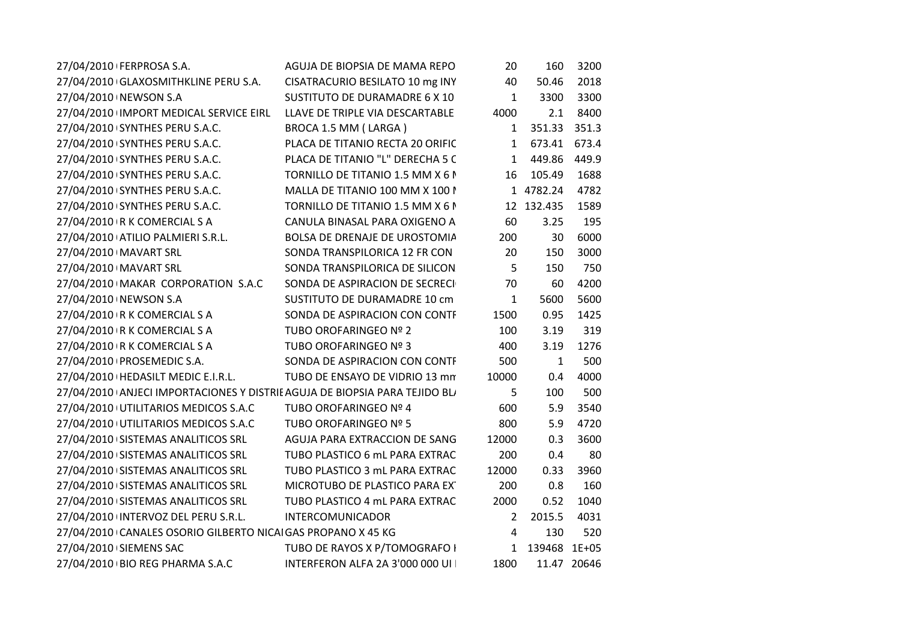| 27/04/2010   FERPROSA S.A.                                                 | AGUJA DE BIOPSIA DE MAMA REPO    | 20           | 160          | 3200        |  |
|----------------------------------------------------------------------------|----------------------------------|--------------|--------------|-------------|--|
| 27/04/2010 GLAXOSMITHKLINE PERU S.A.                                       | CISATRACURIO BESILATO 10 mg INY  | 40           | 50.46        | 2018        |  |
| 27/04/2010 NEWSON S.A                                                      | SUSTITUTO DE DURAMADRE 6 X 10    | 1            | 3300         | 3300        |  |
| 27/04/2010 IMPORT MEDICAL SERVICE EIRL                                     | LLAVE DE TRIPLE VIA DESCARTABLE  | 4000         | 2.1          | 8400        |  |
| 27/04/2010 SYNTHES PERU S.A.C.                                             | BROCA 1.5 MM (LARGA)             | 1            | 351.33       | 351.3       |  |
| 27/04/2010 SYNTHES PERU S.A.C.                                             | PLACA DE TITANIO RECTA 20 ORIFIC | 1            | 673.41       | 673.4       |  |
| 27/04/2010 SYNTHES PERU S.A.C.                                             | PLACA DE TITANIO "L" DERECHA 5 C | 1            | 449.86       | 449.9       |  |
| 27/04/2010 SYNTHES PERU S.A.C.                                             | TORNILLO DE TITANIO 1.5 MM X 6 M | 16           | 105.49       | 1688        |  |
| 27/04/2010 SYNTHES PERU S.A.C.                                             | MALLA DE TITANIO 100 MM X 100 I  |              | 1 4782.24    | 4782        |  |
| 27/04/2010 SYNTHES PERU S.A.C.                                             | TORNILLO DE TITANIO 1.5 MM X 6 M |              | 12 132.435   | 1589        |  |
| 27/04/2010   R K COMERCIAL S A                                             | CANULA BINASAL PARA OXIGENO A    | 60           | 3.25         | 195         |  |
| 27/04/2010 ATILIO PALMIERI S.R.L.                                          | BOLSA DE DRENAJE DE UROSTOMIA    | 200          | 30           | 6000        |  |
| 27/04/2010   MAVART SRL                                                    | SONDA TRANSPILORICA 12 FR CON    | 20           | 150          | 3000        |  |
| 27/04/2010   MAVART SRL                                                    | SONDA TRANSPILORICA DE SILICON   | 5            | 150          | 750         |  |
| 27/04/2010 MAKAR CORPORATION S.A.C                                         | SONDA DE ASPIRACION DE SECRECI   | 70           | 60           | 4200        |  |
| 27/04/2010   NEWSON S.A                                                    | SUSTITUTO DE DURAMADRE 10 cm     | $\mathbf{1}$ | 5600         | 5600        |  |
| 27/04/2010 R K COMERCIAL S A                                               | SONDA DE ASPIRACION CON CONTF    | 1500         | 0.95         | 1425        |  |
| 27/04/2010   R K COMERCIAL S A                                             | TUBO OROFARINGEO Nº 2            | 100          | 3.19         | 319         |  |
| 27/04/2010 R K COMERCIAL S A                                               | TUBO OROFARINGEO Nº 3            | 400          | 3.19         | 1276        |  |
| 27/04/2010   PROSEMEDIC S.A.                                               | SONDA DE ASPIRACION CON CONTF    | 500          | $\mathbf{1}$ | 500         |  |
| 27/04/2010   HEDASILT MEDIC E.I.R.L.                                       | TUBO DE ENSAYO DE VIDRIO 13 mm   | 10000        | 0.4          | 4000        |  |
| 27/04/2010 ANJECI IMPORTACIONES Y DISTRIE AGUJA DE BIOPSIA PARA TEJIDO BL/ |                                  | 5            | 100          | 500         |  |
| 27/04/2010 UTILITARIOS MEDICOS S.A.C                                       | TUBO OROFARINGEO Nº 4            | 600          | 5.9          | 3540        |  |
| 27/04/2010 UTILITARIOS MEDICOS S.A.C                                       | TUBO OROFARINGEO Nº 5            | 800          | 5.9          | 4720        |  |
| 27/04/2010 SISTEMAS ANALITICOS SRL                                         | AGUJA PARA EXTRACCION DE SANG    | 12000        | 0.3          | 3600        |  |
| 27/04/2010 SISTEMAS ANALITICOS SRL                                         | TUBO PLASTICO 6 mL PARA EXTRAC   | 200          | 0.4          | 80          |  |
| 27/04/2010 SISTEMAS ANALITICOS SRL                                         | TUBO PLASTICO 3 mL PARA EXTRAC   | 12000        | 0.33         | 3960        |  |
| 27/04/2010 SISTEMAS ANALITICOS SRL                                         | MICROTUBO DE PLASTICO PARA EX    | 200          | 0.8          | 160         |  |
| 27/04/2010 SISTEMAS ANALITICOS SRL                                         | TUBO PLASTICO 4 mL PARA EXTRAC   | 2000         | 0.52         | 1040        |  |
| 27/04/2010 INTERVOZ DEL PERU S.R.L.                                        | INTERCOMUNICADOR                 | 2            | 2015.5       | 4031        |  |
| 27/04/2010 CANALES OSORIO GILBERTO NICAI GAS PROPANO X 45 KG               |                                  | 4            | 130          | 520         |  |
| 27/04/2010 SIEMENS SAC                                                     | TUBO DE RAYOS X P/TOMOGRAFO I    | 1            | 139468       | $1E + 05$   |  |
| 27/04/2010   BIO REG PHARMA S.A.C                                          | INTERFERON ALFA 2A 3'000 000 UI  | 1800         |              | 11.47 20646 |  |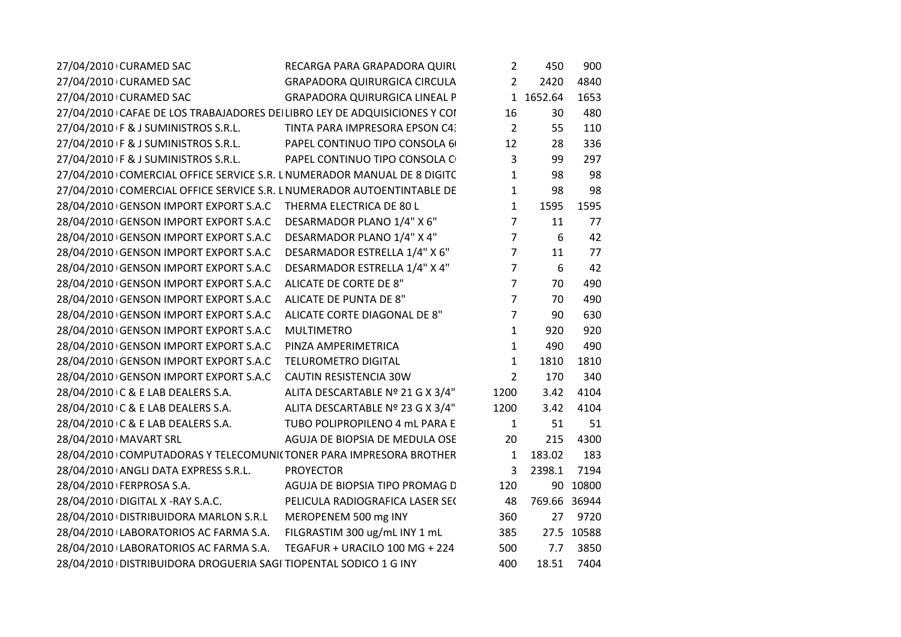| 27/04/2010 CURAMED SAC<br>RECARGA PARA GRAPADORA QUIRL                   | $\overline{2}$                       | 450          | 900        |
|--------------------------------------------------------------------------|--------------------------------------|--------------|------------|
| 27/04/2010 CURAMED SAC<br><b>GRAPADORA QUIRURGICA CIRCULA</b>            | $\overline{2}$                       | 2420         | 4840       |
| 27/04/2010 CURAMED SAC                                                   | <b>GRAPADORA QUIRURGICA LINEAL P</b> | 1 1652.64    | 1653       |
| 27/04/2010 CAFAE DE LOS TRABAJADORES DE LIBRO LEY DE ADQUISICIONES Y COI | 16                                   | 30           | 480        |
| 27/04/2010 F & J SUMINISTROS S.R.L.<br>TINTA PARA IMPRESORA EPSON C4:    | $\overline{2}$                       | 55           | 110        |
| 27/04/2010 F & J SUMINISTROS S.R.L.<br>PAPEL CONTINUO TIPO CONSOLA 6     | 12                                   | 28           | 336        |
| PAPEL CONTINUO TIPO CONSOLA C<br>27/04/2010 F & J SUMINISTROS S.R.L.     | 3                                    | 99           | 297        |
| 27/04/2010 COMERCIAL OFFICE SERVICE S.R. L NUMERADOR MANUAL DE 8 DIGITC  | $\mathbf{1}$                         | 98           | 98         |
| 27/04/2010 COMERCIAL OFFICE SERVICE S.R. L NUMERADOR AUTOENTINTABLE DE   | $\mathbf{1}$                         | 98           | 98         |
| 28/04/2010 GENSON IMPORT EXPORT S.A.C THERMA ELECTRICA DE 80 L           | $\mathbf{1}$                         | 1595         | 1595       |
| 28/04/2010 GENSON IMPORT EXPORT S.A.C<br>DESARMADOR PLANO 1/4" X 6"      | $\overline{7}$                       | 11           | 77         |
| DESARMADOR PLANO 1/4" X 4"<br>28/04/2010 GENSON IMPORT EXPORT S.A.C      | $\overline{7}$                       | 6            | 42         |
| DESARMADOR ESTRELLA 1/4" X 6"<br>28/04/2010 GENSON IMPORT EXPORT S.A.C   | $\overline{7}$                       | 11           | 77         |
| DESARMADOR ESTRELLA 1/4" X 4"<br>28/04/2010 GENSON IMPORT EXPORT S.A.C   | $\overline{7}$                       | 6            | 42         |
| 28/04/2010 GENSON IMPORT EXPORT S.A.C<br>ALICATE DE CORTE DE 8"          | $\overline{7}$                       | 70           | 490        |
| ALICATE DE PUNTA DE 8"<br>28/04/2010 GENSON IMPORT EXPORT S.A.C          | $\overline{7}$                       | 70           | 490        |
| 28/04/2010 GENSON IMPORT EXPORT S.A.C<br>ALICATE CORTE DIAGONAL DE 8"    | $\overline{7}$                       | 90           | 630        |
| 28/04/2010 GENSON IMPORT EXPORT S.A.C<br><b>MULTIMETRO</b>               | 1                                    | 920          | 920        |
| 28/04/2010 GENSON IMPORT EXPORT S.A.C<br>PINZA AMPERIMETRICA             | $\mathbf{1}$                         | 490          | 490        |
| 28/04/2010 GENSON IMPORT EXPORT S.A.C<br><b>TELUROMETRO DIGITAL</b>      | $\mathbf{1}$                         | 1810         | 1810       |
| 28/04/2010 GENSON IMPORT EXPORT S.A.C<br>CAUTIN RESISTENCIA 30W          | $\overline{2}$                       | 170          | 340        |
| ALITA DESCARTABLE Nº 21 G X 3/4"<br>28/04/2010 C & E LAB DEALERS S.A.    | 1200                                 | 3.42         | 4104       |
| ALITA DESCARTABLE Nº 23 G X 3/4"<br>28/04/2010 C & E LAB DEALERS S.A.    | 1200                                 | 3.42         | 4104       |
| 28/04/2010 C & E LAB DEALERS S.A.<br>TUBO POLIPROPILENO 4 mL PARA E      | $\mathbf{1}$                         | 51           | 51         |
| 28/04/2010   MAVART SRL<br>AGUJA DE BIOPSIA DE MEDULA OSE                | 20                                   | 215          | 4300       |
| 28/04/2010 COMPUTADORAS Y TELECOMUNICTONER PARA IMPRESORA BROTHER        | $\mathbf{1}$                         | 183.02       | 183        |
| 28/04/2010 ANGLI DATA EXPRESS S.R.L.<br><b>PROYECTOR</b>                 | 3                                    | 2398.1       | 7194       |
| 28/04/2010   FERPROSA S.A.<br>AGUJA DE BIOPSIA TIPO PROMAG D             | 120                                  |              | 90 10800   |
| 28/04/2010 DIGITAL X - RAY S.A.C.<br>PELICULA RADIOGRAFICA LASER SEC     | 48                                   | 769.66 36944 |            |
| 28/04/2010 DISTRIBUIDORA MARLON S.R.L<br>MEROPENEM 500 mg INY            | 360                                  | 27           | 9720       |
| FILGRASTIM 300 ug/mL INY 1 mL<br>28/04/2010 LABORATORIOS AC FARMA S.A.   | 385                                  |              | 27.5 10588 |
| 28/04/2010 LABORATORIOS AC FARMA S.A.<br>TEGAFUR + URACILO 100 MG + 224  | 500                                  | 7.7          | 3850       |
| 28/04/2010   DISTRIBUIDORA DROGUERIA SAGI TIOPENTAL SODICO 1 G INY       | 400                                  | 18.51        | 7404       |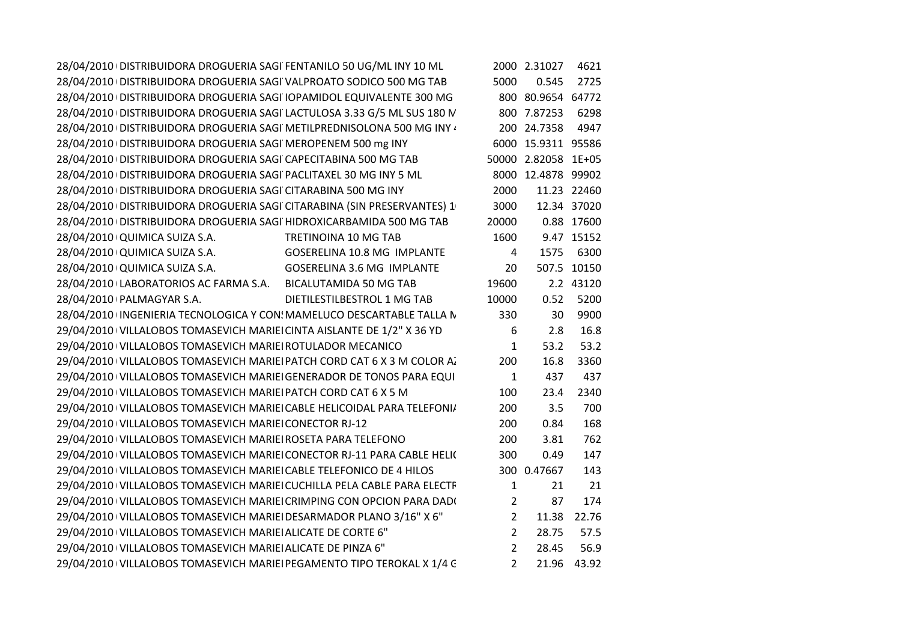|                |       | 4621                                                                                                                                              |
|----------------|-------|---------------------------------------------------------------------------------------------------------------------------------------------------|
| 5000           | 0.545 | 2725                                                                                                                                              |
|                |       |                                                                                                                                                   |
|                |       | 6298                                                                                                                                              |
|                |       | 4947                                                                                                                                              |
|                |       |                                                                                                                                                   |
|                |       |                                                                                                                                                   |
|                |       |                                                                                                                                                   |
| 2000           |       | 11.23 22460                                                                                                                                       |
| 3000           |       | 12.34 37020                                                                                                                                       |
| 20000          |       | 0.88 17600                                                                                                                                        |
| 1600           |       | 9.47 15152                                                                                                                                        |
| 4              | 1575  | 6300                                                                                                                                              |
| 20             |       | 507.5 10150                                                                                                                                       |
| 19600          |       | 2.2 43120                                                                                                                                         |
| 10000          | 0.52  | 5200                                                                                                                                              |
| 330            | 30    | 9900                                                                                                                                              |
| 6              | 2.8   | 16.8                                                                                                                                              |
| $\mathbf{1}$   | 53.2  | 53.2                                                                                                                                              |
| 200            | 16.8  | 3360                                                                                                                                              |
| 1              | 437   | 437                                                                                                                                               |
| 100            | 23.4  | 2340                                                                                                                                              |
| 200            | 3.5   | 700                                                                                                                                               |
| 200            | 0.84  | 168                                                                                                                                               |
| 200            | 3.81  | 762                                                                                                                                               |
| 300            | 0.49  | 147                                                                                                                                               |
|                |       | 143                                                                                                                                               |
| $\mathbf{1}$   | 21    | 21                                                                                                                                                |
| $\overline{2}$ | 87    | 174                                                                                                                                               |
| $\overline{2}$ | 11.38 | 22.76                                                                                                                                             |
| $\overline{2}$ | 28.75 | 57.5                                                                                                                                              |
| $\overline{2}$ | 28.45 | 56.9                                                                                                                                              |
| $\overline{2}$ | 21.96 | 43.92                                                                                                                                             |
|                |       | 2000 2.31027<br>800 80.9654 64772<br>800 7.87253<br>200 24.7358<br>6000 15.9311 95586<br>50000 2.82058 1E+05<br>8000 12.4878 99902<br>300 0.47667 |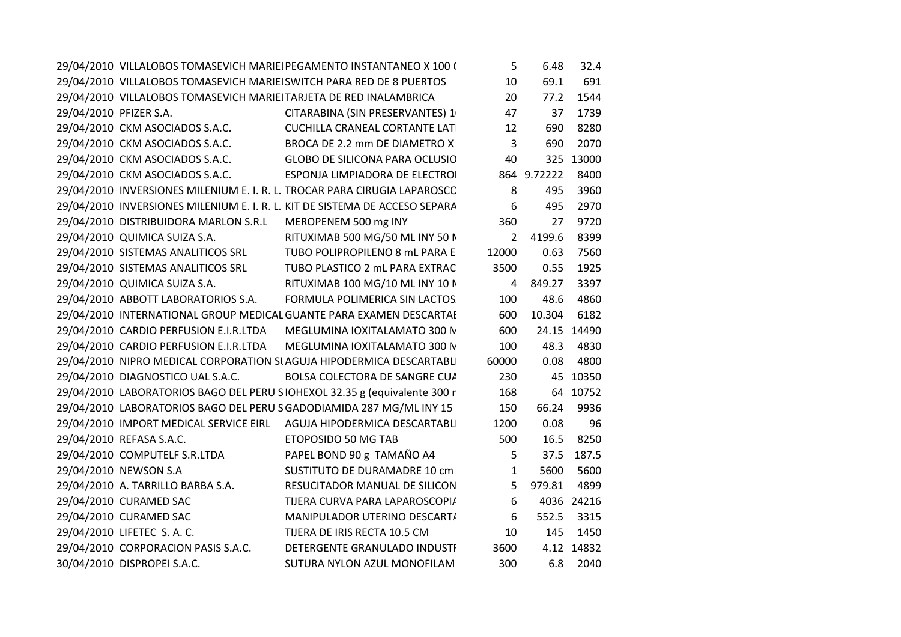| 29/04/2010 VILLALOBOS TOMASEVICH MARIEI PEGAMENTO INSTANTANEO X 100 (       |                                       | 5              | 6.48        | 32.4        |
|-----------------------------------------------------------------------------|---------------------------------------|----------------|-------------|-------------|
| 29/04/2010 VILLALOBOS TOMASEVICH MARIEI SWITCH PARA RED DE 8 PUERTOS        |                                       | 10             | 69.1        | 691         |
| 29/04/2010 VILLALOBOS TOMASEVICH MARIEI TARJETA DE RED INALAMBRICA          |                                       | 20             | 77.2        | 1544        |
| 29/04/2010   PFIZER S.A.                                                    | CITARABINA (SIN PRESERVANTES) 1       | 47             | 37          | 1739        |
| 29/04/2010 CKM ASOCIADOS S.A.C.                                             | CUCHILLA CRANEAL CORTANTE LAT         | 12             | 690         | 8280        |
| 29/04/2010 CKM ASOCIADOS S.A.C.                                             | BROCA DE 2.2 mm DE DIAMETRO X         | 3              | 690         | 2070        |
| 29/04/2010 CKM ASOCIADOS S.A.C.                                             | <b>GLOBO DE SILICONA PARA OCLUSIO</b> | 40             |             | 325 13000   |
| 29/04/2010 CKM ASOCIADOS S.A.C.                                             | ESPONJA LIMPIADORA DE ELECTROI        |                | 864 9.72222 | 8400        |
| 29/04/2010 INVERSIONES MILENIUM E. I. R. L. TROCAR PARA CIRUGIA LAPAROSCC   |                                       | 8              | 495         | 3960        |
| 29/04/2010 INVERSIONES MILENIUM E. I. R. L. KIT DE SISTEMA DE ACCESO SEPARA |                                       | 6              | 495         | 2970        |
| 29/04/2010 DISTRIBUIDORA MARLON S.R.L                                       | MEROPENEM 500 mg INY                  | 360            | 27          | 9720        |
| 29/04/2010 QUIMICA SUIZA S.A.                                               | RITUXIMAB 500 MG/50 ML INY 50 N       | $\overline{2}$ | 4199.6      | 8399        |
| 29/04/2010 SISTEMAS ANALITICOS SRL                                          | TUBO POLIPROPILENO 8 mL PARA E        | 12000          | 0.63        | 7560        |
| 29/04/2010 SISTEMAS ANALITICOS SRL                                          | TUBO PLASTICO 2 mL PARA EXTRAC        | 3500           | 0.55        | 1925        |
| 29/04/2010 QUIMICA SUIZA S.A.                                               | RITUXIMAB 100 MG/10 ML INY 10 N       | 4              | 849.27      | 3397        |
| 29/04/2010 ABBOTT LABORATORIOS S.A.                                         | FORMULA POLIMERICA SIN LACTOS         | 100            | 48.6        | 4860        |
| 29/04/2010 INTERNATIONAL GROUP MEDICAL GUANTE PARA EXAMEN DESCARTAI         |                                       | 600            | 10.304      | 6182        |
| 29/04/2010 CARDIO PERFUSION E.I.R.LTDA                                      | MEGLUMINA IOXITALAMATO 300 N          | 600            |             | 24.15 14490 |
| 29/04/2010 CARDIO PERFUSION E.I.R.LTDA                                      | MEGLUMINA IOXITALAMATO 300 N          | 100            | 48.3        | 4830        |
| 29/04/2010 INIPRO MEDICAL CORPORATION SI AGUJA HIPODERMICA DESCARTABLI      |                                       | 60000          | 0.08        | 4800        |
| 29/04/2010 DIAGNOSTICO UAL S.A.C.                                           | BOLSA COLECTORA DE SANGRE CUA         | 230            |             | 45 10350    |
| 29/04/2010 LABORATORIOS BAGO DEL PERU SIOHEXOL 32.35 g (equivalente 300 r   |                                       | 168            |             | 64 10752    |
| 29/04/2010 LABORATORIOS BAGO DEL PERU S GADODIAMIDA 287 MG/ML INY 15        |                                       | 150            | 66.24       | 9936        |
| 29/04/2010 IMPORT MEDICAL SERVICE EIRL  AGUJA HIPODERMICA DESCARTABLI       |                                       | 1200           | 0.08        | 96          |
| 29/04/2010 REFASA S.A.C.                                                    | ETOPOSIDO 50 MG TAB                   | 500            | 16.5        | 8250        |
| 29/04/2010 COMPUTELF S.R.LTDA                                               | PAPEL BOND 90 g TAMAÑO A4             | 5              |             | 37.5 187.5  |
| 29/04/2010 NEWSON S.A                                                       | SUSTITUTO DE DURAMADRE 10 cm          | $\mathbf{1}$   | 5600        | 5600        |
| 29/04/2010 A. TARRILLO BARBA S.A.                                           | RESUCITADOR MANUAL DE SILICON         | 5              | 979.81      | 4899        |
| 29/04/2010 CURAMED SAC                                                      | TIJERA CURVA PARA LAPAROSCOPI/        | 6              |             | 4036 24216  |
| 29/04/2010 CURAMED SAC                                                      | MANIPULADOR UTERINO DESCART/          | 6              | 552.5       | 3315        |
| 29/04/2010 LIFETEC S.A.C.                                                   | TIJERA DE IRIS RECTA 10.5 CM          | 10             | 145         | 1450        |
| 29/04/2010 CORPORACION PASIS S.A.C.                                         | DETERGENTE GRANULADO INDUSTI          | 3600           |             | 4.12 14832  |
| 30/04/2010 DISPROPEI S.A.C.                                                 | SUTURA NYLON AZUL MONOFILAM           | 300            |             | 6.8 2040    |
|                                                                             |                                       |                |             |             |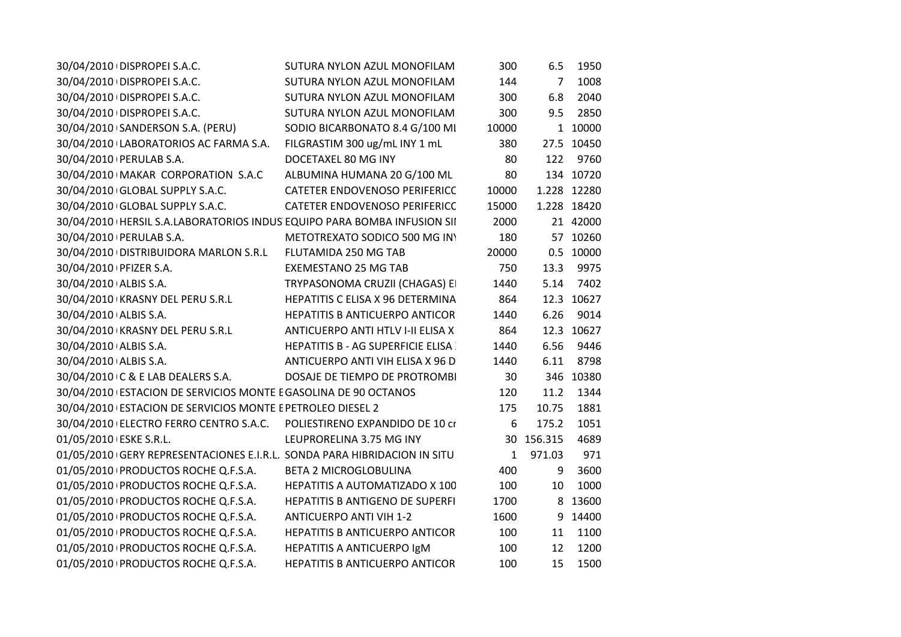| 30/04/2010 DISPROPEI S.A.C.                                               | SUTURA NYLON AZUL MONOFILAM              | 300          | 6.5        | 1950        |
|---------------------------------------------------------------------------|------------------------------------------|--------------|------------|-------------|
| 30/04/2010 DISPROPEI S.A.C.                                               | SUTURA NYLON AZUL MONOFILAM              | 144          | 7          | 1008        |
| 30/04/2010 DISPROPEI S.A.C.                                               | SUTURA NYLON AZUL MONOFILAM              | 300          | 6.8        | 2040        |
| 30/04/2010 DISPROPEI S.A.C.                                               | SUTURA NYLON AZUL MONOFILAM              | 300          | 9.5        | 2850        |
| 30/04/2010 SANDERSON S.A. (PERU)                                          | SODIO BICARBONATO 8.4 G/100 MI           | 10000        |            | 1 10000     |
| 30/04/2010 LABORATORIOS AC FARMA S.A.                                     | FILGRASTIM 300 ug/mL INY 1 mL            | 380          |            | 27.5 10450  |
| 30/04/2010   PERULAB S.A.                                                 | DOCETAXEL 80 MG INY                      | 80           | 122        | 9760        |
| 30/04/2010 MAKAR CORPORATION S.A.C                                        | ALBUMINA HUMANA 20 G/100 ML              | 80           |            | 134 10720   |
| 30/04/2010 GLOBAL SUPPLY S.A.C.                                           | CATETER ENDOVENOSO PERIFERICC            | 10000        |            | 1.228 12280 |
| 30/04/2010 GLOBAL SUPPLY S.A.C.                                           | CATETER ENDOVENOSO PERIFERICC            | 15000        |            | 1.228 18420 |
| 30/04/2010   HERSIL S.A.LABORATORIOS INDUS EQUIPO PARA BOMBA INFUSION SII |                                          | 2000         |            | 21 42000    |
| 30/04/2010   PERULAB S.A.                                                 | METOTREXATO SODICO 500 MG INY            | 180          |            | 57 10260    |
| 30/04/2010 DISTRIBUIDORA MARLON S.R.L                                     | FLUTAMIDA 250 MG TAB                     | 20000        |            | 0.5 10000   |
| 30/04/2010   PFIZER S.A.                                                  | <b>EXEMESTANO 25 MG TAB</b>              | 750          | 13.3       | 9975        |
| 30/04/2010 ALBIS S.A.                                                     | TRYPASONOMA CRUZII (CHAGAS) EI           | 1440         | 5.14       | 7402        |
| 30/04/2010 KRASNY DEL PERU S.R.L                                          | HEPATITIS C ELISA X 96 DETERMINA         | 864          |            | 12.3 10627  |
| 30/04/2010 ALBIS S.A.                                                     | <b>HEPATITIS B ANTICUERPO ANTICOR</b>    | 1440         | 6.26       | 9014        |
| 30/04/2010 KRASNY DEL PERU S.R.L                                          | ANTICUERPO ANTI HTLV I-II ELISA X        | 864          |            | 12.3 10627  |
| 30/04/2010 ALBIS S.A.                                                     | <b>HEPATITIS B - AG SUPERFICIE ELISA</b> | 1440         | 6.56       | 9446        |
| 30/04/2010 ALBIS S.A.                                                     | ANTICUERPO ANTI VIH ELISA X 96 D         | 1440         | 6.11       | 8798        |
| 30/04/2010 C & E LAB DEALERS S.A.                                         | DOSAJE DE TIEMPO DE PROTROMBI            | 30           |            | 346 10380   |
| 30/04/2010 ESTACION DE SERVICIOS MONTE E GASOLINA DE 90 OCTANOS           |                                          | 120          | 11.2       | 1344        |
| 30/04/2010 ESTACION DE SERVICIOS MONTE E PETROLEO DIESEL 2                |                                          | 175          | 10.75      | 1881        |
| 30/04/2010 ELECTRO FERRO CENTRO S.A.C. POLIESTIRENO EXPANDIDO DE 10 cr    |                                          | 6            | 175.2      | 1051        |
| 01/05/2010 ESKE S.R.L.                                                    | LEUPRORELINA 3.75 MG INY                 |              | 30 156.315 | 4689        |
| 01/05/2010 GERY REPRESENTACIONES E.I.R.L. SONDA PARA HIBRIDACION IN SITU  |                                          | $\mathbf{1}$ | 971.03     | 971         |
| 01/05/2010 PRODUCTOS ROCHE Q.F.S.A.                                       | <b>BETA 2 MICROGLOBULINA</b>             | 400          | 9          | 3600        |
| 01/05/2010 PRODUCTOS ROCHE Q.F.S.A.                                       | HEPATITIS A AUTOMATIZADO X 100           | 100          | 10         | 1000        |
| 01/05/2010 PRODUCTOS ROCHE Q.F.S.A.                                       | HEPATITIS B ANTIGENO DE SUPERFI          | 1700         |            | 8 13600     |
| 01/05/2010 PRODUCTOS ROCHE Q.F.S.A.                                       | <b>ANTICUERPO ANTI VIH 1-2</b>           | 1600         | 9          | 14400       |
| 01/05/2010 PRODUCTOS ROCHE Q.F.S.A.                                       | HEPATITIS B ANTICUERPO ANTICOR           | 100          | 11         | 1100        |
| 01/05/2010 PRODUCTOS ROCHE Q.F.S.A.                                       | HEPATITIS A ANTICUERPO IgM               | 100          | 12         | 1200        |
| 01/05/2010 PRODUCTOS ROCHE Q.F.S.A.                                       | HEPATITIS B ANTICUERPO ANTICOR           | 100          | 15         | 1500        |
|                                                                           |                                          |              |            |             |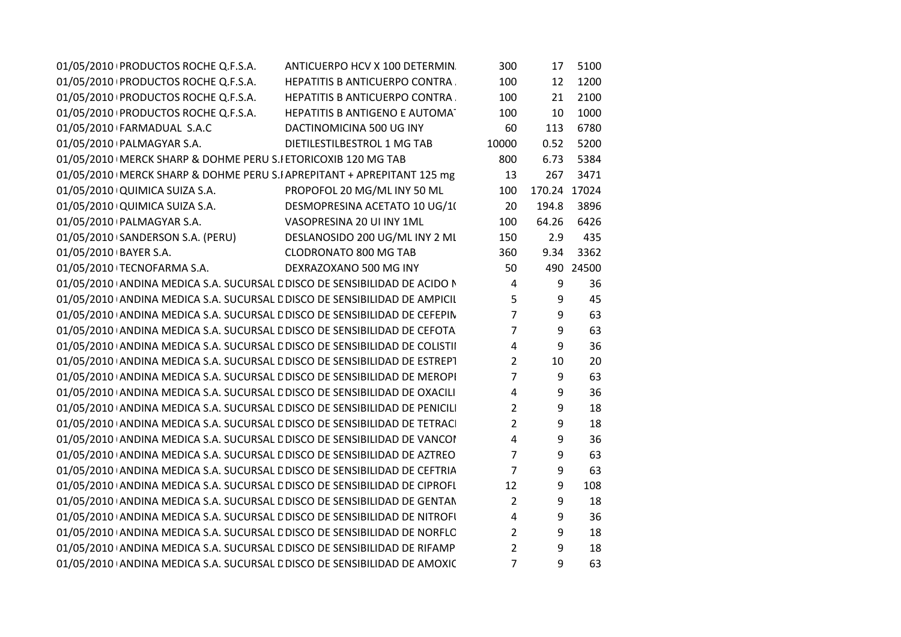| 01/05/2010 PRODUCTOS ROCHE Q.F.S.A.                                        | ANTICUERPO HCV X 100 DETERMIN.        | 300             | 17           | 5100      |
|----------------------------------------------------------------------------|---------------------------------------|-----------------|--------------|-----------|
| 01/05/2010 PRODUCTOS ROCHE Q.F.S.A.                                        | <b>HEPATITIS B ANTICUERPO CONTRA.</b> | 100             | 12           | 1200      |
| 01/05/2010 PRODUCTOS ROCHE Q.F.S.A. HEPATITIS B ANTICUERPO CONTRA.         |                                       | 100             | 21           | 2100      |
| 01/05/2010 PRODUCTOS ROCHE Q.F.S.A. HEPATITIS B ANTIGENO E AUTOMA          |                                       | 100             | 10           | 1000      |
| 01/05/2010 FARMADUAL S.A.C                                                 | DACTINOMICINA 500 UG INY              | 60              | 113          | 6780      |
| 01/05/2010   PALMAGYAR S.A.                                                | DIETILESTILBESTROL 1 MG TAB           | 10000           | 0.52         | 5200      |
| 01/05/2010   MERCK SHARP & DOHME PERU S.I ETORICOXIB 120 MG TAB            |                                       | 800             | 6.73         | 5384      |
| 01/05/2010   MERCK SHARP & DOHME PERU S.I APREPITANT + APREPITANT 125 mg   |                                       | 13              | 267          | 3471      |
| 01/05/2010 QUIMICA SUIZA S.A.                                              | PROPOFOL 20 MG/ML INY 50 ML           | 100             | 170.24 17024 |           |
| 01/05/2010 QUIMICA SUIZA S.A.                                              | DESMOPRESINA ACETATO 10 UG/1(         | 20              | 194.8        | 3896      |
| 01/05/2010   PALMAGYAR S.A.                                                | VASOPRESINA 20 UI INY 1ML             | 100             | 64.26        | 6426      |
| 01/05/2010 SANDERSON S.A. (PERU)                                           | DESLANOSIDO 200 UG/ML INY 2 ML        | 150             | 2.9          | 435       |
| 01/05/2010 BAYER S.A.                                                      | <b>CLODRONATO 800 MG TAB</b>          | 360             | 9.34         | 3362      |
| 01/05/2010 TECNOFARMA S.A.                                                 | DEXRAZOXANO 500 MG INY                | 50              |              | 490 24500 |
| 01/05/2010 ANDINA MEDICA S.A. SUCURSAL E DISCO DE SENSIBILIDAD DE ACIDO N  |                                       | $\overline{4}$  | 9            | 36        |
| 01/05/2010 ANDINA MEDICA S.A. SUCURSAL E DISCO DE SENSIBILIDAD DE AMPICII  |                                       | $5\overline{)}$ | 9            | 45        |
| 01/05/2010 ANDINA MEDICA S.A. SUCURSAL E DISCO DE SENSIBILIDAD DE CEFEPIN  |                                       | $\overline{7}$  | 9            | 63        |
| 01/05/2010 ANDINA MEDICA S.A. SUCURSAL E DISCO DE SENSIBILIDAD DE CEFOTA   |                                       | 7 <sup>7</sup>  | 9            | 63        |
| 01/05/2010 ANDINA MEDICA S.A. SUCURSAL E DISCO DE SENSIBILIDAD DE COLISTII |                                       | $\overline{4}$  | 9            | 36        |
| 01/05/2010 ANDINA MEDICA S.A. SUCURSAL E DISCO DE SENSIBILIDAD DE ESTREPT  |                                       | $\overline{2}$  | 10           | 20        |
| 01/05/2010 ANDINA MEDICA S.A. SUCURSAL E DISCO DE SENSIBILIDAD DE MEROPI   |                                       | $\overline{7}$  | 9            | 63        |
| 01/05/2010 ANDINA MEDICA S.A. SUCURSAL E DISCO DE SENSIBILIDAD DE OXACILI  |                                       | $\overline{4}$  | 9            | 36        |
| 01/05/2010 ANDINA MEDICA S.A. SUCURSAL E DISCO DE SENSIBILIDAD DE PENICILI |                                       | $\overline{2}$  | 9            | 18        |
| 01/05/2010 ANDINA MEDICA S.A. SUCURSAL E DISCO DE SENSIBILIDAD DE TETRACI  |                                       | $2^{\circ}$     | 9            | 18        |
| 01/05/2010 ANDINA MEDICA S.A. SUCURSAL E DISCO DE SENSIBILIDAD DE VANCOI   |                                       | $\overline{4}$  | 9            | 36        |
| 01/05/2010 ANDINA MEDICA S.A. SUCURSAL E DISCO DE SENSIBILIDAD DE AZTREO   |                                       | $\overline{7}$  | 9            | 63        |
| 01/05/2010 ANDINA MEDICA S.A. SUCURSAL E DISCO DE SENSIBILIDAD DE CEFTRIA  |                                       | $\overline{7}$  | 9            | 63        |
| 01/05/2010 ANDINA MEDICA S.A. SUCURSAL E DISCO DE SENSIBILIDAD DE CIPROFI  |                                       | 12              | 9            | 108       |
| 01/05/2010 ANDINA MEDICA S.A. SUCURSAL E DISCO DE SENSIBILIDAD DE GENTAN   |                                       | $\overline{2}$  | 9            | 18        |
| 01/05/2010 ANDINA MEDICA S.A. SUCURSAL E DISCO DE SENSIBILIDAD DE NITROFI  |                                       | $\overline{4}$  | 9            | 36        |
| 01/05/2010 ANDINA MEDICA S.A. SUCURSAL E DISCO DE SENSIBILIDAD DE NORFLC   |                                       | $\overline{2}$  | 9            | 18        |
| 01/05/2010 ANDINA MEDICA S.A. SUCURSAL E DISCO DE SENSIBILIDAD DE RIFAMP   |                                       | $\overline{2}$  | 9            | 18        |
| 01/05/2010 ANDINA MEDICA S.A. SUCURSAL E DISCO DE SENSIBILIDAD DE AMOXIC   |                                       | $\overline{7}$  | 9            | 63        |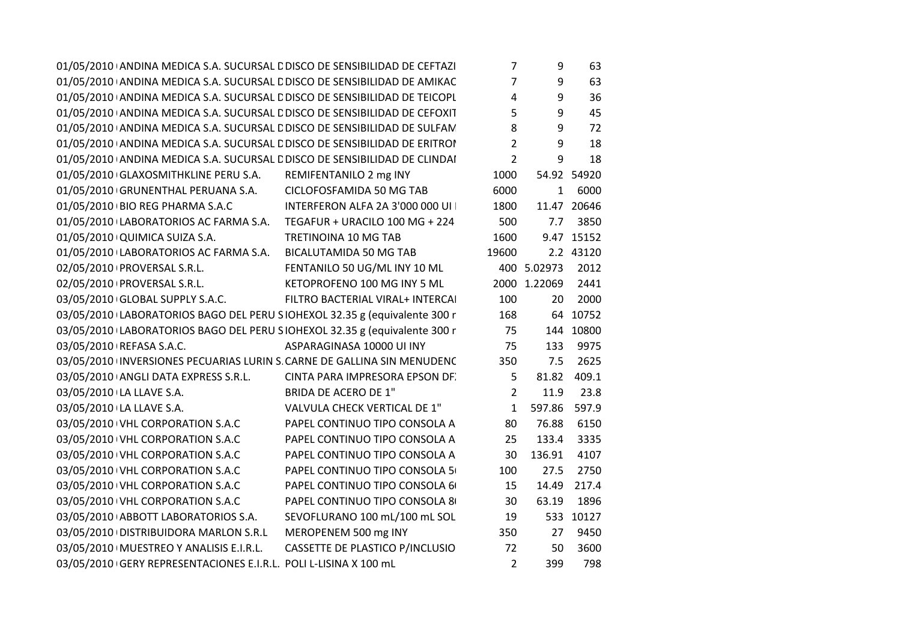|                                                                  | 01/05/2010 ANDINA MEDICA S.A. SUCURSAL E DISCO DE SENSIBILIDAD DE CEFTAZI | 7              | 9            | 63          |
|------------------------------------------------------------------|---------------------------------------------------------------------------|----------------|--------------|-------------|
|                                                                  | 01/05/2010 ANDINA MEDICA S.A. SUCURSAL E DISCO DE SENSIBILIDAD DE AMIKAC  | $\overline{7}$ | 9            | 63          |
|                                                                  | 01/05/2010 ANDINA MEDICA S.A. SUCURSAL E DISCO DE SENSIBILIDAD DE TEICOPL | 4              | 9            | 36          |
|                                                                  | 01/05/2010 ANDINA MEDICA S.A. SUCURSAL E DISCO DE SENSIBILIDAD DE CEFOXIT | 5              | 9            | 45          |
|                                                                  | 01/05/2010 ANDINA MEDICA S.A. SUCURSAL E DISCO DE SENSIBILIDAD DE SULFAN  | 8              | 9            | 72          |
|                                                                  | 01/05/2010 ANDINA MEDICA S.A. SUCURSAL E DISCO DE SENSIBILIDAD DE ERITROI | $\overline{2}$ | 9            | 18          |
|                                                                  | 01/05/2010 ANDINA MEDICA S.A. SUCURSAL E DISCO DE SENSIBILIDAD DE CLINDAI | $\overline{2}$ | 9            | 18          |
| 01/05/2010 GLAXOSMITHKLINE PERU S.A.                             | REMIFENTANILO 2 mg INY                                                    | 1000           |              | 54.92 54920 |
| 01/05/2010 GRUNENTHAL PERUANA S.A.                               | CICLOFOSFAMIDA 50 MG TAB                                                  | 6000           |              | 1 6000      |
| 01/05/2010 BIO REG PHARMA S.A.C                                  | INTERFERON ALFA 2A 3'000 000 UI                                           | 1800           |              | 11.47 20646 |
| 01/05/2010 LABORATORIOS AC FARMA S.A.                            | TEGAFUR + URACILO 100 MG + 224                                            | 500            | 7.7          | 3850        |
| 01/05/2010 QUIMICA SUIZA S.A.                                    | TRETINOINA 10 MG TAB                                                      | 1600           |              | 9.47 15152  |
| 01/05/2010 LABORATORIOS AC FARMA S.A.                            | <b>BICALUTAMIDA 50 MG TAB</b>                                             | 19600          |              | 2.2 43120   |
| 02/05/2010 PROVERSAL S.R.L.                                      | FENTANILO 50 UG/ML INY 10 ML                                              |                | 400 5.02973  | 2012        |
| 02/05/2010 PROVERSAL S.R.L.                                      | KETOPROFENO 100 MG INY 5 ML                                               |                | 2000 1.22069 | 2441        |
| 03/05/2010 GLOBAL SUPPLY S.A.C.                                  | FILTRO BACTERIAL VIRAL+ INTERCAI                                          | 100            | 20           | 2000        |
|                                                                  | 03/05/2010 LABORATORIOS BAGO DEL PERU SIOHEXOL 32.35 g (equivalente 300 r | 168            |              | 64 10752    |
|                                                                  | 03/05/2010 LABORATORIOS BAGO DEL PERU SIOHEXOL 32.35 g (equivalente 300 r | 75             |              | 144 10800   |
| 03/05/2010 REFASA S.A.C.                                         | ASPARAGINASA 10000 UI INY                                                 | 75             | 133          | 9975        |
|                                                                  | 03/05/2010 INVERSIONES PECUARIAS LURIN S. CARNE DE GALLINA SIN MENUDENC   | 350            | 7.5          | 2625        |
| 03/05/2010 ANGLI DATA EXPRESS S.R.L.                             | CINTA PARA IMPRESORA EPSON DF.                                            | 5              | 81.82        | 409.1       |
| 03/05/2010 LA LLAVE S.A.                                         | <b>BRIDA DE ACERO DE 1"</b>                                               | $\overline{2}$ | 11.9         | 23.8        |
| 03/05/2010 LA LLAVE S.A.                                         | VALVULA CHECK VERTICAL DE 1"                                              | $\mathbf{1}$   | 597.86       | 597.9       |
| 03/05/2010 VHL CORPORATION S.A.C                                 | PAPEL CONTINUO TIPO CONSOLA A                                             | 80             | 76.88        | 6150        |
| 03/05/2010 VHL CORPORATION S.A.C                                 | PAPEL CONTINUO TIPO CONSOLA A                                             | 25             | 133.4        | 3335        |
| 03/05/2010 VHL CORPORATION S.A.C                                 | PAPEL CONTINUO TIPO CONSOLA A                                             | 30             | 136.91       | 4107        |
| 03/05/2010 VHL CORPORATION S.A.C                                 | PAPEL CONTINUO TIPO CONSOLA 5                                             | 100            | 27.5         | 2750        |
| 03/05/2010 VHL CORPORATION S.A.C                                 | PAPEL CONTINUO TIPO CONSOLA 6                                             | 15             | 14.49        | 217.4       |
| 03/05/2010 VHL CORPORATION S.A.C                                 | PAPEL CONTINUO TIPO CONSOLA 8                                             | 30             | 63.19        | 1896        |
| 03/05/2010 ABBOTT LABORATORIOS S.A.                              | SEVOFLURANO 100 mL/100 mL SOL                                             | 19             |              | 533 10127   |
| 03/05/2010 DISTRIBUIDORA MARLON S.R.L                            | MEROPENEM 500 mg INY                                                      | 350            | 27           | 9450        |
| 03/05/2010   MUESTREO Y ANALISIS E.I.R.L.                        | CASSETTE DE PLASTICO P/INCLUSIO                                           | 72             | 50           | 3600        |
| 03/05/2010 GERY REPRESENTACIONES E.I.R.L. POLI L-LISINA X 100 mL |                                                                           | $\overline{2}$ | 399          | 798         |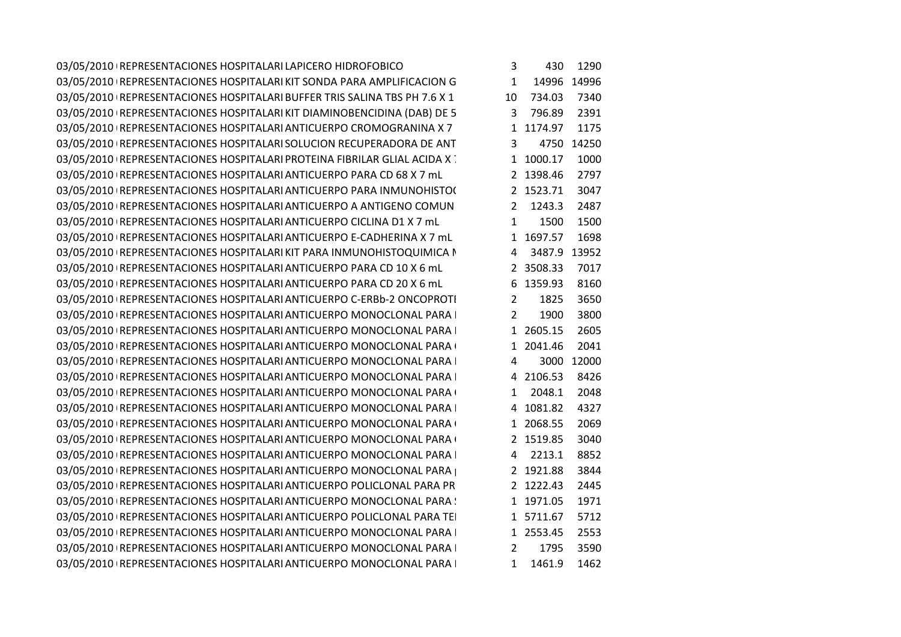|                                                                           | 430  | 1290                                                                                                                                                                                                                                                                                      |                                                                                                                                                                 |
|---------------------------------------------------------------------------|------|-------------------------------------------------------------------------------------------------------------------------------------------------------------------------------------------------------------------------------------------------------------------------------------------|-----------------------------------------------------------------------------------------------------------------------------------------------------------------|
| 03/05/2010   REPRESENTACIONES HOSPITALARI KIT SONDA PARA AMPLIFICACION G  |      |                                                                                                                                                                                                                                                                                           |                                                                                                                                                                 |
| 03/05/2010 REPRESENTACIONES HOSPITALARI BUFFER TRIS SALINA TBS PH 7.6 X 1 |      | 7340                                                                                                                                                                                                                                                                                      |                                                                                                                                                                 |
|                                                                           |      | 2391                                                                                                                                                                                                                                                                                      |                                                                                                                                                                 |
|                                                                           |      | 1175                                                                                                                                                                                                                                                                                      |                                                                                                                                                                 |
|                                                                           |      |                                                                                                                                                                                                                                                                                           |                                                                                                                                                                 |
|                                                                           |      | 1000                                                                                                                                                                                                                                                                                      |                                                                                                                                                                 |
|                                                                           |      | 2797                                                                                                                                                                                                                                                                                      |                                                                                                                                                                 |
|                                                                           |      | 3047                                                                                                                                                                                                                                                                                      |                                                                                                                                                                 |
|                                                                           |      | 2487                                                                                                                                                                                                                                                                                      |                                                                                                                                                                 |
|                                                                           | 1500 | 1500                                                                                                                                                                                                                                                                                      |                                                                                                                                                                 |
|                                                                           |      | 1698                                                                                                                                                                                                                                                                                      |                                                                                                                                                                 |
|                                                                           |      |                                                                                                                                                                                                                                                                                           |                                                                                                                                                                 |
|                                                                           |      | 7017                                                                                                                                                                                                                                                                                      |                                                                                                                                                                 |
|                                                                           |      | 8160                                                                                                                                                                                                                                                                                      |                                                                                                                                                                 |
|                                                                           | 1825 | 3650                                                                                                                                                                                                                                                                                      |                                                                                                                                                                 |
|                                                                           | 1900 | 3800                                                                                                                                                                                                                                                                                      |                                                                                                                                                                 |
|                                                                           |      | 2605                                                                                                                                                                                                                                                                                      |                                                                                                                                                                 |
|                                                                           |      | 2041                                                                                                                                                                                                                                                                                      |                                                                                                                                                                 |
| 03/05/2010 REPRESENTACIONES HOSPITALARI ANTICUERPO MONOCLONAL PARA I      |      |                                                                                                                                                                                                                                                                                           |                                                                                                                                                                 |
|                                                                           |      | 8426                                                                                                                                                                                                                                                                                      |                                                                                                                                                                 |
|                                                                           |      | 2048                                                                                                                                                                                                                                                                                      |                                                                                                                                                                 |
| 03/05/2010 REPRESENTACIONES HOSPITALARI ANTICUERPO MONOCLONAL PARA I      |      | 4327                                                                                                                                                                                                                                                                                      |                                                                                                                                                                 |
|                                                                           |      | 2069                                                                                                                                                                                                                                                                                      |                                                                                                                                                                 |
|                                                                           |      | 3040                                                                                                                                                                                                                                                                                      |                                                                                                                                                                 |
|                                                                           |      | 8852                                                                                                                                                                                                                                                                                      |                                                                                                                                                                 |
|                                                                           |      | 3844                                                                                                                                                                                                                                                                                      |                                                                                                                                                                 |
|                                                                           |      | 2445                                                                                                                                                                                                                                                                                      |                                                                                                                                                                 |
|                                                                           |      | 1971                                                                                                                                                                                                                                                                                      |                                                                                                                                                                 |
| 03/05/2010 REPRESENTACIONES HOSPITALARI ANTICUERPO POLICLONAL PARA TEI    |      | 5712                                                                                                                                                                                                                                                                                      |                                                                                                                                                                 |
|                                                                           |      | 2553                                                                                                                                                                                                                                                                                      |                                                                                                                                                                 |
|                                                                           | 1795 | 3590                                                                                                                                                                                                                                                                                      |                                                                                                                                                                 |
|                                                                           |      | 1462                                                                                                                                                                                                                                                                                      |                                                                                                                                                                 |
|                                                                           | 3    | 10 734.03<br>3 796.89<br>1 1174.97<br>3<br>1 1000.17<br>2 1398.46<br>2 1243.3<br>$\mathbf{1}$<br>1 1697.57<br>2 3508.33<br>$2^{\circ}$<br>2<br>1 2041.46<br>$\overline{4}$<br>$\mathbf{1}$<br>1 2068.55<br>2 1519.85<br>2 1921.88<br>2 1222.43<br>1 1971.05<br>1 2553.45<br>2<br>1 1461.9 | 1 14996 14996<br>4750 14250<br>2 1523.71<br>4 3487.9 13952<br>6 1359.93<br>1 2605.15<br>3000 12000<br>4 2106.53<br>2048.1<br>4 1081.82<br>4 2213.1<br>1 5711.67 |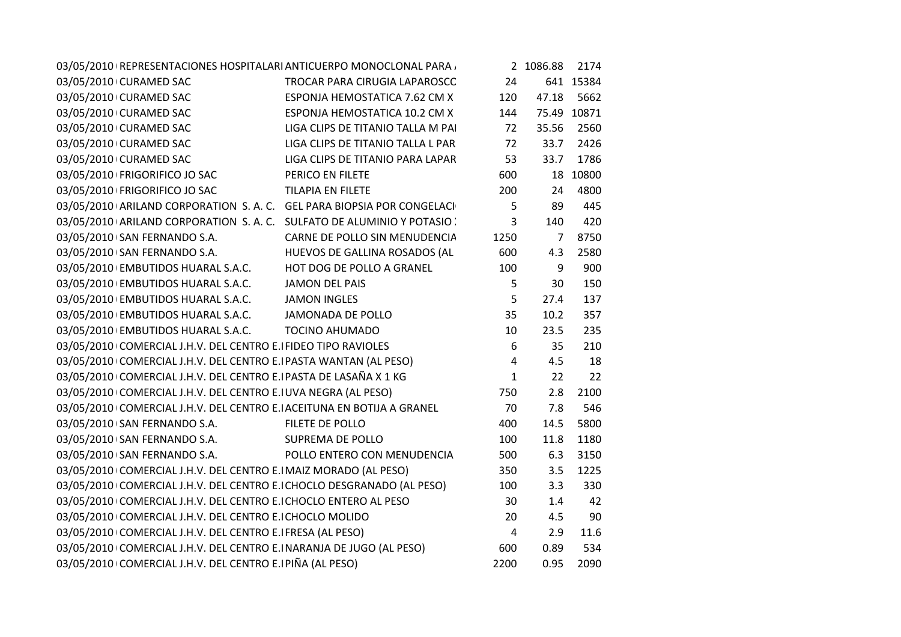|                                                                                                    | 03/05/2010 REPRESENTACIONES HOSPITALARI ANTICUERPO MONOCLONAL PARA     |                | 2 1086.88       | 2174        |
|----------------------------------------------------------------------------------------------------|------------------------------------------------------------------------|----------------|-----------------|-------------|
| 03/05/2010 CURAMED SAC                                                                             | TROCAR PARA CIRUGIA LAPAROSCC                                          | 24             |                 | 641 15384   |
| 03/05/2010 CURAMED SAC                                                                             | ESPONJA HEMOSTATICA 7.62 CM X                                          | 120            | 47.18           | 5662        |
| 03/05/2010 CURAMED SAC                                                                             | ESPONJA HEMOSTATICA 10.2 CM X                                          | 144            |                 | 75.49 10871 |
| 03/05/2010 CURAMED SAC                                                                             | LIGA CLIPS DE TITANIO TALLA M PAI                                      | 72             | 35.56           | 2560        |
| 03/05/2010 CURAMED SAC                                                                             | LIGA CLIPS DE TITANIO TALLA L PAR                                      | 72             | 33.7            | 2426        |
| 03/05/2010 CURAMED SAC                                                                             | LIGA CLIPS DE TITANIO PARA LAPAR                                       | 53             | 33.7            | 1786        |
| 03/05/2010 FRIGORIFICO JO SAC                                                                      | PERICO EN FILETE                                                       | 600            |                 | 18 10800    |
| 03/05/2010   FRIGORIFICO JO SAC TILAPIA EN FILETE                                                  |                                                                        | 200            | 24              | 4800        |
|                                                                                                    | 03/05/2010 ARILAND CORPORATION S.A.C. GEL PARA BIOPSIA POR CONGELACI   | 5              | 89              | 445         |
|                                                                                                    | 03/05/2010 ARILAND CORPORATION S.A.C. SULFATO DE ALUMINIO Y POTASIO :  | $\overline{3}$ | 140             | 420         |
| 03/05/2010+SAN FERNANDO S.A.                                                                       | CARNE DE POLLO SIN MENUDENCIA                                          | 1250           | $7\overline{ }$ | 8750        |
|                                                                                                    | 03/05/2010 SAN FERNANDO S.A. HUEVOS DE GALLINA ROSADOS (AL             | 600            | 4.3             | 2580        |
| 03/05/2010 EMBUTIDOS HUARAL S.A.C. HOT DOG DE POLLO A GRANEL                                       |                                                                        | 100            | 9               | 900         |
| 03/05/2010 EMBUTIDOS HUARAL S.A.C. JAMON DEL PAIS                                                  |                                                                        | 5              | 30              | 150         |
|                                                                                                    |                                                                        | 5              | 27.4            | 137         |
| 03/05/2010 EMBUTIDOS HUARAL S.A.C. JAMON INGLES<br>03/05/2010 EMBUTIDOS HUARAL S.A.C. JAMON INGLES |                                                                        | 35             | 10.2            | 357         |
| 03/05/2010 EMBUTIDOS HUARAL S.A.C. TOCINO AHUMADO                                                  |                                                                        | 10             | 23.5            | 235         |
| 03/05/2010 COMERCIAL J.H.V. DEL CENTRO E. FIDEO TIPO RAVIOLES                                      |                                                                        | 6              | 35              | 210         |
|                                                                                                    | 03/05/2010 COMERCIAL J.H.V. DEL CENTRO E.I PASTA WANTAN (AL PESO)      | $\overline{4}$ | 4.5             | 18          |
| 03/05/2010 COMERCIAL J.H.V. DEL CENTRO E.I PASTA DE LASAÑA X 1 KG                                  |                                                                        | $\mathbf{1}$   | 22              | 22          |
| 03/05/2010 COMERCIAL J.H.V. DEL CENTRO E.I UVA NEGRA (AL PESO)                                     |                                                                        | 750            | 2.8             | 2100        |
| 03/05/2010 COMERCIAL J.H.V. DEL CENTRO E. ACEITUNA EN BOTIJA A GRANEL                              |                                                                        | 70             | 7.8             | 546         |
| 03/05/2010 SAN FERNANDO S.A. FILETE DE POLLO                                                       |                                                                        | 400            | 14.5            | 5800        |
| 03/05/2010 SAN FERNANDO S.A.                                                                       | <b>SUPREMA DE POLLO</b>                                                | 100            | 11.8            | 1180        |
|                                                                                                    | 03/05/2010 SAN FERNANDO S.A. POLLO ENTERO CON MENUDENCIA               | 500            | 6.3             | 3150        |
| 03/05/2010 COMERCIAL J.H.V. DEL CENTRO E.I MAIZ MORADO (AL PESO)                                   |                                                                        | 350            | 3.5             | 1225        |
|                                                                                                    | 03/05/2010 COMERCIAL J.H.V. DEL CENTRO E.I CHOCLO DESGRANADO (AL PESO) | 100            | 3.3             | 330         |
| 03/05/2010 COMERCIAL J.H.V. DEL CENTRO E.I CHOCLO ENTERO AL PESO                                   |                                                                        | 30             | 1.4             | 42          |
| 03/05/2010 COMERCIAL J.H.V. DEL CENTRO E. CHOCLO MOLIDO                                            |                                                                        | 20             | 4.5             | 90          |
| 03/05/2010 COMERCIAL J.H.V. DEL CENTRO E.I FRESA (AL PESO)                                         |                                                                        | $\overline{4}$ | 2.9             | 11.6        |
| 03/05/2010 COMERCIAL J.H.V. DEL CENTRO E.INARANJA DE JUGO (AL PESO)                                |                                                                        | 600            | 0.89            | 534         |
| 03/05/2010 COMERCIAL J.H.V. DEL CENTRO E. PIÑA (AL PESO)                                           |                                                                        | 2200           | 0.95            | 2090        |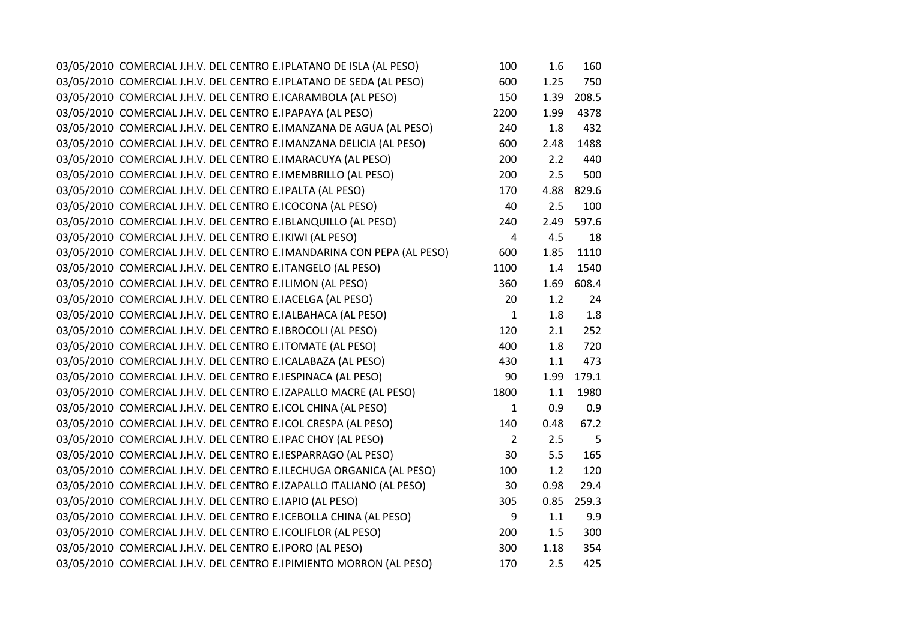| 03/05/2010 COMERCIAL J.H.V. DEL CENTRO E. PLATANO DE ISLA (AL PESO)    | 100            | 1.6  | 160   |
|------------------------------------------------------------------------|----------------|------|-------|
| 03/05/2010 COMERCIAL J.H.V. DEL CENTRO E. PLATANO DE SEDA (AL PESO)    | 600            | 1.25 | 750   |
| 03/05/2010 COMERCIAL J.H.V. DEL CENTRO E.I CARAMBOLA (AL PESO)         | 150            | 1.39 | 208.5 |
| 03/05/2010 COMERCIAL J.H.V. DEL CENTRO E. PAPAYA (AL PESO)             | 2200           | 1.99 | 4378  |
| 03/05/2010 COMERCIAL J.H.V. DEL CENTRO E.I MANZANA DE AGUA (AL PESO)   | 240            | 1.8  | 432   |
| 03/05/2010 COMERCIAL J.H.V. DEL CENTRO E.I MANZANA DELICIA (AL PESO)   | 600            | 2.48 | 1488  |
| 03/05/2010 COMERCIAL J.H.V. DEL CENTRO E.I MARACUYA (AL PESO)          | 200            | 2.2  | 440   |
| 03/05/2010 COMERCIAL J.H.V. DEL CENTRO E.IMEMBRILLO (AL PESO)          | 200            | 2.5  | 500   |
| 03/05/2010 COMERCIAL J.H.V. DEL CENTRO E.IPALTA (AL PESO)              | 170            | 4.88 | 829.6 |
| 03/05/2010 COMERCIAL J.H.V. DEL CENTRO E.ICOCONA (AL PESO)             | 40             | 2.5  | 100   |
| 03/05/2010 COMERCIAL J.H.V. DEL CENTRO E.I BLANQUILLO (AL PESO)        | 240            | 2.49 | 597.6 |
| 03/05/2010 COMERCIAL J.H.V. DEL CENTRO E. KIWI (AL PESO)               | 4              | 4.5  | 18    |
| 03/05/2010 COMERCIAL J.H.V. DEL CENTRO E.IMANDARINA CON PEPA (AL PESO) | 600            | 1.85 | 1110  |
| 03/05/2010 COMERCIAL J.H.V. DEL CENTRO E.ITANGELO (AL PESO)            | 1100           | 1.4  | 1540  |
| 03/05/2010 COMERCIAL J.H.V. DEL CENTRO E.ILIMON (AL PESO)              | 360            | 1.69 | 608.4 |
| 03/05/2010 COMERCIAL J.H.V. DEL CENTRO E. ACELGA (AL PESO)             | 20             | 1.2  | 24    |
| 03/05/2010 COMERCIAL J.H.V. DEL CENTRO E. ALBAHACA (AL PESO)           | $\mathbf{1}$   | 1.8  | 1.8   |
| 03/05/2010 COMERCIAL J.H.V. DEL CENTRO E. BROCOLI (AL PESO)            | 120            | 2.1  | 252   |
| 03/05/2010 COMERCIAL J.H.V. DEL CENTRO E.ITOMATE (AL PESO)             | 400            | 1.8  | 720   |
| 03/05/2010 COMERCIAL J.H.V. DEL CENTRO E.I CALABAZA (AL PESO)          | 430            | 1.1  | 473   |
| 03/05/2010 COMERCIAL J.H.V. DEL CENTRO E.I ESPINACA (AL PESO)          | 90             | 1.99 | 179.1 |
| 03/05/2010 COMERCIAL J.H.V. DEL CENTRO E.IZAPALLO MACRE (AL PESO)      | 1800           | 1.1  | 1980  |
| 03/05/2010 COMERCIAL J.H.V. DEL CENTRO E.ICOL CHINA (AL PESO)          | $\mathbf{1}$   | 0.9  | 0.9   |
| 03/05/2010 COMERCIAL J.H.V. DEL CENTRO E.ICOL CRESPA (AL PESO)         | 140            | 0.48 | 67.2  |
| 03/05/2010 COMERCIAL J.H.V. DEL CENTRO E.IPAC CHOY (AL PESO)           | $\overline{2}$ | 2.5  | 5     |
| 03/05/2010 COMERCIAL J.H.V. DEL CENTRO E.I ESPARRAGO (AL PESO)         | 30             | 5.5  | 165   |
| 03/05/2010 COMERCIAL J.H.V. DEL CENTRO E.ILECHUGA ORGANICA (AL PESO)   | 100            | 1.2  | 120   |
| 03/05/2010 COMERCIAL J.H.V. DEL CENTRO E.IZAPALLO ITALIANO (AL PESO)   | 30             | 0.98 | 29.4  |
| 03/05/2010 COMERCIAL J.H.V. DEL CENTRO E. APIO (AL PESO)               | 305            | 0.85 | 259.3 |
| 03/05/2010 COMERCIAL J.H.V. DEL CENTRO E.I CEBOLLA CHINA (AL PESO)     | 9              | 1.1  | 9.9   |
| 03/05/2010 COMERCIAL J.H.V. DEL CENTRO E.I COLIFLOR (AL PESO)          | 200            | 1.5  | 300   |
| 03/05/2010 COMERCIAL J.H.V. DEL CENTRO E.IPORO (AL PESO)               | 300            | 1.18 | 354   |
| 03/05/2010 COMERCIAL J.H.V. DEL CENTRO E.I PIMIENTO MORRON (AL PESO)   | 170            | 2.5  | 425   |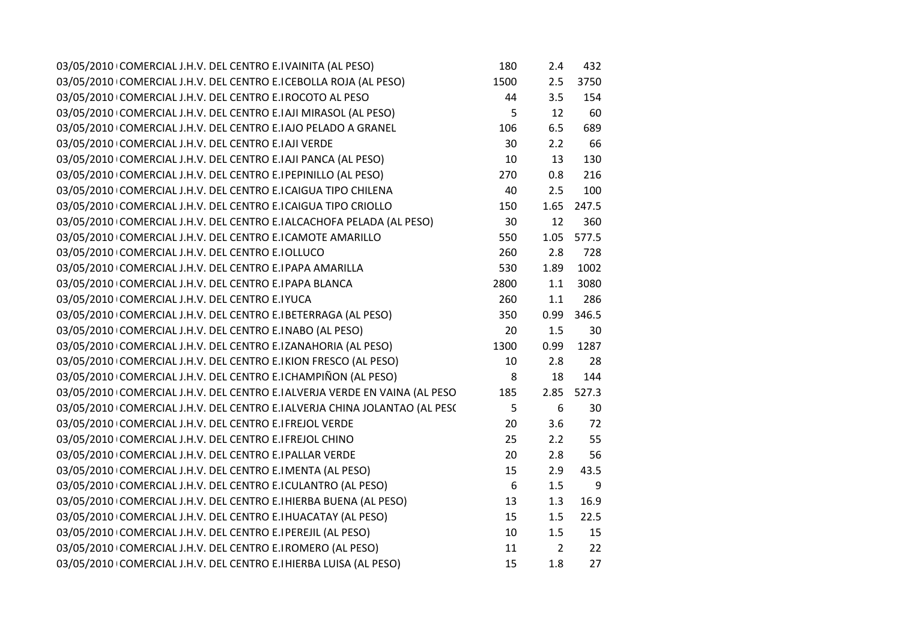| 03/05/2010 COMERCIAL J.H.V. DEL CENTRO E.IVAINITA (AL PESO)               | 180              | 2.4            | 432   |
|---------------------------------------------------------------------------|------------------|----------------|-------|
| 03/05/2010 COMERCIAL J.H.V. DEL CENTRO E.I CEBOLLA ROJA (AL PESO)         | 1500             | 2.5            | 3750  |
| 03/05/2010 COMERCIAL J.H.V. DEL CENTRO E.IROCOTO AL PESO                  | 44               | 3.5            | 154   |
| 03/05/2010 COMERCIAL J.H.V. DEL CENTRO E.IAJI MIRASOL (AL PESO)           | 5                | 12             | 60    |
| 03/05/2010 COMERCIAL J.H.V. DEL CENTRO E.I AJO PELADO A GRANEL            | 106              | 6.5            | 689   |
| 03/05/2010 COMERCIAL J.H.V. DEL CENTRO E. AJI VERDE                       | 30               | 2.2            | 66    |
| 03/05/2010 COMERCIAL J.H.V. DEL CENTRO E.IAJI PANCA (AL PESO)             | 10               | 13             | 130   |
| 03/05/2010 COMERCIAL J.H.V. DEL CENTRO E. PEPINILLO (AL PESO)             | 270              | 0.8            | 216   |
| 03/05/2010 COMERCIAL J.H.V. DEL CENTRO E.I CAIGUA TIPO CHILENA            | 40               | 2.5            | 100   |
| 03/05/2010 COMERCIAL J.H.V. DEL CENTRO E.I CAIGUA TIPO CRIOLLO            | 150              | 1.65           | 247.5 |
| 03/05/2010 COMERCIAL J.H.V. DEL CENTRO E. ALCACHOFA PELADA (AL PESO)      | 30               | 12             | 360   |
| 03/05/2010 COMERCIAL J.H.V. DEL CENTRO E.I CAMOTE AMARILLO                | 550              | 1.05           | 577.5 |
| 03/05/2010 COMERCIAL J.H.V. DEL CENTRO E. OLLUCO                          | 260              | 2.8            | 728   |
| 03/05/2010 COMERCIAL J.H.V. DEL CENTRO E.I PAPA AMARILLA                  | 530              | 1.89           | 1002  |
| 03/05/2010 COMERCIAL J.H.V. DEL CENTRO E.IPAPA BLANCA                     | 2800             | 1.1            | 3080  |
| 03/05/2010 COMERCIAL J.H.V. DEL CENTRO E.IYUCA                            | 260              | 1.1            | 286   |
| 03/05/2010 COMERCIAL J.H.V. DEL CENTRO E. BETERRAGA (AL PESO)             | 350              | 0.99           | 346.5 |
| 03/05/2010 COMERCIAL J.H.V. DEL CENTRO E.INABO (AL PESO)                  | 20               | 1.5            | 30    |
| 03/05/2010 COMERCIAL J.H.V. DEL CENTRO E.IZANAHORIA (AL PESO)             | 1300             | 0.99           | 1287  |
| 03/05/2010 COMERCIAL J.H.V. DEL CENTRO E.IKION FRESCO (AL PESO)           | 10               | 2.8            | 28    |
| 03/05/2010 COMERCIAL J.H.V. DEL CENTRO E.I CHAMPIÑON (AL PESO)            | 8                | 18             | 144   |
| 03/05/2010 COMERCIAL J.H.V. DEL CENTRO E.IALVERJA VERDE EN VAINA (AL PESO | 185              | 2.85           | 527.3 |
| 03/05/2010 COMERCIAL J.H.V. DEL CENTRO E. ALVERJA CHINA JOLANTAO (AL PESC | 5                | 6              | 30    |
| 03/05/2010 COMERCIAL J.H.V. DEL CENTRO E.I FREJOL VERDE                   | 20               | 3.6            | 72    |
| 03/05/2010 COMERCIAL J.H.V. DEL CENTRO E.I FREJOL CHINO                   | 25               | 2.2            | 55    |
| 03/05/2010 COMERCIAL J.H.V. DEL CENTRO E.I PALLAR VERDE                   | 20               | 2.8            | 56    |
| 03/05/2010 COMERCIAL J.H.V. DEL CENTRO E.IMENTA (AL PESO)                 | 15               | 2.9            | 43.5  |
| 03/05/2010 COMERCIAL J.H.V. DEL CENTRO E.I CULANTRO (AL PESO)             | $\boldsymbol{6}$ | 1.5            | 9     |
| 03/05/2010 COMERCIAL J.H.V. DEL CENTRO E. HIERBA BUENA (AL PESO)          | 13               | 1.3            | 16.9  |
| 03/05/2010 COMERCIAL J.H.V. DEL CENTRO E. HUACATAY (AL PESO)              | 15               | 1.5            | 22.5  |
| 03/05/2010 COMERCIAL J.H.V. DEL CENTRO E. PEREJIL (AL PESO)               | 10               | 1.5            | 15    |
| 03/05/2010 COMERCIAL J.H.V. DEL CENTRO E. ROMERO (AL PESO)                | 11               | $\overline{2}$ | 22    |
| 03/05/2010 COMERCIAL J.H.V. DEL CENTRO E. HIERBA LUISA (AL PESO)          | 15               | 1.8            | 27    |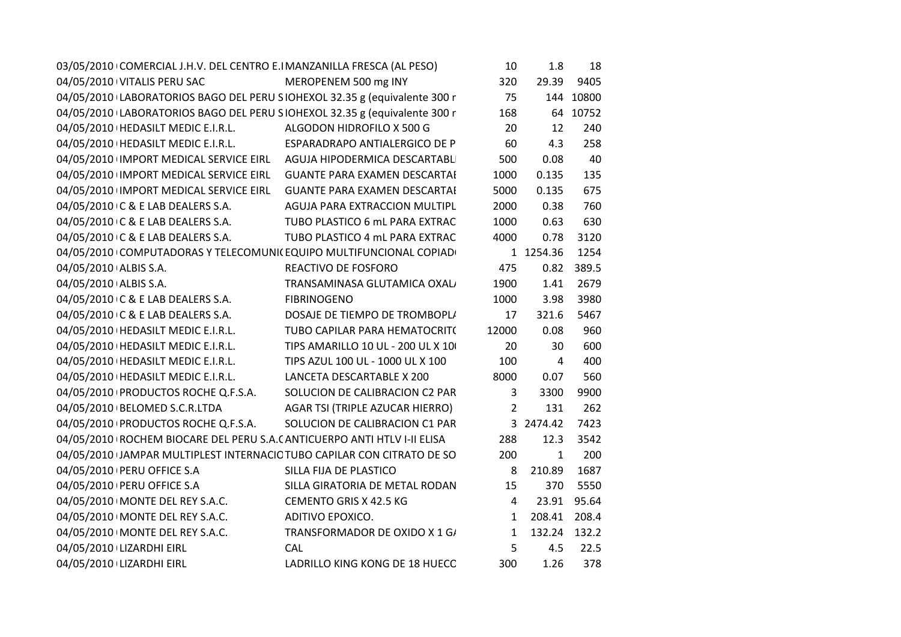| 03/05/2010 COMERCIAL J.H.V. DEL CENTRO E.I MANZANILLA FRESCA (AL PESO)     |                                   | 10             | 1.8          | 18        |
|----------------------------------------------------------------------------|-----------------------------------|----------------|--------------|-----------|
| 04/05/2010 VITALIS PERU SAC                                                | MEROPENEM 500 mg INY              | 320            | 29.39        | 9405      |
| 04/05/2010 LABORATORIOS BAGO DEL PERU SIOHEXOL 32.35 g (equivalente 300 r  |                                   | 75             |              | 144 10800 |
| 04/05/2010 LABORATORIOS BAGO DEL PERU SIOHEXOL 32.35 g (equivalente 300 r  |                                   | 168            |              | 64 10752  |
| 04/05/2010   HEDASILT MEDIC E.I.R.L.                                       | ALGODON HIDROFILO X 500 G         | 20             | 12           | 240       |
|                                                                            |                                   | 60             | 4.3          | 258       |
| 04/05/2010 IMPORT MEDICAL SERVICE EIRL  AGUJA HIPODERMICA DESCARTABLI      |                                   | 500            | 0.08         | 40        |
| 04/05/2010 IMPORT MEDICAL SERVICE EIRL GUANTE PARA EXAMEN DESCARTAI        |                                   | 1000           | 0.135        | 135       |
| 04/05/2010 IMPORT MEDICAL SERVICE EIRL  GUANTE PARA EXAMEN DESCARTAI       |                                   | 5000           | 0.135        | 675       |
| 04/05/2010 C & E LAB DEALERS S.A.                                          | AGUJA PARA EXTRACCION MULTIPL     | 2000           | 0.38         | 760       |
| 04/05/2010 C & E LAB DEALERS S.A.                                          | TUBO PLASTICO 6 mL PARA EXTRAC    | 1000           | 0.63         | 630       |
| 04/05/2010 C & E LAB DEALERS S.A.                                          | TUBO PLASTICO 4 mL PARA EXTRAC    | 4000           | 0.78         | 3120      |
| 04/05/2010 COMPUTADORAS Y TELECOMUNI(EQUIPO MULTIFUNCIONAL COPIAD)         |                                   |                | 1 1254.36    | 1254      |
| 04/05/2010 ALBIS S.A.                                                      | REACTIVO DE FOSFORO               | 475            | 0.82         | 389.5     |
| 04/05/2010 ALBIS S.A.                                                      | TRANSAMINASA GLUTAMICA OXAL/      | 1900           | 1.41         | 2679      |
| 04/05/2010 C & E LAB DEALERS S.A.                                          | <b>FIBRINOGENO</b>                | 1000           | 3.98         | 3980      |
| 04/05/2010 C & E LAB DEALERS S.A.                                          | DOSAJE DE TIEMPO DE TROMBOPLI     | 17             | 321.6        | 5467      |
| 04/05/2010   HEDASILT MEDIC E.I.R.L.                                       | TUBO CAPILAR PARA HEMATOCRIT(     | 12000          | 0.08         | 960       |
| 04/05/2010 HEDASILT MEDIC E.I.R.L.                                         | TIPS AMARILLO 10 UL - 200 UL X 10 | 20             | 30           | 600       |
| 04/05/2010   HEDASILT MEDIC E.I.R.L.                                       | TIPS AZUL 100 UL - 1000 UL X 100  | 100            | 4            | 400       |
| 04/05/2010   HEDASILT MEDIC E.I.R.L.                                       | LANCETA DESCARTABLE X 200         | 8000           | 0.07         | 560       |
| 04/05/2010 PRODUCTOS ROCHE Q.F.S.A.                                        | SOLUCION DE CALIBRACION C2 PAR    | $\mathbf{3}$   | 3300         | 9900      |
| 04/05/2010   BELOMED S.C.R.LTDA                                            | AGAR TSI (TRIPLE AZUCAR HIERRO)   | $\overline{2}$ | 131          | 262       |
| 04/05/2010 PRODUCTOS ROCHE Q.F.S.A. SOLUCION DE CALIBRACION C1 PAR         |                                   |                | 3 2474.42    | 7423      |
| 04/05/2010   ROCHEM BIOCARE DEL PERU S.A. (ANTICUERPO ANTI HTLV I-II ELISA |                                   | 288            | 12.3         | 3542      |
| 04/05/2010 JAMPAR MULTIPLEST INTERNACIC TUBO CAPILAR CON CITRATO DE SO     |                                   | 200            | $\mathbf{1}$ | 200       |
| 04/05/2010 PERU OFFICE S.A                                                 | SILLA FIJA DE PLASTICO            | 8              | 210.89       | 1687      |
| 04/05/2010 PERU OFFICE S.A                                                 | SILLA GIRATORIA DE METAL RODAN    | 15             | 370          | 5550      |
| 04/05/2010 MONTE DEL REY S.A.C.                                            | CEMENTO GRIS X 42.5 KG            | $\overline{4}$ | 23.91        | 95.64     |
| 04/05/2010   MONTE DEL REY S.A.C.                                          | ADITIVO EPOXICO.                  | $\mathbf{1}$   | 208.41       | 208.4     |
| 04/05/2010   MONTE DEL REY S.A.C.                                          | TRANSFORMADOR DE OXIDO X 1 G/     | $\mathbf{1}$   | 132.24 132.2 |           |
| 04/05/2010 LIZARDHI EIRL                                                   | CAL                               | 5              | 4.5          | 22.5      |
| 04/05/2010 LIZARDHI EIRL                                                   | LADRILLO KING KONG DE 18 HUECC    | 300            | 1.26         | 378       |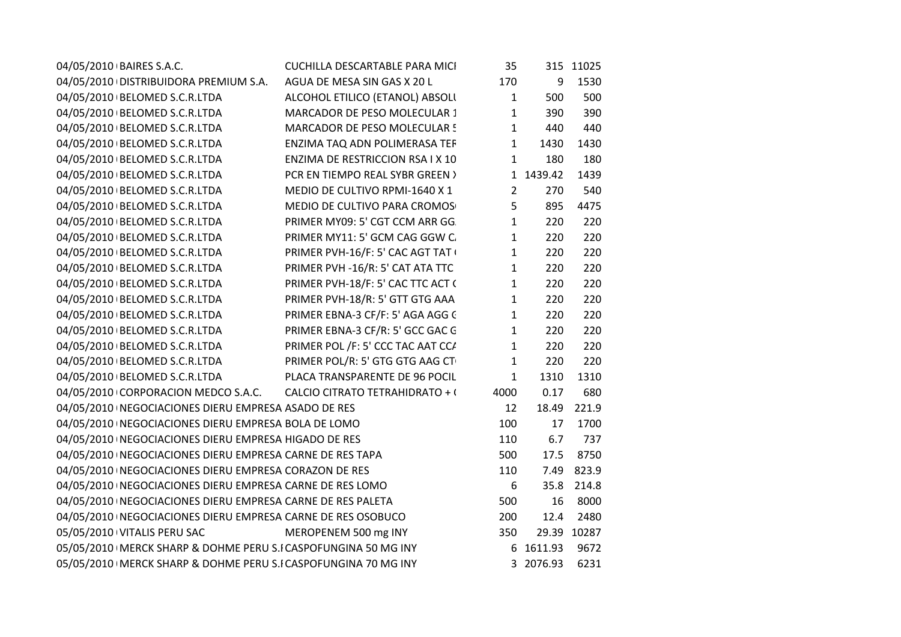| 04/05/2010 BAIRES S.A.C.                                         | CUCHILLA DESCARTABLE PARA MICI    | 35             |           | 315 11025   |
|------------------------------------------------------------------|-----------------------------------|----------------|-----------|-------------|
| 04/05/2010 DISTRIBUIDORA PREMIUM S.A.                            | AGUA DE MESA SIN GAS X 20 L       | 170            | 9         | 1530        |
| 04/05/2010   BELOMED S.C.R.LTDA                                  | ALCOHOL ETILICO (ETANOL) ABSOLI   | $\mathbf{1}$   | 500       | 500         |
| 04/05/2010 BELOMED S.C.R.LTDA                                    | MARCADOR DE PESO MOLECULAR 1      | 1              | 390       | 390         |
| 04/05/2010 BELOMED S.C.R.LTDA                                    | MARCADOR DE PESO MOLECULAR 5      | $\mathbf{1}$   | 440       | 440         |
| 04/05/2010   BELOMED S.C.R.LTDA                                  | ENZIMA TAQ ADN POLIMERASA TEF     | $\mathbf{1}$   | 1430      | 1430        |
| 04/05/2010   BELOMED S.C.R.LTDA                                  | ENZIMA DE RESTRICCION RSA I X 10  | $\mathbf{1}$   | 180       | 180         |
| 04/05/2010   BELOMED S.C.R.LTDA                                  | PCR EN TIEMPO REAL SYBR GREEN >   |                | 1 1439.42 | 1439        |
| 04/05/2010 BELOMED S.C.R.LTDA                                    | MEDIO DE CULTIVO RPMI-1640 X 1    | $\overline{2}$ | 270       | 540         |
| 04/05/2010 BELOMED S.C.R.LTDA                                    | MEDIO DE CULTIVO PARA CROMOS      | 5              | 895       | 4475        |
| 04/05/2010   BELOMED S.C.R.LTDA                                  | PRIMER MY09: 5' CGT CCM ARR GG.   | $\mathbf{1}$   | 220       | 220         |
| 04/05/2010 BELOMED S.C.R.LTDA                                    | PRIMER MY11: 5' GCM CAG GGW C.    | $\mathbf{1}$   | 220       | 220         |
| 04/05/2010   BELOMED S.C.R.LTDA                                  | PRIMER PVH-16/F: 5' CAC AGT TAT ( | $\mathbf{1}$   | 220       | 220         |
| 04/05/2010   BELOMED S.C.R.LTDA                                  | PRIMER PVH -16/R: 5' CAT ATA TTC  | $\mathbf{1}$   | 220       | 220         |
| 04/05/2010   BELOMED S.C.R.LTDA                                  | PRIMER PVH-18/F: 5' CAC TTC ACT ( | $\mathbf{1}$   | 220       | 220         |
| 04/05/2010   BELOMED S.C.R.LTDA                                  | PRIMER PVH-18/R: 5' GTT GTG AAA   | $\mathbf{1}$   | 220       | 220         |
| 04/05/2010 BELOMED S.C.R.LTDA                                    | PRIMER EBNA-3 CF/F: 5' AGA AGG C  | $\mathbf{1}$   | 220       | 220         |
| 04/05/2010 BELOMED S.C.R.LTDA                                    | PRIMER EBNA-3 CF/R: 5' GCC GAC G  | $\mathbf{1}$   | 220       | 220         |
| 04/05/2010 BELOMED S.C.R.LTDA                                    | PRIMER POL /F: 5' CCC TAC AAT CC/ | $\mathbf{1}$   | 220       | 220         |
| 04/05/2010 BELOMED S.C.R.LTDA                                    | PRIMER POL/R: 5' GTG GTG AAG CT   | $\mathbf{1}$   | 220       | 220         |
| 04/05/2010 BELOMED S.C.R.LTDA                                    | PLACA TRANSPARENTE DE 96 POCIL    | $\mathbf{1}$   | 1310      | 1310        |
| 04/05/2010 CORPORACION MEDCO S.A.C.                              | CALCIO CITRATO TETRAHIDRATO + (   | 4000           | 0.17      | 680         |
| 04/05/2010   NEGOCIACIONES DIERU EMPRESA ASADO DE RES            |                                   | 12             | 18.49     | 221.9       |
| 04/05/2010   NEGOCIACIONES DIERU EMPRESA BOLA DE LOMO            |                                   | 100            | 17        | 1700        |
| 04/05/2010   NEGOCIACIONES DIERU EMPRESA HIGADO DE RES           |                                   | 110            | 6.7       | 737         |
| 04/05/2010   NEGOCIACIONES DIERU EMPRESA CARNE DE RES TAPA       |                                   | 500            | 17.5      | 8750        |
| 04/05/2010   NEGOCIACIONES DIERU EMPRESA CORAZON DE RES          |                                   | 110            |           | 7.49 823.9  |
| 04/05/2010   NEGOCIACIONES DIERU EMPRESA CARNE DE RES LOMO       |                                   | 6              |           | 35.8 214.8  |
| 04/05/2010   NEGOCIACIONES DIERU EMPRESA CARNE DE RES PALETA     |                                   | 500            | 16        | 8000        |
| 04/05/2010   NEGOCIACIONES DIERU EMPRESA CARNE DE RES OSOBUCO    |                                   | 200            | 12.4      | 2480        |
| 05/05/2010 VITALIS PERU SAC                                      | MEROPENEM 500 mg INY              | 350            |           | 29.39 10287 |
| 05/05/2010   MERCK SHARP & DOHME PERU S.I CASPOFUNGINA 50 MG INY |                                   |                | 6 1611.93 | 9672        |
| 05/05/2010   MERCK SHARP & DOHME PERU S.I CASPOFUNGINA 70 MG INY |                                   |                | 3 2076.93 | 6231        |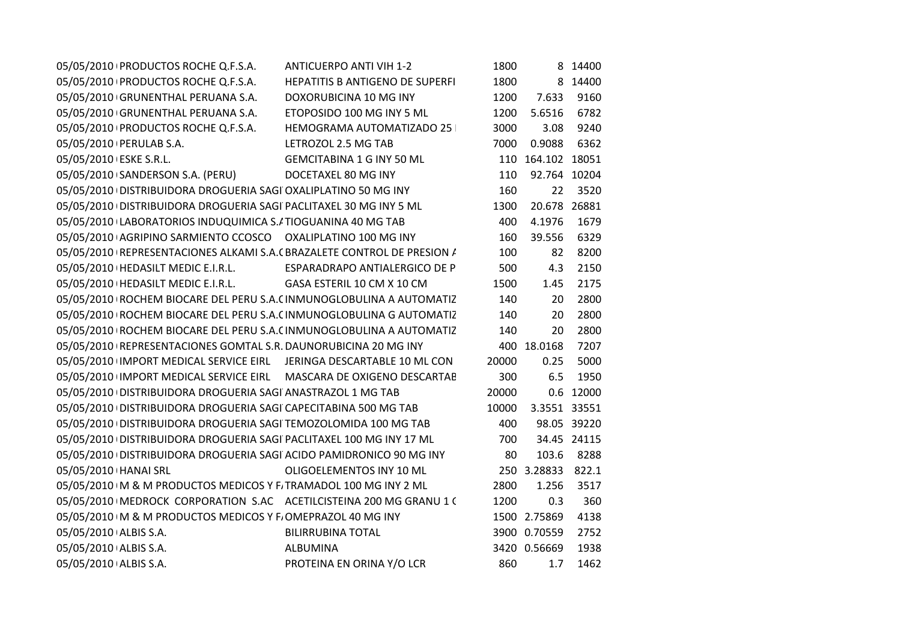| 05/05/2010 PRODUCTOS ROCHE Q.F.S.A.<br>ANTICUERPO ANTI VIH 1-2                   | 1800  |                   | 8 14400     |  |
|----------------------------------------------------------------------------------|-------|-------------------|-------------|--|
| 05/05/2010 PRODUCTOS ROCHE Q.F.S.A. HEPATITIS B ANTIGENO DE SUPERFI              | 1800  |                   | 8 14400     |  |
| 05/05/2010 GRUNENTHAL PERUANA S.A. DOXORUBICINA 10 MG INY                        | 1200  | 7.633             | 9160        |  |
| 05/05/2010 GRUNENTHAL PERUANA S.A. ETOPOSIDO 100 MG INY 5 ML                     | 1200  | 5.6516            | 6782        |  |
| 05/05/2010 PRODUCTOS ROCHE Q.F.S.A. HEMOGRAMA AUTOMATIZADO 25                    | 3000  | 3.08              | 9240        |  |
| LETROZOL 2.5 MG TAB<br>05/05/2010   PERULAB S.A.                                 | 7000  | 0.9088            | 6362        |  |
| 05/05/2010 ESKE S.R.L.<br><b>GEMCITABINA 1 G INY 50 ML</b>                       |       | 110 164.102 18051 |             |  |
| 05/05/2010 SANDERSON S.A. (PERU)<br>DOCETAXEL 80 MG INY                          | 110   | 92.764 10204      |             |  |
| 05/05/2010 DISTRIBUIDORA DROGUERIA SAGI OXALIPLATINO 50 MG INY                   | 160   |                   | 22 3520     |  |
| 05/05/2010 DISTRIBUIDORA DROGUERIA SAGI PACLITAXEL 30 MG INY 5 ML                | 1300  | 20.678 26881      |             |  |
| 05/05/2010 LABORATORIOS INDUQUIMICA S./ TIOGUANINA 40 MG TAB                     | 400   | 4.1976            | 1679        |  |
| 05/05/2010 AGRIPINO SARMIENTO CCOSCO OXALIPLATINO 100 MG INY                     | 160   | 39.556            | 6329        |  |
| 05/05/2010 REPRESENTACIONES ALKAMI S.A. (BRAZALETE CONTROL DE PRESION /          | 100   | 82                | 8200        |  |
| 05/05/2010   HEDASILT MEDIC E.I.R.L.               ESPARADRAPO ANTIALERGICO DE P | 500   | 4.3               | 2150        |  |
| 05/05/2010   HEDASILT MEDIC E.I.R.L. GASA ESTERIL 10 CM X 10 CM                  | 1500  | 1.45              | 2175        |  |
| 05/05/2010 ROCHEM BIOCARE DEL PERU S.A. (INMUNOGLOBULINA A AUTOMATIZ             | 140   | 20                | 2800        |  |
| 05/05/2010 ROCHEM BIOCARE DEL PERU S.A. (INMUNOGLOBULINA G AUTOMATIZ             | 140   | 20                | 2800        |  |
| 05/05/2010 ROCHEM BIOCARE DEL PERU S.A. (INMUNOGLOBULINA A AUTOMATIZ             | 140   | 20                | 2800        |  |
| 05/05/2010   REPRESENTACIONES GOMTAL S.R. DAUNORUBICINA 20 MG INY                |       | 400 18.0168       | 7207        |  |
| 05/05/2010 IMPORT MEDICAL SERVICE EIRL JERINGA DESCARTABLE 10 ML CON             | 20000 | 0.25              | 5000        |  |
| 05/05/2010 IMPORT MEDICAL SERVICE EIRL MASCARA DE OXIGENO DESCARTAE              | 300   | 6.5               | 1950        |  |
| 05/05/2010 DISTRIBUIDORA DROGUERIA SAGI ANASTRAZOL 1 MG TAB                      | 20000 |                   | 0.6 12000   |  |
| 05/05/2010 DISTRIBUIDORA DROGUERIA SAGI CAPECITABINA 500 MG TAB                  | 10000 | 3.3551 33551      |             |  |
| 05/05/2010 DISTRIBUIDORA DROGUERIA SAGI TEMOZOLOMIDA 100 MG TAB                  | 400   |                   | 98.05 39220 |  |
| 05/05/2010 DISTRIBUIDORA DROGUERIA SAGI PACLITAXEL 100 MG INY 17 ML              | 700   |                   | 34.45 24115 |  |
| 05/05/2010 DISTRIBUIDORA DROGUERIA SAGI ACIDO PAMIDRONICO 90 MG INY              | 80    |                   | 103.6 8288  |  |
| 05/05/2010   HANAI SRL<br>OLIGOELEMENTOS INY 10 ML                               |       | 250 3.28833 822.1 |             |  |
| 05/05/2010 IM & M PRODUCTOS MEDICOS Y F. TRAMADOL 100 MG INY 2 ML                | 2800  | 1.256             | 3517        |  |
| 05/05/2010   MEDROCK CORPORATION S.AC ACETILCISTEINA 200 MG GRANU 1 (            | 1200  | 0.3               | 360         |  |
| 05/05/2010 IM & M PRODUCTOS MEDICOS Y F. OMEPRAZOL 40 MG INY                     |       | 1500 2.75869      | 4138        |  |
| 05/05/2010 ALBIS S.A.<br><b>BILIRRUBINA TOTAL</b>                                |       | 3900 0.70559      | 2752        |  |
| 05/05/2010 ALBIS S.A.<br><b>ALBUMINA</b>                                         |       | 3420 0.56669      | 1938        |  |
| PROTEINA EN ORINA Y/O LCR<br>05/05/2010 ALBIS S.A.                               | 860   | 1.7               | 1462        |  |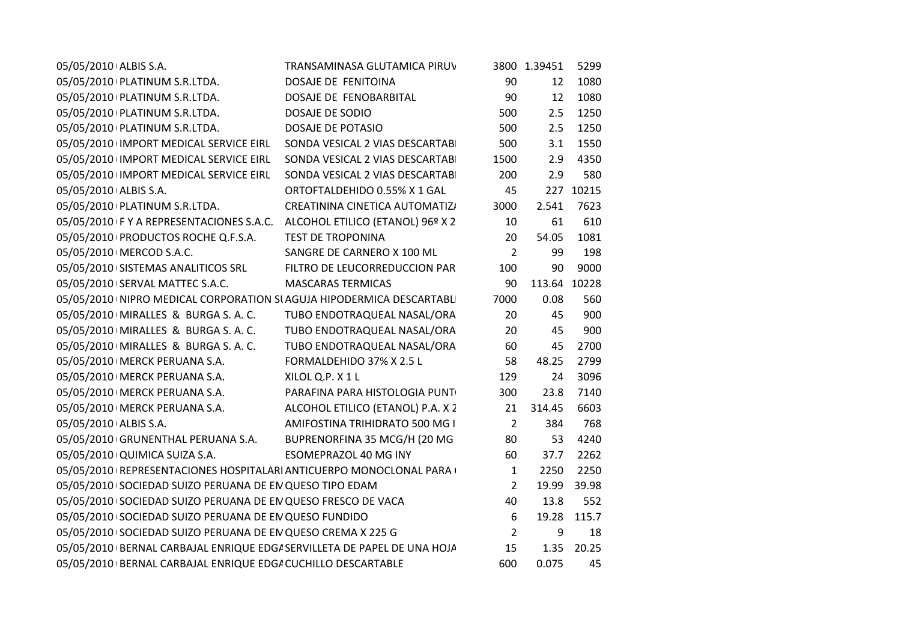| 05/05/2010 ALBIS S.A.                                                     | TRANSAMINASA GLUTAMICA PIRUV      |                | 3800 1.39451 | 5299      |
|---------------------------------------------------------------------------|-----------------------------------|----------------|--------------|-----------|
| 05/05/2010 PLATINUM S.R.LTDA.                                             | DOSAJE DE FENITOINA               | 90             | 12           | 1080      |
| 05/05/2010 PLATINUM S.R.LTDA.                                             | DOSAJE DE FENOBARBITAL            | 90             | 12           | 1080      |
| 05/05/2010   PLATINUM S.R.LTDA.                                           | DOSAJE DE SODIO                   | 500            | 2.5          | 1250      |
| 05/05/2010 PLATINUM S.R.LTDA.                                             | DOSAJE DE POTASIO                 | 500            | 2.5          | 1250      |
| 05/05/2010 IMPORT MEDICAL SERVICE EIRL                                    | SONDA VESICAL 2 VIAS DESCARTABI   | 500            | 3.1          | 1550      |
| 05/05/2010 IMPORT MEDICAL SERVICE EIRL                                    | SONDA VESICAL 2 VIAS DESCARTABI   | 1500           | 2.9          | 4350      |
| 05/05/2010 IMPORT MEDICAL SERVICE EIRL                                    | SONDA VESICAL 2 VIAS DESCARTABI   | 200            | 2.9          | 580       |
| 05/05/2010 ALBIS S.A.                                                     | ORTOFTALDEHIDO 0.55% X 1 GAL      | 45             |              | 227 10215 |
| 05/05/2010 PLATINUM S.R.LTDA.                                             | CREATININA CINETICA AUTOMATIZ/    | 3000           | 2.541        | 7623      |
| 05/05/2010 F Y A REPRESENTACIONES S.A.C. ALCOHOL ETILICO (ETANOL) 96º X 2 |                                   | 10             | 61           | 610       |
| 05/05/2010 PRODUCTOS ROCHE Q.F.S.A.                                       | <b>TEST DE TROPONINA</b>          | 20             | 54.05        | 1081      |
| 05/05/2010   MERCOD S.A.C.                                                | SANGRE DE CARNERO X 100 ML        | $\overline{2}$ | 99           | 198       |
| 05/05/2010 SISTEMAS ANALITICOS SRL                                        | FILTRO DE LEUCORREDUCCION PAR     | 100            | 90           | 9000      |
| 05/05/2010 SERVAL MATTEC S.A.C.                                           | <b>MASCARAS TERMICAS</b>          | 90             | 113.64 10228 |           |
| 05/05/2010 INIPRO MEDICAL CORPORATION SI AGUJA HIPODERMICA DESCARTABLI    |                                   | 7000           | 0.08         | 560       |
| 05/05/2010 MIRALLES & BURGA S. A. C.                                      | TUBO ENDOTRAQUEAL NASAL/ORA       | 20             | 45           | 900       |
| 05/05/2010 MIRALLES & BURGA S. A. C.                                      | TUBO ENDOTRAQUEAL NASAL/ORA       | 20             | 45           | 900       |
| 05/05/2010   MIRALLES & BURGA S. A. C.                                    | TUBO ENDOTRAQUEAL NASAL/ORA       | 60             | 45           | 2700      |
| 05/05/2010   MERCK PERUANA S.A.                                           | FORMALDEHIDO 37% X 2.5 L          | 58             | 48.25        | 2799      |
| 05/05/2010   MERCK PERUANA S.A.                                           | XILOL Q.P. X1L                    | 129            | 24           | 3096      |
| 05/05/2010   MERCK PERUANA S.A.                                           | PARAFINA PARA HISTOLOGIA PUNT     | 300            | 23.8         | 7140      |
| 05/05/2010   MERCK PERUANA S.A.                                           | ALCOHOL ETILICO (ETANOL) P.A. X 2 | 21             | 314.45       | 6603      |
| 05/05/2010 ALBIS S.A.                                                     | AMIFOSTINA TRIHIDRATO 500 MG I    | $\overline{2}$ | 384          | 768       |
| 05/05/2010 GRUNENTHAL PERUANA S.A. BUPRENORFINA 35 MCG/H (20 MG           |                                   | 80             | 53           | 4240      |
| 05/05/2010 QUIMICA SUIZA S.A.                                             | ESOMEPRAZOL 40 MG INY             | 60             | 37.7         | 2262      |
| 05/05/2010   REPRESENTACIONES HOSPITALARI ANTICUERPO MONOCLONAL PARA (    |                                   | $\mathbf{1}$   | 2250         | 2250      |
| 05/05/2010 SOCIEDAD SUIZO PERUANA DE EN QUESO TIPO EDAM                   |                                   | $\overline{2}$ | 19.99        | 39.98     |
| 05/05/2010 SOCIEDAD SUIZO PERUANA DE EN QUESO FRESCO DE VACA              |                                   | 40             | 13.8         | 552       |
| 05/05/2010 SOCIEDAD SUIZO PERUANA DE EN QUESO FUNDIDO                     |                                   | 6              | 19.28        | 115.7     |
| 05/05/2010 SOCIEDAD SUIZO PERUANA DE EN QUESO CREMA X 225 G               |                                   | $\overline{2}$ | 9            | 18        |
| 05/05/2010 BERNAL CARBAJAL ENRIQUE EDG/ SERVILLETA DE PAPEL DE UNA HOJA   |                                   | 15             | 1.35         | 20.25     |
| 05/05/2010 BERNAL CARBAJAL ENRIQUE EDG/ CUCHILLO DESCARTABLE              |                                   | 600            | 0.075        | 45        |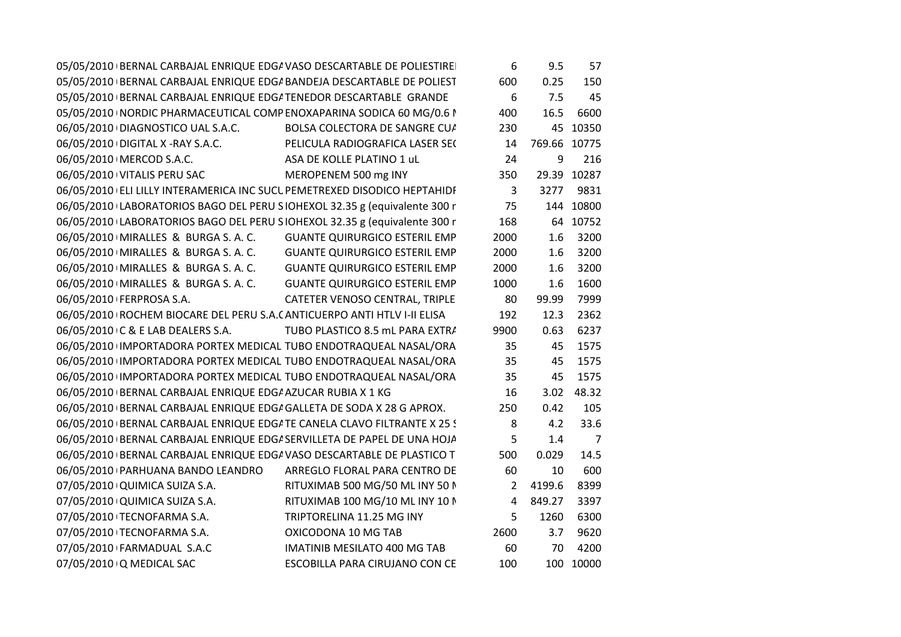| 05/05/2010   BERNAL CARBAJAL ENRIQUE EDGA VASO DESCARTABLE DE POLIESTIRE   |                                      | 6              | 9.5          | 57             |
|----------------------------------------------------------------------------|--------------------------------------|----------------|--------------|----------------|
| 05/05/2010 BERNAL CARBAJAL ENRIQUE EDG/ BANDEJA DESCARTABLE DE POLIEST     |                                      | 600            | 0.25         | 150            |
| 05/05/2010 BERNAL CARBAJAL ENRIQUE EDG/ TENEDOR DESCARTABLE GRANDE         |                                      | 6              | 7.5          | 45             |
| 05/05/2010   NORDIC PHARMACEUTICAL COMP ENOXAPARINA SODICA 60 MG/0.6 I     |                                      | 400            | 16.5         | 6600           |
| 06/05/2010 DIAGNOSTICO UAL S.A.C.                                          | BOLSA COLECTORA DE SANGRE CUA        | 230            |              | 45 10350       |
| 06/05/2010 DIGITAL X - RAY S.A.C.                                          | PELICULA RADIOGRAFICA LASER SEC      | 14             | 769.66 10775 |                |
| 06/05/2010   MERCOD S.A.C.                                                 | ASA DE KOLLE PLATINO 1 uL            | 24             | 9            | 216            |
| 06/05/2010 VITALIS PERU SAC                                                | MEROPENEM 500 mg INY                 | 350            |              | 29.39 10287    |
| 06/05/2010 ELI LILLY INTERAMERICA INC SUCL PEMETREXED DISODICO HEPTAHIDF   |                                      | $\mathbf{3}$   |              | 3277 9831      |
| 06/05/2010 LABORATORIOS BAGO DEL PERU SIOHEXOL 32.35 g (equivalente 300 r  |                                      | 75             |              | 144 10800      |
| 06/05/2010 LABORATORIOS BAGO DEL PERU SIOHEXOL 32.35 g (equivalente 300 r  |                                      | 168            |              | 64 10752       |
| 06/05/2010   MIRALLES & BURGA S. A. C.                                     | <b>GUANTE QUIRURGICO ESTERIL EMP</b> | 2000           | 1.6          | 3200           |
| 06/05/2010 MIRALLES & BURGA S. A. C.                                       | <b>GUANTE QUIRURGICO ESTERIL EMP</b> | 2000           | 1.6          | 3200           |
| 06/05/2010   MIRALLES & BURGA S. A. C.                                     | <b>GUANTE QUIRURGICO ESTERIL EMP</b> | 2000           | 1.6          | 3200           |
| 06/05/2010   MIRALLES & BURGA S. A. C.                                     | <b>GUANTE QUIRURGICO ESTERIL EMP</b> | 1000           | 1.6          | 1600           |
| 06/05/2010   FERPROSA S.A.                                                 | CATETER VENOSO CENTRAL, TRIPLE       | 80             | 99.99        | 7999           |
| 06/05/2010   ROCHEM BIOCARE DEL PERU S.A. (ANTICUERPO ANTI HTLV I-II ELISA |                                      | 192            | 12.3         | 2362           |
| 06/05/2010 C & E LAB DEALERS S.A.                                          | TUBO PLASTICO 8.5 mL PARA EXTRA      | 9900           | 0.63         | 6237           |
| 06/05/2010 IMPORTADORA PORTEX MEDICAL TUBO ENDOTRAQUEAL NASAL/ORA          |                                      | 35             | 45           | 1575           |
| 06/05/2010 IMPORTADORA PORTEX MEDICAL TUBO ENDOTRAQUEAL NASAL/ORA          |                                      | 35             | 45           | 1575           |
| 06/05/2010 IMPORTADORA PORTEX MEDICAL TUBO ENDOTRAQUEAL NASAL/ORA          |                                      | 35             | 45           | 1575           |
| 06/05/2010 BERNAL CARBAJAL ENRIQUE EDG/ AZUCAR RUBIA X 1 KG                |                                      | 16             | 3.02         | 48.32          |
| 06/05/2010 BERNAL CARBAJAL ENRIQUE EDG/ GALLETA DE SODA X 28 G APROX.      |                                      | 250            | 0.42         | 105            |
| 06/05/2010   BERNAL CARBAJAL ENRIQUE EDGATE CANELA CLAVO FILTRANTE X 25 S  |                                      | 8              | 4.2          | 33.6           |
| 06/05/2010 BERNAL CARBAJAL ENRIQUE EDG/ SERVILLETA DE PAPEL DE UNA HOJA    |                                      | 5              | 1.4          | $\overline{7}$ |
| 06/05/2010   BERNAL CARBAJAL ENRIQUE EDGA VASO DESCARTABLE DE PLASTICO T   |                                      | 500            | 0.029        | 14.5           |
| 06/05/2010 PARHUANA BANDO LEANDRO                                          | ARREGLO FLORAL PARA CENTRO DE        | 60             | 10           | 600            |
| 07/05/2010 QUIMICA SUIZA S.A.                                              | RITUXIMAB 500 MG/50 ML INY 50 N      | $\overline{2}$ | 4199.6       | 8399           |
| 07/05/2010 QUIMICA SUIZA S.A.                                              | RITUXIMAB 100 MG/10 ML INY 10 N      | $\overline{4}$ | 849.27       | 3397           |
| 07/05/2010 TECNOFARMA S.A.                                                 | TRIPTORELINA 11.25 MG INY            | 5              | 1260         | 6300           |
| 07/05/2010 TECNOFARMA S.A.                                                 | OXICODONA 10 MG TAB                  | 2600           | 3.7          | 9620           |
| 07/05/2010 FARMADUAL S.A.C                                                 | IMATINIB MESILATO 400 MG TAB         | 60             | 70           | 4200           |
| 07/05/2010 Q MEDICAL SAC                                                   | ESCOBILLA PARA CIRUJANO CON CE       | 100            |              | 100 10000      |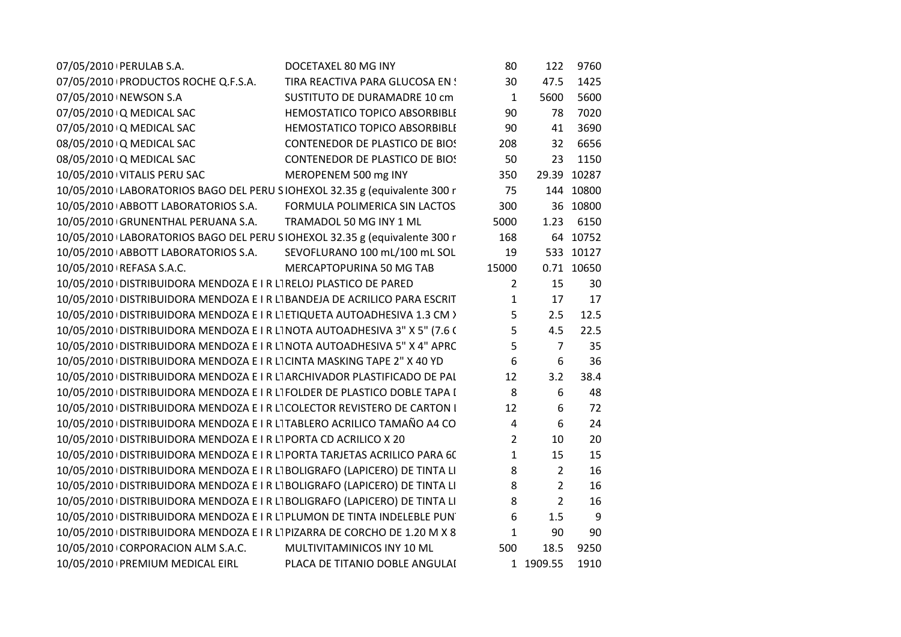| 07/05/2010   PERULAB S.A.                                                   | DOCETAXEL 80 MG INY                   | 80             | 122             | 9760        |
|-----------------------------------------------------------------------------|---------------------------------------|----------------|-----------------|-------------|
| 07/05/2010 PRODUCTOS ROCHE Q.F.S.A.                                         | TIRA REACTIVA PARA GLUCOSA EN!        | 30             | 47.5            | 1425        |
| 07/05/2010 NEWSON S.A                                                       | SUSTITUTO DE DURAMADRE 10 cm          | $\mathbf{1}$   | 5600            | 5600        |
| 07/05/2010 Q MEDICAL SAC                                                    | HEMOSTATICO TOPICO ABSORBIBLI         | 90             | 78              | 7020        |
| 07/05/2010 Q MEDICAL SAC                                                    | HEMOSTATICO TOPICO ABSORBIBLI         | 90             | 41              | 3690        |
| 08/05/2010 Q MEDICAL SAC                                                    | <b>CONTENEDOR DE PLASTICO DE BIOS</b> | 208            | 32 <sup>2</sup> | 6656        |
| 08/05/2010 Q MEDICAL SAC                                                    | <b>CONTENEDOR DE PLASTICO DE BIOS</b> | 50             | 23              | 1150        |
| 10/05/2010 VITALIS PERU SAC                                                 | MEROPENEM 500 mg INY                  | 350            |                 | 29.39 10287 |
| 10/05/2010 LABORATORIOS BAGO DEL PERU SIOHEXOL 32.35 g (equivalente 300 r   |                                       | 75             |                 | 144 10800   |
| 10/05/2010 ABBOTT LABORATORIOS S.A.                                         | FORMULA POLIMERICA SIN LACTOS         | 300            |                 | 36 10800    |
| 10/05/2010 GRUNENTHAL PERUANA S.A.                                          | TRAMADOL 50 MG INY 1 ML               | 5000           | 1.23            | 6150        |
| 10/05/2010 LABORATORIOS BAGO DEL PERU SIOHEXOL 32.35 g (equivalente 300 r   |                                       | 168            |                 | 64 10752    |
| 10/05/2010 ABBOTT LABORATORIOS S.A.                                         | SEVOFLURANO 100 mL/100 mL SOL         | 19             |                 | 533 10127   |
| 10/05/2010 REFASA S.A.C.                                                    | MERCAPTOPURINA 50 MG TAB              | 15000          |                 | 0.71 10650  |
| 10/05/2010 DISTRIBUIDORA MENDOZA E I R L'IRELOJ PLASTICO DE PARED           |                                       | $\overline{2}$ | 15              | 30          |
| 10/05/2010 DISTRIBUIDORA MENDOZA E I R LT BANDEJA DE ACRILICO PARA ESCRIT   |                                       | $\mathbf{1}$   | 17              | 17          |
| 10/05/2010 DISTRIBUIDORA MENDOZA E I R LI ETIQUETA AUTOADHESIVA 1.3 CM >    |                                       | 5              | 2.5             | 12.5        |
| 10/05/2010 DISTRIBUIDORA MENDOZA E I R LI NOTA AUTOADHESIVA 3" X 5" (7.6 (  |                                       | 5              | 4.5             | 22.5        |
| 10/05/2010   DISTRIBUIDORA MENDOZA E I R LI NOTA AUTOADHESIVA 5" X 4" APRC  |                                       | 5              | $\overline{7}$  | 35          |
| 10/05/2010 DISTRIBUIDORA MENDOZA E I R LI CINTA MASKING TAPE 2" X 40 YD     |                                       | 6              | 6               | 36          |
| 10/05/2010 DISTRIBUIDORA MENDOZA E I R L'ARCHIVADOR PLASTIFICADO DE PAL     |                                       | 12             | 3.2             | 38.4        |
| 10/05/2010 DISTRIBUIDORA MENDOZA E I R LT FOLDER DE PLASTICO DOBLE TAPA I   |                                       | 8              | 6               | 48          |
| 10/05/2010 DISTRIBUIDORA MENDOZA E I R LI COLECTOR REVISTERO DE CARTON I    |                                       | 12             | 6               | 72          |
| 10/05/2010 DISTRIBUIDORA MENDOZA E I R L'ITABLERO ACRILICO TAMAÑO A4 CO     |                                       | 4              | 6               | 24          |
| 10/05/2010 DISTRIBUIDORA MENDOZA E I R LI PORTA CD ACRILICO X 20            |                                       | $\overline{2}$ | 10              | 20          |
| 10/05/2010 DISTRIBUIDORA MENDOZA E I R LI PORTA TARJETAS ACRILICO PARA 6C   |                                       | $\mathbf{1}$   | 15              | 15          |
| 10/05/2010 DISTRIBUIDORA MENDOZA E I R LT BOLIGRAFO (LAPICERO) DE TINTA LI  |                                       | 8              | $\overline{2}$  | 16          |
| 10/05/2010   DISTRIBUIDORA MENDOZA E I R L BOLIGRAFO (LAPICERO) DE TINTA LI |                                       | 8              | $\overline{2}$  | 16          |
| 10/05/2010 DISTRIBUIDORA MENDOZA E I R LT BOLIGRAFO (LAPICERO) DE TINTA LI  |                                       | 8              | $\overline{2}$  | 16          |
| 10/05/2010 DISTRIBUIDORA MENDOZA E I R LI PLUMON DE TINTA INDELEBLE PUNT    |                                       | 6              | 1.5             | 9           |
| 10/05/2010 DISTRIBUIDORA MENDOZA E I R LI PIZARRA DE CORCHO DE 1.20 M X 8   |                                       | $\mathbf{1}$   | 90              | 90          |
| 10/05/2010 CORPORACION ALM S.A.C.                                           | MULTIVITAMINICOS INY 10 ML            | 500            | 18.5            | 9250        |
| 10/05/2010 PREMIUM MEDICAL EIRL                                             | PLACA DE TITANIO DOBLE ANGULAI        |                | 1 1909.55       | 1910        |
|                                                                             |                                       |                |                 |             |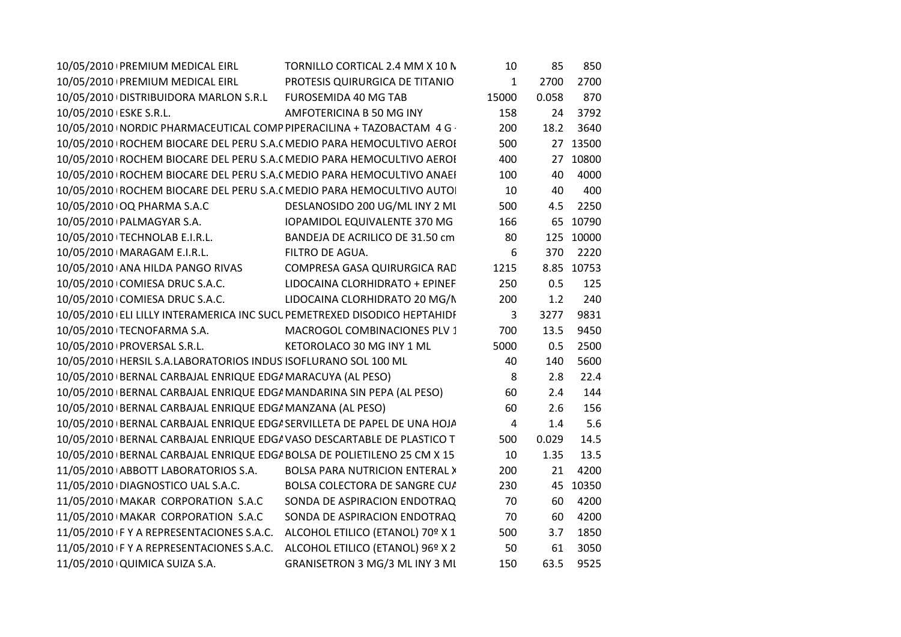| 10/05/2010 PREMIUM MEDICAL EIRL                                           | TORNILLO CORTICAL 2.4 MM X 10 N          | 10             | 85    | 850        |
|---------------------------------------------------------------------------|------------------------------------------|----------------|-------|------------|
| 10/05/2010 PREMIUM MEDICAL EIRL                                           | PROTESIS QUIRURGICA DE TITANIO           | $\mathbf{1}$   | 2700  | 2700       |
| 10/05/2010   DISTRIBUIDORA MARLON S.R.L FUROSEMIDA 40 MG TAB              |                                          | 15000          | 0.058 | 870        |
| 10/05/2010 ESKE S.R.L.                                                    | AMFOTERICINA B 50 MG INY                 | 158            | 24    | 3792       |
| 10/05/2010   NORDIC PHARMACEUTICAL COMP PIPERACILINA + TAZOBACTAM 4 G ·   |                                          | 200            | 18.2  | 3640       |
| 10/05/2010 ROCHEM BIOCARE DEL PERU S.A. (MEDIO PARA HEMOCULTIVO AEROI     |                                          | 500            |       | 27 13500   |
| 10/05/2010 ROCHEM BIOCARE DEL PERU S.A. ( MEDIO PARA HEMOCULTIVO AEROI    |                                          | 400            |       | 27 10800   |
| 10/05/2010 ROCHEM BIOCARE DEL PERU S.A. ( MEDIO PARA HEMOCULTIVO ANAEI    |                                          | 100            | 40    | 4000       |
| 10/05/2010   ROCHEM BIOCARE DEL PERU S.A. (MEDIO PARA HEMOCULTIVO AUTO    |                                          | 10             | 40    | 400        |
| 10/05/2010 OQ PHARMA S.A.C                                                | DESLANOSIDO 200 UG/ML INY 2 ML           | 500            | 4.5   | 2250       |
| 10/05/2010   PALMAGYAR S.A.                                               | IOPAMIDOL EQUIVALENTE 370 MG             | 166            |       | 65 10790   |
| 10/05/2010 TECHNOLAB E.I.R.L.                                             | BANDEJA DE ACRILICO DE 31.50 cm          | 80             |       | 125 10000  |
| 10/05/2010   MARAGAM E.I.R.L.                                             | FILTRO DE AGUA.                          | 6              | 370   | 2220       |
| 10/05/2010 ANA HILDA PANGO RIVAS                                          | COMPRESA GASA QUIRURGICA RAD             | 1215           |       | 8.85 10753 |
| 10/05/2010 COMIESA DRUC S.A.C.                                            | LIDOCAINA CLORHIDRATO + EPINEF           | 250            | 0.5   | 125        |
| 10/05/2010 COMIESA DRUC S.A.C.                                            | LIDOCAINA CLORHIDRATO 20 MG/N            | 200            | 1.2   | 240        |
| 10/05/2010 ELI LILLY INTERAMERICA INC SUCL PEMETREXED DISODICO HEPTAHIDF  |                                          | 3              | 3277  | 9831       |
| 10/05/2010 TECNOFARMA S.A.                                                | MACROGOL COMBINACIONES PLV 1             | 700            | 13.5  | 9450       |
| 10/05/2010   PROVERSAL S.R.L.                                             | KETOROLACO 30 MG INY 1 ML                | 5000           | 0.5   | 2500       |
| 10/05/2010   HERSIL S.A.LABORATORIOS INDUS ISOFLURANO SOL 100 ML          |                                          | 40             | 140   | 5600       |
| 10/05/2010 BERNAL CARBAJAL ENRIQUE EDG/ MARACUYA (AL PESO)                |                                          | 8              | 2.8   | 22.4       |
| 10/05/2010 BERNAL CARBAJAL ENRIQUE EDG/ MANDARINA SIN PEPA (AL PESO)      |                                          | 60             | 2.4   | 144        |
| 10/05/2010 BERNAL CARBAJAL ENRIQUE EDG/ MANZANA (AL PESO)                 |                                          | 60             | 2.6   | 156        |
| 10/05/2010 BERNAL CARBAJAL ENRIQUE EDGA SERVILLETA DE PAPEL DE UNA HOJA   |                                          | $\overline{4}$ | 1.4   | 5.6        |
| 10/05/2010 BERNAL CARBAJAL ENRIQUE EDG/ VASO DESCARTABLE DE PLASTICO T    |                                          | 500            | 0.029 | 14.5       |
| 10/05/2010   BERNAL CARBAJAL ENRIQUE EDG/ BOLSA DE POLIETILENO 25 CM X 15 |                                          | 10             | 1.35  | 13.5       |
| 11/05/2010 ABBOTT LABORATORIOS S.A.                                       | <b>BOLSA PARA NUTRICION ENTERAL &gt;</b> | 200            | 21    | 4200       |
| 11/05/2010 DIAGNOSTICO UAL S.A.C.                                         | BOLSA COLECTORA DE SANGRE CU/            | 230            |       | 45 10350   |
| 11/05/2010 MAKAR CORPORATION S.A.C                                        | SONDA DE ASPIRACION ENDOTRAQ             | 70             | 60    | 4200       |
| 11/05/2010 MAKAR CORPORATION S.A.C                                        | SONDA DE ASPIRACION ENDOTRAQ             | 70             | 60    | 4200       |
| 11/05/2010 F Y A REPRESENTACIONES S.A.C.                                  | ALCOHOL ETILICO (ETANOL) 70º X 1         | 500            | 3.7   | 1850       |
| 11/05/2010 IF Y A REPRESENTACIONES S.A.C.                                 | ALCOHOL ETILICO (ETANOL) 96º X 2         | 50             | 61    | 3050       |
| 11/05/2010 QUIMICA SUIZA S.A.                                             | GRANISETRON 3 MG/3 ML INY 3 ML           | 150            | 63.5  | 9525       |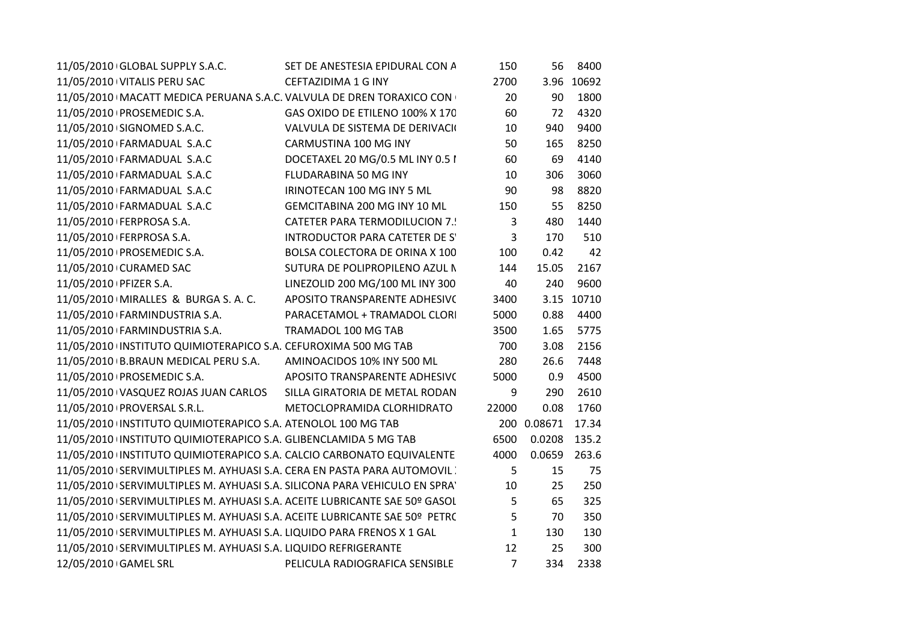| 11/05/2010 GLOBAL SUPPLY S.A.C.                                             | SET DE ANESTESIA EPIDURAL CON A       | 150            | 56                | 8400       |
|-----------------------------------------------------------------------------|---------------------------------------|----------------|-------------------|------------|
| 11/05/2010 VITALIS PERU SAC                                                 | <b>CEFTAZIDIMA 1 G INY</b>            | 2700           |                   | 3.96 10692 |
| 11/05/2010   MACATT MEDICA PERUANA S.A.C. VALVULA DE DREN TORAXICO CON      |                                       | 20             | 90                | 1800       |
| 11/05/2010 PROSEMEDIC S.A.                                                  | GAS OXIDO DE ETILENO 100% X 170       | 60             | 72                | 4320       |
| 11/05/2010 SIGNOMED S.A.C.                                                  | VALVULA DE SISTEMA DE DERIVACIO       | 10             | 940               | 9400       |
| 11/05/2010 FARMADUAL S.A.C                                                  | CARMUSTINA 100 MG INY                 | 50             | 165               | 8250       |
| 11/05/2010 FARMADUAL S.A.C                                                  | DOCETAXEL 20 MG/0.5 ML INY 0.5 I      | 60             | 69                | 4140       |
| 11/05/2010 FARMADUAL S.A.C                                                  | FLUDARABINA 50 MG INY                 | 10             | 306               | 3060       |
| 11/05/2010 FARMADUAL S.A.C                                                  | IRINOTECAN 100 MG INY 5 ML            | 90             | 98                | 8820       |
| 11/05/2010 FARMADUAL S.A.C                                                  | GEMCITABINA 200 MG INY 10 ML          | 150            | 55                | 8250       |
| 11/05/2010   FERPROSA S.A.                                                  | <b>CATETER PARA TERMODILUCION 7.!</b> | 3              | 480               | 1440       |
| 11/05/2010 FERPROSA S.A.                                                    | INTRODUCTOR PARA CATETER DE S'        | 3              | 170               | 510        |
| 11/05/2010 PROSEMEDIC S.A.                                                  | BOLSA COLECTORA DE ORINA X 100        | 100            | 0.42              | 42         |
| 11/05/2010 CURAMED SAC                                                      | SUTURA DE POLIPROPILENO AZUL N        | 144            | 15.05             | 2167       |
| 11/05/2010   PFIZER S.A.                                                    | LINEZOLID 200 MG/100 ML INY 300       | 40             | 240               | 9600       |
| 11/05/2010   MIRALLES & BURGA S. A. C.                                      | APOSITO TRANSPARENTE ADHESIVO         | 3400           |                   | 3.15 10710 |
| 11/05/2010 FARMINDUSTRIA S.A.                                               | PARACETAMOL + TRAMADOL CLORI          | 5000           | 0.88              | 4400       |
| 11/05/2010 FARMINDUSTRIA S.A.                                               | TRAMADOL 100 MG TAB                   | 3500           | 1.65              | 5775       |
| 11/05/2010 INSTITUTO QUIMIOTERAPICO S.A. CEFUROXIMA 500 MG TAB              |                                       | 700            | 3.08              | 2156       |
| 11/05/2010 B.BRAUN MEDICAL PERU S.A.                                        | AMINOACIDOS 10% INY 500 ML            | 280            | 26.6              | 7448       |
| 11/05/2010   PROSEMEDIC S.A.                                                | APOSITO TRANSPARENTE ADHESIVO         | 5000           | 0.9               | 4500       |
| 11/05/2010 VASQUEZ ROJAS JUAN CARLOS                                        | SILLA GIRATORIA DE METAL RODAN        | 9              | 290               | 2610       |
| 11/05/2010   PROVERSAL S.R.L.                                               | METOCLOPRAMIDA CLORHIDRATO            | 22000          | 0.08              | 1760       |
| 11/05/2010 INSTITUTO QUIMIOTERAPICO S.A. ATENOLOL 100 MG TAB                |                                       |                | 200 0.08671 17.34 |            |
| 11/05/2010 INSTITUTO QUIMIOTERAPICO S.A. GLIBENCLAMIDA 5 MG TAB             |                                       | 6500           | 0.0208 135.2      |            |
| 11/05/2010 INSTITUTO QUIMIOTERAPICO S.A. CALCIO CARBONATO EQUIVALENTE       |                                       | 4000           | 0.0659 263.6      |            |
| 11/05/2010 SERVIMULTIPLES M. AYHUASI S.A. CERA EN PASTA PARA AUTOMOVIL      |                                       | 5              | 15                | 75         |
| 11/05/2010 SERVIMULTIPLES M. AYHUASI S.A. SILICONA PARA VEHICULO EN SPRAY   |                                       | 10             | 25                | 250        |
| 11/05/2010   SERVIMULTIPLES M. AYHUASI S.A. ACEITE LUBRICANTE SAE 50º GASOL |                                       | 5              | 65                | 325        |
| 11/05/2010 SERVIMULTIPLES M. AYHUASI S.A. ACEITE LUBRICANTE SAE 50º PETRC   |                                       | 5              | 70                | 350        |
| 11/05/2010   SERVIMULTIPLES M. AYHUASI S.A. LIQUIDO PARA FRENOS X 1 GAL     |                                       | $\mathbf{1}$   | 130               | 130        |
| 11/05/2010 SERVIMULTIPLES M. AYHUASI S.A. LIQUIDO REFRIGERANTE              |                                       | 12             | 25                | 300        |
| 12/05/2010 GAMEL SRL                                                        | PELICULA RADIOGRAFICA SENSIBLE        | $\overline{7}$ | 334               | 2338       |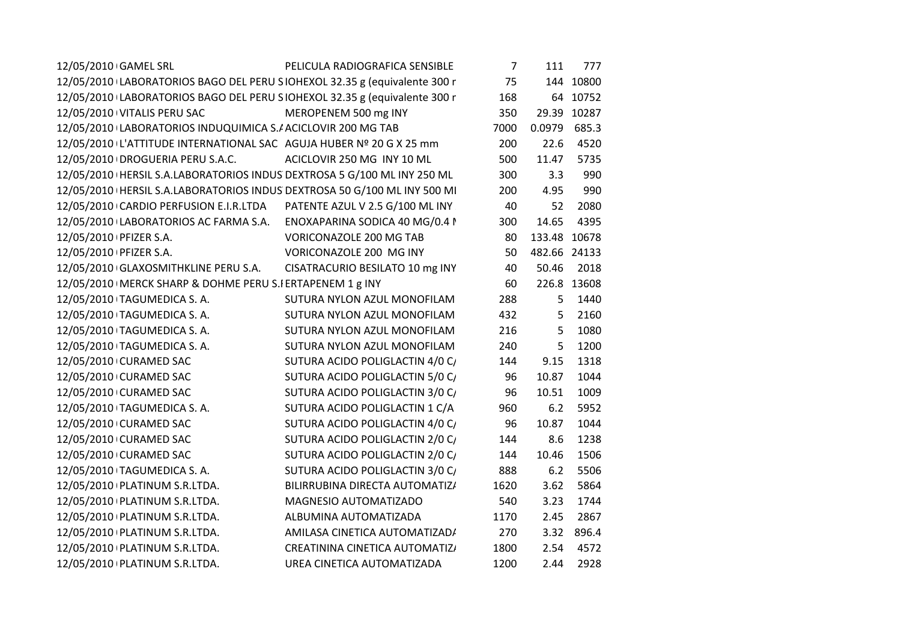| 12/05/2010 GAMEL SRL                                                       | PELICULA RADIOGRAFICA SENSIBLE  | $7^{\circ}$ | 111            | 777         |
|----------------------------------------------------------------------------|---------------------------------|-------------|----------------|-------------|
| 12/05/2010 LABORATORIOS BAGO DEL PERU SIOHEXOL 32.35 g (equivalente 300 r  |                                 | 75          |                | 144 10800   |
| 12/05/2010 LABORATORIOS BAGO DEL PERU SIOHEXOL 32.35 g (equivalente 300 r  |                                 | 168         |                | 64 10752    |
| 12/05/2010 VITALIS PERU SAC                                                | MEROPENEM 500 mg INY            | 350         |                | 29.39 10287 |
| 12/05/2010 LABORATORIOS INDUQUIMICA S./ ACICLOVIR 200 MG TAB               |                                 | 7000        | 0.0979         | 685.3       |
| 12/05/2010 L'ATTITUDE INTERNATIONAL SAC AGUJA HUBER Nº 20 G X 25 mm        |                                 | 200         | 22.6           | 4520        |
| 12/05/2010   DROGUERIA PERU S.A.C.                                         | ACICLOVIR 250 MG INY 10 ML      | 500         | 11.47          | 5735        |
| 12/05/2010   HERSIL S.A.LABORATORIOS INDUS DEXTROSA 5 G/100 ML INY 250 ML  |                                 | 300         | 3.3            | 990         |
| 12/05/2010   HERSIL S.A.LABORATORIOS INDUS DEXTROSA 50 G/100 ML INY 500 MI |                                 | 200         | 4.95           | 990         |
| 12/05/2010 CARDIO PERFUSION E.I.R.LTDA                                     | PATENTE AZUL V 2.5 G/100 ML INY | 40          | 52             | 2080        |
| 12/05/2010 LABORATORIOS AC FARMA S.A.                                      | ENOXAPARINA SODICA 40 MG/0.4 I  | 300         | 14.65          | 4395        |
| 12/05/2010 PFIZER S.A.                                                     | VORICONAZOLE 200 MG TAB         | 80          | 133.48 10678   |             |
| 12/05/2010   PFIZER S.A.                                                   | VORICONAZOLE 200 MG INY         | 50          | 482.66 24133   |             |
| 12/05/2010 GLAXOSMITHKLINE PERU S.A.                                       | CISATRACURIO BESILATO 10 mg INY | 40          | 50.46          | 2018        |
| 12/05/2010   MERCK SHARP & DOHME PERU S.I ERTAPENEM 1 g INY                |                                 | 60          |                | 226.8 13608 |
| 12/05/2010 TAGUMEDICA S. A.                                                | SUTURA NYLON AZUL MONOFILAM     | 288         | 5              | 1440        |
| 12/05/2010 TAGUMEDICA S.A.                                                 | SUTURA NYLON AZUL MONOFILAM     | 432         | 5 <sup>5</sup> | 2160        |
| 12/05/2010 TAGUMEDICA S. A.                                                | SUTURA NYLON AZUL MONOFILAM     | 216         | 5              | 1080        |
| 12/05/2010 TAGUMEDICA S. A.                                                | SUTURA NYLON AZUL MONOFILAM     | 240         | 5              | 1200        |
| 12/05/2010 CURAMED SAC                                                     | SUTURA ACIDO POLIGLACTIN 4/0 C/ | 144         | 9.15           | 1318        |
| 12/05/2010 CURAMED SAC                                                     | SUTURA ACIDO POLIGLACTIN 5/0 C/ | 96          | 10.87          | 1044        |
| 12/05/2010 CURAMED SAC                                                     | SUTURA ACIDO POLIGLACTIN 3/0 C/ | 96          | 10.51          | 1009        |
| 12/05/2010 TAGUMEDICA S. A.                                                | SUTURA ACIDO POLIGLACTIN 1 C/A  | 960         | 6.2            | 5952        |
| 12/05/2010 CURAMED SAC                                                     | SUTURA ACIDO POLIGLACTIN 4/0 C/ | 96          | 10.87          | 1044        |
| 12/05/2010 CURAMED SAC                                                     | SUTURA ACIDO POLIGLACTIN 2/0 C/ | 144         | 8.6            | 1238        |
| 12/05/2010 CURAMED SAC                                                     | SUTURA ACIDO POLIGLACTIN 2/0 C/ | 144         | 10.46          | 1506        |
| 12/05/2010 TAGUMEDICA S. A.                                                | SUTURA ACIDO POLIGLACTIN 3/0 C/ | 888         | 6.2            | 5506        |
| 12/05/2010   PLATINUM S.R.LTDA.                                            | BILIRRUBINA DIRECTA AUTOMATIZ/  | 1620        | 3.62           | 5864        |
| 12/05/2010 PLATINUM S.R.LTDA.                                              | MAGNESIO AUTOMATIZADO           | 540         | 3.23           | 1744        |
| 12/05/2010   PLATINUM S.R.LTDA.                                            | ALBUMINA AUTOMATIZADA           | 1170        | 2.45           | 2867        |
| 12/05/2010   PLATINUM S.R.LTDA.                                            | AMILASA CINETICA AUTOMATIZAD/   | 270         |                | 3.32 896.4  |
| 12/05/2010   PLATINUM S.R.LTDA.                                            | CREATININA CINETICA AUTOMATIZ/  | 1800        | 2.54           | 4572        |
| 12/05/2010   PLATINUM S.R.LTDA.                                            | UREA CINETICA AUTOMATIZADA      | 1200        | 2.44           | 2928        |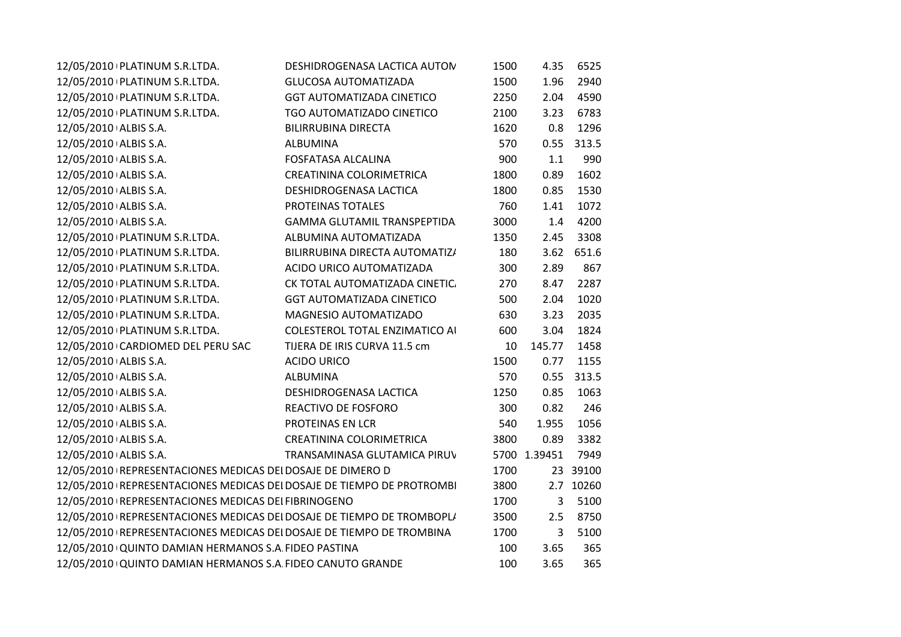| 12/05/2010 PLATINUM S.R.LTDA.                                         | DESHIDROGENASA LACTICA AUTON       | 1500 | 4.35         | 6525       |
|-----------------------------------------------------------------------|------------------------------------|------|--------------|------------|
| 12/05/2010   PLATINUM S.R.LTDA.                                       | <b>GLUCOSA AUTOMATIZADA</b>        | 1500 | 1.96         | 2940       |
| 12/05/2010   PLATINUM S.R.LTDA.                                       | <b>GGT AUTOMATIZADA CINETICO</b>   | 2250 | 2.04         | 4590       |
| 12/05/2010 PLATINUM S.R.LTDA.                                         | TGO AUTOMATIZADO CINETICO          | 2100 | 3.23         | 6783       |
| 12/05/2010 ALBIS S.A.                                                 | <b>BILIRRUBINA DIRECTA</b>         | 1620 | 0.8          | 1296       |
| 12/05/2010 ALBIS S.A.                                                 | ALBUMINA                           | 570  | 0.55         | 313.5      |
| 12/05/2010 ALBIS S.A.                                                 | <b>FOSFATASA ALCALINA</b>          | 900  | 1.1          | 990        |
| 12/05/2010 ALBIS S.A.                                                 | CREATININA COLORIMETRICA           | 1800 | 0.89         | 1602       |
| 12/05/2010 ALBIS S.A.                                                 | DESHIDROGENASA LACTICA             | 1800 | 0.85         | 1530       |
| 12/05/2010 ALBIS S.A.                                                 | PROTEINAS TOTALES                  | 760  | 1.41         | 1072       |
| 12/05/2010 ALBIS S.A.                                                 | <b>GAMMA GLUTAMIL TRANSPEPTIDA</b> | 3000 | 1.4          | 4200       |
| 12/05/2010 PLATINUM S.R.LTDA.                                         | ALBUMINA AUTOMATIZADA              | 1350 | 2.45         | 3308       |
| 12/05/2010 PLATINUM S.R.LTDA.                                         | BILIRRUBINA DIRECTA AUTOMATIZ/     | 180  |              | 3.62 651.6 |
| 12/05/2010 PLATINUM S.R.LTDA.                                         | ACIDO URICO AUTOMATIZADA           | 300  | 2.89         | 867        |
| 12/05/2010 PLATINUM S.R.LTDA.                                         | CK TOTAL AUTOMATIZADA CINETIC.     | 270  | 8.47         | 2287       |
| 12/05/2010   PLATINUM S.R.LTDA.                                       | <b>GGT AUTOMATIZADA CINETICO</b>   | 500  | 2.04         | 1020       |
| 12/05/2010 PLATINUM S.R.LTDA.                                         | MAGNESIO AUTOMATIZADO              | 630  | 3.23         | 2035       |
| 12/05/2010   PLATINUM S.R.LTDA.                                       | COLESTEROL TOTAL ENZIMATICO AI     | 600  | 3.04         | 1824       |
| 12/05/2010 CARDIOMED DEL PERU SAC                                     | TIJERA DE IRIS CURVA 11.5 cm       | 10   | 145.77       | 1458       |
| 12/05/2010 ALBIS S.A.                                                 | <b>ACIDO URICO</b>                 | 1500 | 0.77         | 1155       |
| 12/05/2010 ALBIS S.A.                                                 | <b>ALBUMINA</b>                    | 570  |              | 0.55 313.5 |
| 12/05/2010 ALBIS S.A.                                                 | DESHIDROGENASA LACTICA             | 1250 | 0.85         | 1063       |
| 12/05/2010 ALBIS S.A.                                                 | REACTIVO DE FOSFORO                | 300  | 0.82         | 246        |
| 12/05/2010 ALBIS S.A.                                                 | PROTEINAS EN LCR                   | 540  | 1.955        | 1056       |
| 12/05/2010 ALBIS S.A.                                                 | CREATININA COLORIMETRICA           | 3800 | 0.89         | 3382       |
| 12/05/2010 ALBIS S.A.                                                 | TRANSAMINASA GLUTAMICA PIRUV       |      | 5700 1.39451 | 7949       |
| 12/05/2010 REPRESENTACIONES MEDICAS DEI DOSAJE DE DIMERO D            |                                    | 1700 |              | 23 39100   |
| 12/05/2010 REPRESENTACIONES MEDICAS DEI DOSAJE DE TIEMPO DE PROTROMBI |                                    | 3800 |              | 2.7 10260  |
| 12/05/2010   REPRESENTACIONES MEDICAS DEI FIBRINOGENO                 |                                    | 1700 | 3            | 5100       |
| 12/05/2010 REPRESENTACIONES MEDICAS DEI DOSAJE DE TIEMPO DE TROMBOPLI |                                    | 3500 | 2.5          | 8750       |
| 12/05/2010 REPRESENTACIONES MEDICAS DEI DOSAJE DE TIEMPO DE TROMBINA  |                                    | 1700 | 3            | 5100       |
| 12/05/2010 QUINTO DAMIAN HERMANOS S.A. FIDEO PASTINA                  |                                    | 100  | 3.65         | 365        |
| 12/05/2010 QUINTO DAMIAN HERMANOS S.A. FIDEO CANUTO GRANDE            |                                    | 100  | 3.65         | 365        |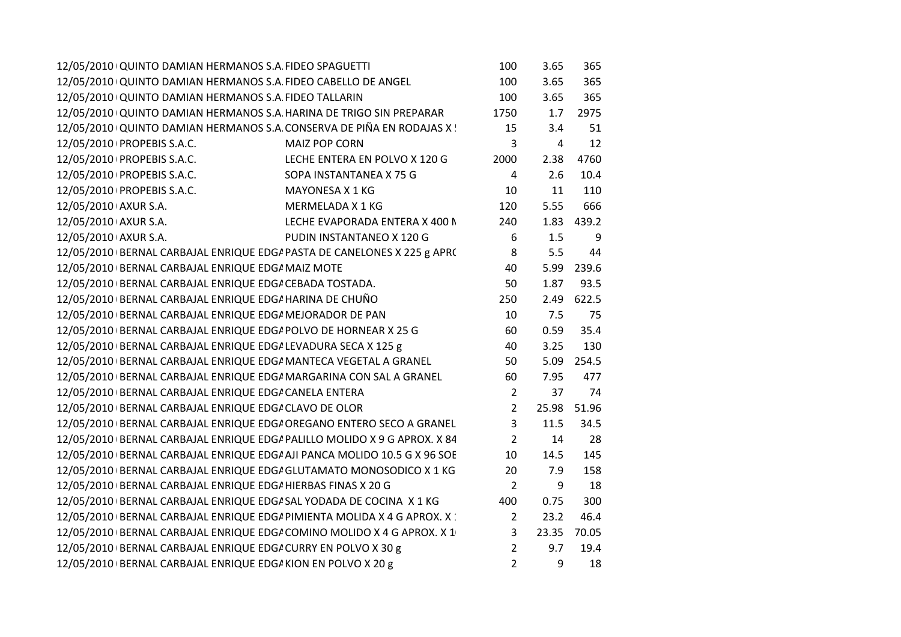| 12/05/2010 QUINTO DAMIAN HERMANOS S.A. FIDEO CABELLO DE ANGEL<br>100<br>3.65<br>12/05/2010 QUINTO DAMIAN HERMANOS S.A. FIDEO TALLARIN<br>100<br>3.65<br>12/05/2010 QUINTO DAMIAN HERMANOS S.A. HARINA DE TRIGO SIN PREPARAR<br>1750<br>1.7<br>12/05/2010 QUINTO DAMIAN HERMANOS S.A. CONSERVA DE PIÑA EN RODAJAS X!<br>15<br>3.4<br><b>MAIZ POP CORN</b><br>3<br>12/05/2010   PROPEBIS S.A.C.<br>4<br>12/05/2010   PROPEBIS S.A.C.<br>LECHE ENTERA EN POLVO X 120 G<br>2000<br>2.38<br>12/05/2010   PROPEBIS S.A.C.<br>SOPA INSTANTANEA X 75 G<br>2.6<br>$\overline{4}$<br>MAYONESA X 1 KG<br>10<br>11<br>12/05/2010   PROPEBIS S.A.C.<br>12/05/2010 AXUR S.A.<br>MERMELADA X 1 KG<br>120<br>5.55<br>12/05/2010 AXUR S.A.<br>LECHE EVAPORADA ENTERA X 400 N<br>240<br>1.83<br>12/05/2010 AXUR S.A.<br>PUDIN INSTANTANEO X 120 G<br>6<br>1.5<br>12/05/2010 BERNAL CARBAJAL ENRIQUE EDG/ PASTA DE CANELONES X 225 g APR(<br>8<br>5.5<br>12/05/2010 BERNAL CARBAJAL ENRIQUE EDG/ MAIZ MOTE<br>40<br>5.99<br>12/05/2010 BERNAL CARBAJAL ENRIQUE EDG/ CEBADA TOSTADA.<br>50<br>1.87<br>12/05/2010 BERNAL CARBAJAL ENRIQUE EDG/ HARINA DE CHUÑO<br>250<br>2.49<br>7.5<br>12/05/2010 BERNAL CARBAJAL ENRIQUE EDG/ MEJORADOR DE PAN<br>10<br>12/05/2010 BERNAL CARBAJAL ENRIQUE EDG/ POLVO DE HORNEAR X 25 G<br>60<br>0.59<br>12/05/2010 BERNAL CARBAJAL ENRIQUE EDG/ LEVADURA SECA X 125 g<br>3.25<br>40<br>12/05/2010 BERNAL CARBAJAL ENRIQUE EDG/ MANTECA VEGETAL A GRANEL<br>50<br>5.09<br>12/05/2010   BERNAL CARBAJAL ENRIQUE EDG/ MARGARINA CON SAL A GRANEL<br>60<br>7.95<br>12/05/2010 BERNAL CARBAJAL ENRIQUE EDG/ CANELA ENTERA<br>$\overline{2}$<br>37<br>$\overline{2}$<br>25.98<br>12/05/2010 BERNAL CARBAJAL ENRIQUE EDG/ CLAVO DE OLOR<br>12/05/2010 BERNAL CARBAJAL ENRIQUE EDG/ OREGANO ENTERO SECO A GRANEL<br>3<br>11.5<br>12/05/2010 BERNAL CARBAJAL ENRIQUE EDG/ PALILLO MOLIDO X 9 G APROX. X 84<br>$\overline{2}$<br>14<br>12/05/2010 BERNAL CARBAJAL ENRIQUE EDG/ AJI PANCA MOLIDO 10.5 G X 96 SOE<br>10<br>14.5<br>12/05/2010 BERNAL CARBAJAL ENRIQUE EDG/ GLUTAMATO MONOSODICO X 1 KG<br>20<br>7.9<br>$\overline{2}$<br>12/05/2010 BERNAL CARBAJAL ENRIQUE EDG/ HIERBAS FINAS X 20 G<br>9<br>12/05/2010 BERNAL CARBAJAL ENRIQUE EDG/ SAL YODADA DE COCINA X 1 KG<br>400<br>0.75<br>12/05/2010 BERNAL CARBAJAL ENRIQUE EDG/ PIMIENTA MOLIDA X 4 G APROX. X :<br>23.2<br>$\overline{2}$<br>12/05/2010 BERNAL CARBAJAL ENRIQUE EDG/ COMINO MOLIDO X 4 G APROX. X 1<br>3<br>23.35<br>9.7<br>12/05/2010 BERNAL CARBAJAL ENRIQUE EDG/ CURRY EN POLVO X 30 g<br>2<br>12/05/2010 BERNAL CARBAJAL ENRIQUE EDG/ KION EN POLVO X 20 g<br>$\overline{2}$<br>9 | 12/05/2010 QUINTO DAMIAN HERMANOS S.A FIDEO SPAGUETTI | 100 | 3.65 | 365   |
|----------------------------------------------------------------------------------------------------------------------------------------------------------------------------------------------------------------------------------------------------------------------------------------------------------------------------------------------------------------------------------------------------------------------------------------------------------------------------------------------------------------------------------------------------------------------------------------------------------------------------------------------------------------------------------------------------------------------------------------------------------------------------------------------------------------------------------------------------------------------------------------------------------------------------------------------------------------------------------------------------------------------------------------------------------------------------------------------------------------------------------------------------------------------------------------------------------------------------------------------------------------------------------------------------------------------------------------------------------------------------------------------------------------------------------------------------------------------------------------------------------------------------------------------------------------------------------------------------------------------------------------------------------------------------------------------------------------------------------------------------------------------------------------------------------------------------------------------------------------------------------------------------------------------------------------------------------------------------------------------------------------------------------------------------------------------------------------------------------------------------------------------------------------------------------------------------------------------------------------------------------------------------------------------------------------------------------------------------------------------------------------------------------------------------------------------------------------------------------------------------------------------------------------------------------------------------------------------------------------------------------------------------------------------|-------------------------------------------------------|-----|------|-------|
|                                                                                                                                                                                                                                                                                                                                                                                                                                                                                                                                                                                                                                                                                                                                                                                                                                                                                                                                                                                                                                                                                                                                                                                                                                                                                                                                                                                                                                                                                                                                                                                                                                                                                                                                                                                                                                                                                                                                                                                                                                                                                                                                                                                                                                                                                                                                                                                                                                                                                                                                                                                                                                                                      |                                                       |     |      | 365   |
|                                                                                                                                                                                                                                                                                                                                                                                                                                                                                                                                                                                                                                                                                                                                                                                                                                                                                                                                                                                                                                                                                                                                                                                                                                                                                                                                                                                                                                                                                                                                                                                                                                                                                                                                                                                                                                                                                                                                                                                                                                                                                                                                                                                                                                                                                                                                                                                                                                                                                                                                                                                                                                                                      |                                                       |     |      | 365   |
|                                                                                                                                                                                                                                                                                                                                                                                                                                                                                                                                                                                                                                                                                                                                                                                                                                                                                                                                                                                                                                                                                                                                                                                                                                                                                                                                                                                                                                                                                                                                                                                                                                                                                                                                                                                                                                                                                                                                                                                                                                                                                                                                                                                                                                                                                                                                                                                                                                                                                                                                                                                                                                                                      |                                                       |     |      | 2975  |
|                                                                                                                                                                                                                                                                                                                                                                                                                                                                                                                                                                                                                                                                                                                                                                                                                                                                                                                                                                                                                                                                                                                                                                                                                                                                                                                                                                                                                                                                                                                                                                                                                                                                                                                                                                                                                                                                                                                                                                                                                                                                                                                                                                                                                                                                                                                                                                                                                                                                                                                                                                                                                                                                      |                                                       |     |      | 51    |
|                                                                                                                                                                                                                                                                                                                                                                                                                                                                                                                                                                                                                                                                                                                                                                                                                                                                                                                                                                                                                                                                                                                                                                                                                                                                                                                                                                                                                                                                                                                                                                                                                                                                                                                                                                                                                                                                                                                                                                                                                                                                                                                                                                                                                                                                                                                                                                                                                                                                                                                                                                                                                                                                      |                                                       |     |      | 12    |
|                                                                                                                                                                                                                                                                                                                                                                                                                                                                                                                                                                                                                                                                                                                                                                                                                                                                                                                                                                                                                                                                                                                                                                                                                                                                                                                                                                                                                                                                                                                                                                                                                                                                                                                                                                                                                                                                                                                                                                                                                                                                                                                                                                                                                                                                                                                                                                                                                                                                                                                                                                                                                                                                      |                                                       |     |      | 4760  |
|                                                                                                                                                                                                                                                                                                                                                                                                                                                                                                                                                                                                                                                                                                                                                                                                                                                                                                                                                                                                                                                                                                                                                                                                                                                                                                                                                                                                                                                                                                                                                                                                                                                                                                                                                                                                                                                                                                                                                                                                                                                                                                                                                                                                                                                                                                                                                                                                                                                                                                                                                                                                                                                                      |                                                       |     |      | 10.4  |
|                                                                                                                                                                                                                                                                                                                                                                                                                                                                                                                                                                                                                                                                                                                                                                                                                                                                                                                                                                                                                                                                                                                                                                                                                                                                                                                                                                                                                                                                                                                                                                                                                                                                                                                                                                                                                                                                                                                                                                                                                                                                                                                                                                                                                                                                                                                                                                                                                                                                                                                                                                                                                                                                      |                                                       |     |      | 110   |
|                                                                                                                                                                                                                                                                                                                                                                                                                                                                                                                                                                                                                                                                                                                                                                                                                                                                                                                                                                                                                                                                                                                                                                                                                                                                                                                                                                                                                                                                                                                                                                                                                                                                                                                                                                                                                                                                                                                                                                                                                                                                                                                                                                                                                                                                                                                                                                                                                                                                                                                                                                                                                                                                      |                                                       |     |      | 666   |
|                                                                                                                                                                                                                                                                                                                                                                                                                                                                                                                                                                                                                                                                                                                                                                                                                                                                                                                                                                                                                                                                                                                                                                                                                                                                                                                                                                                                                                                                                                                                                                                                                                                                                                                                                                                                                                                                                                                                                                                                                                                                                                                                                                                                                                                                                                                                                                                                                                                                                                                                                                                                                                                                      |                                                       |     |      | 439.2 |
|                                                                                                                                                                                                                                                                                                                                                                                                                                                                                                                                                                                                                                                                                                                                                                                                                                                                                                                                                                                                                                                                                                                                                                                                                                                                                                                                                                                                                                                                                                                                                                                                                                                                                                                                                                                                                                                                                                                                                                                                                                                                                                                                                                                                                                                                                                                                                                                                                                                                                                                                                                                                                                                                      |                                                       |     |      | 9     |
|                                                                                                                                                                                                                                                                                                                                                                                                                                                                                                                                                                                                                                                                                                                                                                                                                                                                                                                                                                                                                                                                                                                                                                                                                                                                                                                                                                                                                                                                                                                                                                                                                                                                                                                                                                                                                                                                                                                                                                                                                                                                                                                                                                                                                                                                                                                                                                                                                                                                                                                                                                                                                                                                      |                                                       |     |      | 44    |
|                                                                                                                                                                                                                                                                                                                                                                                                                                                                                                                                                                                                                                                                                                                                                                                                                                                                                                                                                                                                                                                                                                                                                                                                                                                                                                                                                                                                                                                                                                                                                                                                                                                                                                                                                                                                                                                                                                                                                                                                                                                                                                                                                                                                                                                                                                                                                                                                                                                                                                                                                                                                                                                                      |                                                       |     |      | 239.6 |
|                                                                                                                                                                                                                                                                                                                                                                                                                                                                                                                                                                                                                                                                                                                                                                                                                                                                                                                                                                                                                                                                                                                                                                                                                                                                                                                                                                                                                                                                                                                                                                                                                                                                                                                                                                                                                                                                                                                                                                                                                                                                                                                                                                                                                                                                                                                                                                                                                                                                                                                                                                                                                                                                      |                                                       |     |      | 93.5  |
|                                                                                                                                                                                                                                                                                                                                                                                                                                                                                                                                                                                                                                                                                                                                                                                                                                                                                                                                                                                                                                                                                                                                                                                                                                                                                                                                                                                                                                                                                                                                                                                                                                                                                                                                                                                                                                                                                                                                                                                                                                                                                                                                                                                                                                                                                                                                                                                                                                                                                                                                                                                                                                                                      |                                                       |     |      | 622.5 |
|                                                                                                                                                                                                                                                                                                                                                                                                                                                                                                                                                                                                                                                                                                                                                                                                                                                                                                                                                                                                                                                                                                                                                                                                                                                                                                                                                                                                                                                                                                                                                                                                                                                                                                                                                                                                                                                                                                                                                                                                                                                                                                                                                                                                                                                                                                                                                                                                                                                                                                                                                                                                                                                                      |                                                       |     |      | 75    |
|                                                                                                                                                                                                                                                                                                                                                                                                                                                                                                                                                                                                                                                                                                                                                                                                                                                                                                                                                                                                                                                                                                                                                                                                                                                                                                                                                                                                                                                                                                                                                                                                                                                                                                                                                                                                                                                                                                                                                                                                                                                                                                                                                                                                                                                                                                                                                                                                                                                                                                                                                                                                                                                                      |                                                       |     |      | 35.4  |
|                                                                                                                                                                                                                                                                                                                                                                                                                                                                                                                                                                                                                                                                                                                                                                                                                                                                                                                                                                                                                                                                                                                                                                                                                                                                                                                                                                                                                                                                                                                                                                                                                                                                                                                                                                                                                                                                                                                                                                                                                                                                                                                                                                                                                                                                                                                                                                                                                                                                                                                                                                                                                                                                      |                                                       |     |      | 130   |
|                                                                                                                                                                                                                                                                                                                                                                                                                                                                                                                                                                                                                                                                                                                                                                                                                                                                                                                                                                                                                                                                                                                                                                                                                                                                                                                                                                                                                                                                                                                                                                                                                                                                                                                                                                                                                                                                                                                                                                                                                                                                                                                                                                                                                                                                                                                                                                                                                                                                                                                                                                                                                                                                      |                                                       |     |      | 254.5 |
|                                                                                                                                                                                                                                                                                                                                                                                                                                                                                                                                                                                                                                                                                                                                                                                                                                                                                                                                                                                                                                                                                                                                                                                                                                                                                                                                                                                                                                                                                                                                                                                                                                                                                                                                                                                                                                                                                                                                                                                                                                                                                                                                                                                                                                                                                                                                                                                                                                                                                                                                                                                                                                                                      |                                                       |     |      | 477   |
|                                                                                                                                                                                                                                                                                                                                                                                                                                                                                                                                                                                                                                                                                                                                                                                                                                                                                                                                                                                                                                                                                                                                                                                                                                                                                                                                                                                                                                                                                                                                                                                                                                                                                                                                                                                                                                                                                                                                                                                                                                                                                                                                                                                                                                                                                                                                                                                                                                                                                                                                                                                                                                                                      |                                                       |     |      | 74    |
|                                                                                                                                                                                                                                                                                                                                                                                                                                                                                                                                                                                                                                                                                                                                                                                                                                                                                                                                                                                                                                                                                                                                                                                                                                                                                                                                                                                                                                                                                                                                                                                                                                                                                                                                                                                                                                                                                                                                                                                                                                                                                                                                                                                                                                                                                                                                                                                                                                                                                                                                                                                                                                                                      |                                                       |     |      | 51.96 |
|                                                                                                                                                                                                                                                                                                                                                                                                                                                                                                                                                                                                                                                                                                                                                                                                                                                                                                                                                                                                                                                                                                                                                                                                                                                                                                                                                                                                                                                                                                                                                                                                                                                                                                                                                                                                                                                                                                                                                                                                                                                                                                                                                                                                                                                                                                                                                                                                                                                                                                                                                                                                                                                                      |                                                       |     |      | 34.5  |
|                                                                                                                                                                                                                                                                                                                                                                                                                                                                                                                                                                                                                                                                                                                                                                                                                                                                                                                                                                                                                                                                                                                                                                                                                                                                                                                                                                                                                                                                                                                                                                                                                                                                                                                                                                                                                                                                                                                                                                                                                                                                                                                                                                                                                                                                                                                                                                                                                                                                                                                                                                                                                                                                      |                                                       |     |      | 28    |
|                                                                                                                                                                                                                                                                                                                                                                                                                                                                                                                                                                                                                                                                                                                                                                                                                                                                                                                                                                                                                                                                                                                                                                                                                                                                                                                                                                                                                                                                                                                                                                                                                                                                                                                                                                                                                                                                                                                                                                                                                                                                                                                                                                                                                                                                                                                                                                                                                                                                                                                                                                                                                                                                      |                                                       |     |      | 145   |
|                                                                                                                                                                                                                                                                                                                                                                                                                                                                                                                                                                                                                                                                                                                                                                                                                                                                                                                                                                                                                                                                                                                                                                                                                                                                                                                                                                                                                                                                                                                                                                                                                                                                                                                                                                                                                                                                                                                                                                                                                                                                                                                                                                                                                                                                                                                                                                                                                                                                                                                                                                                                                                                                      |                                                       |     |      | 158   |
|                                                                                                                                                                                                                                                                                                                                                                                                                                                                                                                                                                                                                                                                                                                                                                                                                                                                                                                                                                                                                                                                                                                                                                                                                                                                                                                                                                                                                                                                                                                                                                                                                                                                                                                                                                                                                                                                                                                                                                                                                                                                                                                                                                                                                                                                                                                                                                                                                                                                                                                                                                                                                                                                      |                                                       |     |      | 18    |
|                                                                                                                                                                                                                                                                                                                                                                                                                                                                                                                                                                                                                                                                                                                                                                                                                                                                                                                                                                                                                                                                                                                                                                                                                                                                                                                                                                                                                                                                                                                                                                                                                                                                                                                                                                                                                                                                                                                                                                                                                                                                                                                                                                                                                                                                                                                                                                                                                                                                                                                                                                                                                                                                      |                                                       |     |      | 300   |
|                                                                                                                                                                                                                                                                                                                                                                                                                                                                                                                                                                                                                                                                                                                                                                                                                                                                                                                                                                                                                                                                                                                                                                                                                                                                                                                                                                                                                                                                                                                                                                                                                                                                                                                                                                                                                                                                                                                                                                                                                                                                                                                                                                                                                                                                                                                                                                                                                                                                                                                                                                                                                                                                      |                                                       |     |      | 46.4  |
|                                                                                                                                                                                                                                                                                                                                                                                                                                                                                                                                                                                                                                                                                                                                                                                                                                                                                                                                                                                                                                                                                                                                                                                                                                                                                                                                                                                                                                                                                                                                                                                                                                                                                                                                                                                                                                                                                                                                                                                                                                                                                                                                                                                                                                                                                                                                                                                                                                                                                                                                                                                                                                                                      |                                                       |     |      | 70.05 |
|                                                                                                                                                                                                                                                                                                                                                                                                                                                                                                                                                                                                                                                                                                                                                                                                                                                                                                                                                                                                                                                                                                                                                                                                                                                                                                                                                                                                                                                                                                                                                                                                                                                                                                                                                                                                                                                                                                                                                                                                                                                                                                                                                                                                                                                                                                                                                                                                                                                                                                                                                                                                                                                                      |                                                       |     |      | 19.4  |
|                                                                                                                                                                                                                                                                                                                                                                                                                                                                                                                                                                                                                                                                                                                                                                                                                                                                                                                                                                                                                                                                                                                                                                                                                                                                                                                                                                                                                                                                                                                                                                                                                                                                                                                                                                                                                                                                                                                                                                                                                                                                                                                                                                                                                                                                                                                                                                                                                                                                                                                                                                                                                                                                      |                                                       |     |      | 18    |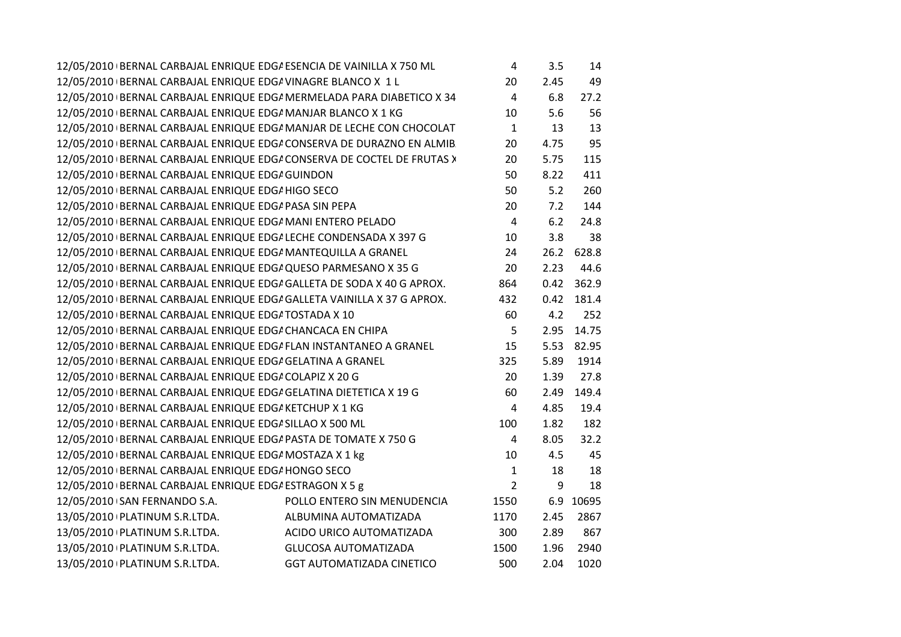| 12/05/2010 BERNAL CARBAJAL ENRIQUE EDGA ESENCIA DE VAINILLA X 750 ML    |                                  | 4              | 3.5  | 14    |
|-------------------------------------------------------------------------|----------------------------------|----------------|------|-------|
| 12/05/2010 BERNAL CARBAJAL ENRIQUE EDG/ VINAGRE BLANCO X 1 L            |                                  | 20             | 2.45 | 49    |
| 12/05/2010   BERNAL CARBAJAL ENRIQUE EDG/ MERMELADA PARA DIABETICO X 34 |                                  | $\overline{4}$ | 6.8  | 27.2  |
| 12/05/2010 BERNAL CARBAJAL ENRIQUE EDG/ MANJAR BLANCO X 1 KG            |                                  | 10             | 5.6  | 56    |
| 12/05/2010 BERNAL CARBAJAL ENRIQUE EDG/ MANJAR DE LECHE CON CHOCOLAT    |                                  | $\mathbf{1}$   | 13   | 13    |
| 12/05/2010 BERNAL CARBAJAL ENRIQUE EDG/ CONSERVA DE DURAZNO EN ALMIB    |                                  | 20             | 4.75 | 95    |
| 12/05/2010 BERNAL CARBAJAL ENRIQUE EDG/ CONSERVA DE COCTEL DE FRUTAS >  |                                  | 20             | 5.75 | 115   |
| 12/05/2010 BERNAL CARBAJAL ENRIQUE EDG/ GUINDON                         |                                  | 50             | 8.22 | 411   |
| 12/05/2010 BERNAL CARBAJAL ENRIQUE EDG/HIGO SECO                        |                                  | 50             | 5.2  | 260   |
| 12/05/2010 BERNAL CARBAJAL ENRIQUE EDG/ PASA SIN PEPA                   |                                  | 20             | 7.2  | 144   |
| 12/05/2010 BERNAL CARBAJAL ENRIQUE EDG/ MANI ENTERO PELADO              |                                  | $\overline{4}$ | 6.2  | 24.8  |
| 12/05/2010 BERNAL CARBAJAL ENRIQUE EDG/ LECHE CONDENSADA X 397 G        |                                  | 10             | 3.8  | 38    |
| 12/05/2010 BERNAL CARBAJAL ENRIQUE EDG/ MANTEQUILLA A GRANEL            |                                  | 24             | 26.2 | 628.8 |
| 12/05/2010 BERNAL CARBAJAL ENRIQUE EDG/ QUESO PARMESANO X 35 G          |                                  | 20             | 2.23 | 44.6  |
| 12/05/2010 BERNAL CARBAJAL ENRIQUE EDGI GALLETA DE SODA X 40 G APROX.   |                                  | 864            | 0.42 | 362.9 |
| 12/05/2010 BERNAL CARBAJAL ENRIQUE EDG/ GALLETA VAINILLA X 37 G APROX.  |                                  | 432            | 0.42 | 181.4 |
| 12/05/2010 BERNAL CARBAJAL ENRIQUE EDG/ TOSTADA X 10                    |                                  | 60             | 4.2  | 252   |
| 12/05/2010 BERNAL CARBAJAL ENRIQUE EDG/ CHANCACA EN CHIPA               |                                  | 5              | 2.95 | 14.75 |
| 12/05/2010 BERNAL CARBAJAL ENRIQUE EDG/ FLAN INSTANTANEO A GRANEL       |                                  | 15             | 5.53 | 82.95 |
| 12/05/2010 BERNAL CARBAJAL ENRIQUE EDG/ GELATINA A GRANEL               |                                  | 325            | 5.89 | 1914  |
| 12/05/2010 BERNAL CARBAJAL ENRIQUE EDGA COLAPIZ X 20 G                  |                                  | 20             | 1.39 | 27.8  |
| 12/05/2010   BERNAL CARBAJAL ENRIQUE EDG/ GELATINA DIETETICA X 19 G     |                                  | 60             | 2.49 | 149.4 |
| 12/05/2010 BERNAL CARBAJAL ENRIQUE EDG/ KETCHUP X 1 KG                  |                                  | 4              | 4.85 | 19.4  |
| 12/05/2010 BERNAL CARBAJAL ENRIQUE EDG/ SILLAO X 500 ML                 |                                  | 100            | 1.82 | 182   |
| 12/05/2010 BERNAL CARBAJAL ENRIQUE EDG/ PASTA DE TOMATE X 750 G         |                                  | 4              | 8.05 | 32.2  |
| 12/05/2010 BERNAL CARBAJAL ENRIQUE EDG/ MOSTAZA X 1 kg                  |                                  | 10             | 4.5  | 45    |
| 12/05/2010 BERNAL CARBAJAL ENRIQUE EDG/ HONGO SECO                      |                                  | 1              | 18   | 18    |
| 12/05/2010 BERNAL CARBAJAL ENRIQUE EDG/ ESTRAGON X 5 g                  |                                  | $\overline{2}$ | 9    | 18    |
| 12/05/2010 SAN FERNANDO S.A.                                            | POLLO ENTERO SIN MENUDENCIA      | 1550           | 6.9  | 10695 |
| 13/05/2010   PLATINUM S.R.LTDA.                                         | ALBUMINA AUTOMATIZADA            | 1170           | 2.45 | 2867  |
| 13/05/2010   PLATINUM S.R.LTDA.                                         | ACIDO URICO AUTOMATIZADA         | 300            | 2.89 | 867   |
| 13/05/2010   PLATINUM S.R.LTDA.                                         | <b>GLUCOSA AUTOMATIZADA</b>      | 1500           | 1.96 | 2940  |
| 13/05/2010   PLATINUM S.R.LTDA.                                         | <b>GGT AUTOMATIZADA CINETICO</b> | 500            | 2.04 | 1020  |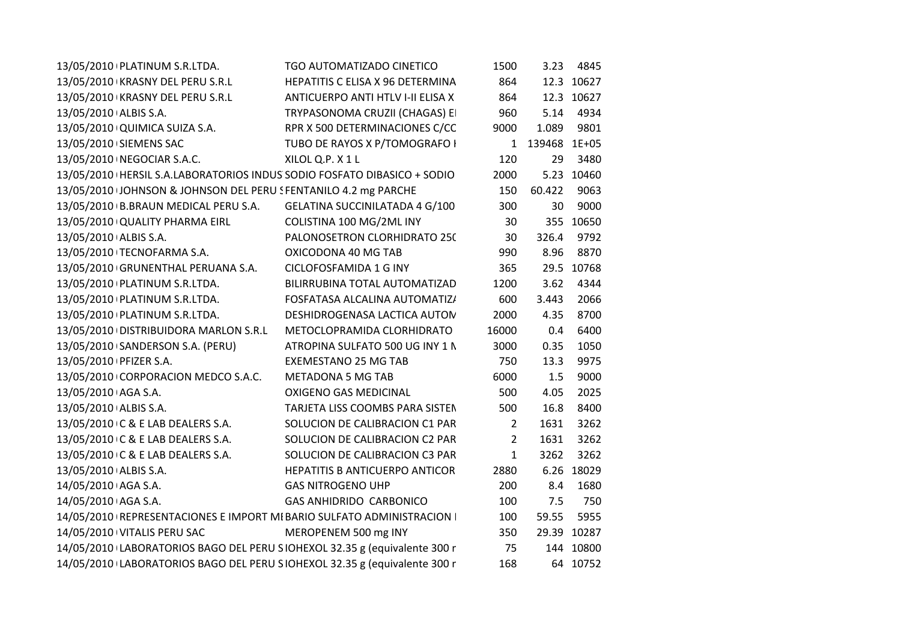| 13/05/2010 PLATINUM S.R.LTDA.                                             | TGO AUTOMATIZADO CINETICO             | 1500            |                | 3.23 4845   |
|---------------------------------------------------------------------------|---------------------------------------|-----------------|----------------|-------------|
| 13/05/2010 KRASNY DEL PERU S.R.L                                          | HEPATITIS C ELISA X 96 DETERMINA      | 864             |                | 12.3 10627  |
| 13/05/2010 KRASNY DEL PERU S.R.L                                          | ANTICUERPO ANTI HTLV I-II ELISA X     | 864             |                | 12.3 10627  |
| 13/05/2010 ALBIS S.A.                                                     | TRYPASONOMA CRUZII (CHAGAS) EI        | 960             |                | 5.14 4934   |
| 13/05/2010 QUIMICA SUIZA S.A.                                             | RPR X 500 DETERMINACIONES C/CC        | 9000            | 1.089          | 9801        |
| 13/05/2010 SIEMENS SAC                                                    | TUBO DE RAYOS X P/TOMOGRAFO I         |                 | 1 139468 1E+05 |             |
| 13/05/2010   NEGOCIAR S.A.C.                                              | XILOL Q.P. X1L                        | 120             | 29             | 3480        |
| 13/05/2010   HERSIL S.A.LABORATORIOS INDUS SODIO FOSFATO DIBASICO + SODIO |                                       | 2000            |                | 5.23 10460  |
| 13/05/2010 JOHNSON & JOHNSON DEL PERU SFENTANILO 4.2 mg PARCHE            |                                       | 150             | 60.422         | 9063        |
| 13/05/2010 B.BRAUN MEDICAL PERU S.A. GELATINA SUCCINILATADA 4 G/100       |                                       | 300             | 30             | 9000        |
| 13/05/2010 QUALITY PHARMA EIRL                                            | COLISTINA 100 MG/2ML INY              | 30 <sup>°</sup> |                | 355 10650   |
| 13/05/2010 ALBIS S.A.                                                     | PALONOSETRON CLORHIDRATO 250          | 30              |                | 326.4 9792  |
| 13/05/2010 TECNOFARMA S.A.                                                | OXICODONA 40 MG TAB                   | 990             | 8.96           | 8870        |
| 13/05/2010 GRUNENTHAL PERUANA S.A.                                        | CICLOFOSFAMIDA 1 G INY                | 365             |                | 29.5 10768  |
| 13/05/2010   PLATINUM S.R.LTDA.                                           | BILIRRUBINA TOTAL AUTOMATIZAD         | 1200            | 3.62           | 4344        |
| 13/05/2010 PLATINUM S.R.LTDA.                                             | FOSFATASA ALCALINA AUTOMATIZ/         | 600             | 3.443          | 2066        |
| 13/05/2010 PLATINUM S.R.LTDA.                                             | DESHIDROGENASA LACTICA AUTON          | 2000            | 4.35           | 8700        |
| 13/05/2010 DISTRIBUIDORA MARLON S.R.L                                     | METOCLOPRAMIDA CLORHIDRATO            | 16000           | 0.4            | 6400        |
| 13/05/2010 SANDERSON S.A. (PERU)                                          | ATROPINA SULFATO 500 UG INY 1 N       | 3000            | 0.35           | 1050        |
| 13/05/2010 PFIZER S.A.                                                    | <b>EXEMESTANO 25 MG TAB</b>           | 750             | 13.3           | 9975        |
| 13/05/2010 CORPORACION MEDCO S.A.C.                                       | <b>METADONA 5 MG TAB</b>              | 6000            | 1.5            | 9000        |
| 13/05/2010 AGA S.A.                                                       | OXIGENO GAS MEDICINAL                 | 500             | 4.05           | 2025        |
| 13/05/2010 ALBIS S.A.                                                     | TARJETA LISS COOMBS PARA SISTEN       | 500             | 16.8           | 8400        |
| 13/05/2010 C & E LAB DEALERS S.A.                                         | SOLUCION DE CALIBRACION C1 PAR        | $\overline{2}$  | 1631           | 3262        |
| 13/05/2010 C & E LAB DEALERS S.A.                                         | SOLUCION DE CALIBRACION C2 PAR        | $\overline{2}$  | 1631           | 3262        |
| 13/05/2010 C & E LAB DEALERS S.A.                                         | SOLUCION DE CALIBRACION C3 PAR        | $\mathbf{1}$    | 3262           | 3262        |
| 13/05/2010 ALBIS S.A.                                                     | <b>HEPATITIS B ANTICUERPO ANTICOR</b> | 2880            |                | 6.26 18029  |
| 14/05/2010 AGA S.A.                                                       | <b>GAS NITROGENO UHP</b>              | 200             | 8.4            | 1680        |
| 14/05/2010 AGA S.A.                                                       | GAS ANHIDRIDO CARBONICO               | 100             | 7.5            | 750         |
| 14/05/2010   REPRESENTACIONES E IMPORT MI BARIO SULFATO ADMINISTRACION    |                                       | 100             | 59.55          | 5955        |
| 14/05/2010 VITALIS PERU SAC                                               | MEROPENEM 500 mg INY                  | 350             |                | 29.39 10287 |
| 14/05/2010 LABORATORIOS BAGO DEL PERU SIOHEXOL 32.35 g (equivalente 300 r |                                       | 75              |                | 144 10800   |
| 14/05/2010 LABORATORIOS BAGO DEL PERU SIOHEXOL 32.35 g (equivalente 300 r |                                       | 168             |                | 64 10752    |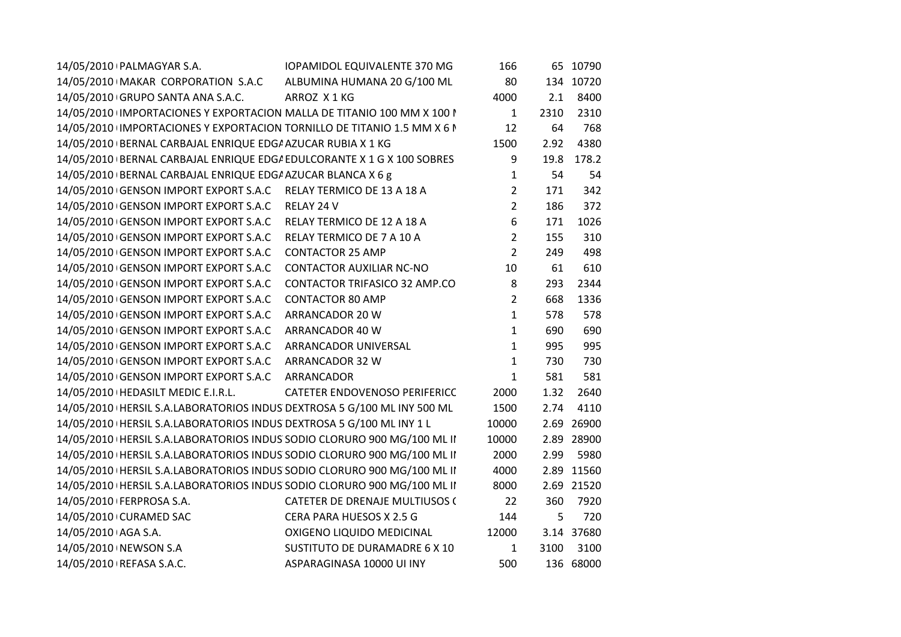| 14/05/2010   PALMAGYAR S.A.                                               | <b>IOPAMIDOL EQUIVALENTE 370 MG</b>  | 166            |      | 65 10790   |
|---------------------------------------------------------------------------|--------------------------------------|----------------|------|------------|
| 14/05/2010 MAKAR CORPORATION S.A.C                                        | ALBUMINA HUMANA 20 G/100 ML          | 80             |      | 134 10720  |
| 14/05/2010 GRUPO SANTA ANA S.A.C.<br>ARROZ X1KG                           |                                      | 4000           | 2.1  | 8400       |
| 14/05/2010 IMPORTACIONES Y EXPORTACION MALLA DE TITANIO 100 MM X 100 N    |                                      | $\mathbf{1}$   | 2310 | 2310       |
| 14/05/2010 IMPORTACIONES Y EXPORTACION TORNILLO DE TITANIO 1.5 MM X 6 N   |                                      | 12             | 64   | 768        |
| 14/05/2010 BERNAL CARBAJAL ENRIQUE EDG/ AZUCAR RUBIA X 1 KG               |                                      | 1500           | 2.92 | 4380       |
| 14/05/2010   BERNAL CARBAJAL ENRIQUE EDG/ EDULCORANTE X 1 G X 100 SOBRES  |                                      | 9              | 19.8 | 178.2      |
| 14/05/2010 BERNAL CARBAJAL ENRIQUE EDG/ AZUCAR BLANCA X 6 g               |                                      | 1              | 54   | 54         |
| 14/05/2010 GENSON IMPORT EXPORT S.A.C RELAY TERMICO DE 13 A 18 A          |                                      | 2              | 171  | 342        |
| 14/05/2010 GENSON IMPORT EXPORT S.A.C RELAY 24 V                          |                                      | $\overline{2}$ | 186  | 372        |
| 14/05/2010 GENSON IMPORT EXPORT S.A.C                                     | RELAY TERMICO DE 12 A 18 A           | 6              | 171  | 1026       |
| 14/05/2010 GENSON IMPORT EXPORT S.A.C                                     | RELAY TERMICO DE 7 A 10 A            | $\overline{2}$ | 155  | 310        |
| 14/05/2010 GENSON IMPORT EXPORT S.A.C                                     | <b>CONTACTOR 25 AMP</b>              | 2              | 249  | 498        |
| 14/05/2010 GENSON IMPORT EXPORT S.A.C                                     | <b>CONTACTOR AUXILIAR NC-NO</b>      | 10             | 61   | 610        |
| 14/05/2010 GENSON IMPORT EXPORT S.A.C                                     | CONTACTOR TRIFASICO 32 AMP.CO        | 8              | 293  | 2344       |
| 14/05/2010 GENSON IMPORT EXPORT S.A.C                                     | <b>CONTACTOR 80 AMP</b>              | $\overline{2}$ | 668  | 1336       |
| 14/05/2010 GENSON IMPORT EXPORT S.A.C<br>ARRANCADOR 20 W                  |                                      | 1              | 578  | 578        |
| 14/05/2010 GENSON IMPORT EXPORT S.A.C<br>ARRANCADOR 40 W                  |                                      | 1              | 690  | 690        |
| 14/05/2010 GENSON IMPORT EXPORT S.A.C ARRANCADOR UNIVERSAL                |                                      | 1              | 995  | 995        |
| 14/05/2010 GENSON IMPORT EXPORT S.A.C ARRANCADOR 32 W                     |                                      | 1              | 730  | 730        |
| 14/05/2010 GENSON IMPORT EXPORT S.A.C<br>ARRANCADOR                       |                                      | 1              | 581  | 581        |
| 14/05/2010   HEDASILT MEDIC E.I.R.L.                                      | <b>CATETER ENDOVENOSO PERIFERICC</b> | 2000           | 1.32 | 2640       |
| 14/05/2010   HERSIL S.A.LABORATORIOS INDUS DEXTROSA 5 G/100 ML INY 500 ML |                                      | 1500           | 2.74 | 4110       |
| 14/05/2010   HERSIL S.A.LABORATORIOS INDUS DEXTROSA 5 G/100 ML INY 1 L    |                                      | 10000          |      | 2.69 26900 |
| 14/05/2010   HERSIL S.A.LABORATORIOS INDUS SODIO CLORURO 900 MG/100 ML II |                                      | 10000          |      | 2.89 28900 |
| 14/05/2010   HERSIL S.A.LABORATORIOS INDUS SODIO CLORURO 900 MG/100 ML II |                                      | 2000           | 2.99 | 5980       |
| 14/05/2010   HERSIL S.A.LABORATORIOS INDUS SODIO CLORURO 900 MG/100 ML II |                                      | 4000           |      | 2.89 11560 |
| 14/05/2010   HERSIL S.A.LABORATORIOS INDUS SODIO CLORURO 900 MG/100 ML II |                                      | 8000           |      | 2.69 21520 |
| 14/05/2010   FERPROSA S.A.                                                | CATETER DE DRENAJE MULTIUSOS (       | 22             | 360  | 7920       |
| 14/05/2010 CURAMED SAC                                                    | CERA PARA HUESOS X 2.5 G             | 144            | 5    | 720        |
| 14/05/2010 AGA S.A.                                                       | OXIGENO LIQUIDO MEDICINAL            | 12000          |      | 3.14 37680 |
| 14/05/2010 NEWSON S.A                                                     | SUSTITUTO DE DURAMADRE 6 X 10        | $\mathbf{1}$   | 3100 | 3100       |
| 14/05/2010   REFASA S.A.C.                                                | ASPARAGINASA 10000 UI INY            | 500            |      | 136 68000  |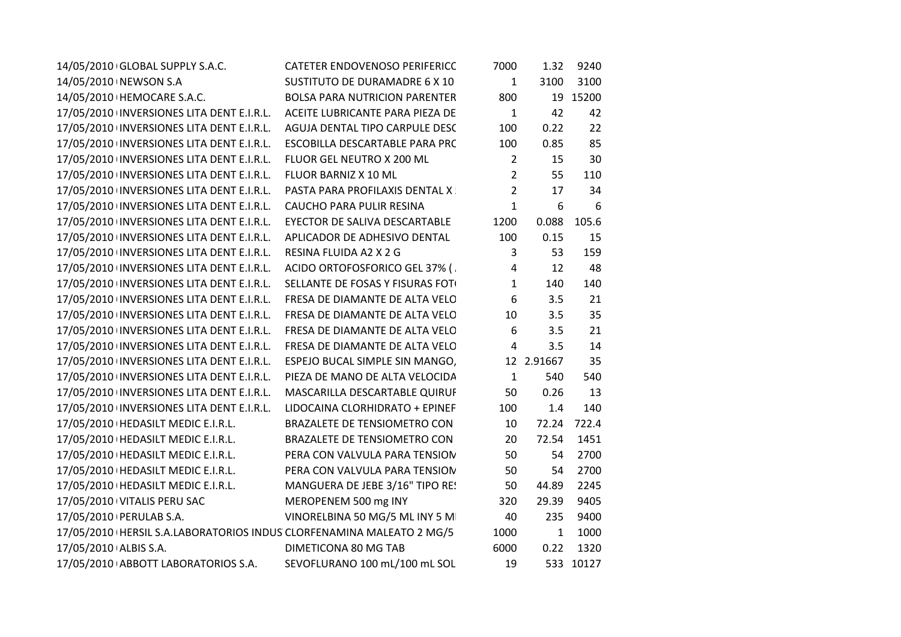| 14/05/2010 GLOBAL SUPPLY S.A.C.                                           | CATETER ENDOVENOSO PERIFERICC        | 7000           | 1.32         | 9240        |
|---------------------------------------------------------------------------|--------------------------------------|----------------|--------------|-------------|
| 14/05/2010 NEWSON S.A                                                     | SUSTITUTO DE DURAMADRE 6 X 10        | $\mathbf{1}$   | 3100         | 3100        |
| 14/05/2010   HEMOCARE S.A.C.                                              | <b>BOLSA PARA NUTRICION PARENTER</b> | 800            |              | 19 15200    |
| 17/05/2010 INVERSIONES LITA DENT E.I.R.L. ACEITE LUBRICANTE PARA PIEZA DE |                                      | $\mathbf{1}$   | 42           | 42          |
| 17/05/2010 INVERSIONES LITA DENT E.I.R.L.                                 | AGUJA DENTAL TIPO CARPULE DESC       | 100            | 0.22         | 22          |
| 17/05/2010 INVERSIONES LITA DENT E.I.R.L.                                 | ESCOBILLA DESCARTABLE PARA PRC       | 100            | 0.85         | 85          |
| 17/05/2010 INVERSIONES LITA DENT E.I.R.L.                                 | FLUOR GEL NEUTRO X 200 ML            | $\overline{2}$ | 15           | 30          |
| 17/05/2010 INVERSIONES LITA DENT E.I.R.L.                                 | FLUOR BARNIZ X 10 ML                 | $\overline{2}$ | 55           | 110         |
| 17/05/2010 INVERSIONES LITA DENT E.I.R.L.                                 | PASTA PARA PROFILAXIS DENTAL X       | $\overline{2}$ | 17           | 34          |
| 17/05/2010 INVERSIONES LITA DENT E.I.R.L.                                 | CAUCHO PARA PULIR RESINA             | $\mathbf{1}$   | 6            | 6           |
| 17/05/2010 INVERSIONES LITA DENT E.I.R.L.                                 | EYECTOR DE SALIVA DESCARTABLE        | 1200           | 0.088        | 105.6       |
| 17/05/2010 INVERSIONES LITA DENT E.I.R.L.                                 | APLICADOR DE ADHESIVO DENTAL         | 100            | 0.15         | 15          |
| 17/05/2010 INVERSIONES LITA DENT E.I.R.L.                                 | RESINA FLUIDA A2 X 2 G               | 3              | 53           | 159         |
| 17/05/2010 INVERSIONES LITA DENT E.I.R.L.                                 | ACIDO ORTOFOSFORICO GEL 37% (        | 4              | 12           | 48          |
| 17/05/2010 INVERSIONES LITA DENT E.I.R.L.                                 | SELLANTE DE FOSAS Y FISURAS FOT      | $\mathbf{1}$   | 140          | 140         |
| 17/05/2010 INVERSIONES LITA DENT E.I.R.L.                                 | FRESA DE DIAMANTE DE ALTA VELO       | 6              | 3.5          | 21          |
| 17/05/2010 INVERSIONES LITA DENT E.I.R.L.                                 | FRESA DE DIAMANTE DE ALTA VELO       | 10             | 3.5          | 35          |
| 17/05/2010 INVERSIONES LITA DENT E.I.R.L.                                 | FRESA DE DIAMANTE DE ALTA VELO       | 6              | 3.5          | 21          |
| 17/05/2010 INVERSIONES LITA DENT E.I.R.L.                                 | FRESA DE DIAMANTE DE ALTA VELO       | 4              | 3.5          | 14          |
| 17/05/2010 INVERSIONES LITA DENT E.I.R.L.                                 | ESPEJO BUCAL SIMPLE SIN MANGO,       |                | 12 2.91667   | 35          |
| 17/05/2010 INVERSIONES LITA DENT E.I.R.L.                                 | PIEZA DE MANO DE ALTA VELOCIDA       | $\mathbf{1}$   | 540          | 540         |
| 17/05/2010 INVERSIONES LITA DENT E.I.R.L.                                 | MASCARILLA DESCARTABLE QUIRUF        | 50             | 0.26         | 13          |
| 17/05/2010 INVERSIONES LITA DENT E.I.R.L.                                 | LIDOCAINA CLORHIDRATO + EPINEF       | 100            | 1.4          | 140         |
| 17/05/2010   HEDASILT MEDIC E.I.R.L.                                      | BRAZALETE DE TENSIOMETRO CON         | 10             |              | 72.24 722.4 |
| 17/05/2010   HEDASILT MEDIC E.I.R.L.                                      | BRAZALETE DE TENSIOMETRO CON         | 20             | 72.54        | 1451        |
| 17/05/2010   HEDASILT MEDIC E.I.R.L.                                      | PERA CON VALVULA PARA TENSION        | 50             | 54           | 2700        |
| 17/05/2010   HEDASILT MEDIC E.I.R.L.                                      | PERA CON VALVULA PARA TENSION        | 50             | 54           | 2700        |
| 17/05/2010   HEDASILT MEDIC E.I.R.L.                                      | MANGUERA DE JEBE 3/16" TIPO RE!      | 50             | 44.89        | 2245        |
| 17/05/2010 VITALIS PERU SAC                                               | MEROPENEM 500 mg INY                 | 320            | 29.39        | 9405        |
| 17/05/2010   PERULAB S.A.                                                 | VINORELBINA 50 MG/5 ML INY 5 M       | 40             | 235          | 9400        |
| 17/05/2010   HERSIL S.A.LABORATORIOS INDUS CLORFENAMINA MALEATO 2 MG/5    |                                      | 1000           | $\mathbf{1}$ | 1000        |
| 17/05/2010 ALBIS S.A.                                                     | DIMETICONA 80 MG TAB                 | 6000           | 0.22         | 1320        |
| 17/05/2010 ABBOTT LABORATORIOS S.A.                                       | SEVOFLURANO 100 mL/100 mL SOL        | 19             |              | 533 10127   |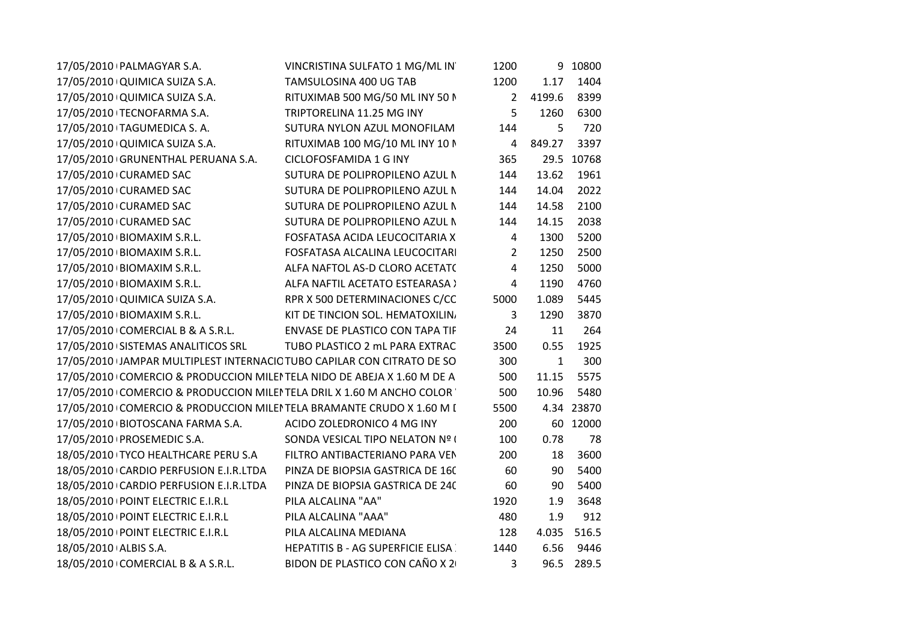| 17/05/2010 PALMAGYAR S.A.                                               | VINCRISTINA SULFATO 1 MG/ML IN           | 1200        |              | 9 10800    |
|-------------------------------------------------------------------------|------------------------------------------|-------------|--------------|------------|
| 17/05/2010 QUIMICA SUIZA S.A.                                           | TAMSULOSINA 400 UG TAB                   | 1200        | 1.17         | 1404       |
| 17/05/2010 QUIMICA SUIZA S.A.                                           | RITUXIMAB 500 MG/50 ML INY 50 N          | $2^{\circ}$ | 4199.6       | 8399       |
| 17/05/2010 TECNOFARMA S.A.                                              | TRIPTORELINA 11.25 MG INY                | 5           | 1260         | 6300       |
| 17/05/2010 TAGUMEDICA S.A.                                              | SUTURA NYLON AZUL MONOFILAM              | 144         | 5            | 720        |
| 17/05/2010 QUIMICA SUIZA S.A.                                           | RITUXIMAB 100 MG/10 ML INY 10 N          | 4           | 849.27       | 3397       |
| 17/05/2010 GRUNENTHAL PERUANA S.A.                                      | CICLOFOSFAMIDA 1 G INY                   | 365         |              | 29.5 10768 |
| 17/05/2010 CURAMED SAC                                                  | SUTURA DE POLIPROPILENO AZUL N           | 144         | 13.62        | 1961       |
| 17/05/2010 CURAMED SAC                                                  | SUTURA DE POLIPROPILENO AZUL N           | 144         | 14.04        | 2022       |
| 17/05/2010 CURAMED SAC                                                  | SUTURA DE POLIPROPILENO AZUL N           | 144         | 14.58        | 2100       |
| 17/05/2010 CURAMED SAC                                                  | SUTURA DE POLIPROPILENO AZUL N           | 144         | 14.15        | 2038       |
| 17/05/2010 BIOMAXIM S.R.L.                                              | FOSFATASA ACIDA LEUCOCITARIA X           | 4           | 1300         | 5200       |
| 17/05/2010 BIOMAXIM S.R.L.                                              | FOSFATASA ALCALINA LEUCOCITARI           | 2           | 1250         | 2500       |
| 17/05/2010 BIOMAXIM S.R.L.                                              | ALFA NAFTOL AS-D CLORO ACETAT(           | 4           | 1250         | 5000       |
| 17/05/2010 BIOMAXIM S.R.L.                                              | ALFA NAFTIL ACETATO ESTEARASA >          | 4           | 1190         | 4760       |
| 17/05/2010 QUIMICA SUIZA S.A.                                           | RPR X 500 DETERMINACIONES C/CC           | 5000        | 1.089        | 5445       |
| 17/05/2010 BIOMAXIM S.R.L.                                              | KIT DE TINCION SOL. HEMATOXILIN,         | 3           | 1290         | 3870       |
| 17/05/2010 COMERCIAL B & A S.R.L.                                       | ENVASE DE PLASTICO CON TAPA TIF          | 24          | 11           | 264        |
| 17/05/2010 SISTEMAS ANALITICOS SRL                                      | TUBO PLASTICO 2 mL PARA EXTRAC           | 3500        | 0.55         | 1925       |
| 17/05/2010 JAMPAR MULTIPLEST INTERNACIC TUBO CAPILAR CON CITRATO DE SO  |                                          | 300         | $\mathbf{1}$ | 300        |
| 17/05/2010 COMERCIO & PRODUCCION MILEI TELA NIDO DE ABEJA X 1.60 M DE A |                                          | 500         | 11.15        | 5575       |
| 17/05/2010 COMERCIO & PRODUCCION MILEI TELA DRIL X 1.60 M ANCHO COLOR   |                                          | 500         | 10.96        | 5480       |
| 17/05/2010 COMERCIO & PRODUCCION MILEI TELA BRAMANTE CRUDO X 1.60 M I   |                                          | 5500        |              | 4.34 23870 |
| 17/05/2010 BIOTOSCANA FARMA S.A.                                        | ACIDO ZOLEDRONICO 4 MG INY               | 200         |              | 60 12000   |
| 17/05/2010   PROSEMEDIC S.A.                                            | SONDA VESICAL TIPO NELATON Nº (          | 100         | 0.78         | 78         |
| 18/05/2010 TYCO HEALTHCARE PERU S.A                                     | FILTRO ANTIBACTERIANO PARA VEN           | 200         | 18           | 3600       |
| 18/05/2010 CARDIO PERFUSION E.I.R.LTDA                                  | PINZA DE BIOPSIA GASTRICA DE 160         | 60          | 90           | 5400       |
| 18/05/2010 CARDIO PERFUSION E.I.R.LTDA                                  | PINZA DE BIOPSIA GASTRICA DE 240         | 60          | 90           | 5400       |
| 18/05/2010 POINT ELECTRIC E.I.R.L                                       | PILA ALCALINA "AA"                       | 1920        | 1.9          | 3648       |
| 18/05/2010   POINT ELECTRIC E.I.R.L                                     | PILA ALCALINA "AAA"                      | 480         | 1.9          | 912        |
| 18/05/2010   POINT ELECTRIC E.I.R.L                                     | PILA ALCALINA MEDIANA                    | 128         | 4.035        | 516.5      |
| 18/05/2010 ALBIS S.A.                                                   | <b>HEPATITIS B - AG SUPERFICIE ELISA</b> | 1440        | 6.56         | 9446       |
| 18/05/2010 COMERCIAL B & A S.R.L.                                       | BIDON DE PLASTICO CON CAÑO X 2           | 3           |              | 96.5 289.5 |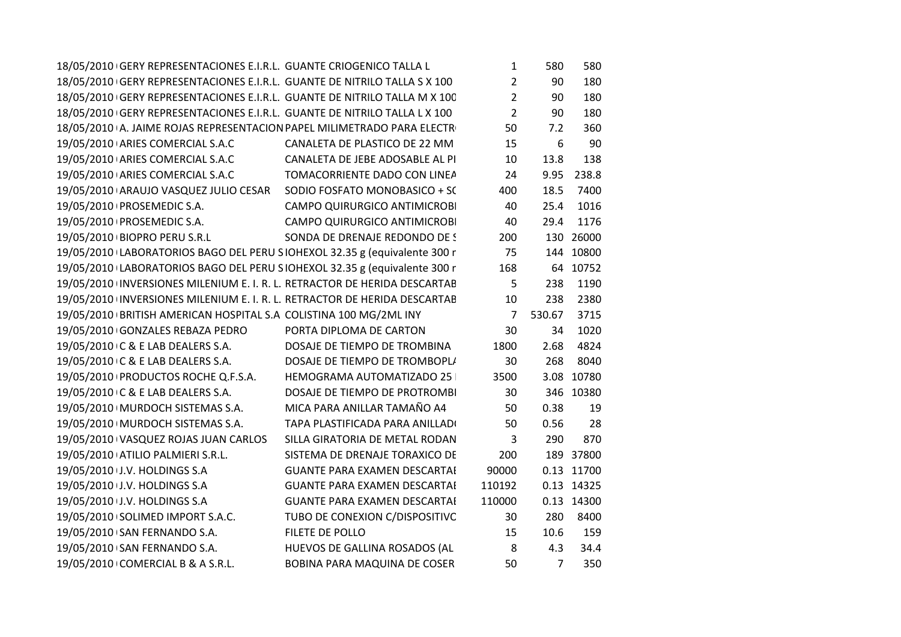| 18/05/2010 GERY REPRESENTACIONES E.I.R.L. GUANTE CRIOGENICO TALLA L       |                                     | $\mathbf{1}$   | 580            | 580        |
|---------------------------------------------------------------------------|-------------------------------------|----------------|----------------|------------|
| 18/05/2010 GERY REPRESENTACIONES E.I.R.L. GUANTE DE NITRILO TALLA S X 100 |                                     | $\overline{2}$ | 90             | 180        |
| 18/05/2010 GERY REPRESENTACIONES E.I.R.L. GUANTE DE NITRILO TALLA M X 100 |                                     | $\overline{2}$ | 90             | 180        |
| 18/05/2010 GERY REPRESENTACIONES E.I.R.L. GUANTE DE NITRILO TALLA L X 100 |                                     | $\overline{2}$ | 90             | 180        |
| 18/05/2010 A. JAIME ROJAS REPRESENTACION PAPEL MILIMETRADO PARA ELECTRI   |                                     | 50             | 7.2            | 360        |
| 19/05/2010 ARIES COMERCIAL S.A.C                                          | CANALETA DE PLASTICO DE 22 MM       | 15             | 6              | 90         |
| 19/05/2010 ARIES COMERCIAL S.A.C                                          | CANALETA DE JEBE ADOSABLE AL PI     | 10             | 13.8           | 138        |
| 19/05/2010 ARIES COMERCIAL S.A.C                                          | TOMACORRIENTE DADO CON LINEA        | 24             | 9.95           | 238.8      |
| 19/05/2010 ARAUJO VASQUEZ JULIO CESAR SODIO FOSFATO MONOBASICO + SC       |                                     | 400            | 18.5           | 7400       |
| 19/05/2010   PROSEMEDIC S.A.                                              | CAMPO QUIRURGICO ANTIMICROBI        | 40             | 25.4           | 1016       |
| 19/05/2010 PROSEMEDIC S.A.                                                | CAMPO QUIRURGICO ANTIMICROBI        | 40             | 29.4           | 1176       |
| 19/05/2010 BIOPRO PERU S.R.L                                              | SONDA DE DRENAJE REDONDO DE S       | 200            |                | 130 26000  |
| 19/05/2010 LABORATORIOS BAGO DEL PERU SIOHEXOL 32.35 g (equivalente 300 r |                                     | 75             |                | 144 10800  |
| 19/05/2010 LABORATORIOS BAGO DEL PERU SIOHEXOL 32.35 g (equivalente 300 r |                                     | 168            |                | 64 10752   |
| 19/05/2010 INVERSIONES MILENIUM E. I. R. L. RETRACTOR DE HERIDA DESCARTAB |                                     | 5              | 238            | 1190       |
| 19/05/2010 INVERSIONES MILENIUM E. I. R. L. RETRACTOR DE HERIDA DESCARTAB |                                     | 10             | 238            | 2380       |
| 19/05/2010 BRITISH AMERICAN HOSPITAL S.A COLISTINA 100 MG/2ML INY         |                                     | $\overline{7}$ | 530.67         | 3715       |
| 19/05/2010 GONZALES REBAZA PEDRO                                          | PORTA DIPLOMA DE CARTON             | 30             | 34             | 1020       |
| 19/05/2010 C & E LAB DEALERS S.A.                                         | DOSAJE DE TIEMPO DE TROMBINA        | 1800           | 2.68           | 4824       |
| 19/05/2010 C & E LAB DEALERS S.A.                                         | DOSAJE DE TIEMPO DE TROMBOPLI       | 30             | 268            | 8040       |
| 19/05/2010 PRODUCTOS ROCHE Q.F.S.A.                                       | HEMOGRAMA AUTOMATIZADO 25           | 3500           |                | 3.08 10780 |
| 19/05/2010 C & E LAB DEALERS S.A.                                         | DOSAJE DE TIEMPO DE PROTROMBI       | 30             |                | 346 10380  |
| 19/05/2010   MURDOCH SISTEMAS S.A.                                        | MICA PARA ANILLAR TAMAÑO A4         | 50             | 0.38           | 19         |
| 19/05/2010   MURDOCH SISTEMAS S.A.                                        | TAPA PLASTIFICADA PARA ANILLADI     | 50             | 0.56           | 28         |
| 19/05/2010 VASQUEZ ROJAS JUAN CARLOS                                      | SILLA GIRATORIA DE METAL RODAN      | $\overline{3}$ | 290            | 870        |
| 19/05/2010 ATILIO PALMIERI S.R.L.                                         | SISTEMA DE DRENAJE TORAXICO DE      | 200            |                | 189 37800  |
| 19/05/2010 J.V. HOLDINGS S.A                                              | <b>GUANTE PARA EXAMEN DESCARTAI</b> | 90000          |                | 0.13 11700 |
| 19/05/2010 J.V. HOLDINGS S.A                                              | <b>GUANTE PARA EXAMEN DESCARTAI</b> | 110192         |                | 0.13 14325 |
| 19/05/2010 J.V. HOLDINGS S.A                                              | <b>GUANTE PARA EXAMEN DESCARTAI</b> | 110000         |                | 0.13 14300 |
| 19/05/2010 SOLIMED IMPORT S.A.C.                                          | TUBO DE CONEXION C/DISPOSITIVC      | 30             | 280            | 8400       |
| 19/05/2010 SAN FERNANDO S.A.                                              | FILETE DE POLLO                     | 15             | 10.6           | 159        |
| 19/05/2010 SAN FERNANDO S.A.                                              | HUEVOS DE GALLINA ROSADOS (AL       | 8              | 4.3            | 34.4       |
| 19/05/2010 COMERCIAL B & A S.R.L.                                         | BOBINA PARA MAQUINA DE COSER        | 50             | $\overline{7}$ | 350        |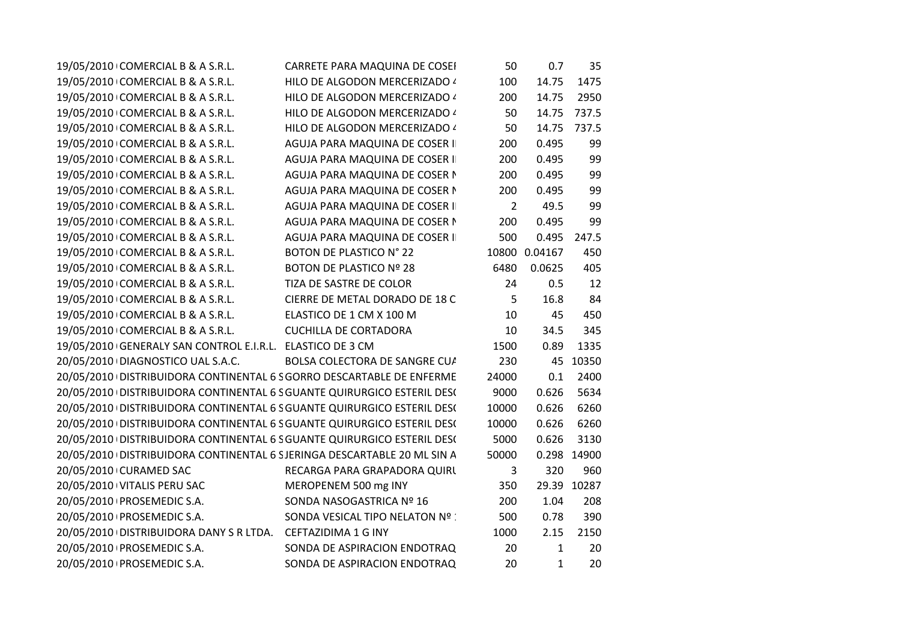| 19/05/2010 COMERCIAL B & A S.R.L.                                       | CARRETE PARA MAQUINA DE COSEI   | 50             | 0.7           | 35          |
|-------------------------------------------------------------------------|---------------------------------|----------------|---------------|-------------|
| 19/05/2010 COMERCIAL B & A S.R.L.                                       | HILO DE ALGODON MERCERIZADO 4   | 100            | 14.75         | 1475        |
| 19/05/2010 COMERCIAL B & A S.R.L.                                       | HILO DE ALGODON MERCERIZADO 4   | 200            | 14.75         | 2950        |
| 19/05/2010 COMERCIAL B & A S.R.L.                                       | HILO DE ALGODON MERCERIZADO 4   | 50             | 14.75         | 737.5       |
| 19/05/2010 COMERCIAL B & A S.R.L.                                       | HILO DE ALGODON MERCERIZADO 4   | 50             | 14.75         | 737.5       |
| 19/05/2010 COMERCIAL B & A S.R.L.                                       | AGUJA PARA MAQUINA DE COSER I   | 200            | 0.495         | 99          |
| 19/05/2010 COMERCIAL B & A S.R.L.                                       | AGUJA PARA MAQUINA DE COSER I   | 200            | 0.495         | 99          |
| 19/05/2010 COMERCIAL B & A S.R.L.                                       | AGUJA PARA MAQUINA DE COSER N   | 200            | 0.495         | 99          |
| 19/05/2010 COMERCIAL B & A S.R.L.                                       | AGUJA PARA MAQUINA DE COSER N   | 200            | 0.495         | 99          |
| 19/05/2010 COMERCIAL B & A S.R.L.                                       | AGUJA PARA MAQUINA DE COSER I   | $\overline{2}$ | 49.5          | 99          |
| 19/05/2010 COMERCIAL B & A S.R.L.                                       | AGUJA PARA MAQUINA DE COSER N   | 200            | 0.495         | 99          |
| 19/05/2010 COMERCIAL B & A S.R.L.                                       | AGUJA PARA MAQUINA DE COSER I   | 500            | 0.495         | 247.5       |
| 19/05/2010 COMERCIAL B & A S.R.L.                                       | BOTON DE PLASTICO N° 22         |                | 10800 0.04167 | 450         |
| 19/05/2010 COMERCIAL B & A S.R.L.                                       | BOTON DE PLASTICO Nº 28         | 6480           | 0.0625        | 405         |
| 19/05/2010 COMERCIAL B & A S.R.L.                                       | TIZA DE SASTRE DE COLOR         | 24             | 0.5           | 12          |
| 19/05/2010 COMERCIAL B & A S.R.L.                                       | CIERRE DE METAL DORADO DE 18 C  | 5              | 16.8          | 84          |
| 19/05/2010 COMERCIAL B & A S.R.L.                                       | ELASTICO DE 1 CM X 100 M        | 10             | 45            | 450         |
| 19/05/2010 COMERCIAL B & A S.R.L.                                       | <b>CUCHILLA DE CORTADORA</b>    | 10             | 34.5          | 345         |
| 19/05/2010 GENERALY SAN CONTROL E.I.R.L. ELASTICO DE 3 CM               |                                 | 1500           | 0.89          | 1335        |
| 20/05/2010 DIAGNOSTICO UAL S.A.C.                                       | BOLSA COLECTORA DE SANGRE CU/   | 230            |               | 45 10350    |
| 20/05/2010 DISTRIBUIDORA CONTINENTAL 6 S GORRO DESCARTABLE DE ENFERME   |                                 | 24000          | 0.1           | 2400        |
| 20/05/2010 DISTRIBUIDORA CONTINENTAL 6 S GUANTE QUIRURGICO ESTERIL DES( |                                 | 9000           | 0.626         | 5634        |
| 20/05/2010 DISTRIBUIDORA CONTINENTAL 6 S GUANTE QUIRURGICO ESTERIL DES( |                                 | 10000          | 0.626         | 6260        |
| 20/05/2010 DISTRIBUIDORA CONTINENTAL 6 S GUANTE QUIRURGICO ESTERIL DES( |                                 | 10000          | 0.626         | 6260        |
| 20/05/2010 DISTRIBUIDORA CONTINENTAL 6 S GUANTE QUIRURGICO ESTERIL DES( |                                 | 5000           | 0.626         | 3130        |
| 20/05/2010 DISTRIBUIDORA CONTINENTAL 6 SJERINGA DESCARTABLE 20 ML SIN A |                                 | 50000          |               | 0.298 14900 |
| 20/05/2010 CURAMED SAC                                                  | RECARGA PARA GRAPADORA QUIRL    | 3              | 320           | 960         |
| 20/05/2010 VITALIS PERU SAC                                             | MEROPENEM 500 mg INY            | 350            |               | 29.39 10287 |
| 20/05/2010   PROSEMEDIC S.A.                                            | SONDA NASOGASTRICA Nº 16        | 200            | 1.04          | 208         |
| 20/05/2010   PROSEMEDIC S.A.                                            | SONDA VESICAL TIPO NELATON Nº : | 500            | 0.78          | 390         |
| 20/05/2010   DISTRIBUIDORA DANY S R LTDA. CEFTAZIDIMA 1 G INY           |                                 | 1000           | 2.15          | 2150        |
| 20/05/2010   PROSEMEDIC S.A.                                            | SONDA DE ASPIRACION ENDOTRAQ    | 20             | $\mathbf{1}$  | 20          |
| 20/05/2010   PROSEMEDIC S.A.                                            | SONDA DE ASPIRACION ENDOTRAQ    | 20             | $\mathbf{1}$  | 20          |
|                                                                         |                                 |                |               |             |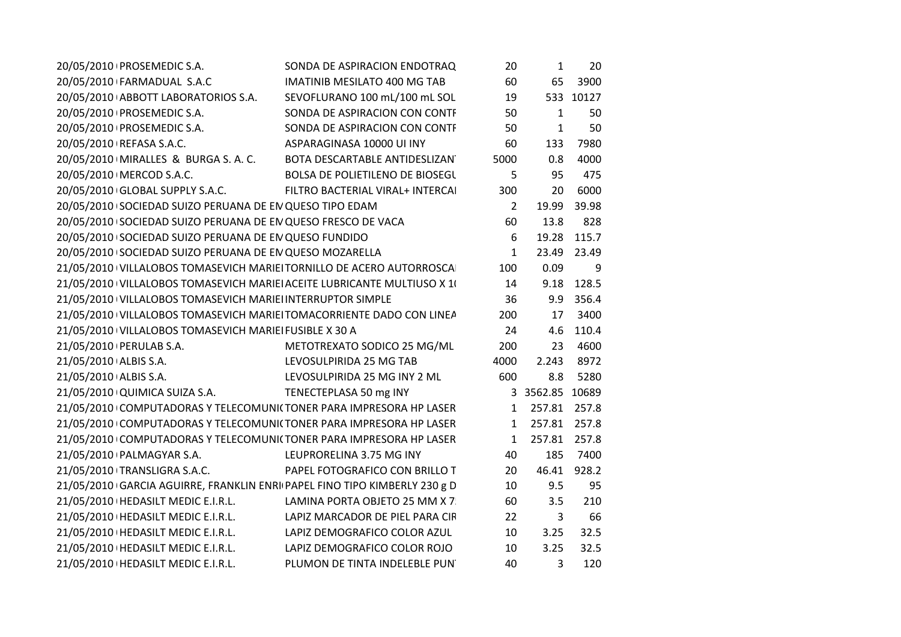| 20/05/2010   PROSEMEDIC S.A.                                              | SONDA DE ASPIRACION ENDOTRAQ        | 20   | 1               | 20          |
|---------------------------------------------------------------------------|-------------------------------------|------|-----------------|-------------|
| 20/05/2010 FARMADUAL S.A.C                                                | <b>IMATINIB MESILATO 400 MG TAB</b> | 60   | 65              | 3900        |
| 20/05/2010 ABBOTT LABORATORIOS S.A.                                       | SEVOFLURANO 100 mL/100 mL SOL       | 19   |                 | 533 10127   |
| 20/05/2010   PROSEMEDIC S.A.                                              | SONDA DE ASPIRACION CON CONTF       | 50   | $\mathbf{1}$    | 50          |
| 20/05/2010   PROSEMEDIC S.A.                                              | SONDA DE ASPIRACION CON CONTF       | 50   | 1               | 50          |
| 20/05/2010   REFASA S.A.C.                                                | ASPARAGINASA 10000 UI INY           | 60   | 133             | 7980        |
| 20/05/2010   MIRALLES & BURGA S. A. C.                                    | BOTA DESCARTABLE ANTIDESLIZAN       | 5000 | 0.8             | 4000        |
| 20/05/2010   MERCOD S.A.C.                                                | BOLSA DE POLIETILENO DE BIOSEGU     | 5    | 95              | 475         |
| 20/05/2010 GLOBAL SUPPLY S.A.C.                                           | FILTRO BACTERIAL VIRAL+ INTERCAI    | 300  | 20              | 6000        |
| 20/05/2010 SOCIEDAD SUIZO PERUANA DE EN QUESO TIPO EDAM                   |                                     | 2    | 19.99           | 39.98       |
| 20/05/2010 SOCIEDAD SUIZO PERUANA DE EN QUESO FRESCO DE VACA              |                                     | 60   | 13.8            | 828         |
| 20/05/2010 SOCIEDAD SUIZO PERUANA DE EN QUESO FUNDIDO                     |                                     | 6    |                 | 19.28 115.7 |
| 20/05/2010 SOCIEDAD SUIZO PERUANA DE EN QUESO MOZARELLA                   |                                     | 1    | 23.49           | 23.49       |
| 21/05/2010 VILLALOBOS TOMASEVICH MARIEI TORNILLO DE ACERO AUTORROSCA      |                                     | 100  | 0.09            | 9           |
| 21/05/2010 VILLALOBOS TOMASEVICH MARIEI ACEITE LUBRICANTE MULTIUSO X 10   |                                     | 14   | 9.18            | 128.5       |
| 21/05/2010 VILLALOBOS TOMASEVICH MARIEI INTERRUPTOR SIMPLE                |                                     | 36   |                 | 9.9 356.4   |
| 21/05/2010 VILLALOBOS TOMASEVICH MARIEI TOMACORRIENTE DADO CON LINEA      |                                     | 200  | 17              | 3400        |
| 21/05/2010 VILLALOBOS TOMASEVICH MARIEI FUSIBLE X 30 A                    |                                     | 24   | 4.6             | 110.4       |
| 21/05/2010 PERULAB S.A.                                                   | METOTREXATO SODICO 25 MG/ML         | 200  | 23              | 4600        |
| 21/05/2010 ALBIS S.A.                                                     | LEVOSULPIRIDA 25 MG TAB             | 4000 | 2.243           | 8972        |
| 21/05/2010 ALBIS S.A.                                                     | LEVOSULPIRIDA 25 MG INY 2 ML        | 600  | 8.8             | 5280        |
| 21/05/2010 QUIMICA SUIZA S.A.                                             | TENECTEPLASA 50 mg INY              |      | 3 3562.85 10689 |             |
| 21/05/2010 COMPUTADORAS Y TELECOMUNICTONER PARA IMPRESORA HP LASER        |                                     |      | 1 257.81 257.8  |             |
| 21/05/2010 COMPUTADORAS Y TELECOMUNICTONER PARA IMPRESORA HP LASER        |                                     |      | 1 257.81 257.8  |             |
| 21/05/2010 COMPUTADORAS Y TELECOMUNI(TONER PARA IMPRESORA HP LASER        |                                     | 1    | 257.81 257.8    |             |
| 21/05/2010 PALMAGYAR S.A.                                                 | LEUPRORELINA 3.75 MG INY            | 40   | 185             | 7400        |
| 21/05/2010 TRANSLIGRA S.A.C.                                              | PAPEL FOTOGRAFICO CON BRILLO T      | 20   | 46.41           | 928.2       |
| 21/05/2010 GARCIA AGUIRRE, FRANKLIN ENRI PAPEL FINO TIPO KIMBERLY 230 g D |                                     | 10   | 9.5             | 95          |
| 21/05/2010   HEDASILT MEDIC E.I.R.L.                                      | LAMINA PORTA OBJETO 25 MM X 7       | 60   | 3.5             | 210         |
| 21/05/2010   HEDASILT MEDIC E.I.R.L.                                      | LAPIZ MARCADOR DE PIEL PARA CIR     | 22   | 3               | 66          |
| 21/05/2010   HEDASILT MEDIC E.I.R.L.                                      | LAPIZ DEMOGRAFICO COLOR AZUL        | 10   | 3.25            | 32.5        |
| 21/05/2010   HEDASILT MEDIC E.I.R.L.                                      | LAPIZ DEMOGRAFICO COLOR ROJO        | 10   | 3.25            | 32.5        |
| 21/05/2010   HEDASILT MEDIC E.I.R.L.                                      | PLUMON DE TINTA INDELEBLE PUN'      | 40   | 3               | 120         |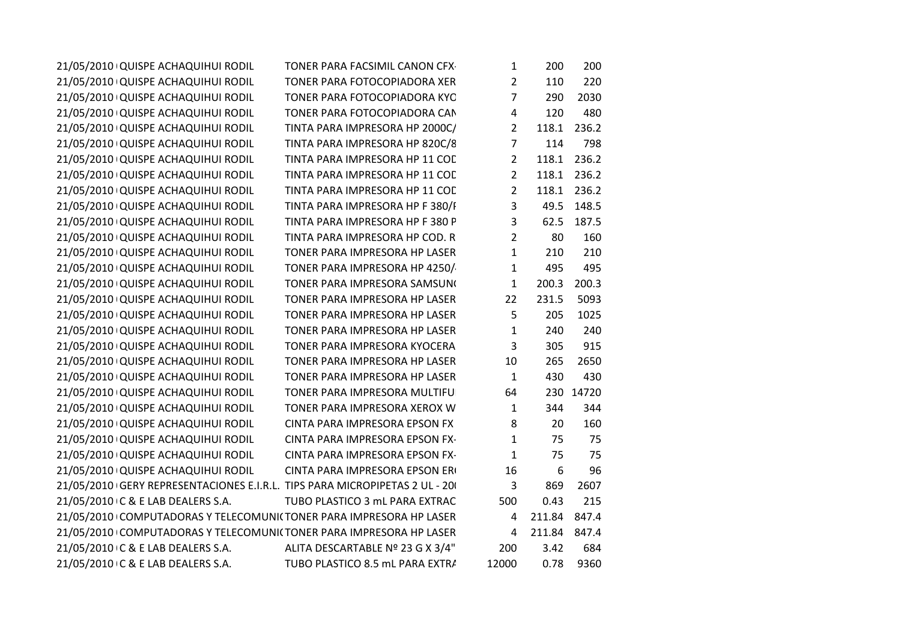| 21/05/2010 QUISPE ACHAQUIHUI RODIL                                         | TONER PARA FACSIMIL CANON CFX-   | $\mathbf{1}$   | 200          | 200         |
|----------------------------------------------------------------------------|----------------------------------|----------------|--------------|-------------|
| 21/05/2010 QUISPE ACHAQUIHUI RODIL                                         | TONER PARA FOTOCOPIADORA XER     | $\overline{2}$ | 110          | 220         |
| 21/05/2010 QUISPE ACHAQUIHUI RODIL                                         | TONER PARA FOTOCOPIADORA KYC     | $\overline{7}$ | 290          | 2030        |
| 21/05/2010 QUISPE ACHAQUIHUI RODIL                                         | TONER PARA FOTOCOPIADORA CAN     | 4              | 120          | 480         |
| 21/05/2010 QUISPE ACHAQUIHUI RODIL                                         | TINTA PARA IMPRESORA HP 2000C/   | $\overline{2}$ | 118.1        | 236.2       |
| 21/05/2010 QUISPE ACHAQUIHUI RODIL                                         | TINTA PARA IMPRESORA HP 820C/8   | $\overline{7}$ | 114          | 798         |
| 21/05/2010 QUISPE ACHAQUIHUI RODIL                                         | TINTA PARA IMPRESORA HP 11 COL   | $\overline{2}$ | 118.1        | 236.2       |
| 21/05/2010 QUISPE ACHAQUIHUI RODIL                                         | TINTA PARA IMPRESORA HP 11 COD   | $\overline{2}$ |              | 118.1 236.2 |
| 21/05/2010 QUISPE ACHAQUIHUI RODIL                                         | TINTA PARA IMPRESORA HP 11 COD   | $\mathbf{2}$   |              | 118.1 236.2 |
| 21/05/2010 QUISPE ACHAQUIHUI RODIL                                         | TINTA PARA IMPRESORA HP F 380/F  | 3              |              | 49.5 148.5  |
| 21/05/2010 QUISPE ACHAQUIHUI RODIL                                         | TINTA PARA IMPRESORA HP F 380 P  | 3              | 62.5         | 187.5       |
| 21/05/2010 QUISPE ACHAQUIHUI RODIL                                         | TINTA PARA IMPRESORA HP COD. R   | $\overline{2}$ | 80           | 160         |
| 21/05/2010 QUISPE ACHAQUIHUI RODIL                                         | TONER PARA IMPRESORA HP LASER    | $\mathbf{1}$   | 210          | 210         |
| 21/05/2010 QUISPE ACHAQUIHUI RODIL                                         | TONER PARA IMPRESORA HP 4250/    | 1              | 495          | 495         |
| 21/05/2010 QUISPE ACHAQUIHUI RODIL                                         | TONER PARA IMPRESORA SAMSUNO     | $\mathbf{1}$   | 200.3        | 200.3       |
| 21/05/2010 QUISPE ACHAQUIHUI RODIL                                         | TONER PARA IMPRESORA HP LASER    | 22             | 231.5        | 5093        |
| 21/05/2010 QUISPE ACHAQUIHUI RODIL                                         | TONER PARA IMPRESORA HP LASER    | 5              | 205          | 1025        |
| 21/05/2010 QUISPE ACHAQUIHUI RODIL                                         | TONER PARA IMPRESORA HP LASER    | $\mathbf{1}$   | 240          | 240         |
| 21/05/2010 QUISPE ACHAQUIHUI RODIL                                         | TONER PARA IMPRESORA KYOCERA     | 3              | 305          | 915         |
| 21/05/2010 QUISPE ACHAQUIHUI RODIL                                         | TONER PARA IMPRESORA HP LASER    | 10             | 265          | 2650        |
| 21/05/2010 QUISPE ACHAQUIHUI RODIL                                         | TONER PARA IMPRESORA HP LASER    | 1              | 430          | 430         |
| 21/05/2010 QUISPE ACHAQUIHUI RODIL                                         | TONER PARA IMPRESORA MULTIFUL    | 64             |              | 230 14720   |
| 21/05/2010 QUISPE ACHAQUIHUI RODIL                                         | TONER PARA IMPRESORA XEROX W     | $\mathbf{1}$   | 344          | 344         |
| 21/05/2010 QUISPE ACHAQUIHUI RODIL                                         | CINTA PARA IMPRESORA EPSON FX    | 8              | 20           | 160         |
| 21/05/2010 QUISPE ACHAQUIHUI RODIL                                         | CINTA PARA IMPRESORA EPSON FX-   | $\mathbf{1}$   | 75           | 75          |
| 21/05/2010 QUISPE ACHAQUIHUI RODIL                                         | CINTA PARA IMPRESORA EPSON FX-   | $\mathbf{1}$   | 75           | 75          |
| 21/05/2010 QUISPE ACHAQUIHUI RODIL                                         | CINTA PARA IMPRESORA EPSON ERI   | 16             | 6            | 96          |
| 21/05/2010 GERY REPRESENTACIONES E.I.R.L. TIPS PARA MICROPIPETAS 2 UL - 20 |                                  | 3              | 869          | 2607        |
| 21/05/2010 C & E LAB DEALERS S.A.                                          | TUBO PLASTICO 3 mL PARA EXTRAC   | 500            | 0.43         | 215         |
| 21/05/2010 COMPUTADORAS Y TELECOMUNICTONER PARA IMPRESORA HP LASER         |                                  | 4              | 211.84 847.4 |             |
| 21/05/2010 COMPUTADORAS Y TELECOMUNICTONER PARA IMPRESORA HP LASER         |                                  | 4              | 211.84 847.4 |             |
| 21/05/2010 C & E LAB DEALERS S.A.                                          | ALITA DESCARTABLE Nº 23 G X 3/4" | 200            | 3.42         | 684         |
| 21/05/2010 C & E LAB DEALERS S.A.                                          | TUBO PLASTICO 8.5 mL PARA EXTRA  | 12000          | 0.78         | 9360        |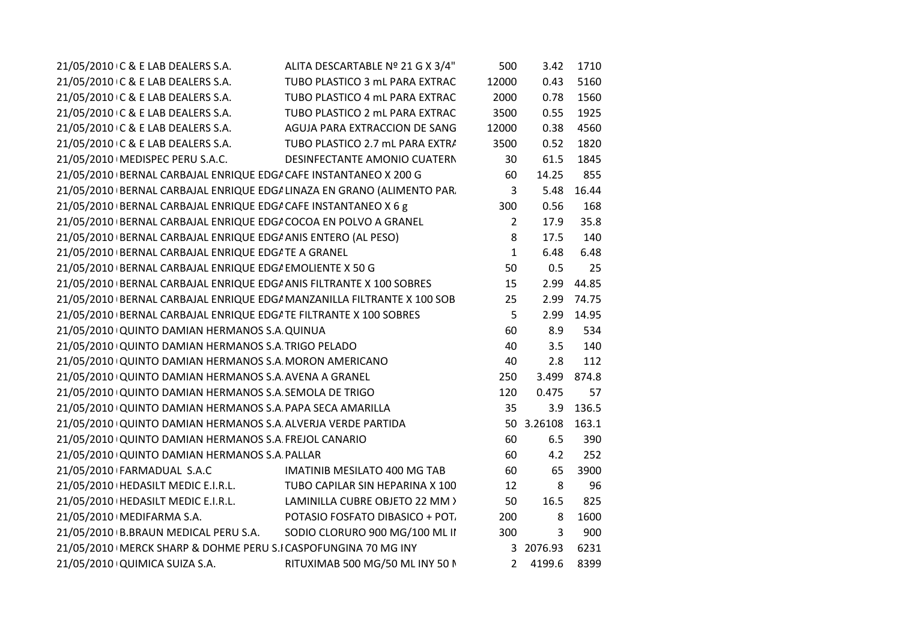| 21/05/2010 C & E LAB DEALERS S.A.<br>ALITA DESCARTABLE Nº 21 G X 3/4"   | 500            | 3.42       | 1710        |
|-------------------------------------------------------------------------|----------------|------------|-------------|
| 21/05/2010 C & E LAB DEALERS S.A.<br>TUBO PLASTICO 3 mL PARA EXTRAC     | 12000          | 0.43       | 5160        |
| TUBO PLASTICO 4 mL PARA EXTRAC<br>21/05/2010 C & E LAB DEALERS S.A.     | 2000           | 0.78       | 1560        |
| 21/05/2010 C & E LAB DEALERS S.A.<br>TUBO PLASTICO 2 mL PARA EXTRAC     | 3500           | 0.55       | 1925        |
| 21/05/2010 C & E LAB DEALERS S.A.<br>AGUJA PARA EXTRACCION DE SANG      | 12000          | 0.38       | 4560        |
| 21/05/2010 C & E LAB DEALERS S.A.<br>TUBO PLASTICO 2.7 mL PARA EXTRA    | 3500           | 0.52       | 1820        |
| 21/05/2010   MEDISPEC PERU S.A.C.<br>DESINFECTANTE AMONIO CUATERN       | 30             | 61.5       | 1845        |
| 21/05/2010 BERNAL CARBAJAL ENRIQUE EDG/ CAFE INSTANTANEO X 200 G        | 60             | 14.25      | 855         |
| 21/05/2010 BERNAL CARBAJAL ENRIQUE EDGI LINAZA EN GRANO (ALIMENTO PAR.  | $\overline{3}$ | 5.48       | 16.44       |
| 21/05/2010 BERNAL CARBAJAL ENRIQUE EDG/ CAFE INSTANTANEO X 6 g          | 300            | 0.56       | 168         |
| 21/05/2010 BERNAL CARBAJAL ENRIQUE EDG/ COCOA EN POLVO A GRANEL         | $\overline{2}$ | 17.9       | 35.8        |
| 21/05/2010 BERNAL CARBAJAL ENRIQUE EDG/ ANIS ENTERO (AL PESO)           | 8              | 17.5       | 140         |
| 21/05/2010 BERNAL CARBAJAL ENRIQUE EDG/ TE A GRANEL                     | $\mathbf{1}$   | 6.48       | 6.48        |
| 21/05/2010 BERNAL CARBAJAL ENRIQUE EDG/ EMOLIENTE X 50 G                | 50             | 0.5        | 25          |
| 21/05/2010 BERNAL CARBAJAL ENRIQUE EDG/ ANIS FILTRANTE X 100 SOBRES     | 15             | 2.99       | 44.85       |
| 21/05/2010 BERNAL CARBAJAL ENRIQUE EDG/ MANZANILLA FILTRANTE X 100 SOB  | 25             |            | 2.99 74.75  |
| 21/05/2010 BERNAL CARBAJAL ENRIQUE EDGATE FILTRANTE X 100 SOBRES        | 5              |            | 2.99 14.95  |
| 21/05/2010 QUINTO DAMIAN HERMANOS S.A QUINUA                            | 60             | 8.9        | 534         |
| 21/05/2010 QUINTO DAMIAN HERMANOS S.A TRIGO PELADO                      | 40             | 3.5        | 140         |
| 21/05/2010 QUINTO DAMIAN HERMANOS S.A. MORON AMERICANO                  | 40             | 2.8        | 112         |
| 21/05/2010 QUINTO DAMIAN HERMANOS S.A AVENA A GRANEL                    | 250            |            | 3.499 874.8 |
| 21/05/2010 QUINTO DAMIAN HERMANOS S.A. SEMOLA DE TRIGO                  | 120            | 0.475      | 57          |
| 21/05/2010 QUINTO DAMIAN HERMANOS S.A. PAPA SECA AMARILLA               | 35             | 3.9        | 136.5       |
| 21/05/2010 QUINTO DAMIAN HERMANOS S.A ALVERJA VERDE PARTIDA             |                | 50 3.26108 | 163.1       |
| 21/05/2010 QUINTO DAMIAN HERMANOS S.A FREJOL CANARIO                    | 60             | 6.5        | 390         |
| 21/05/2010 QUINTO DAMIAN HERMANOS S.A PALLAR                            | 60             | 4.2        | 252         |
| 21/05/2010 FARMADUAL S.A.C<br>IMATINIB MESILATO 400 MG TAB              | 60             | 65         | 3900        |
| 21/05/2010   HEDASILT MEDIC E.I.R.L.<br>TUBO CAPILAR SIN HEPARINA X 100 | 12             | 8          | 96          |
| 21/05/2010   HEDASILT MEDIC E.I.R.L.<br>LAMINILLA CUBRE OBJETO 22 MM >  | 50             | 16.5       | 825         |
| POTASIO FOSFATO DIBASICO + POT.<br>21/05/2010   MEDIFARMA S.A.          | 200            | 8          | 1600        |
| 21/05/2010 B.BRAUN MEDICAL PERU S.A.<br>SODIO CLORURO 900 MG/100 ML II  | 300            | 3          | 900         |
| 21/05/2010   MERCK SHARP & DOHME PERU S.I CASPOFUNGINA 70 MG INY        |                | 3 2076.93  | 6231        |
| 21/05/2010 QUIMICA SUIZA S.A.<br>RITUXIMAB 500 MG/50 ML INY 50 N        |                | 2 4199.6   | 8399        |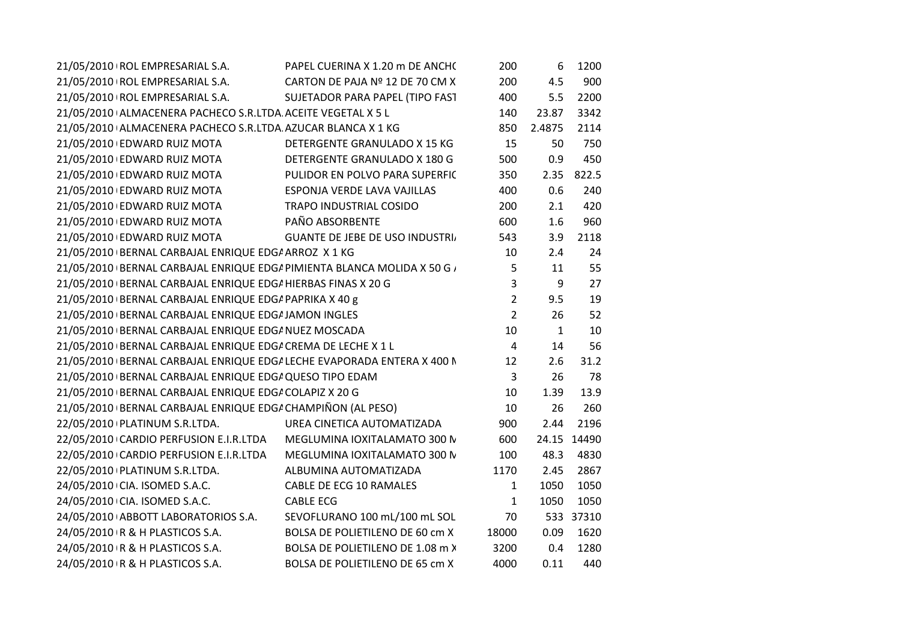| 21/05/2010 ROL EMPRESARIAL S.A.                                          | PAPEL CUERINA X 1.20 m DE ANCH(       | 200            | 6      | 1200  |
|--------------------------------------------------------------------------|---------------------------------------|----------------|--------|-------|
| 21/05/2010   ROL EMPRESARIAL S.A.                                        | CARTON DE PAJA Nº 12 DE 70 CM X       | 200            | 4.5    | 900   |
| 21/05/2010 ROL EMPRESARIAL S.A.                                          | SUJETADOR PARA PAPEL (TIPO FAST       | 400            | 5.5    | 2200  |
| 21/05/2010 ALMACENERA PACHECO S.R.LTDA ACEITE VEGETAL X 5 L              |                                       | 140            | 23.87  | 3342  |
| 21/05/2010 ALMACENERA PACHECO S.R.LTDA AZUCAR BLANCA X 1 KG              |                                       | 850            | 2.4875 | 2114  |
| 21/05/2010 EDWARD RUIZ MOTA                                              | DETERGENTE GRANULADO X 15 KG          | 15             | 50     | 750   |
| 21/05/2010 EDWARD RUIZ MOTA                                              | DETERGENTE GRANULADO X 180 G          | 500            | 0.9    | 450   |
| 21/05/2010 EDWARD RUIZ MOTA                                              | PULIDOR EN POLVO PARA SUPERFIC        | 350            | 2.35   | 822.5 |
| 21/05/2010 EDWARD RUIZ MOTA                                              | ESPONJA VERDE LAVA VAJILLAS           | 400            | 0.6    | 240   |
| 21/05/2010 EDWARD RUIZ MOTA                                              | <b>TRAPO INDUSTRIAL COSIDO</b>        | 200            | 2.1    | 420   |
| 21/05/2010 EDWARD RUIZ MOTA                                              | PAÑO ABSORBENTE                       | 600            | 1.6    | 960   |
| 21/05/2010 EDWARD RUIZ MOTA                                              | <b>GUANTE DE JEBE DE USO INDUSTRI</b> | 543            | 3.9    | 2118  |
| 21/05/2010 BERNAL CARBAJAL ENRIQUE EDG/ ARROZ X 1 KG                     |                                       | 10             | 2.4    | 24    |
| 21/05/2010 BERNAL CARBAJAL ENRIQUE EDG/ PIMIENTA BLANCA MOLIDA X 50 G /  |                                       | 5              | 11     | 55    |
| 21/05/2010 BERNAL CARBAJAL ENRIQUE EDG/ HIERBAS FINAS X 20 G             |                                       | 3              | 9      | 27    |
| 21/05/2010 BERNAL CARBAJAL ENRIQUE EDG/ PAPRIKA X 40 g                   |                                       | $\overline{2}$ | 9.5    | 19    |
| 21/05/2010 BERNAL CARBAJAL ENRIQUE EDG/ JAMON INGLES                     |                                       | $\overline{2}$ | 26     | 52    |
| 21/05/2010 BERNAL CARBAJAL ENRIQUE EDG/ NUEZ MOSCADA                     |                                       | 10             | 1      | 10    |
| 21/05/2010 BERNAL CARBAJAL ENRIQUE EDG/ CREMA DE LECHE X 1 L             |                                       | $\overline{4}$ | 14     | 56    |
| 21/05/2010   BERNAL CARBAJAL ENRIQUE EDG/ LECHE EVAPORADA ENTERA X 400 N |                                       | 12             | 2.6    | 31.2  |
| 21/05/2010 BERNAL CARBAJAL ENRIQUE EDG/ QUESO TIPO EDAM                  |                                       | 3              | 26     | 78    |
| 21/05/2010 BERNAL CARBAJAL ENRIQUE EDG/ COLAPIZ X 20 G                   |                                       | 10             | 1.39   | 13.9  |
| 21/05/2010 BERNAL CARBAJAL ENRIQUE EDG/ CHAMPIÑON (AL PESO)              |                                       | 10             | 26     | 260   |
| 22/05/2010   PLATINUM S.R.LTDA.                                          | UREA CINETICA AUTOMATIZADA            | 900            | 2.44   | 2196  |
| 22/05/2010 CARDIO PERFUSION E.I.R.LTDA                                   | MEGLUMINA IOXITALAMATO 300 N          | 600            | 24.15  | 14490 |
| 22/05/2010 CARDIO PERFUSION E.I.R.LTDA                                   | MEGLUMINA IOXITALAMATO 300 N          | 100            | 48.3   | 4830  |
| 22/05/2010   PLATINUM S.R.LTDA.                                          | ALBUMINA AUTOMATIZADA                 | 1170           | 2.45   | 2867  |
| 24/05/2010 CIA. ISOMED S.A.C.                                            | CABLE DE ECG 10 RAMALES               | 1              | 1050   | 1050  |
| 24/05/2010 CIA. ISOMED S.A.C.                                            | <b>CABLE ECG</b>                      | 1              | 1050   | 1050  |
| 24/05/2010 ABBOTT LABORATORIOS S.A.                                      | SEVOFLURANO 100 mL/100 mL SOL         | 70             | 533    | 37310 |
| 24/05/2010 R & H PLASTICOS S.A.                                          | BOLSA DE POLIETILENO DE 60 cm X       | 18000          | 0.09   | 1620  |
| 24/05/2010 R & H PLASTICOS S.A.                                          | BOLSA DE POLIETILENO DE 1.08 m X      | 3200           | 0.4    | 1280  |
| 24/05/2010 R & H PLASTICOS S.A.                                          | BOLSA DE POLIETILENO DE 65 cm X       | 4000           | 0.11   | 440   |
|                                                                          |                                       |                |        |       |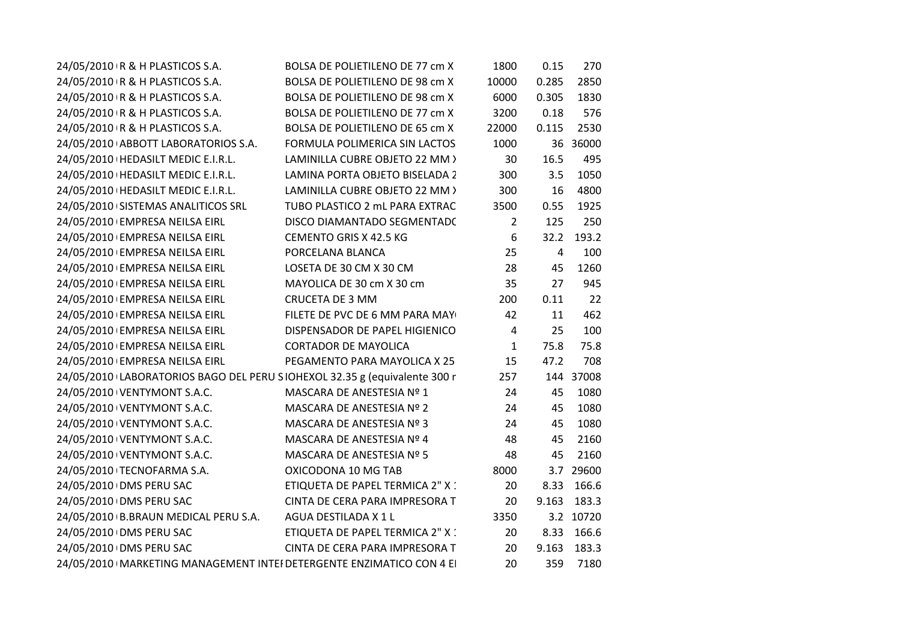| BOLSA DE POLIETILENO DE 77 cm X                                           | 1800           | 0.15           | 270   |                                                 |
|---------------------------------------------------------------------------|----------------|----------------|-------|-------------------------------------------------|
| BOLSA DE POLIETILENO DE 98 cm X                                           | 10000          | 0.285          | 2850  |                                                 |
| BOLSA DE POLIETILENO DE 98 cm X                                           | 6000           | 0.305          | 1830  |                                                 |
| BOLSA DE POLIETILENO DE 77 cm X                                           | 3200           | 0.18           | 576   |                                                 |
| BOLSA DE POLIETILENO DE 65 cm X                                           | 22000          | 0.115          | 2530  |                                                 |
| FORMULA POLIMERICA SIN LACTOS                                             | 1000           |                |       |                                                 |
| LAMINILLA CUBRE OBJETO 22 MM >                                            | 30             | 16.5           | 495   |                                                 |
| LAMINA PORTA OBJETO BISELADA 2                                            | 300            | 3.5            | 1050  |                                                 |
| LAMINILLA CUBRE OBJETO 22 MM >                                            | 300            | 16             | 4800  |                                                 |
| TUBO PLASTICO 2 mL PARA EXTRAC                                            | 3500           | 0.55           | 1925  |                                                 |
| DISCO DIAMANTADO SEGMENTADO                                               | $\overline{2}$ | 125            | 250   |                                                 |
| CEMENTO GRIS X 42.5 KG                                                    | 6              | 32.2           | 193.2 |                                                 |
| PORCELANA BLANCA                                                          | 25             | $\overline{4}$ | 100   |                                                 |
| LOSETA DE 30 CM X 30 CM                                                   | 28             | 45             | 1260  |                                                 |
| MAYOLICA DE 30 cm X 30 cm                                                 | 35             | 27             | 945   |                                                 |
| <b>CRUCETA DE 3 MM</b>                                                    | 200            | 0.11           | 22    |                                                 |
| FILETE DE PVC DE 6 MM PARA MAY                                            | 42             | 11             | 462   |                                                 |
| DISPENSADOR DE PAPEL HIGIENICO                                            | $\overline{4}$ | 25             | 100   |                                                 |
| <b>CORTADOR DE MAYOLICA</b>                                               | $\mathbf{1}$   | 75.8           | 75.8  |                                                 |
| PEGAMENTO PARA MAYOLICA X 25                                              | 15             | 47.2           | 708   |                                                 |
| 24/05/2010 LABORATORIOS BAGO DEL PERU SIOHEXOL 32.35 g (equivalente 300 r | 257            |                |       |                                                 |
| MASCARA DE ANESTESIA Nº 1                                                 | 24             | 45             | 1080  |                                                 |
| MASCARA DE ANESTESIA Nº 2                                                 | 24             | 45             | 1080  |                                                 |
| MASCARA DE ANESTESIA Nº 3                                                 | 24             | 45             | 1080  |                                                 |
| MASCARA DE ANESTESIA Nº 4                                                 | 48             | 45             | 2160  |                                                 |
| MASCARA DE ANESTESIA Nº 5                                                 | 48             | 45             | 2160  |                                                 |
| OXICODONA 10 MG TAB                                                       | 8000           |                |       |                                                 |
| ETIQUETA DE PAPEL TERMICA 2" X :                                          | 20             | 8.33           | 166.6 |                                                 |
| CINTA DE CERA PARA IMPRESORA T                                            | 20             | 9.163          | 183.3 |                                                 |
| AGUA DESTILADA X 1 L                                                      | 3350           |                |       |                                                 |
| ETIQUETA DE PAPEL TERMICA 2" X 1                                          | 20             | 8.33           | 166.6 |                                                 |
| CINTA DE CERA PARA IMPRESORA T                                            | 20             | 9.163          | 183.3 |                                                 |
| 24/05/2010   MARKETING MANAGEMENT INTEI DETERGENTE ENZIMATICO CON 4 EI    | 20             | 359            | 7180  |                                                 |
|                                                                           |                |                |       | 36 36000<br>144 37008<br>3.7 29600<br>3.2 10720 |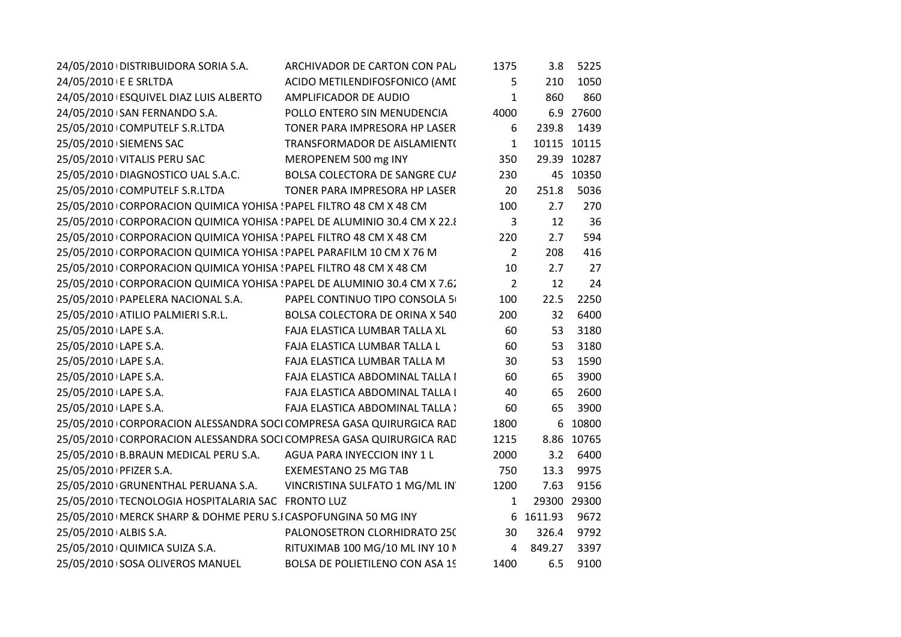| 24/05/2010 DISTRIBUIDORA SORIA S.A.                                      | ARCHIVADOR DE CARTON CON PAL              | 1375           | 3.8       | 5225        |
|--------------------------------------------------------------------------|-------------------------------------------|----------------|-----------|-------------|
| 24/05/2010 E E SRLTDA                                                    | ACIDO METILENDIFOSFONICO (AME             | 5              | 210       | 1050        |
| 24/05/2010 ESQUIVEL DIAZ LUIS ALBERTO                                    | AMPLIFICADOR DE AUDIO                     | $\mathbf{1}$   | 860       | 860         |
| 24/05/2010 \SAN FERNANDO S.A.                                            | POLLO ENTERO SIN MENUDENCIA               | 4000           |           | 6.9 27600   |
| 25/05/2010 COMPUTELF S.R.LTDA                                            | TONER PARA IMPRESORA HP LASER             | 6              | 239.8     | 1439        |
| 25/05/2010 SIEMENS SAC                                                   | TRANSFORMADOR DE AISLAMIENT(              | $\mathbf{1}$   |           | 10115 10115 |
| 25/05/2010 VITALIS PERU SAC                                              | MEROPENEM 500 mg INY                      | 350            |           | 29.39 10287 |
| 25/05/2010 DIAGNOSTICO UAL S.A.C.                                        | BOLSA COLECTORA DE SANGRE CUA             | 230            |           | 45 10350    |
| 25/05/2010 COMPUTELF S.R.LTDA                                            | TONER PARA IMPRESORA HP LASER             | 20             | 251.8     | 5036        |
| 25/05/2010 CORPORACION QUIMICA YOHISA : PAPEL FILTRO 48 CM X 48 CM       |                                           | 100            | 2.7       | 270         |
| 25/05/2010 CORPORACION QUIMICA YOHISA ! PAPEL DE ALUMINIO 30.4 CM X 22.8 |                                           | $\overline{3}$ | 12        | 36          |
| 25/05/2010 CORPORACION QUIMICA YOHISA : PAPEL FILTRO 48 CM X 48 CM       |                                           | 220            | 2.7       | 594         |
| 25/05/2010 CORPORACION QUIMICA YOHISA ! PAPEL PARAFILM 10 CM X 76 M      |                                           | $\overline{2}$ | 208       | 416         |
| 25/05/2010 CORPORACION QUIMICA YOHISA ! PAPEL FILTRO 48 CM X 48 CM       |                                           | 10             | 2.7       | 27          |
| 25/05/2010 CORPORACION QUIMICA YOHISA ! PAPEL DE ALUMINIO 30.4 CM X 7.6. |                                           | $\overline{2}$ | 12        | 24          |
| 25/05/2010 PAPELERA NACIONAL S.A.                                        | PAPEL CONTINUO TIPO CONSOLA 5             | 100            | 22.5      | 2250        |
| 25/05/2010 ATILIO PALMIERI S.R.L.                                        | BOLSA COLECTORA DE ORINA X 540            | 200            | 32        | 6400        |
| 25/05/2010 LAPE S.A.                                                     | FAJA ELASTICA LUMBAR TALLA XL             | 60             | 53        | 3180        |
| 25/05/2010 LAPE S.A.                                                     | FAJA ELASTICA LUMBAR TALLA L              | 60             | 53        | 3180        |
| 25/05/2010 LAPE S.A.                                                     | FAJA ELASTICA LUMBAR TALLA M              | 30             | 53        | 1590        |
| 25/05/2010 LAPE S.A.                                                     | FAJA ELASTICA ABDOMINAL TALLA I           | 60             | 65        | 3900        |
| 25/05/2010 LAPE S.A.                                                     | FAJA ELASTICA ABDOMINAL TALLA I           | 40             | 65        | 2600        |
| 25/05/2010 LAPE S.A.                                                     | <b>FAJA ELASTICA ABDOMINAL TALLA &gt;</b> | 60             | 65        | 3900        |
| 25/05/2010 CORPORACION ALESSANDRA SOCI COMPRESA GASA QUIRURGICA RAD      |                                           | 1800           |           | 6 10800     |
| 25/05/2010 CORPORACION ALESSANDRA SOCI COMPRESA GASA QUIRURGICA RAD      |                                           | 1215           |           | 8.86 10765  |
| 25/05/2010 B.BRAUN MEDICAL PERU S.A.                                     | AGUA PARA INYECCION INY 1 L               | 2000           | 3.2       | 6400        |
| 25/05/2010 PFIZER S.A.                                                   | <b>EXEMESTANO 25 MG TAB</b>               | 750            | 13.3      | 9975        |
| 25/05/2010 GRUNENTHAL PERUANA S.A. VINCRISTINA SULFATO 1 MG/ML IN        |                                           | 1200           | 7.63      | 9156        |
| 25/05/2010   TECNOLOGIA HOSPITALARIA SAC FRONTO LUZ                      |                                           | $\mathbf{1}$   |           | 29300 29300 |
| 25/05/2010   MERCK SHARP & DOHME PERU S.I CASPOFUNGINA 50 MG INY         |                                           |                | 6 1611.93 | 9672        |
| 25/05/2010 ALBIS S.A.                                                    | PALONOSETRON CLORHIDRATO 25(              | 30             | 326.4     | 9792        |
| 25/05/2010 QUIMICA SUIZA S.A.                                            | RITUXIMAB 100 MG/10 ML INY 10 N           | $\overline{4}$ | 849.27    | 3397        |
| 25/05/2010 SOSA OLIVEROS MANUEL                                          | BOLSA DE POLIETILENO CON ASA 19           | 1400           | 6.5       | 9100        |
|                                                                          |                                           |                |           |             |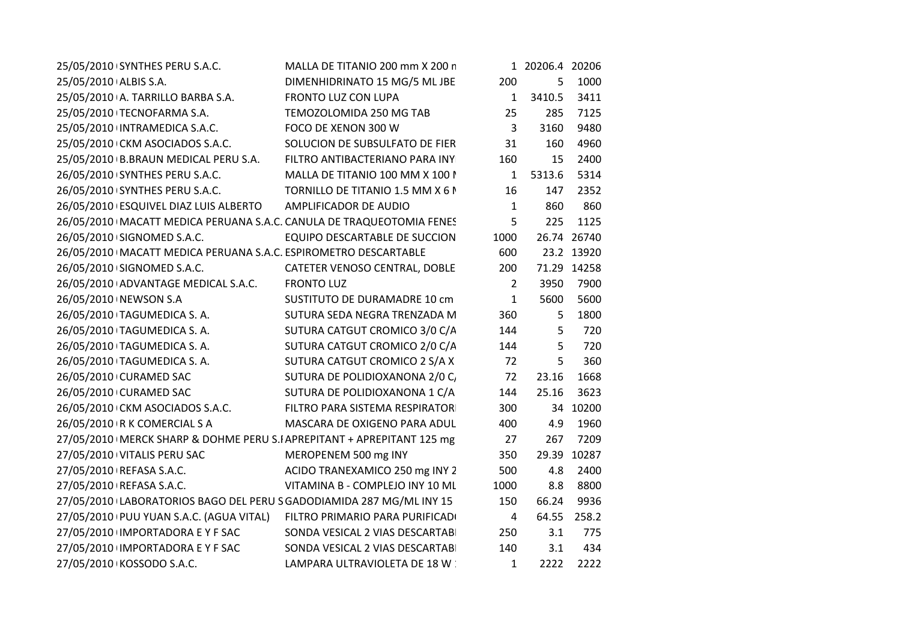| 25/05/2010 SYNTHES PERU S.A.C.                                          | MALLA DE TITANIO 200 mm X 200 n  |                | 1 20206.4 20206 |             |
|-------------------------------------------------------------------------|----------------------------------|----------------|-----------------|-------------|
| 25/05/2010 ALBIS S.A.                                                   | DIMENHIDRINATO 15 MG/5 ML JBE    | 200            | 5               | 1000        |
| 25/05/2010 A. TARRILLO BARBA S.A.                                       | FRONTO LUZ CON LUPA              | $\mathbf{1}$   | 3410.5          | 3411        |
| 25/05/2010 TECNOFARMA S.A.                                              | TEMOZOLOMIDA 250 MG TAB          | 25             | 285             | 7125        |
| 25/05/2010 INTRAMEDICA S.A.C.                                           | FOCO DE XENON 300 W              | $\overline{3}$ | 3160            | 9480        |
| 25/05/2010 CKM ASOCIADOS S.A.C.                                         | SOLUCION DE SUBSULFATO DE FIER   | 31             | 160             | 4960        |
| 25/05/2010 B.BRAUN MEDICAL PERU S.A.                                    | FILTRO ANTIBACTERIANO PARA INY   | 160            | 15              | 2400        |
| 26/05/2010 SYNTHES PERU S.A.C.                                          | MALLA DE TITANIO 100 MM X 100 I  | $\mathbf{1}$   | 5313.6          | 5314        |
| 26/05/2010 SYNTHES PERU S.A.C.                                          | TORNILLO DE TITANIO 1.5 MM X 6 N | 16             | 147             | 2352        |
| 26/05/2010 ESQUIVEL DIAZ LUIS ALBERTO                                   | AMPLIFICADOR DE AUDIO            | $\mathbf{1}$   | 860             | 860         |
| 26/05/2010   MACATT MEDICA PERUANA S.A.C. CANULA DE TRAQUEOTOMIA FENES  |                                  | 5              | 225             | 1125        |
| 26/05/2010 SIGNOMED S.A.C.                                              | EQUIPO DESCARTABLE DE SUCCION    | 1000           |                 | 26.74 26740 |
| 26/05/2010   MACATT MEDICA PERUANA S.A.C. ESPIROMETRO DESCARTABLE       |                                  | 600            |                 | 23.2 13920  |
| 26/05/2010 SIGNOMED S.A.C.                                              | CATETER VENOSO CENTRAL, DOBLE    | 200            |                 | 71.29 14258 |
| 26/05/2010 ADVANTAGE MEDICAL S.A.C.                                     | <b>FRONTO LUZ</b>                | 2              | 3950            | 7900        |
| 26/05/2010 NEWSON S.A                                                   | SUSTITUTO DE DURAMADRE 10 cm     | $\mathbf{1}$   | 5600            | 5600        |
| 26/05/2010 TAGUMEDICA S. A.                                             | SUTURA SEDA NEGRA TRENZADA M     | 360            | 5               | 1800        |
| 26/05/2010 TAGUMEDICA S.A.                                              | SUTURA CATGUT CROMICO 3/0 C/A    | 144            | 5               | 720         |
| 26/05/2010 TAGUMEDICA S.A.                                              | SUTURA CATGUT CROMICO 2/0 C/A    | 144            | 5               | 720         |
| 26/05/2010 TAGUMEDICA S.A.                                              | SUTURA CATGUT CROMICO 2 S/A X    | 72             | 5               | 360         |
| 26/05/2010 CURAMED SAC                                                  | SUTURA DE POLIDIOXANONA 2/0 C,   | 72             | 23.16           | 1668        |
| 26/05/2010 CURAMED SAC                                                  | SUTURA DE POLIDIOXANONA 1 C/A    | 144            | 25.16           | 3623        |
| 26/05/2010 CKM ASOCIADOS S.A.C.                                         | FILTRO PARA SISTEMA RESPIRATOR   | 300            |                 | 34 10200    |
| 26/05/2010 R K COMERCIAL S A                                            | MASCARA DE OXIGENO PARA ADUL     | 400            | 4.9             | 1960        |
| 27/05/2010   MERCK SHARP & DOHME PERU S.IAPREPITANT + APREPITANT 125 mg |                                  | 27             | 267             | 7209        |
| 27/05/2010 VITALIS PERU SAC                                             | MEROPENEM 500 mg INY             | 350            |                 | 29.39 10287 |
| 27/05/2010 REFASA S.A.C.                                                | ACIDO TRANEXAMICO 250 mg INY 2   | 500            | 4.8             | 2400        |
| 27/05/2010   REFASA S.A.C.                                              | VITAMINA B - COMPLEJO INY 10 ML  | 1000           | 8.8             | 8800        |
| 27/05/2010 LABORATORIOS BAGO DEL PERU S GADODIAMIDA 287 MG/ML INY 15    |                                  | 150            | 66.24           | 9936        |
| 27/05/2010 PUU YUAN S.A.C. (AGUA VITAL)                                 | FILTRO PRIMARIO PARA PURIFICADI  | $\overline{4}$ | 64.55           | 258.2       |
| 27/05/2010 IMPORTADORA E Y F SAC                                        | SONDA VESICAL 2 VIAS DESCARTABI  | 250            | 3.1             | 775         |
| 27/05/2010 IMPORTADORA E Y F SAC                                        | SONDA VESICAL 2 VIAS DESCARTABI  | 140            | 3.1             | 434         |
| 27/05/2010 KOSSODO S.A.C.                                               | LAMPARA ULTRAVIOLETA DE 18 W :   | $\mathbf{1}$   | 2222            | 2222        |
|                                                                         |                                  |                |                 |             |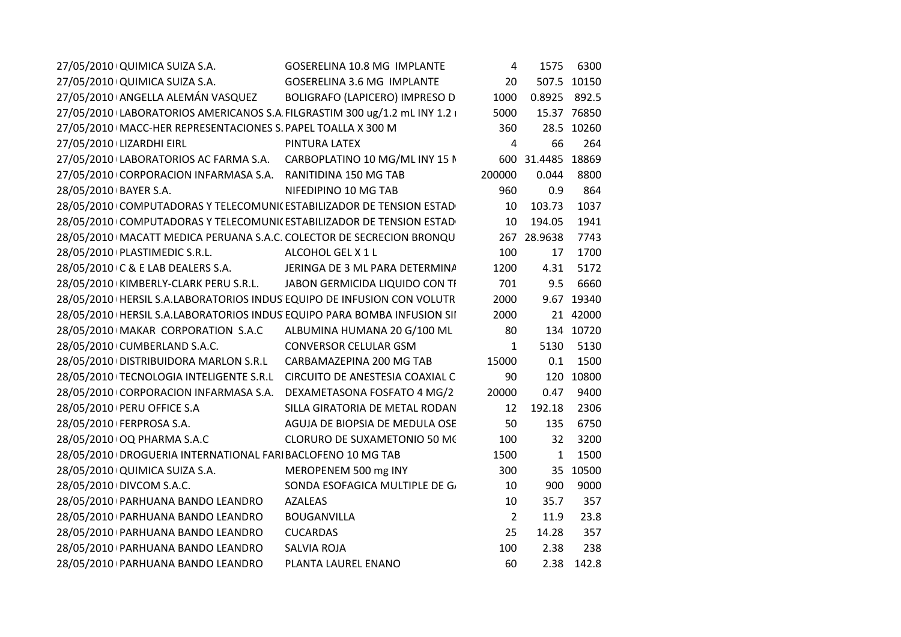| 27/05/2010 QUIMICA SUIZA S.A.<br>GOSERELINA 10.8 MG IMPLANTE              | 4              | 1575              | 6300        |
|---------------------------------------------------------------------------|----------------|-------------------|-------------|
| 27/05/2010 QUIMICA SUIZA S.A.<br>GOSERELINA 3.6 MG IMPLANTE               | 20             |                   | 507.5 10150 |
| 27/05/2010+ANGELLA ALEMÁN VASQUEZ<br>BOLIGRAFO (LAPICERO) IMPRESO D       | 1000           | 0.8925 892.5      |             |
| 27/05/2010 LABORATORIOS AMERICANOS S.A FILGRASTIM 300 ug/1.2 mL INY 1.2 i | 5000           |                   | 15.37 76850 |
| 27/05/2010   MACC-HER REPRESENTACIONES S. PAPEL TOALLA X 300 M            | 360            |                   | 28.5 10260  |
| 27/05/2010 LIZARDHI EIRL<br>PINTURA LATEX                                 | 4              | 66                | 264         |
| 27/05/2010 LABORATORIOS AC FARMA S.A. CARBOPLATINO 10 MG/ML INY 15 N      |                | 600 31.4485 18869 |             |
| 27/05/2010 CORPORACION INFARMASA S.A. RANITIDINA 150 MG TAB               | 200000         | 0.044             | 8800        |
| 28/05/2010 BAYER S.A.<br>NIFEDIPINO 10 MG TAB                             | 960            | 0.9               | 864         |
| 28/05/2010 COMPUTADORAS Y TELECOMUNIC ESTABILIZADOR DE TENSION ESTAD      | 10             | 103.73            | 1037        |
| 28/05/2010 COMPUTADORAS Y TELECOMUNI( ESTABILIZADOR DE TENSION ESTAD      | 10             | 194.05            | 1941        |
| 28/05/2010   MACATT MEDICA PERUANA S.A.C. COLECTOR DE SECRECION BRONQU    |                | 267 28.9638       | 7743        |
| 28/05/2010   PLASTIMEDIC S.R.L.<br>ALCOHOL GEL X 1 L                      | 100            | 17                | 1700        |
| 28/05/2010 C & E LAB DEALERS S.A.<br>JERINGA DE 3 ML PARA DETERMINA       | 1200           | 4.31              | 5172        |
| 28/05/2010 KIMBERLY-CLARK PERU S.R.L. JABON GERMICIDA LIQUIDO CON TI      | 701            | 9.5               | 6660        |
| 28/05/2010   HERSIL S.A.LABORATORIOS INDUS EQUIPO DE INFUSION CON VOLUTR  | 2000           |                   | 9.67 19340  |
| 28/05/2010   HERSIL S.A.LABORATORIOS INDUS EQUIPO PARA BOMBA INFUSION SII | 2000           |                   | 21 42000    |
| 28/05/2010   MAKAR CORPORATION S.A.C ALBUMINA HUMANA 20 G/100 ML          | 80             |                   | 134 10720   |
| <b>CONVERSOR CELULAR GSM</b><br>28/05/2010 CUMBERLAND S.A.C.              | $\mathbf{1}$   | 5130              | 5130        |
| 28/05/2010   DISTRIBUIDORA MARLON S.R.L CARBAMAZEPINA 200 MG TAB          | 15000          | 0.1               | 1500        |
| 28/05/2010   TECNOLOGIA INTELIGENTE S.R.L CIRCUITO DE ANESTESIA COAXIAL C | 90             |                   | 120 10800   |
| DEXAMETASONA FOSFATO 4 MG/2<br>28/05/2010 CORPORACION INFARMASA S.A.      | 20000          | 0.47              | 9400        |
| SILLA GIRATORIA DE METAL RODAN<br>28/05/2010 PERU OFFICE S.A              | 12             | 192.18            | 2306        |
| 28/05/2010   FERPROSA S.A.<br>AGUJA DE BIOPSIA DE MEDULA OSE              | 50             | 135               | 6750        |
| 28/05/2010 OQ PHARMA S.A.C<br>CLORURO DE SUXAMETONIO 50 MC                | 100            | 32                | 3200        |
| 28/05/2010   DROGUERIA INTERNATIONAL FARI BACLOFENO 10 MG TAB             | 1500           | $\mathbf{1}$      | 1500        |
| 28/05/2010 QUIMICA SUIZA S.A.<br>MEROPENEM 500 mg INY                     | 300            |                   | 35 10500    |
| 28/05/2010 DIVCOM S.A.C.<br>SONDA ESOFAGICA MULTIPLE DE G/                | 10             | 900               | 9000        |
| 28/05/2010 PARHUANA BANDO LEANDRO<br><b>AZALEAS</b>                       | 10             | 35.7              | 357         |
| 28/05/2010 PARHUANA BANDO LEANDRO<br><b>BOUGANVILLA</b>                   | $\overline{2}$ | 11.9              | 23.8        |
| <b>CUCARDAS</b><br>28/05/2010   PARHUANA BANDO LEANDRO                    | 25             | 14.28             | 357         |
| 28/05/2010 PARHUANA BANDO LEANDRO<br><b>SALVIA ROJA</b>                   | 100            | 2.38              | 238         |
| 28/05/2010 PARHUANA BANDO LEANDRO<br>PLANTA LAUREL ENANO                  | 60             |                   | 2.38 142.8  |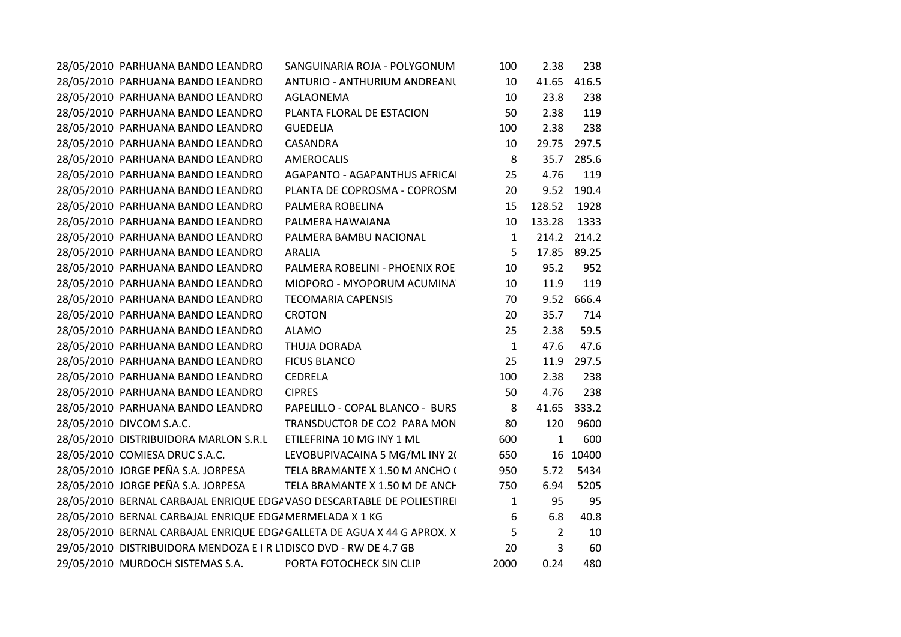| 28/05/2010 PARHUANA BANDO LEANDRO                                       | SANGUINARIA ROJA - POLYGONUM    | 100          | 2.38           | 238   |
|-------------------------------------------------------------------------|---------------------------------|--------------|----------------|-------|
| 28/05/2010   PARHUANA BANDO LEANDRO                                     | ANTURIO - ANTHURIUM ANDREANU    | 10           | 41.65          | 416.5 |
| 28/05/2010 PARHUANA BANDO LEANDRO                                       | <b>AGLAONEMA</b>                | 10           | 23.8           | 238   |
| 28/05/2010   PARHUANA BANDO LEANDRO                                     | PLANTA FLORAL DE ESTACION       | 50           | 2.38           | 119   |
| 28/05/2010 PARHUANA BANDO LEANDRO                                       | <b>GUEDELIA</b>                 | 100          | 2.38           | 238   |
| 28/05/2010   PARHUANA BANDO LEANDRO                                     | CASANDRA                        | 10           | 29.75          | 297.5 |
| 28/05/2010 PARHUANA BANDO LEANDRO                                       | <b>AMEROCALIS</b>               | 8            | 35.7           | 285.6 |
| 28/05/2010 PARHUANA BANDO LEANDRO                                       | AGAPANTO - AGAPANTHUS AFRICAI   | 25           | 4.76           | 119   |
| 28/05/2010 PARHUANA BANDO LEANDRO                                       | PLANTA DE COPROSMA - COPROSM    | 20           | 9.52           | 190.4 |
| 28/05/2010   PARHUANA BANDO LEANDRO                                     | PALMERA ROBELINA                | 15           | 128.52         | 1928  |
| 28/05/2010 PARHUANA BANDO LEANDRO                                       | PALMERA HAWAIANA                | 10           | 133.28         | 1333  |
| 28/05/2010 PARHUANA BANDO LEANDRO                                       | PALMERA BAMBU NACIONAL          | $\mathbf{1}$ | 214.2          | 214.2 |
| 28/05/2010 PARHUANA BANDO LEANDRO                                       | <b>ARALIA</b>                   | 5            | 17.85          | 89.25 |
| 28/05/2010 PARHUANA BANDO LEANDRO                                       | PALMERA ROBELINI - PHOENIX ROE  | 10           | 95.2           | 952   |
| 28/05/2010 PARHUANA BANDO LEANDRO                                       | MIOPORO - MYOPORUM ACUMINA      | 10           | 11.9           | 119   |
| 28/05/2010 PARHUANA BANDO LEANDRO                                       | <b>TECOMARIA CAPENSIS</b>       | 70           | 9.52           | 666.4 |
| 28/05/2010 PARHUANA BANDO LEANDRO                                       | <b>CROTON</b>                   | 20           | 35.7           | 714   |
| 28/05/2010 PARHUANA BANDO LEANDRO                                       | <b>ALAMO</b>                    | 25           | 2.38           | 59.5  |
| 28/05/2010 PARHUANA BANDO LEANDRO                                       | THUJA DORADA                    | $\mathbf{1}$ | 47.6           | 47.6  |
| 28/05/2010 PARHUANA BANDO LEANDRO                                       | <b>FICUS BLANCO</b>             | 25           | 11.9           | 297.5 |
| 28/05/2010 PARHUANA BANDO LEANDRO                                       | <b>CEDRELA</b>                  | 100          | 2.38           | 238   |
| 28/05/2010 PARHUANA BANDO LEANDRO                                       | <b>CIPRES</b>                   | 50           | 4.76           | 238   |
| 28/05/2010 PARHUANA BANDO LEANDRO                                       | PAPELILLO - COPAL BLANCO - BURS | 8            | 41.65          | 333.2 |
| 28/05/2010 DIVCOM S.A.C.                                                | TRANSDUCTOR DE CO2 PARA MON     | 80           | 120            | 9600  |
| 28/05/2010 DISTRIBUIDORA MARLON S.R.L                                   | ETILEFRINA 10 MG INY 1 ML       | 600          | $\mathbf{1}$   | 600   |
| 28/05/2010 COMIESA DRUC S.A.C.                                          | LEVOBUPIVACAINA 5 MG/ML INY 20  | 650          | 16             | 10400 |
| 28/05/2010 JORGE PEÑA S.A. JORPESA                                      | TELA BRAMANTE X 1.50 M ANCHO (  | 950          | 5.72           | 5434  |
| 28/05/2010 JORGE PEÑA S.A. JORPESA                                      | TELA BRAMANTE X 1.50 M DE ANCH  | 750          | 6.94           | 5205  |
| 28/05/2010 BERNAL CARBAJAL ENRIQUE EDG/ VASO DESCARTABLE DE POLIESTIRE  |                                 | $\mathbf{1}$ | 95             | 95    |
| 28/05/2010   BERNAL CARBAJAL ENRIQUE EDG/ MERMELADA X 1 KG              |                                 | 6            | 6.8            | 40.8  |
| 28/05/2010 BERNAL CARBAJAL ENRIQUE EDGI GALLETA DE AGUA X 44 G APROX. X |                                 | 5            | $\overline{2}$ | 10    |
| 29/05/2010 DISTRIBUIDORA MENDOZA E I R LI DISCO DVD - RW DE 4.7 GB      |                                 | 20           | 3              | 60    |
| 29/05/2010 MURDOCH SISTEMAS S.A.                                        | PORTA FOTOCHECK SIN CLIP        | 2000         | 0.24           | 480   |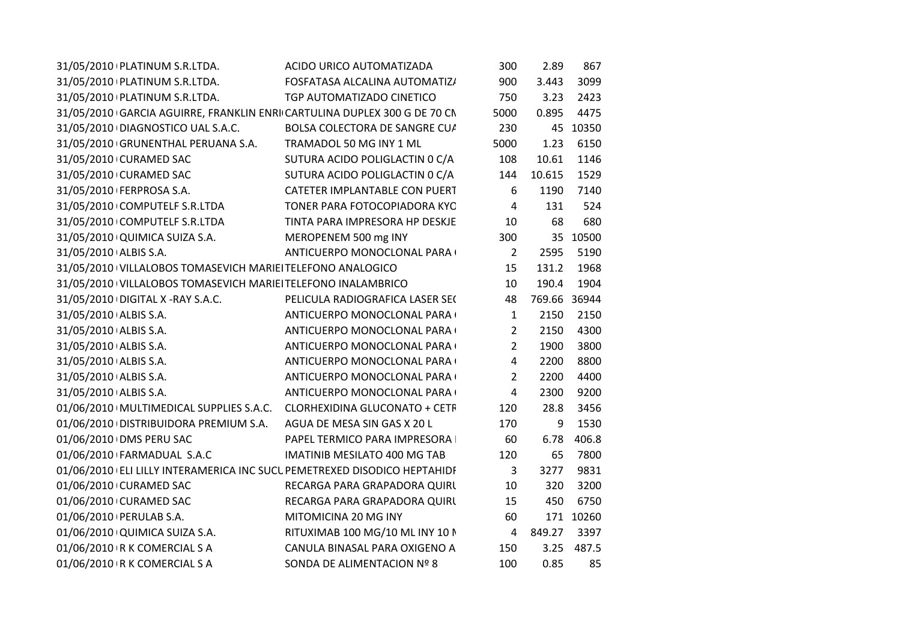| 31/05/2010 PLATINUM S.R.LTDA.<br>900<br>3.443<br>3099<br>FOSFATASA ALCALINA AUTOMATIZ/<br>31/05/2010 PLATINUM S.R.LTDA.<br>TGP AUTOMATIZADO CINETICO<br>2423<br>750<br>3.23<br>4475<br>31/05/2010 GARCIA AGUIRRE, FRANKLIN ENRI CARTULINA DUPLEX 300 G DE 70 CN<br>5000<br>0.895<br>230<br>45 10350<br>31/05/2010 DIAGNOSTICO UAL S.A.C.<br>BOLSA COLECTORA DE SANGRE CUA<br>6150<br>31/05/2010 GRUNENTHAL PERUANA S.A.<br>TRAMADOL 50 MG INY 1 ML<br>5000<br>1.23<br>31/05/2010 CURAMED SAC<br>SUTURA ACIDO POLIGLACTIN 0 C/A<br>108<br>10.61<br>1146<br>31/05/2010 CURAMED SAC<br>SUTURA ACIDO POLIGLACTIN 0 C/A<br>1529<br>144<br>10.615<br>7140<br>31/05/2010 FERPROSA S.A.<br>CATETER IMPLANTABLE CON PUERT<br>6<br>1190<br>31/05/2010 COMPUTELF S.R.LTDA<br>524<br>TONER PARA FOTOCOPIADORA KYC<br>$\overline{4}$<br>131<br>68<br>680<br>31/05/2010 COMPUTELF S.R.LTDA<br>TINTA PARA IMPRESORA HP DESKJE<br>10<br>31/05/2010 QUIMICA SUIZA S.A.<br>35 10500<br>MEROPENEM 500 mg INY<br>300<br>31/05/2010 ALBIS S.A.<br>ANTICUERPO MONOCLONAL PARA (<br>5190<br>$\overline{2}$<br>2595<br>31/05/2010 VILLALOBOS TOMASEVICH MARIEI TELEFONO ANALOGICO<br>1968<br>15<br>131.2<br>31/05/2010 VILLALOBOS TOMASEVICH MARIEI TELEFONO INALAMBRICO<br>190.4<br>1904<br>10 |
|-------------------------------------------------------------------------------------------------------------------------------------------------------------------------------------------------------------------------------------------------------------------------------------------------------------------------------------------------------------------------------------------------------------------------------------------------------------------------------------------------------------------------------------------------------------------------------------------------------------------------------------------------------------------------------------------------------------------------------------------------------------------------------------------------------------------------------------------------------------------------------------------------------------------------------------------------------------------------------------------------------------------------------------------------------------------------------------------------------------------------------------------------------------------------------------------------------------------------------------------------------------------------|
|                                                                                                                                                                                                                                                                                                                                                                                                                                                                                                                                                                                                                                                                                                                                                                                                                                                                                                                                                                                                                                                                                                                                                                                                                                                                         |
|                                                                                                                                                                                                                                                                                                                                                                                                                                                                                                                                                                                                                                                                                                                                                                                                                                                                                                                                                                                                                                                                                                                                                                                                                                                                         |
|                                                                                                                                                                                                                                                                                                                                                                                                                                                                                                                                                                                                                                                                                                                                                                                                                                                                                                                                                                                                                                                                                                                                                                                                                                                                         |
|                                                                                                                                                                                                                                                                                                                                                                                                                                                                                                                                                                                                                                                                                                                                                                                                                                                                                                                                                                                                                                                                                                                                                                                                                                                                         |
|                                                                                                                                                                                                                                                                                                                                                                                                                                                                                                                                                                                                                                                                                                                                                                                                                                                                                                                                                                                                                                                                                                                                                                                                                                                                         |
|                                                                                                                                                                                                                                                                                                                                                                                                                                                                                                                                                                                                                                                                                                                                                                                                                                                                                                                                                                                                                                                                                                                                                                                                                                                                         |
|                                                                                                                                                                                                                                                                                                                                                                                                                                                                                                                                                                                                                                                                                                                                                                                                                                                                                                                                                                                                                                                                                                                                                                                                                                                                         |
|                                                                                                                                                                                                                                                                                                                                                                                                                                                                                                                                                                                                                                                                                                                                                                                                                                                                                                                                                                                                                                                                                                                                                                                                                                                                         |
|                                                                                                                                                                                                                                                                                                                                                                                                                                                                                                                                                                                                                                                                                                                                                                                                                                                                                                                                                                                                                                                                                                                                                                                                                                                                         |
|                                                                                                                                                                                                                                                                                                                                                                                                                                                                                                                                                                                                                                                                                                                                                                                                                                                                                                                                                                                                                                                                                                                                                                                                                                                                         |
|                                                                                                                                                                                                                                                                                                                                                                                                                                                                                                                                                                                                                                                                                                                                                                                                                                                                                                                                                                                                                                                                                                                                                                                                                                                                         |
|                                                                                                                                                                                                                                                                                                                                                                                                                                                                                                                                                                                                                                                                                                                                                                                                                                                                                                                                                                                                                                                                                                                                                                                                                                                                         |
|                                                                                                                                                                                                                                                                                                                                                                                                                                                                                                                                                                                                                                                                                                                                                                                                                                                                                                                                                                                                                                                                                                                                                                                                                                                                         |
|                                                                                                                                                                                                                                                                                                                                                                                                                                                                                                                                                                                                                                                                                                                                                                                                                                                                                                                                                                                                                                                                                                                                                                                                                                                                         |
| 769.66 36944<br>31/05/2010 DIGITAL X -RAY S.A.C.<br>PELICULA RADIOGRAFICA LASER SE(<br>48                                                                                                                                                                                                                                                                                                                                                                                                                                                                                                                                                                                                                                                                                                                                                                                                                                                                                                                                                                                                                                                                                                                                                                               |
| 2150<br>31/05/2010 ALBIS S.A.<br>ANTICUERPO MONOCLONAL PARA (<br>2150<br>$\mathbf{1}$                                                                                                                                                                                                                                                                                                                                                                                                                                                                                                                                                                                                                                                                                                                                                                                                                                                                                                                                                                                                                                                                                                                                                                                   |
| 31/05/2010 ALBIS S.A.<br>2150<br>4300<br>ANTICUERPO MONOCLONAL PARA<br>$\overline{2}$                                                                                                                                                                                                                                                                                                                                                                                                                                                                                                                                                                                                                                                                                                                                                                                                                                                                                                                                                                                                                                                                                                                                                                                   |
| 3800<br>31/05/2010 ALBIS S.A.<br>$2^{\circ}$<br>1900<br>ANTICUERPO MONOCLONAL PARA (                                                                                                                                                                                                                                                                                                                                                                                                                                                                                                                                                                                                                                                                                                                                                                                                                                                                                                                                                                                                                                                                                                                                                                                    |
| 31/05/2010 ALBIS S.A.<br>$\overline{4}$<br>8800<br>2200<br>ANTICUERPO MONOCLONAL PARA (                                                                                                                                                                                                                                                                                                                                                                                                                                                                                                                                                                                                                                                                                                                                                                                                                                                                                                                                                                                                                                                                                                                                                                                 |
| 4400<br>31/05/2010 ALBIS S.A.<br>ANTICUERPO MONOCLONAL PARA (<br>$\overline{2}$<br>2200                                                                                                                                                                                                                                                                                                                                                                                                                                                                                                                                                                                                                                                                                                                                                                                                                                                                                                                                                                                                                                                                                                                                                                                 |
| 31/05/2010 ALBIS S.A.<br>9200<br>ANTICUERPO MONOCLONAL PARA<br>$\overline{4}$<br>2300                                                                                                                                                                                                                                                                                                                                                                                                                                                                                                                                                                                                                                                                                                                                                                                                                                                                                                                                                                                                                                                                                                                                                                                   |
| 01/06/2010   MULTIMEDICAL SUPPLIES S.A.C. CLORHEXIDINA GLUCONATO + CETF<br>28.8<br>3456<br>120                                                                                                                                                                                                                                                                                                                                                                                                                                                                                                                                                                                                                                                                                                                                                                                                                                                                                                                                                                                                                                                                                                                                                                          |
| 01/06/2010   DISTRIBUIDORA PREMIUM S.A. AGUA DE MESA SIN GAS X 20 L<br>1530<br>170<br>9                                                                                                                                                                                                                                                                                                                                                                                                                                                                                                                                                                                                                                                                                                                                                                                                                                                                                                                                                                                                                                                                                                                                                                                 |
| 406.8<br>01/06/2010 DMS PERU SAC<br>PAPEL TERMICO PARA IMPRESORA  <br>60<br>6.78                                                                                                                                                                                                                                                                                                                                                                                                                                                                                                                                                                                                                                                                                                                                                                                                                                                                                                                                                                                                                                                                                                                                                                                        |
| 01/06/2010 FARMADUAL S.A.C<br>7800<br>IMATINIB MESILATO 400 MG TAB<br>120<br>65                                                                                                                                                                                                                                                                                                                                                                                                                                                                                                                                                                                                                                                                                                                                                                                                                                                                                                                                                                                                                                                                                                                                                                                         |
| 9831<br>01/06/2010 ELI LILLY INTERAMERICA INC SUCL PEMETREXED DISODICO HEPTAHIDF<br>$\mathbf{3}$<br>3277                                                                                                                                                                                                                                                                                                                                                                                                                                                                                                                                                                                                                                                                                                                                                                                                                                                                                                                                                                                                                                                                                                                                                                |
| 3200<br>01/06/2010 CURAMED SAC<br>RECARGA PARA GRAPADORA QUIRL<br>320<br>10                                                                                                                                                                                                                                                                                                                                                                                                                                                                                                                                                                                                                                                                                                                                                                                                                                                                                                                                                                                                                                                                                                                                                                                             |
| 01/06/2010 CURAMED SAC<br>6750<br>RECARGA PARA GRAPADORA QUIRL<br>15<br>450                                                                                                                                                                                                                                                                                                                                                                                                                                                                                                                                                                                                                                                                                                                                                                                                                                                                                                                                                                                                                                                                                                                                                                                             |
| 01/06/2010   PERULAB S.A.<br>MITOMICINA 20 MG INY<br>171 10260<br>60                                                                                                                                                                                                                                                                                                                                                                                                                                                                                                                                                                                                                                                                                                                                                                                                                                                                                                                                                                                                                                                                                                                                                                                                    |
| 849.27<br>3397<br>01/06/2010 QUIMICA SUIZA S.A.<br>RITUXIMAB 100 MG/10 ML INY 10 N<br>$\overline{4}$                                                                                                                                                                                                                                                                                                                                                                                                                                                                                                                                                                                                                                                                                                                                                                                                                                                                                                                                                                                                                                                                                                                                                                    |
| 01/06/2010 R K COMERCIAL S A<br>CANULA BINASAL PARA OXIGENO A<br>3.25 487.5<br>150                                                                                                                                                                                                                                                                                                                                                                                                                                                                                                                                                                                                                                                                                                                                                                                                                                                                                                                                                                                                                                                                                                                                                                                      |
| 0.85<br>01/06/2010 R K COMERCIAL S A<br>SONDA DE ALIMENTACION Nº 8<br>100<br>85                                                                                                                                                                                                                                                                                                                                                                                                                                                                                                                                                                                                                                                                                                                                                                                                                                                                                                                                                                                                                                                                                                                                                                                         |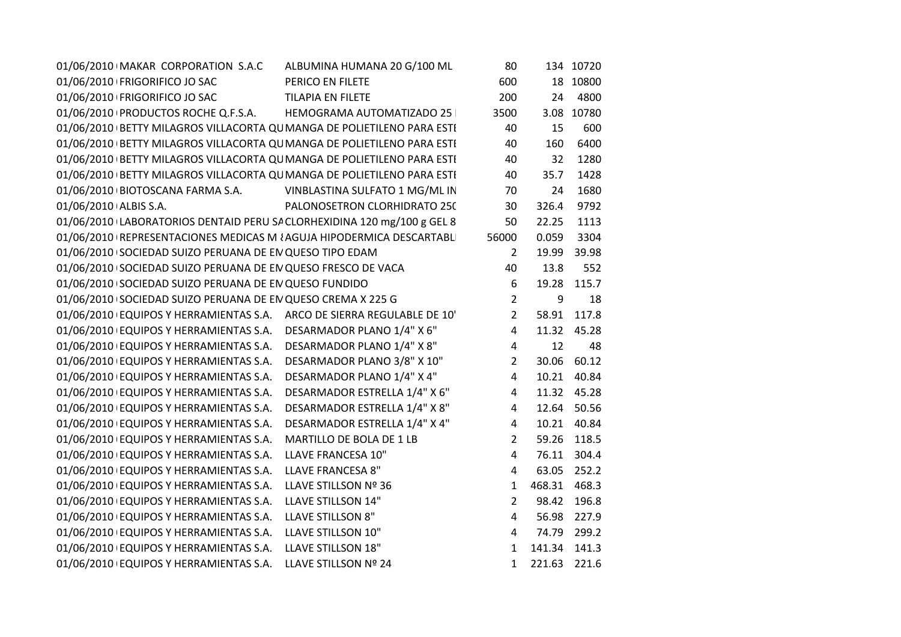|                       | 01/06/2010 MAKAR CORPORATION S.A.C                                | ALBUMINA HUMANA 20 G/100 ML                                             | 80             |              | 134 10720   |  |
|-----------------------|-------------------------------------------------------------------|-------------------------------------------------------------------------|----------------|--------------|-------------|--|
|                       | 01/06/2010 FRIGORIFICO JO SAC                                     | PERICO EN FILETE                                                        | 600            |              | 18 10800    |  |
|                       | 01/06/2010 FRIGORIFICO JO SAC                                     | <b>TILAPIA EN FILETE</b>                                                | 200            | 24           | 4800        |  |
|                       |                                                                   | 01/06/2010   PRODUCTOS ROCHE Q.F.S.A. HEMOGRAMA AUTOMATIZADO 25         | 3500           | 3.08         | 10780       |  |
|                       |                                                                   | 01/06/2010 BETTY MILAGROS VILLACORTA QU MANGA DE POLIETILENO PARA ESTI  | 40             | 15           | 600         |  |
|                       |                                                                   | 01/06/2010 BETTY MILAGROS VILLACORTA QU MANGA DE POLIETILENO PARA ESTI  | 40             | 160          | 6400        |  |
|                       |                                                                   | 01/06/2010 BETTY MILAGROS VILLACORTA QU MANGA DE POLIETILENO PARA ESTI  | 40             | 32           | 1280        |  |
|                       |                                                                   | 01/06/2010 BETTY MILAGROS VILLACORTA QU MANGA DE POLIETILENO PARA ESTI  | 40             | 35.7         | 1428        |  |
|                       |                                                                   | 01/06/2010 BIOTOSCANA FARMA S.A. VINBLASTINA SULFATO 1 MG/ML IN         | 70             | 24           | 1680        |  |
| 01/06/2010 ALBIS S.A. |                                                                   | PALONOSETRON CLORHIDRATO 250                                            | 30             | 326.4        | 9792        |  |
|                       |                                                                   | 01/06/2010 LABORATORIOS DENTAID PERU SA CLORHEXIDINA 120 mg/100 g GEL 8 | 50             | 22.25        | 1113        |  |
|                       |                                                                   | 01/06/2010 REPRESENTACIONES MEDICAS M ¿AGUJA HIPODERMICA DESCARTABLI    | 56000          | 0.059        | 3304        |  |
|                       | 01/06/2010 SOCIEDAD SUIZO PERUANA DE EN QUESO TIPO EDAM           |                                                                         | $\overline{2}$ | 19.99        | 39.98       |  |
|                       | 01/06/2010 SOCIEDAD SUIZO PERUANA DE EN QUESO FRESCO DE VACA      |                                                                         | 40             | 13.8         | 552         |  |
|                       | 01/06/2010 SOCIEDAD SUIZO PERUANA DE EN QUESO FUNDIDO             |                                                                         | 6              | 19.28        | 115.7       |  |
|                       | 01/06/2010 SOCIEDAD SUIZO PERUANA DE EN QUESO CREMA X 225 G       |                                                                         | $\overline{2}$ | 9            | 18          |  |
|                       |                                                                   | 01/06/2010 EQUIPOS Y HERRAMIENTAS S.A. ARCO DE SIERRA REGULABLE DE 10'  | $\overline{2}$ | 58.91        | 117.8       |  |
|                       | 01/06/2010 EQUIPOS Y HERRAMIENTAS S.A. DESARMADOR PLANO 1/4" X 6" |                                                                         | $\overline{4}$ | 11.32        | 45.28       |  |
|                       | 01/06/2010 EQUIPOS Y HERRAMIENTAS S.A. DESARMADOR PLANO 1/4" X 8" |                                                                         | $\overline{4}$ | 12           | 48          |  |
|                       | 01/06/2010 EQUIPOS Y HERRAMIENTAS S.A.                            | DESARMADOR PLANO 3/8" X 10"                                             | $\overline{2}$ | 30.06        | 60.12       |  |
|                       | 01/06/2010 EQUIPOS Y HERRAMIENTAS S.A.                            | DESARMADOR PLANO 1/4" X 4"                                              | $\overline{4}$ | 10.21        | 40.84       |  |
|                       | 01/06/2010 EQUIPOS Y HERRAMIENTAS S.A.                            | DESARMADOR ESTRELLA 1/4" X 6"                                           | 4              |              | 11.32 45.28 |  |
|                       | 01/06/2010 EQUIPOS Y HERRAMIENTAS S.A.                            | DESARMADOR ESTRELLA 1/4" X 8"                                           | $\overline{4}$ | 12.64        | 50.56       |  |
|                       | 01/06/2010 EQUIPOS Y HERRAMIENTAS S.A.                            | DESARMADOR ESTRELLA 1/4" X 4"                                           | 4              | 10.21        | 40.84       |  |
|                       | 01/06/2010 EQUIPOS Y HERRAMIENTAS S.A.                            | MARTILLO DE BOLA DE 1 LB                                                | $\overline{2}$ | 59.26        | 118.5       |  |
|                       | 01/06/2010 EQUIPOS Y HERRAMIENTAS S.A.                            | LLAVE FRANCESA 10"                                                      | $\overline{4}$ | 76.11        | 304.4       |  |
|                       | 01/06/2010 EQUIPOS Y HERRAMIENTAS S.A.                            | LLAVE FRANCESA 8"                                                       | $\overline{a}$ | 63.05        | 252.2       |  |
|                       | 01/06/2010 EQUIPOS Y HERRAMIENTAS S.A.                            | LLAVE STILLSON Nº 36                                                    | $\mathbf{1}$   | 468.31       | 468.3       |  |
|                       | 01/06/2010 EQUIPOS Y HERRAMIENTAS S.A.                            | LLAVE STILLSON 14"                                                      | $\overline{2}$ | 98.42        | 196.8       |  |
|                       | 01/06/2010 EQUIPOS Y HERRAMIENTAS S.A.                            | <b>LLAVE STILLSON 8"</b>                                                | 4              | 56.98        | 227.9       |  |
|                       | 01/06/2010 EQUIPOS Y HERRAMIENTAS S.A.                            | LLAVE STILLSON 10"                                                      | $\overline{4}$ | 74.79        | 299.2       |  |
|                       | 01/06/2010 EQUIPOS Y HERRAMIENTAS S.A.                            | LLAVE STILLSON 18"                                                      | $\mathbf{1}$   | 141.34       | 141.3       |  |
|                       | 01/06/2010 EQUIPOS Y HERRAMIENTAS S.A.                            | LLAVE STILLSON Nº 24                                                    | $\mathbf{1}$   | 221.63 221.6 |             |  |
|                       |                                                                   |                                                                         |                |              |             |  |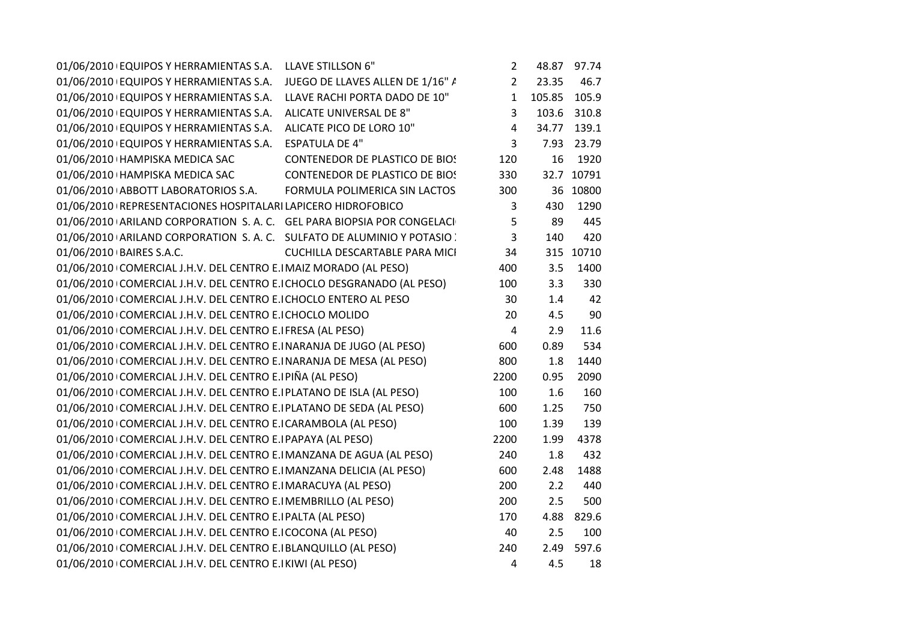| 01/06/2010 EQUIPOS Y HERRAMIENTAS S.A.                                  | LLAVE STILLSON 6"                     | $\overline{2}$ |        | 48.87 97.74 |
|-------------------------------------------------------------------------|---------------------------------------|----------------|--------|-------------|
| 01/06/2010 EQUIPOS Y HERRAMIENTAS S.A.                                  | JUEGO DE LLAVES ALLEN DE 1/16" A      | $\overline{2}$ | 23.35  | 46.7        |
| 01/06/2010 EQUIPOS Y HERRAMIENTAS S.A.                                  | LLAVE RACHI PORTA DADO DE 10"         | $\mathbf 1$    | 105.85 | 105.9       |
| 01/06/2010 EQUIPOS Y HERRAMIENTAS S.A.                                  | ALICATE UNIVERSAL DE 8"               | 3              | 103.6  | 310.8       |
| 01/06/2010 EQUIPOS Y HERRAMIENTAS S.A.                                  | ALICATE PICO DE LORO 10"              | 4              | 34.77  | 139.1       |
| 01/06/2010 EQUIPOS Y HERRAMIENTAS S.A.                                  | <b>ESPATULA DE 4"</b>                 | 3              | 7.93   | 23.79       |
| 01/06/2010 HAMPISKA MEDICA SAC                                          | CONTENEDOR DE PLASTICO DE BIOS        | 120            | 16     | 1920        |
| 01/06/2010   HAMPISKA MEDICA SAC                                        | <b>CONTENEDOR DE PLASTICO DE BIOS</b> | 330            | 32.7   | 10791       |
| 01/06/2010 ABBOTT LABORATORIOS S.A.                                     | FORMULA POLIMERICA SIN LACTOS         | 300            | 36     | 10800       |
| 01/06/2010 REPRESENTACIONES HOSPITALARI LAPICERO HIDROFOBICO            |                                       | 3              | 430    | 1290        |
| 01/06/2010 ARILAND CORPORATION S.A.C. GEL PARA BIOPSIA POR CONGELACI    |                                       | 5              | 89     | 445         |
| 01/06/2010 ARILAND CORPORATION S. A. C. SULFATO DE ALUMINIO Y POTASIO . |                                       | 3              | 140    | 420         |
| 01/06/2010 BAIRES S.A.C.                                                | <b>CUCHILLA DESCARTABLE PARA MICI</b> | 34             | 315    | 10710       |
| 01/06/2010 COMERCIAL J.H.V. DEL CENTRO E.I MAIZ MORADO (AL PESO)        |                                       | 400            | 3.5    | 1400        |
| 01/06/2010 COMERCIAL J.H.V. DEL CENTRO E.I CHOCLO DESGRANADO (AL PESO)  |                                       | 100            | 3.3    | 330         |
| 01/06/2010 COMERCIAL J.H.V. DEL CENTRO E.I CHOCLO ENTERO AL PESO        |                                       | 30             | 1.4    | 42          |
| 01/06/2010 COMERCIAL J.H.V. DEL CENTRO E.I CHOCLO MOLIDO                |                                       | 20             | 4.5    | 90          |
| 01/06/2010 COMERCIAL J.H.V. DEL CENTRO E.IFRESA (AL PESO)               |                                       | 4              | 2.9    | 11.6        |
| 01/06/2010 COMERCIAL J.H.V. DEL CENTRO E.INARANJA DE JUGO (AL PESO)     |                                       | 600            | 0.89   | 534         |
| 01/06/2010 COMERCIAL J.H.V. DEL CENTRO E.INARANJA DE MESA (AL PESO)     |                                       | 800            | 1.8    | 1440        |
| 01/06/2010 COMERCIAL J.H.V. DEL CENTRO E. PIÑA (AL PESO)                |                                       | 2200           | 0.95   | 2090        |
| 01/06/2010 COMERCIAL J.H.V. DEL CENTRO E.IPLATANO DE ISLA (AL PESO)     |                                       | 100            | 1.6    | 160         |
| 01/06/2010 COMERCIAL J.H.V. DEL CENTRO E.I PLATANO DE SEDA (AL PESO)    |                                       | 600            | 1.25   | 750         |
| 01/06/2010 COMERCIAL J.H.V. DEL CENTRO E.I CARAMBOLA (AL PESO)          |                                       | 100            | 1.39   | 139         |
| 01/06/2010 COMERCIAL J.H.V. DEL CENTRO E.I PAPAYA (AL PESO)             |                                       | 2200           | 1.99   | 4378        |
| 01/06/2010 COMERCIAL J.H.V. DEL CENTRO E.I MANZANA DE AGUA (AL PESO)    |                                       | 240            | 1.8    | 432         |
| 01/06/2010 COMERCIAL J.H.V. DEL CENTRO E.I MANZANA DELICIA (AL PESO)    |                                       | 600            | 2.48   | 1488        |
| 01/06/2010 COMERCIAL J.H.V. DEL CENTRO E.I MARACUYA (AL PESO)           |                                       | 200            | 2.2    | 440         |
| 01/06/2010 COMERCIAL J.H.V. DEL CENTRO E.I MEMBRILLO (AL PESO)          |                                       | 200            | 2.5    | 500         |
| 01/06/2010 COMERCIAL J.H.V. DEL CENTRO E. PALTA (AL PESO)               |                                       | 170            | 4.88   | 829.6       |
| 01/06/2010 COMERCIAL J.H.V. DEL CENTRO E.ICOCONA (AL PESO)              |                                       | 40             | 2.5    | 100         |
| 01/06/2010 COMERCIAL J.H.V. DEL CENTRO E. BLANQUILLO (AL PESO)          |                                       | 240            | 2.49   | 597.6       |
| 01/06/2010 COMERCIAL J.H.V. DEL CENTRO E.I KIWI (AL PESO)               |                                       | 4              | 4.5    | 18          |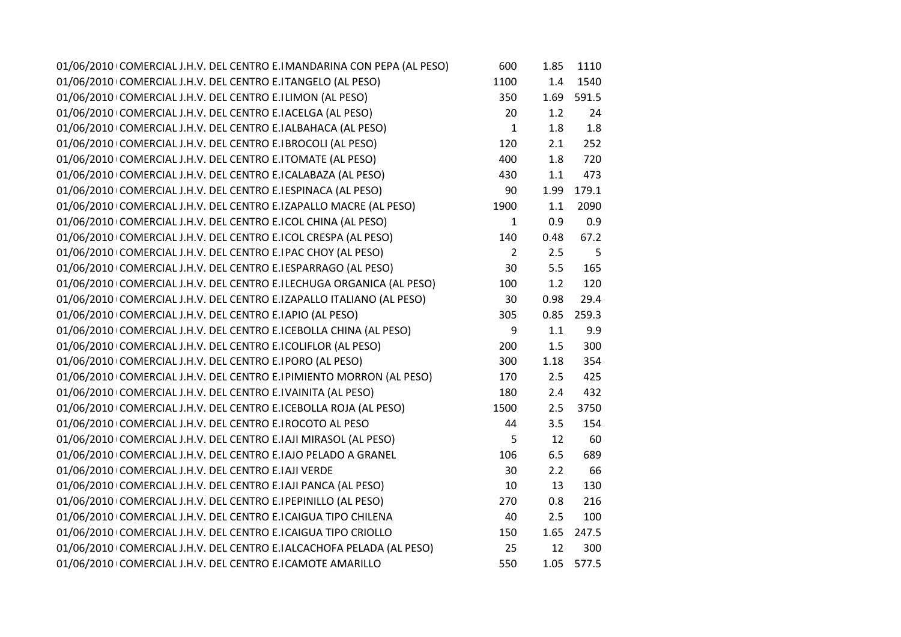| 01/06/2010 COMERCIAL J.H.V. DEL CENTRO E.I MANDARINA CON PEPA (AL PESO) | 600            | 1.85    | 1110  |
|-------------------------------------------------------------------------|----------------|---------|-------|
| 01/06/2010 COMERCIAL J.H.V. DEL CENTRO E.ITANGELO (AL PESO)             | 1100           | 1.4     | 1540  |
| 01/06/2010 COMERCIAL J.H.V. DEL CENTRO E.ILIMON (AL PESO)               | 350            | 1.69    | 591.5 |
| 01/06/2010 COMERCIAL J.H.V. DEL CENTRO E.I ACELGA (AL PESO)             | 20             | 1.2     | 24    |
| 01/06/2010 COMERCIAL J.H.V. DEL CENTRO E. ALBAHACA (AL PESO)            | $\mathbf 1$    | 1.8     | 1.8   |
| 01/06/2010 COMERCIAL J.H.V. DEL CENTRO E.IBROCOLI (AL PESO)             | 120            | 2.1     | 252   |
| 01/06/2010 COMERCIAL J.H.V. DEL CENTRO E.ITOMATE (AL PESO)              | 400            | 1.8     | 720   |
| 01/06/2010 COMERCIAL J.H.V. DEL CENTRO E.I CALABAZA (AL PESO)           | 430            | $1.1\,$ | 473   |
| 01/06/2010 COMERCIAL J.H.V. DEL CENTRO E.I ESPINACA (AL PESO)           | 90             | 1.99    | 179.1 |
| 01/06/2010 COMERCIAL J.H.V. DEL CENTRO E.IZAPALLO MACRE (AL PESO)       | 1900           | 1.1     | 2090  |
| 01/06/2010 COMERCIAL J.H.V. DEL CENTRO E.ICOL CHINA (AL PESO)           | $\mathbf{1}$   | 0.9     | 0.9   |
| 01/06/2010 COMERCIAL J.H.V. DEL CENTRO E.I COL CRESPA (AL PESO)         | 140            | 0.48    | 67.2  |
| 01/06/2010 COMERCIAL J.H.V. DEL CENTRO E.IPAC CHOY (AL PESO)            | $\overline{2}$ | 2.5     | 5     |
| 01/06/2010 COMERCIAL J.H.V. DEL CENTRO E. ESPARRAGO (AL PESO)           | 30             | 5.5     | 165   |
| 01/06/2010 COMERCIAL J.H.V. DEL CENTRO E.ILECHUGA ORGANICA (AL PESO)    | 100            | 1.2     | 120   |
| 01/06/2010 COMERCIAL J.H.V. DEL CENTRO E.IZAPALLO ITALIANO (AL PESO)    | 30             | 0.98    | 29.4  |
| 01/06/2010 COMERCIAL J.H.V. DEL CENTRO E.IAPIO (AL PESO)                | 305            | 0.85    | 259.3 |
| 01/06/2010 COMERCIAL J.H.V. DEL CENTRO E.I CEBOLLA CHINA (AL PESO)      | 9              | 1.1     | 9.9   |
| 01/06/2010 COMERCIAL J.H.V. DEL CENTRO E.ICOLIFLOR (AL PESO)            | 200            | 1.5     | 300   |
| 01/06/2010 COMERCIAL J.H.V. DEL CENTRO E.I PORO (AL PESO)               | 300            | 1.18    | 354   |
| 01/06/2010 COMERCIAL J.H.V. DEL CENTRO E. PIMIENTO MORRON (AL PESO)     | 170            | 2.5     | 425   |
| 01/06/2010 COMERCIAL J.H.V. DEL CENTRO E.IVAINITA (AL PESO)             | 180            | 2.4     | 432   |
| 01/06/2010 COMERCIAL J.H.V. DEL CENTRO E.I CEBOLLA ROJA (AL PESO)       | 1500           | 2.5     | 3750  |
| 01/06/2010 COMERCIAL J.H.V. DEL CENTRO E.IROCOTO AL PESO                | 44             | 3.5     | 154   |
| 01/06/2010 COMERCIAL J.H.V. DEL CENTRO E.IAJI MIRASOL (AL PESO)         | 5              | 12      | 60    |
| 01/06/2010 COMERCIAL J.H.V. DEL CENTRO E.I AJO PELADO A GRANEL          | 106            | 6.5     | 689   |
| 01/06/2010 COMERCIAL J.H.V. DEL CENTRO E.IAJI VERDE                     | 30             | 2.2     | 66    |
| 01/06/2010 COMERCIAL J.H.V. DEL CENTRO E.IAJI PANCA (AL PESO)           | 10             | 13      | 130   |
| 01/06/2010 COMERCIAL J.H.V. DEL CENTRO E.I PEPINILLO (AL PESO)          | 270            | 0.8     | 216   |
| 01/06/2010 COMERCIAL J.H.V. DEL CENTRO E.I CAIGUA TIPO CHILENA          | 40             | 2.5     | 100   |
| 01/06/2010 COMERCIAL J.H.V. DEL CENTRO E.I CAIGUA TIPO CRIOLLO          | 150            | 1.65    | 247.5 |
| 01/06/2010 COMERCIAL J.H.V. DEL CENTRO E. ALCACHOFA PELADA (AL PESO)    | 25             | 12      | 300   |
| 01/06/2010 COMERCIAL J.H.V. DEL CENTRO E.I CAMOTE AMARILLO              | 550            | 1.05    | 577.5 |
|                                                                         |                |         |       |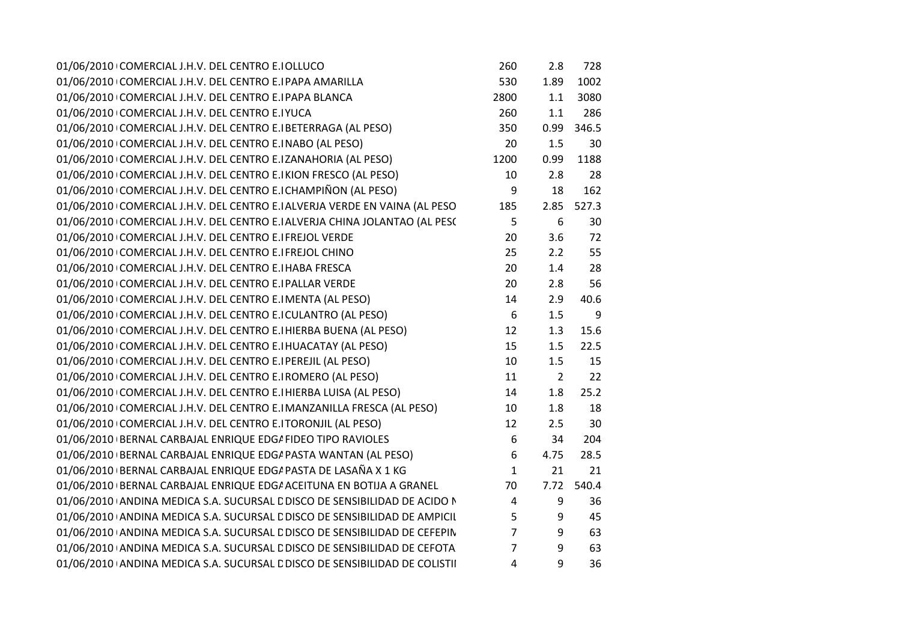| 01/06/2010 COMERCIAL J.H.V. DEL CENTRO E.IOLLUCO                           | 260            | 2.8              | 728        |  |
|----------------------------------------------------------------------------|----------------|------------------|------------|--|
| 01/06/2010 COMERCIAL J.H.V. DEL CENTRO E.I PAPA AMARILLA                   | 530            | 1.89             | 1002       |  |
| 01/06/2010 COMERCIAL J.H.V. DEL CENTRO E.I PAPA BLANCA                     | 2800           | 1.1              | 3080       |  |
| 01/06/2010 COMERCIAL J.H.V. DEL CENTRO E.IYUCA                             | 260            | 1.1              | 286        |  |
| 01/06/2010 COMERCIAL J.H.V. DEL CENTRO E. BETERRAGA (AL PESO)              | 350            | 0.99             | 346.5      |  |
| 01/06/2010 COMERCIAL J.H.V. DEL CENTRO E.INABO (AL PESO)                   | 20             | 1.5              | 30         |  |
| 01/06/2010 COMERCIAL J.H.V. DEL CENTRO E.IZANAHORIA (AL PESO)              | 1200           | 0.99             | 1188       |  |
| 01/06/2010 COMERCIAL J.H.V. DEL CENTRO E.IKION FRESCO (AL PESO)            | 10             | 2.8              | 28         |  |
| 01/06/2010 COMERCIAL J.H.V. DEL CENTRO E. CHAMPIÑON (AL PESO)              | 9              | 18               | 162        |  |
| 01/06/2010 COMERCIAL J.H.V. DEL CENTRO E. ALVERJA VERDE EN VAINA (AL PESO  | 185            |                  | 2.85 527.3 |  |
| 01/06/2010 COMERCIAL J.H.V. DEL CENTRO E. ALVERJA CHINA JOLANTAO (AL PESC  | 5              | 6                | 30         |  |
| 01/06/2010 COMERCIAL J.H.V. DEL CENTRO E.I FREJOL VERDE                    | 20             | 3.6              | 72         |  |
| 01/06/2010 COMERCIAL J.H.V. DEL CENTRO E.I FREJOL CHINO                    | 25             | 2.2              | 55         |  |
| 01/06/2010 COMERCIAL J.H.V. DEL CENTRO E. HABA FRESCA                      | 20             | 1.4              | 28         |  |
| 01/06/2010 COMERCIAL J.H.V. DEL CENTRO E.I PALLAR VERDE                    | 20             | 2.8              | 56         |  |
| 01/06/2010 COMERCIAL J.H.V. DEL CENTRO E.I MENTA (AL PESO)                 | 14             | 2.9              | 40.6       |  |
| 01/06/2010 COMERCIAL J.H.V. DEL CENTRO E.I CULANTRO (AL PESO)              | 6              | 1.5              | 9          |  |
| 01/06/2010 COMERCIAL J.H.V. DEL CENTRO E.I HIERBA BUENA (AL PESO)          | 12             | 1.3              | 15.6       |  |
| 01/06/2010 COMERCIAL J.H.V. DEL CENTRO E. HUACATAY (AL PESO)               | 15             | 1.5              | 22.5       |  |
| 01/06/2010 COMERCIAL J.H.V. DEL CENTRO E.I PEREJIL (AL PESO)               | 10             | 1.5              | 15         |  |
| 01/06/2010 COMERCIAL J.H.V. DEL CENTRO E.I ROMERO (AL PESO)                | 11             | $\overline{2}$   | 22         |  |
| 01/06/2010 COMERCIAL J.H.V. DEL CENTRO E. HIERBA LUISA (AL PESO)           | 14             | 1.8              | 25.2       |  |
| 01/06/2010 COMERCIAL J.H.V. DEL CENTRO E.IMANZANILLA FRESCA (AL PESO)      | 10             | 1.8              | 18         |  |
| 01/06/2010 COMERCIAL J.H.V. DEL CENTRO E.ITORONJIL (AL PESO)               | 12             | 2.5              | 30         |  |
| 01/06/2010 BERNAL CARBAJAL ENRIQUE EDG/ FIDEO TIPO RAVIOLES                | 6              | 34               | 204        |  |
| 01/06/2010 BERNAL CARBAJAL ENRIQUE EDG/ PASTA WANTAN (AL PESO)             | 6              | 4.75             | 28.5       |  |
| 01/06/2010 BERNAL CARBAJAL ENRIQUE EDG/ PASTA DE LASAÑA X 1 KG             | $\mathbf{1}$   | 21               | 21         |  |
| 01/06/2010 BERNAL CARBAJAL ENRIQUE EDG/ ACEITUNA EN BOTIJA A GRANEL        | 70             | 7.72             | 540.4      |  |
| 01/06/2010 ANDINA MEDICA S.A. SUCURSAL E DISCO DE SENSIBILIDAD DE ACIDO N  | $\overline{4}$ | 9                | 36         |  |
| 01/06/2010 ANDINA MEDICA S.A. SUCURSAL E DISCO DE SENSIBILIDAD DE AMPICIL  | 5              | 9                | 45         |  |
| 01/06/2010 ANDINA MEDICA S.A. SUCURSAL E DISCO DE SENSIBILIDAD DE CEFEPIN  | $\overline{7}$ | 9                | 63         |  |
| 01/06/2010 ANDINA MEDICA S.A. SUCURSAL E DISCO DE SENSIBILIDAD DE CEFOTA   | $\overline{7}$ | $\boldsymbol{9}$ | 63         |  |
| 01/06/2010 ANDINA MEDICA S.A. SUCURSAL E DISCO DE SENSIBILIDAD DE COLISTII | $\overline{4}$ | 9                | 36         |  |
|                                                                            |                |                  |            |  |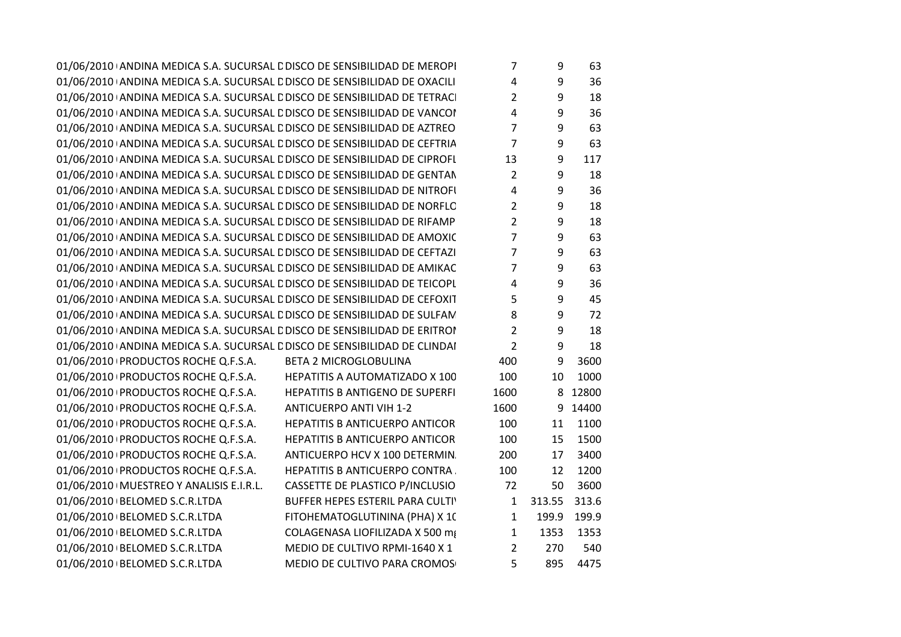$01/06/2010$  ANDINA MEDICA S.A. SUCURSAL L'DISCO DE SENSIBILIDAD DE MEROPI $\qquad \qquad 7 \qquad \qquad 9 \qquad 63$  $01/06/2010$  ANDINA MEDICA S.A. SUCURSAL L'DISCO DE SENSIBILIDAD DE OXACILI $4 \overline{9}$  36  $01/06/2010$  ANDINA MEDICA S.A. SUCURSAL L'DISCO DE SENSIBILIDAD DE TETRACI $2$  2 a  $9$  18  $01/06/2010$  ANDINA MEDICA S.A. SUCURSAL L'DISCO DE SENSIBILIDAD DE VANCOI  $\begin{array}{ccc} 4 & 9 & 36 \end{array}$ 01/06/2010 ANDINA MEDICA S.A. SUCURSAL L'DISCO DE SENSIBILIDAD DE AZTREO $\qquad \qquad 7 \qquad \qquad 9 \qquad 63$ 01/06/2010 ANDINA MEDICA S.A. SUCURSAL L'DISCO DE SENSIBILIDAD DE CEFTRIA $\overline{7}$   $\overline{9}$  63  $01/06/2010$  ANDINA MEDICA S.A. SUCURSAL L'DISCO DE SENSIBILIDAD DE CIPROFL $\qquad \qquad 13 \qquad \qquad 9 \qquad 117$ 01/06/2010 ANDINA MEDICA S.A. SUCURSAL L'DISCO DE SENSIBILIDAD DE GENTAN a la posta de la posta 18 de la provi<br>Internationale de la provincia de la provincia de la provincia de la provincia de la provincia del provincia d 01/06/2010 ANDINA MEDICA S.A. SUCURSAL L'DISCO DE SENSIBILIDAD DE NITROFI $\begin{array}{ccc} 4 & 9 & 36 \end{array}$  $01/06/2010$  ANDINA MEDICA S.A. SUCURSAL L'DISCO DE SENSIBILIDAD DE NORFLO $2$  2 a  $9$  18  $01/06/2010$  ANDINA MEDICA S.A. SUCURSAL L'DISCO DE SENSIBILIDAD DE RIFAMP $\qquad \qquad 2 \qquad \qquad 9 \qquad 18$ 01/06/2010 ANDINA MEDICA S.A. SUCURSAL L'DISCO DE SENSIBILIDAD DE AMOXIC $\hskip 1.0mm -7 \hskip 1.0mm -8 \hskip 1.0mm -9 \hskip 1.0mm -63$ 01/06/2010 ANDINA MEDICA S.A. SUCURSAL L'DISCO DE SENSIBILIDAD DE CEFTAZI FORDI 20 OG 30 DE 30 DE X 50 DE X 50<br>DISCOS 7 DE X 50 DISCOS 7 DISCOS 7 DISCOS 7 DISCOS 7 DISCOS 7 DISCOS 7 DISCOS 7 DISCOS 7 DISCOS 7 DISCOS 7 DIS  $01/06/2010$  ANDINA MEDICA S.A. SUCURSAL L'DISCO DE SENSIBILIDAD DE AMIKAC $\hspace{1cm}7 \hspace{1cm}9 \hspace{1cm}63$  $01/06/2010$  ANDINA MEDICA S.A. SUCURSAL L'DISCO DE SENSIBILIDAD DE TEICOPL $\begin{array}{ccc} 4 & 9 & 36 \end{array}$ 01/06/2010 ANDINA MEDICA S.A. SUCURSAL L'DISCO DE SENSIBILIDAD DE CEFOXIT  $\begin{array}{ccc} 5 & 9 & 45 \end{array}$ 01/06/2010 ANDINA MEDICA S.A. SUCURSAL L'DISCO DE SENSIBILIDAD DE SULFAM $3.72\pm 1.33$  $01/06/2010$  ANDINA MEDICA S.A. SUCURSAL L'DISCO DE SENSIBILIDAD DE ERITROMICINA 15 UG X 50 POLE 18  $01/06/2010$  ANDINA MEDICA S.A. SUCURSAL L'DISCO DE SENSIBILIDAD DE CLINDAI  $2$  9 18

01/06/2010 PRODUCTOS ROCHE Q.F.S.A. BETA 2 MICROGLOBULINA <sup>400</sup> <sup>9</sup> <sup>3600</sup> 01/06/2010 PRODUCTOS ROCHE Q.F.S.A. **HEPATITIS A AUTOMATIZADO X 100** 01/06/2010 PRODUCTOS ROCHE O.F.S.A. **HEPATITIS B ANTIGENO DE SUPERFI**  $01/06/2010$  PRODUCTOS ROCHE Q.F.S.A. ANTICUERPO ANTI VIH 1-2  $1600$  9 14400 01/06/2010 PRODUCTOS ROCHE Q.F.S.A. **HEPATITIS B ANTICUERPO ANTICOR** 01/06/2010 | PRODUCTOS ROCHE Q.F.S.A. HEPATITIS R ANTICUERPO ANTICOR 01/06/2010 PRODUCTOS ROCHE Q.F.S.A. ANTICUERPO HCV X 100 DETERMIN 01/06/2010 | PRODUCTOS ROCHE Q.F.S.A. **HEPATITIS B ANTICUERPO CONTRA.** 01/06/2010 | MUESTREO Y ANALISIS E.I.R.L. CASSETTE DE PLASTICO P/INCLUSIO  $01/06/2010$   $\mid$  BELOMED S.C.R.LTDA BUFFER HEPES ESTERIL PARA CULTIV  $01/06/2010$   $\mid$  BELOMED S.C.R.LTDA FITOHEMATOGLUTININA (PHA) X 10  $01/06/2010$   $\mid$  BELOMED S.C.R.LTDA COLAGENASA LIOFILIZADA X 500 mg  $01/06/2010$   $\mid$  BELOMED S.C.R.LTDA MEDIO DE CULTIVO RPMI-1640 X 1  $01/06/2010$   $\mid$  BELOMED S.C.R.LTDA MEDIO DE CULTIVO PARA CROMOS 6 100 MB 5 100 MB 4475

| ,                       | J          | ບບ          |
|-------------------------|------------|-------------|
| 4                       | 9          | 36          |
| $\overline{\mathbf{c}}$ | 9          | 18          |
| 4                       | 9          | 36          |
| 7                       | 9          | 63          |
| 7                       | 9          | 63          |
| 13                      | 9          | 117         |
| $\overline{\mathbf{c}}$ | 9          | 18          |
| 4                       | 9          | 36          |
| $\overline{\mathbf{c}}$ | 9          | 18          |
| $\overline{\mathbf{c}}$ | 9          | 18          |
| 7                       | 9          | 63          |
| $\overline{7}$          | 9          | 63          |
| 7                       | 9          | 63          |
| 4                       | 9          | 36          |
| 5                       | 9          | 45          |
| 8                       | 9          | 72          |
| $\overline{2}$          | 9          | 18          |
| $\overline{c}$          | 9          | 18          |
| 400                     | 9          | 3600        |
| 100                     | 10         | 1000        |
| 1600                    | 8          | 12800       |
| 1600                    | 9          | 14400       |
| 100                     | 11         | 1100        |
| 100                     | 15         | 1500        |
| 200                     | 17         | 3400        |
| 100                     | 12         | 1200        |
| 72                      | 50         | 3600        |
| $\mathbf{1}$            | 313.55     | 313.6       |
| $\mathbf 1$             | 199.9      | 199.9       |
| 1                       | 1353       | 1353        |
| $\overline{c}$<br>É     | 270<br>00C | 540<br>117C |
|                         |            |             |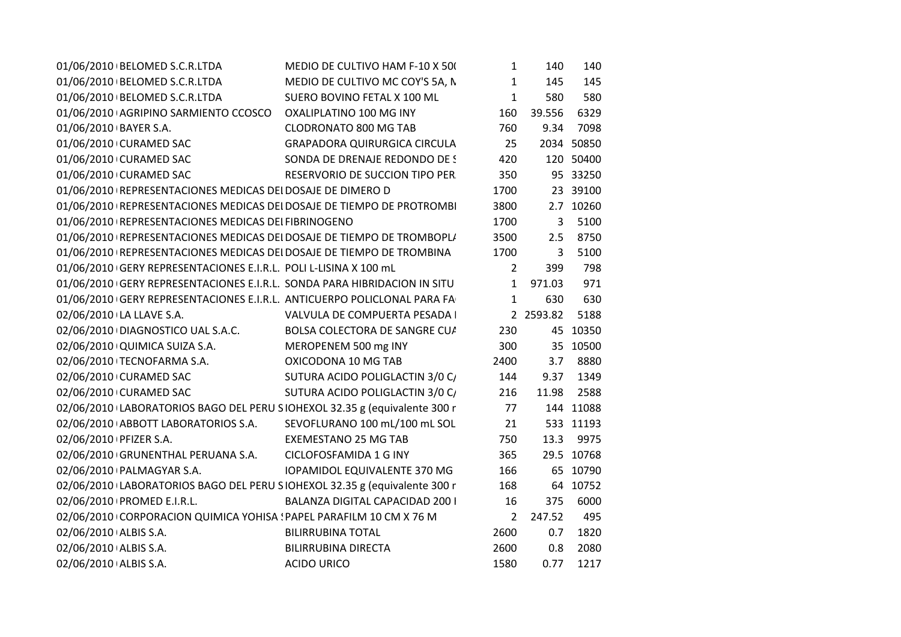| 01/06/2010 BELOMED S.C.R.LTDA<br>MEDIO DE CULTIVO MC COY'S 5A, N<br>145<br>$\mathbf{1}$<br>145<br>580<br>01/06/2010 BELOMED S.C.R.LTDA<br>SUERO BOVINO FETAL X 100 ML<br>580<br>$\mathbf{1}$<br>6329<br>01/06/2010 AGRIPINO SARMIENTO CCOSCO OXALIPLATINO 100 MG INY<br>160<br>39.556<br><b>CLODRONATO 800 MG TAB</b><br>760<br>9.34<br>7098<br>01/06/2010 BAYER S.A.<br>01/06/2010 CURAMED SAC<br>GRAPADORA QUIRURGICA CIRCULA<br>25<br>2034 50850<br>SONDA DE DRENAJE REDONDO DE S<br>01/06/2010 CURAMED SAC<br>420<br>120 50400<br>01/06/2010 CURAMED SAC<br>350<br>95 33250<br>RESERVORIO DE SUCCION TIPO PER<br>01/06/2010 REPRESENTACIONES MEDICAS DEI DOSAJE DE DIMERO D<br>1700<br>23 39100<br>01/06/2010 REPRESENTACIONES MEDICAS DEI DOSAJE DE TIEMPO DE PROTROMBI<br>3800<br>2.7 10260<br>1700<br>5100<br>01/06/2010 REPRESENTACIONES MEDICAS DEI FIBRINOGENO<br>$\mathbf{3}$<br>01/06/2010 REPRESENTACIONES MEDICAS DEI DOSAJE DE TIEMPO DE TROMBOPL/<br>3500<br>8750<br>2.5<br>01/06/2010 REPRESENTACIONES MEDICAS DEI DOSAJE DE TIEMPO DE TROMBINA<br>1700<br>5100<br>$\overline{3}$<br>01/06/2010 GERY REPRESENTACIONES E.I.R.L. POLI L-LISINA X 100 mL<br>798<br>$\overline{2}$<br>399<br>01/06/2010 GERY REPRESENTACIONES E.I.R.L. SONDA PARA HIBRIDACION IN SITU<br>971<br>$\mathbf{1}$<br>971.03<br>$\mathbf{1}$<br>01/06/2010 GERY REPRESENTACIONES E.I.R.L. ANTICUERPO POLICLONAL PARA FA<br>630<br>630<br>5188<br>02/06/2010 LA LLAVE S.A.<br>VALVULA DE COMPUERTA PESADA I<br>2 2593.82<br>02/06/2010 DIAGNOSTICO UAL S.A.C.<br>BOLSA COLECTORA DE SANGRE CU/<br>230<br>45 10350<br>02/06/2010 QUIMICA SUIZA S.A.<br>MEROPENEM 500 mg INY<br>300<br>35 10500<br>02/06/2010 TECNOFARMA S.A.<br>OXICODONA 10 MG TAB<br>2400<br>3.7 8880<br>02/06/2010 CURAMED SAC<br>SUTURA ACIDO POLIGLACTIN 3/0 C/<br>144<br>1349<br>9.37<br>02/06/2010 CURAMED SAC<br>SUTURA ACIDO POLIGLACTIN 3/0 C/<br>216<br>2588<br>11.98<br>02/06/2010 LABORATORIOS BAGO DEL PERU SIOHEXOL 32.35 g (equivalente 300 r<br>144 11088<br>77<br>02/06/2010 ABBOTT LABORATORIOS S.A. SEVOFLURANO 100 mL/100 mL SOL<br>21<br>533 11193<br>02/06/2010 PFIZER S.A.<br><b>EXEMESTANO 25 MG TAB</b><br>13.3 9975<br>750<br>02/06/2010 GRUNENTHAL PERUANA S.A. CICLOFOSFAMIDA 1 G INY<br>365<br>29.5 10768<br>65 10790<br>IOPAMIDOL EQUIVALENTE 370 MG<br>166<br>02/06/2010   PALMAGYAR S.A.<br>02/06/2010 LABORATORIOS BAGO DEL PERU SIOHEXOL 32.35 g (equivalente 300 r<br>168<br>64 10752<br>02/06/2010 PROMED E.I.R.L.<br>BALANZA DIGITAL CAPACIDAD 200 I<br>6000<br>16<br>375<br>02/06/2010 CORPORACION QUIMICA YOHISA ! PAPEL PARAFILM 10 CM X 76 M<br>247.52<br>495<br>$\overline{2}$<br>02/06/2010 ALBIS S.A.<br><b>BILIRRUBINA TOTAL</b><br>2600<br>0.7<br>1820<br>2080<br>02/06/2010 ALBIS S.A.<br><b>BILIRRUBINA DIRECTA</b><br>2600<br>0.8<br>1217<br>02/06/2010 ALBIS S.A.<br><b>ACIDO URICO</b><br>1580<br>0.77 | 01/06/2010 BELOMED S.C.R.LTDA | MEDIO DE CULTIVO HAM F-10 X 50( | $\mathbf{1}$ | 140 | 140 |
|-----------------------------------------------------------------------------------------------------------------------------------------------------------------------------------------------------------------------------------------------------------------------------------------------------------------------------------------------------------------------------------------------------------------------------------------------------------------------------------------------------------------------------------------------------------------------------------------------------------------------------------------------------------------------------------------------------------------------------------------------------------------------------------------------------------------------------------------------------------------------------------------------------------------------------------------------------------------------------------------------------------------------------------------------------------------------------------------------------------------------------------------------------------------------------------------------------------------------------------------------------------------------------------------------------------------------------------------------------------------------------------------------------------------------------------------------------------------------------------------------------------------------------------------------------------------------------------------------------------------------------------------------------------------------------------------------------------------------------------------------------------------------------------------------------------------------------------------------------------------------------------------------------------------------------------------------------------------------------------------------------------------------------------------------------------------------------------------------------------------------------------------------------------------------------------------------------------------------------------------------------------------------------------------------------------------------------------------------------------------------------------------------------------------------------------------------------------------------------------------------------------------------------------------------------------------------------------------------------------------------------------------------------------------------------------------------------------------------------------------------------------------------------------------------------------------------------------------------------------------------------------------------------------------|-------------------------------|---------------------------------|--------------|-----|-----|
|                                                                                                                                                                                                                                                                                                                                                                                                                                                                                                                                                                                                                                                                                                                                                                                                                                                                                                                                                                                                                                                                                                                                                                                                                                                                                                                                                                                                                                                                                                                                                                                                                                                                                                                                                                                                                                                                                                                                                                                                                                                                                                                                                                                                                                                                                                                                                                                                                                                                                                                                                                                                                                                                                                                                                                                                                                                                                                                 |                               |                                 |              |     |     |
|                                                                                                                                                                                                                                                                                                                                                                                                                                                                                                                                                                                                                                                                                                                                                                                                                                                                                                                                                                                                                                                                                                                                                                                                                                                                                                                                                                                                                                                                                                                                                                                                                                                                                                                                                                                                                                                                                                                                                                                                                                                                                                                                                                                                                                                                                                                                                                                                                                                                                                                                                                                                                                                                                                                                                                                                                                                                                                                 |                               |                                 |              |     |     |
|                                                                                                                                                                                                                                                                                                                                                                                                                                                                                                                                                                                                                                                                                                                                                                                                                                                                                                                                                                                                                                                                                                                                                                                                                                                                                                                                                                                                                                                                                                                                                                                                                                                                                                                                                                                                                                                                                                                                                                                                                                                                                                                                                                                                                                                                                                                                                                                                                                                                                                                                                                                                                                                                                                                                                                                                                                                                                                                 |                               |                                 |              |     |     |
|                                                                                                                                                                                                                                                                                                                                                                                                                                                                                                                                                                                                                                                                                                                                                                                                                                                                                                                                                                                                                                                                                                                                                                                                                                                                                                                                                                                                                                                                                                                                                                                                                                                                                                                                                                                                                                                                                                                                                                                                                                                                                                                                                                                                                                                                                                                                                                                                                                                                                                                                                                                                                                                                                                                                                                                                                                                                                                                 |                               |                                 |              |     |     |
|                                                                                                                                                                                                                                                                                                                                                                                                                                                                                                                                                                                                                                                                                                                                                                                                                                                                                                                                                                                                                                                                                                                                                                                                                                                                                                                                                                                                                                                                                                                                                                                                                                                                                                                                                                                                                                                                                                                                                                                                                                                                                                                                                                                                                                                                                                                                                                                                                                                                                                                                                                                                                                                                                                                                                                                                                                                                                                                 |                               |                                 |              |     |     |
|                                                                                                                                                                                                                                                                                                                                                                                                                                                                                                                                                                                                                                                                                                                                                                                                                                                                                                                                                                                                                                                                                                                                                                                                                                                                                                                                                                                                                                                                                                                                                                                                                                                                                                                                                                                                                                                                                                                                                                                                                                                                                                                                                                                                                                                                                                                                                                                                                                                                                                                                                                                                                                                                                                                                                                                                                                                                                                                 |                               |                                 |              |     |     |
|                                                                                                                                                                                                                                                                                                                                                                                                                                                                                                                                                                                                                                                                                                                                                                                                                                                                                                                                                                                                                                                                                                                                                                                                                                                                                                                                                                                                                                                                                                                                                                                                                                                                                                                                                                                                                                                                                                                                                                                                                                                                                                                                                                                                                                                                                                                                                                                                                                                                                                                                                                                                                                                                                                                                                                                                                                                                                                                 |                               |                                 |              |     |     |
|                                                                                                                                                                                                                                                                                                                                                                                                                                                                                                                                                                                                                                                                                                                                                                                                                                                                                                                                                                                                                                                                                                                                                                                                                                                                                                                                                                                                                                                                                                                                                                                                                                                                                                                                                                                                                                                                                                                                                                                                                                                                                                                                                                                                                                                                                                                                                                                                                                                                                                                                                                                                                                                                                                                                                                                                                                                                                                                 |                               |                                 |              |     |     |
|                                                                                                                                                                                                                                                                                                                                                                                                                                                                                                                                                                                                                                                                                                                                                                                                                                                                                                                                                                                                                                                                                                                                                                                                                                                                                                                                                                                                                                                                                                                                                                                                                                                                                                                                                                                                                                                                                                                                                                                                                                                                                                                                                                                                                                                                                                                                                                                                                                                                                                                                                                                                                                                                                                                                                                                                                                                                                                                 |                               |                                 |              |     |     |
|                                                                                                                                                                                                                                                                                                                                                                                                                                                                                                                                                                                                                                                                                                                                                                                                                                                                                                                                                                                                                                                                                                                                                                                                                                                                                                                                                                                                                                                                                                                                                                                                                                                                                                                                                                                                                                                                                                                                                                                                                                                                                                                                                                                                                                                                                                                                                                                                                                                                                                                                                                                                                                                                                                                                                                                                                                                                                                                 |                               |                                 |              |     |     |
|                                                                                                                                                                                                                                                                                                                                                                                                                                                                                                                                                                                                                                                                                                                                                                                                                                                                                                                                                                                                                                                                                                                                                                                                                                                                                                                                                                                                                                                                                                                                                                                                                                                                                                                                                                                                                                                                                                                                                                                                                                                                                                                                                                                                                                                                                                                                                                                                                                                                                                                                                                                                                                                                                                                                                                                                                                                                                                                 |                               |                                 |              |     |     |
|                                                                                                                                                                                                                                                                                                                                                                                                                                                                                                                                                                                                                                                                                                                                                                                                                                                                                                                                                                                                                                                                                                                                                                                                                                                                                                                                                                                                                                                                                                                                                                                                                                                                                                                                                                                                                                                                                                                                                                                                                                                                                                                                                                                                                                                                                                                                                                                                                                                                                                                                                                                                                                                                                                                                                                                                                                                                                                                 |                               |                                 |              |     |     |
|                                                                                                                                                                                                                                                                                                                                                                                                                                                                                                                                                                                                                                                                                                                                                                                                                                                                                                                                                                                                                                                                                                                                                                                                                                                                                                                                                                                                                                                                                                                                                                                                                                                                                                                                                                                                                                                                                                                                                                                                                                                                                                                                                                                                                                                                                                                                                                                                                                                                                                                                                                                                                                                                                                                                                                                                                                                                                                                 |                               |                                 |              |     |     |
|                                                                                                                                                                                                                                                                                                                                                                                                                                                                                                                                                                                                                                                                                                                                                                                                                                                                                                                                                                                                                                                                                                                                                                                                                                                                                                                                                                                                                                                                                                                                                                                                                                                                                                                                                                                                                                                                                                                                                                                                                                                                                                                                                                                                                                                                                                                                                                                                                                                                                                                                                                                                                                                                                                                                                                                                                                                                                                                 |                               |                                 |              |     |     |
|                                                                                                                                                                                                                                                                                                                                                                                                                                                                                                                                                                                                                                                                                                                                                                                                                                                                                                                                                                                                                                                                                                                                                                                                                                                                                                                                                                                                                                                                                                                                                                                                                                                                                                                                                                                                                                                                                                                                                                                                                                                                                                                                                                                                                                                                                                                                                                                                                                                                                                                                                                                                                                                                                                                                                                                                                                                                                                                 |                               |                                 |              |     |     |
|                                                                                                                                                                                                                                                                                                                                                                                                                                                                                                                                                                                                                                                                                                                                                                                                                                                                                                                                                                                                                                                                                                                                                                                                                                                                                                                                                                                                                                                                                                                                                                                                                                                                                                                                                                                                                                                                                                                                                                                                                                                                                                                                                                                                                                                                                                                                                                                                                                                                                                                                                                                                                                                                                                                                                                                                                                                                                                                 |                               |                                 |              |     |     |
|                                                                                                                                                                                                                                                                                                                                                                                                                                                                                                                                                                                                                                                                                                                                                                                                                                                                                                                                                                                                                                                                                                                                                                                                                                                                                                                                                                                                                                                                                                                                                                                                                                                                                                                                                                                                                                                                                                                                                                                                                                                                                                                                                                                                                                                                                                                                                                                                                                                                                                                                                                                                                                                                                                                                                                                                                                                                                                                 |                               |                                 |              |     |     |
|                                                                                                                                                                                                                                                                                                                                                                                                                                                                                                                                                                                                                                                                                                                                                                                                                                                                                                                                                                                                                                                                                                                                                                                                                                                                                                                                                                                                                                                                                                                                                                                                                                                                                                                                                                                                                                                                                                                                                                                                                                                                                                                                                                                                                                                                                                                                                                                                                                                                                                                                                                                                                                                                                                                                                                                                                                                                                                                 |                               |                                 |              |     |     |
|                                                                                                                                                                                                                                                                                                                                                                                                                                                                                                                                                                                                                                                                                                                                                                                                                                                                                                                                                                                                                                                                                                                                                                                                                                                                                                                                                                                                                                                                                                                                                                                                                                                                                                                                                                                                                                                                                                                                                                                                                                                                                                                                                                                                                                                                                                                                                                                                                                                                                                                                                                                                                                                                                                                                                                                                                                                                                                                 |                               |                                 |              |     |     |
|                                                                                                                                                                                                                                                                                                                                                                                                                                                                                                                                                                                                                                                                                                                                                                                                                                                                                                                                                                                                                                                                                                                                                                                                                                                                                                                                                                                                                                                                                                                                                                                                                                                                                                                                                                                                                                                                                                                                                                                                                                                                                                                                                                                                                                                                                                                                                                                                                                                                                                                                                                                                                                                                                                                                                                                                                                                                                                                 |                               |                                 |              |     |     |
|                                                                                                                                                                                                                                                                                                                                                                                                                                                                                                                                                                                                                                                                                                                                                                                                                                                                                                                                                                                                                                                                                                                                                                                                                                                                                                                                                                                                                                                                                                                                                                                                                                                                                                                                                                                                                                                                                                                                                                                                                                                                                                                                                                                                                                                                                                                                                                                                                                                                                                                                                                                                                                                                                                                                                                                                                                                                                                                 |                               |                                 |              |     |     |
|                                                                                                                                                                                                                                                                                                                                                                                                                                                                                                                                                                                                                                                                                                                                                                                                                                                                                                                                                                                                                                                                                                                                                                                                                                                                                                                                                                                                                                                                                                                                                                                                                                                                                                                                                                                                                                                                                                                                                                                                                                                                                                                                                                                                                                                                                                                                                                                                                                                                                                                                                                                                                                                                                                                                                                                                                                                                                                                 |                               |                                 |              |     |     |
|                                                                                                                                                                                                                                                                                                                                                                                                                                                                                                                                                                                                                                                                                                                                                                                                                                                                                                                                                                                                                                                                                                                                                                                                                                                                                                                                                                                                                                                                                                                                                                                                                                                                                                                                                                                                                                                                                                                                                                                                                                                                                                                                                                                                                                                                                                                                                                                                                                                                                                                                                                                                                                                                                                                                                                                                                                                                                                                 |                               |                                 |              |     |     |
|                                                                                                                                                                                                                                                                                                                                                                                                                                                                                                                                                                                                                                                                                                                                                                                                                                                                                                                                                                                                                                                                                                                                                                                                                                                                                                                                                                                                                                                                                                                                                                                                                                                                                                                                                                                                                                                                                                                                                                                                                                                                                                                                                                                                                                                                                                                                                                                                                                                                                                                                                                                                                                                                                                                                                                                                                                                                                                                 |                               |                                 |              |     |     |
|                                                                                                                                                                                                                                                                                                                                                                                                                                                                                                                                                                                                                                                                                                                                                                                                                                                                                                                                                                                                                                                                                                                                                                                                                                                                                                                                                                                                                                                                                                                                                                                                                                                                                                                                                                                                                                                                                                                                                                                                                                                                                                                                                                                                                                                                                                                                                                                                                                                                                                                                                                                                                                                                                                                                                                                                                                                                                                                 |                               |                                 |              |     |     |
|                                                                                                                                                                                                                                                                                                                                                                                                                                                                                                                                                                                                                                                                                                                                                                                                                                                                                                                                                                                                                                                                                                                                                                                                                                                                                                                                                                                                                                                                                                                                                                                                                                                                                                                                                                                                                                                                                                                                                                                                                                                                                                                                                                                                                                                                                                                                                                                                                                                                                                                                                                                                                                                                                                                                                                                                                                                                                                                 |                               |                                 |              |     |     |
|                                                                                                                                                                                                                                                                                                                                                                                                                                                                                                                                                                                                                                                                                                                                                                                                                                                                                                                                                                                                                                                                                                                                                                                                                                                                                                                                                                                                                                                                                                                                                                                                                                                                                                                                                                                                                                                                                                                                                                                                                                                                                                                                                                                                                                                                                                                                                                                                                                                                                                                                                                                                                                                                                                                                                                                                                                                                                                                 |                               |                                 |              |     |     |
|                                                                                                                                                                                                                                                                                                                                                                                                                                                                                                                                                                                                                                                                                                                                                                                                                                                                                                                                                                                                                                                                                                                                                                                                                                                                                                                                                                                                                                                                                                                                                                                                                                                                                                                                                                                                                                                                                                                                                                                                                                                                                                                                                                                                                                                                                                                                                                                                                                                                                                                                                                                                                                                                                                                                                                                                                                                                                                                 |                               |                                 |              |     |     |
|                                                                                                                                                                                                                                                                                                                                                                                                                                                                                                                                                                                                                                                                                                                                                                                                                                                                                                                                                                                                                                                                                                                                                                                                                                                                                                                                                                                                                                                                                                                                                                                                                                                                                                                                                                                                                                                                                                                                                                                                                                                                                                                                                                                                                                                                                                                                                                                                                                                                                                                                                                                                                                                                                                                                                                                                                                                                                                                 |                               |                                 |              |     |     |
|                                                                                                                                                                                                                                                                                                                                                                                                                                                                                                                                                                                                                                                                                                                                                                                                                                                                                                                                                                                                                                                                                                                                                                                                                                                                                                                                                                                                                                                                                                                                                                                                                                                                                                                                                                                                                                                                                                                                                                                                                                                                                                                                                                                                                                                                                                                                                                                                                                                                                                                                                                                                                                                                                                                                                                                                                                                                                                                 |                               |                                 |              |     |     |
|                                                                                                                                                                                                                                                                                                                                                                                                                                                                                                                                                                                                                                                                                                                                                                                                                                                                                                                                                                                                                                                                                                                                                                                                                                                                                                                                                                                                                                                                                                                                                                                                                                                                                                                                                                                                                                                                                                                                                                                                                                                                                                                                                                                                                                                                                                                                                                                                                                                                                                                                                                                                                                                                                                                                                                                                                                                                                                                 |                               |                                 |              |     |     |
|                                                                                                                                                                                                                                                                                                                                                                                                                                                                                                                                                                                                                                                                                                                                                                                                                                                                                                                                                                                                                                                                                                                                                                                                                                                                                                                                                                                                                                                                                                                                                                                                                                                                                                                                                                                                                                                                                                                                                                                                                                                                                                                                                                                                                                                                                                                                                                                                                                                                                                                                                                                                                                                                                                                                                                                                                                                                                                                 |                               |                                 |              |     |     |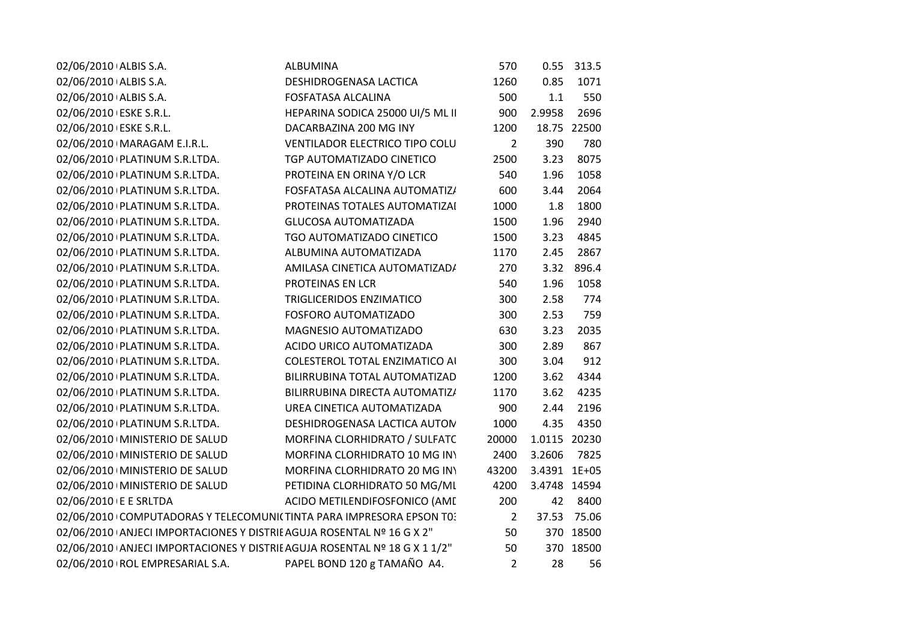| 02/06/2010 ALBIS S.A.                                                     | ALBUMINA                              | 570            | 0.55         | 313.5 |
|---------------------------------------------------------------------------|---------------------------------------|----------------|--------------|-------|
| 02/06/2010 ALBIS S.A.                                                     | DESHIDROGENASA LACTICA                | 1260           | 0.85         | 1071  |
| 02/06/2010 ALBIS S.A.                                                     | <b>FOSFATASA ALCALINA</b>             | 500            | 1.1          | 550   |
| 02/06/2010 ESKE S.R.L.                                                    | HEPARINA SODICA 25000 UI/5 ML II      | 900            | 2.9958       | 2696  |
| 02/06/2010 ESKE S.R.L.                                                    | DACARBAZINA 200 MG INY                | 1200           | 18.75        | 22500 |
| 02/06/2010   MARAGAM E.I.R.L.                                             | <b>VENTILADOR ELECTRICO TIPO COLU</b> | 2              | 390          | 780   |
| 02/06/2010   PLATINUM S.R.LTDA.                                           | TGP AUTOMATIZADO CINETICO             | 2500           | 3.23         | 8075  |
| 02/06/2010   PLATINUM S.R.LTDA.                                           | PROTEINA EN ORINA Y/O LCR             | 540            | 1.96         | 1058  |
| 02/06/2010   PLATINUM S.R.LTDA.                                           | FOSFATASA ALCALINA AUTOMATIZ/         | 600            | 3.44         | 2064  |
| 02/06/2010   PLATINUM S.R.LTDA.                                           | PROTEINAS TOTALES AUTOMATIZAI         | 1000           | 1.8          | 1800  |
| 02/06/2010   PLATINUM S.R.LTDA.                                           | <b>GLUCOSA AUTOMATIZADA</b>           | 1500           | 1.96         | 2940  |
| 02/06/2010   PLATINUM S.R.LTDA.                                           | TGO AUTOMATIZADO CINETICO             | 1500           | 3.23         | 4845  |
| 02/06/2010 PLATINUM S.R.LTDA.                                             | ALBUMINA AUTOMATIZADA                 | 1170           | 2.45         | 2867  |
| 02/06/2010 PLATINUM S.R.LTDA.                                             | AMILASA CINETICA AUTOMATIZAD/         | 270            | 3.32         | 896.4 |
| 02/06/2010   PLATINUM S.R.LTDA.                                           | PROTEINAS EN LCR                      | 540            | 1.96         | 1058  |
| 02/06/2010 PLATINUM S.R.LTDA.                                             | TRIGLICERIDOS ENZIMATICO              | 300            | 2.58         | 774   |
| 02/06/2010 PLATINUM S.R.LTDA.                                             | FOSFORO AUTOMATIZADO                  | 300            | 2.53         | 759   |
| 02/06/2010   PLATINUM S.R.LTDA.                                           | MAGNESIO AUTOMATIZADO                 | 630            | 3.23         | 2035  |
| 02/06/2010   PLATINUM S.R.LTDA.                                           | ACIDO URICO AUTOMATIZADA              | 300            | 2.89         | 867   |
| 02/06/2010   PLATINUM S.R.LTDA.                                           | <b>COLESTEROL TOTAL ENZIMATICO AI</b> | 300            | 3.04         | 912   |
| 02/06/2010 PLATINUM S.R.LTDA.                                             | BILIRRUBINA TOTAL AUTOMATIZAD         | 1200           | 3.62         | 4344  |
| 02/06/2010   PLATINUM S.R.LTDA.                                           | BILIRRUBINA DIRECTA AUTOMATIZ/        | 1170           | 3.62         | 4235  |
| 02/06/2010   PLATINUM S.R.LTDA.                                           | UREA CINETICA AUTOMATIZADA            | 900            | 2.44         | 2196  |
| 02/06/2010 PLATINUM S.R.LTDA.                                             | DESHIDROGENASA LACTICA AUTON          | 1000           | 4.35         | 4350  |
| 02/06/2010   MINISTERIO DE SALUD                                          | MORFINA CLORHIDRATO / SULFATC         | 20000          | 1.0115       | 20230 |
| 02/06/2010   MINISTERIO DE SALUD                                          | MORFINA CLORHIDRATO 10 MG INY         | 2400           | 3.2606       | 7825  |
| 02/06/2010   MINISTERIO DE SALUD                                          | MORFINA CLORHIDRATO 20 MG IN\         | 43200          | 3.4391 1E+05 |       |
| 02/06/2010   MINISTERIO DE SALUD                                          | PETIDINA CLORHIDRATO 50 MG/ML         | 4200           | 3.4748 14594 |       |
| 02/06/2010 E E SRLTDA                                                     | ACIDO METILENDIFOSFONICO (AME         | 200            | 42           | 8400  |
| 02/06/2010 COMPUTADORAS Y TELECOMUNI(TINTA PARA IMPRESORA EPSON T0:       |                                       | $\overline{2}$ | 37.53        | 75.06 |
| 02/06/2010 ANJECI IMPORTACIONES Y DISTRIE AGUJA ROSENTAL Nº 16 G X 2"     |                                       | 50             | 370          | 18500 |
| 02/06/2010 ANJECI IMPORTACIONES Y DISTRIE AGUJA ROSENTAL Nº 18 G X 1 1/2" |                                       | 50             | 370          | 18500 |
| 02/06/2010   ROL EMPRESARIAL S.A.                                         | PAPEL BOND 120 g TAMAÑO A4.           | $\overline{2}$ | 28           | 56    |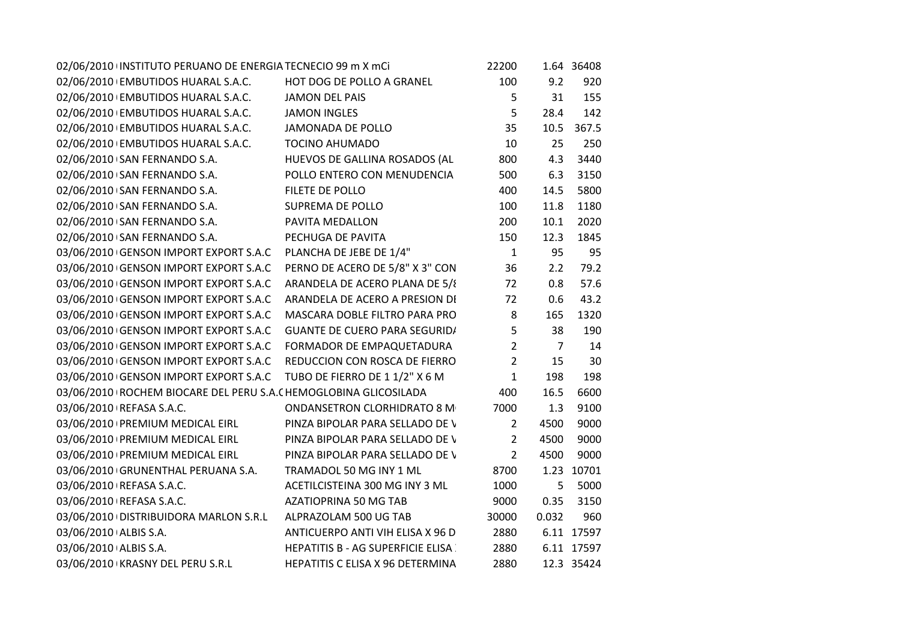| 02/06/2010 INSTITUTO PERUANO DE ENERGIA TECNECIO 99 m X mCi          | 22200                                           |                                      | 1.64 36408 |
|----------------------------------------------------------------------|-------------------------------------------------|--------------------------------------|------------|
| 02/06/2010 EMBUTIDOS HUARAL S.A.C. HOT DOG DE POLLO A GRANEL         | 100                                             | 9.2                                  | 920        |
| 02/06/2010 EMBUTIDOS HUARAL S.A.C. JAMON DEL PAIS                    | 5                                               | 31                                   | 155        |
|                                                                      | 5                                               | 28.4                                 | 142        |
| JAMONADA DE POLLO                                                    | 35                                              | 10.5                                 | 367.5      |
| <b>TOCINO AHUMADO</b>                                                | 10                                              | 25                                   | 250        |
| HUEVOS DE GALLINA ROSADOS (AL                                        | 800                                             | 4.3                                  | 3440       |
| POLLO ENTERO CON MENUDENCIA                                          | 500                                             | 6.3                                  | 3150       |
| FILETE DE POLLO                                                      | 400                                             | 14.5                                 | 5800       |
| SUPREMA DE POLLO                                                     | 100                                             | 11.8                                 | 1180       |
| PAVITA MEDALLON                                                      | 200                                             | 10.1                                 | 2020       |
| PECHUGA DE PAVITA                                                    | 150                                             | 12.3                                 | 1845       |
| 03/06/2010 GENSON IMPORT EXPORT S.A.C PLANCHA DE JEBE DE 1/4"        | $\mathbf{1}$                                    | 95                                   | 95         |
| PERNO DE ACERO DE 5/8" X 3" CON                                      | 36                                              | 2.2                                  | 79.2       |
| ARANDELA DE ACERO PLANA DE 5/8                                       | 72                                              | 0.8                                  | 57.6       |
| 03/06/2010 GENSON IMPORT EXPORT S.A.C ARANDELA DE ACERO A PRESION DI | 72                                              | 0.6                                  | 43.2       |
| MASCARA DOBLE FILTRO PARA PRO                                        | 8                                               | 165                                  | 1320       |
|                                                                      | $5\phantom{.}$                                  | 38                                   | 190        |
| 03/06/2010 GENSON IMPORT EXPORT S.A.C FORMADOR DE EMPAQUETADURA      | $\overline{2}$                                  | $\overline{7}$                       | 14         |
| 03/06/2010 GENSON IMPORT EXPORT S.A.C REDUCCION CON ROSCA DE FIERRO  | $\overline{2}$                                  | 15                                   | 30         |
| TUBO DE FIERRO DE 11/2" X 6 M                                        | $\mathbf{1}$                                    | 198                                  | 198        |
| 03/06/2010   ROCHEM BIOCARE DEL PERU S.A. (HEMOGLOBINA GLICOSILADA   | 400                                             | 16.5                                 | 6600       |
| <b>ONDANSETRON CLORHIDRATO 8 M</b>                                   | 7000                                            | 1.3                                  | 9100       |
| PINZA BIPOLAR PARA SELLADO DE V                                      | $2^{\circ}$                                     | 4500                                 | 9000       |
| PINZA BIPOLAR PARA SELLADO DE V                                      | $2^{\circ}$                                     | 4500                                 | 9000       |
| PINZA BIPOLAR PARA SELLADO DE V                                      | $\overline{2}$                                  | 4500                                 | 9000       |
| TRAMADOL 50 MG INY 1 ML                                              | 8700                                            |                                      | 1.23 10701 |
| ACETILCISTEINA 300 MG INY 3 ML                                       | 1000                                            | 5                                    | 5000       |
| AZATIOPRINA 50 MG TAB                                                | 9000                                            | 0.35                                 | 3150       |
| 03/06/2010   DISTRIBUIDORA MARLON S.R.L ALPRAZOLAM 500 UG TAB        | 30000                                           | 0.032                                | 960        |
| ANTICUERPO ANTI VIH ELISA X 96 D                                     | 2880                                            |                                      | 6.11 17597 |
| <b>HEPATITIS B - AG SUPERFICIE ELISA</b>                             | 2880                                            |                                      | 6.11 17597 |
| HEPATITIS C ELISA X 96 DETERMINA                                     | 2880                                            |                                      | 12.3 35424 |
|                                                                      | 02/06/2010 EMBUTIDOS HUARAL S.A.C. JAMON INGLES | <b>GUANTE DE CUERO PARA SEGURID/</b> |            |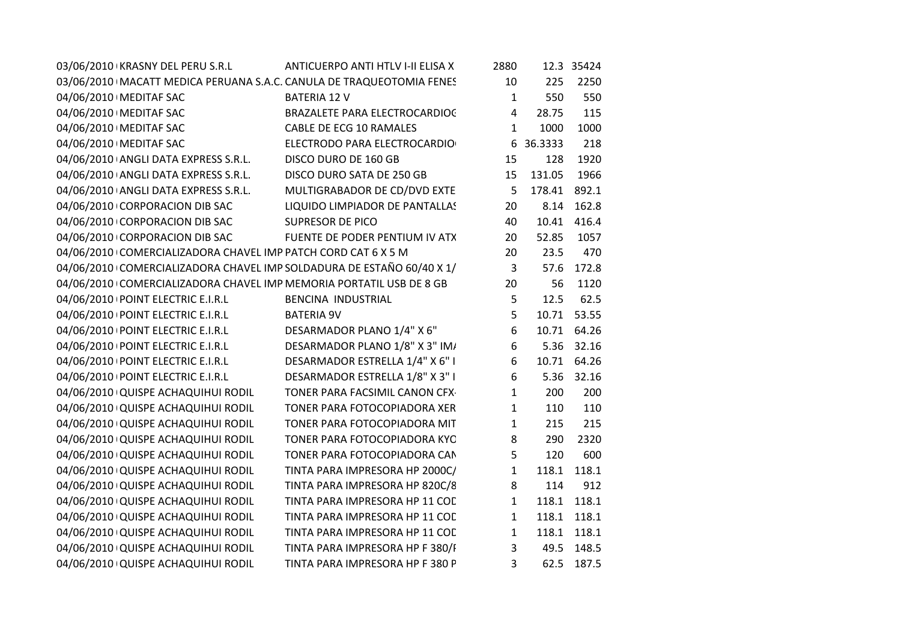| 03/06/2010 KRASNY DEL PERU S.R.L                                    | ANTICUERPO ANTI HTLV I-II ELISA X                                      | 2880           |              | 12.3 35424  |  |
|---------------------------------------------------------------------|------------------------------------------------------------------------|----------------|--------------|-------------|--|
|                                                                     | 03/06/2010   MACATT MEDICA PERUANA S.A.C. CANULA DE TRAQUEOTOMIA FENES | 10             | 225          | 2250        |  |
| 04/06/2010   MEDITAF SAC                                            | <b>BATERIA 12 V</b>                                                    | $\mathbf{1}$   | 550          | 550         |  |
| 04/06/2010   MEDITAF SAC                                            | BRAZALETE PARA ELECTROCARDIOC                                          | $\overline{4}$ | 28.75        | 115         |  |
| 04/06/2010   MEDITAF SAC                                            | CABLE DE ECG 10 RAMALES                                                | $\mathbf{1}$   | 1000         | 1000        |  |
| 04/06/2010   MEDITAF SAC                                            | ELECTRODO PARA ELECTROCARDIO                                           |                | 6 36.3333    | 218         |  |
| 04/06/2010 ANGLI DATA EXPRESS S.R.L.                                | DISCO DURO DE 160 GB                                                   | 15             | 128          | 1920        |  |
| 04/06/2010 ANGLI DATA EXPRESS S.R.L.                                | DISCO DURO SATA DE 250 GB                                              | 15             | 131.05       | 1966        |  |
| 04/06/2010 ANGLI DATA EXPRESS S.R.L.                                | MULTIGRABADOR DE CD/DVD EXTE                                           | 5              | 178.41 892.1 |             |  |
| 04/06/2010 CORPORACION DIB SAC                                      | LIQUIDO LIMPIADOR DE PANTALLAS                                         | 20             |              | 8.14 162.8  |  |
| 04/06/2010 CORPORACION DIB SAC                                      | <b>SUPRESOR DE PICO</b>                                                | 40             | 10.41        | 416.4       |  |
| 04/06/2010 CORPORACION DIB SAC                                      | FUENTE DE PODER PENTIUM IV ATX                                         | 20             | 52.85        | 1057        |  |
| 04/06/2010 COMERCIALIZADORA CHAVEL IMP PATCH CORD CAT 6 X 5 M       |                                                                        | 20             | 23.5         | 470         |  |
|                                                                     | 04/06/2010 COMERCIALIZADORA CHAVEL IMP SOLDADURA DE ESTAÑO 60/40 X 1/  | 3              | 57.6         | 172.8       |  |
| 04/06/2010 COMERCIALIZADORA CHAVEL IMP MEMORIA PORTATIL USB DE 8 GB |                                                                        | 20             | 56           | 1120        |  |
| 04/06/2010 POINT ELECTRIC E.I.R.L                                   | BENCINA INDUSTRIAL                                                     | 5              | 12.5         | 62.5        |  |
| 04/06/2010 POINT ELECTRIC E.I.R.L                                   | <b>BATERIA 9V</b>                                                      | 5              |              | 10.71 53.55 |  |
| 04/06/2010   POINT ELECTRIC E.I.R.L                                 | DESARMADOR PLANO 1/4" X 6"                                             | $6\,$          |              | 10.71 64.26 |  |
| 04/06/2010 POINT ELECTRIC E.I.R.L                                   | DESARMADOR PLANO 1/8" X 3" IM/                                         | 6              |              | 5.36 32.16  |  |
| 04/06/2010 POINT ELECTRIC E.I.R.L                                   | DESARMADOR ESTRELLA 1/4" X 6" I                                        | 6              |              | 10.71 64.26 |  |
| 04/06/2010   POINT ELECTRIC E.I.R.L                                 | DESARMADOR ESTRELLA 1/8" X 3" I                                        | 6              | 5.36         | 32.16       |  |
| 04/06/2010 QUISPE ACHAQUIHUI RODIL                                  | TONER PARA FACSIMIL CANON CFX                                          | $\mathbf{1}$   | 200          | 200         |  |
| 04/06/2010 QUISPE ACHAQUIHUI RODIL                                  | TONER PARA FOTOCOPIADORA XER                                           | $\mathbf{1}$   | 110          | 110         |  |
| 04/06/2010 QUISPE ACHAQUIHUI RODIL                                  | TONER PARA FOTOCOPIADORA MIT                                           | $\mathbf{1}$   | 215          | 215         |  |
| 04/06/2010 QUISPE ACHAQUIHUI RODIL                                  | TONER PARA FOTOCOPIADORA KYC                                           | 8              | 290          | 2320        |  |
| 04/06/2010 QUISPE ACHAQUIHUI RODIL                                  | TONER PARA FOTOCOPIADORA CAN                                           | 5              | 120          | 600         |  |
| 04/06/2010 QUISPE ACHAQUIHUI RODIL                                  | TINTA PARA IMPRESORA HP 2000C/                                         | $\mathbf{1}$   | 118.1        | 118.1       |  |
| 04/06/2010 QUISPE ACHAQUIHUI RODIL                                  | TINTA PARA IMPRESORA HP 820C/8                                         | 8              | 114          | 912         |  |
| 04/06/2010 QUISPE ACHAQUIHUI RODIL                                  | TINTA PARA IMPRESORA HP 11 COL                                         | $\mathbf{1}$   |              | 118.1 118.1 |  |
| 04/06/2010 QUISPE ACHAQUIHUI RODIL                                  | TINTA PARA IMPRESORA HP 11 COL                                         | $\mathbf{1}$   | 118.1        | 118.1       |  |
| 04/06/2010 QUISPE ACHAQUIHUI RODIL                                  | TINTA PARA IMPRESORA HP 11 COD                                         | $\mathbf 1$    |              | 118.1 118.1 |  |
| 04/06/2010 QUISPE ACHAQUIHUI RODIL                                  | TINTA PARA IMPRESORA HP F 380/F                                        | $\mathbf{3}$   |              | 49.5 148.5  |  |
| 04/06/2010 QUISPE ACHAQUIHUI RODIL                                  | TINTA PARA IMPRESORA HP F 380 P                                        | $\overline{3}$ |              | 62.5 187.5  |  |
|                                                                     |                                                                        |                |              |             |  |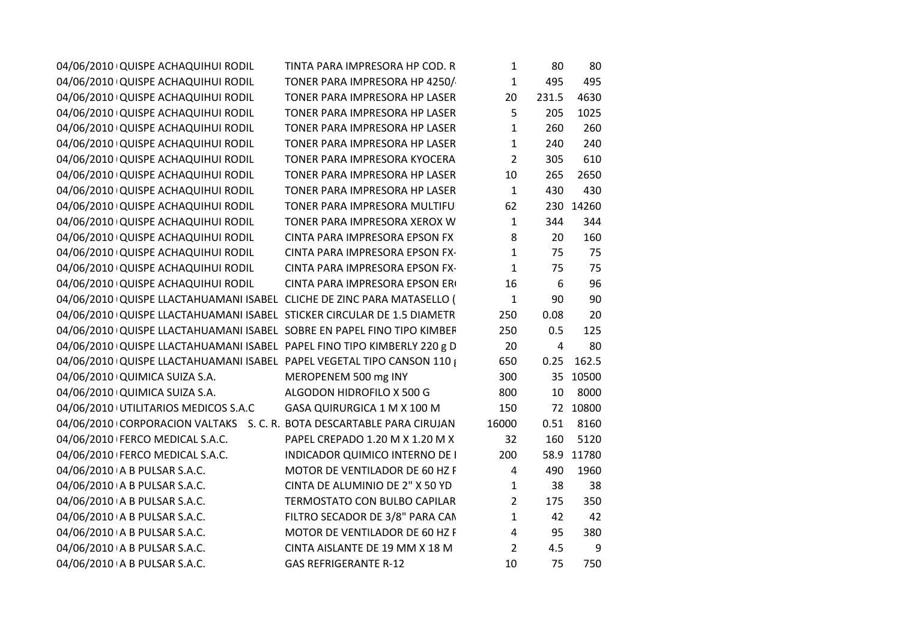| 04/06/2010 QUISPE ACHAQUIHUI RODIL                                      | TINTA PARA IMPRESORA HP COD. R        | $\mathbf{1}$   | 80             | 80         |
|-------------------------------------------------------------------------|---------------------------------------|----------------|----------------|------------|
| 04/06/2010 QUISPE ACHAQUIHUI RODIL                                      | TONER PARA IMPRESORA HP 4250/         | $\mathbf{1}$   | 495            | 495        |
| 04/06/2010 QUISPE ACHAQUIHUI RODIL                                      | TONER PARA IMPRESORA HP LASER         | 20             | 231.5          | 4630       |
| 04/06/2010 QUISPE ACHAQUIHUI RODIL                                      | TONER PARA IMPRESORA HP LASER         | 5              | 205            | 1025       |
| 04/06/2010 QUISPE ACHAQUIHUI RODIL                                      | TONER PARA IMPRESORA HP LASER         | $\mathbf{1}$   | 260            | 260        |
| 04/06/2010 QUISPE ACHAQUIHUI RODIL                                      | TONER PARA IMPRESORA HP LASER         | $\mathbf{1}$   | 240            | 240        |
| 04/06/2010 QUISPE ACHAQUIHUI RODIL                                      | TONER PARA IMPRESORA KYOCERA          | $\overline{2}$ | 305            | 610        |
| 04/06/2010 QUISPE ACHAQUIHUI RODIL                                      | TONER PARA IMPRESORA HP LASER         | 10             | 265            | 2650       |
| 04/06/2010 QUISPE ACHAQUIHUI RODIL                                      | TONER PARA IMPRESORA HP LASER         | $\mathbf{1}$   | 430            | 430        |
| 04/06/2010 QUISPE ACHAQUIHUI RODIL                                      | TONER PARA IMPRESORA MULTIFU          | 62             |                | 230 14260  |
| 04/06/2010 QUISPE ACHAQUIHUI RODIL                                      | TONER PARA IMPRESORA XEROX W          | $\mathbf{1}$   | 344            | 344        |
| 04/06/2010 QUISPE ACHAQUIHUI RODIL                                      | CINTA PARA IMPRESORA EPSON FX         | 8              | 20             | 160        |
| 04/06/2010 QUISPE ACHAQUIHUI RODIL                                      | CINTA PARA IMPRESORA EPSON FX-        | $\mathbf{1}$   | 75             | 75         |
| 04/06/2010 QUISPE ACHAQUIHUI RODIL                                      | CINTA PARA IMPRESORA EPSON FX-        | $\mathbf{1}$   | 75             | 75         |
| 04/06/2010 QUISPE ACHAQUIHUI RODIL                                      | CINTA PARA IMPRESORA EPSON ER         | 16             | 6              | 96         |
| 04/06/2010 QUISPE LLACTAHUAMANI ISABEL CLICHE DE ZINC PARA MATASELLO (  |                                       | $\mathbf{1}$   | 90             | 90         |
| 04/06/2010 QUISPE LLACTAHUAMANI ISABEL STICKER CIRCULAR DE 1.5 DIAMETR  |                                       | 250            | 0.08           | 20         |
| 04/06/2010 QUISPE LLACTAHUAMANI ISABEL SOBRE EN PAPEL FINO TIPO KIMBEF  |                                       | 250            | 0.5            | 125        |
| 04/06/2010 QUISPE LLACTAHUAMANI ISABEL PAPEL FINO TIPO KIMBERLY 220 g D |                                       | 20             | $\overline{4}$ | 80         |
| 04/06/2010 QUISPE LLACTAHUAMANI ISABEL PAPEL VEGETAL TIPO CANSON 110 {  |                                       | 650            | 0.25           | 162.5      |
| 04/06/2010 QUIMICA SUIZA S.A.                                           | MEROPENEM 500 mg INY                  | 300            |                | 35 10500   |
| 04/06/2010 QUIMICA SUIZA S.A.                                           | ALGODON HIDROFILO X 500 G             | 800            | 10             | 8000       |
| 04/06/2010 UTILITARIOS MEDICOS S.A.C GASA QUIRURGICA 1 M X 100 M        |                                       | 150            |                | 72 10800   |
| 04/06/2010 CORPORACION VALTAKS S. C. R. BOTA DESCARTABLE PARA CIRUJAN   |                                       | 16000          | 0.51           | 8160       |
| 04/06/2010 FERCO MEDICAL S.A.C.                                         | PAPEL CREPADO 1.20 M X 1.20 M X       | 32             | 160            | 5120       |
| 04/06/2010   FERCO MEDICAL S.A.C.                                       | <b>INDICADOR QUIMICO INTERNO DE I</b> | 200            |                | 58.9 11780 |
| 04/06/2010 A B PULSAR S.A.C.                                            | MOTOR DE VENTILADOR DE 60 HZ F        | 4              | 490            | 1960       |
| 04/06/2010 A B PULSAR S.A.C.                                            | CINTA DE ALUMINIO DE 2" X 50 YD       | $\mathbf{1}$   | 38             | 38         |
| 04/06/2010 A B PULSAR S.A.C.                                            | TERMOSTATO CON BULBO CAPILAR          | $2^{\circ}$    | 175            | 350        |
| 04/06/2010 A B PULSAR S.A.C.                                            | FILTRO SECADOR DE 3/8" PARA CAN       | $\mathbf{1}$   | 42             | 42         |
| 04/06/2010 A B PULSAR S.A.C.                                            | MOTOR DE VENTILADOR DE 60 HZ F        | $\overline{4}$ | 95             | 380        |
| 04/06/2010 A B PULSAR S.A.C.                                            | CINTA AISLANTE DE 19 MM X 18 M        | $\overline{2}$ | 4.5            | 9          |
| 04/06/2010 A B PULSAR S.A.C.                                            | <b>GAS REFRIGERANTE R-12</b>          | 10             | 75             | 750        |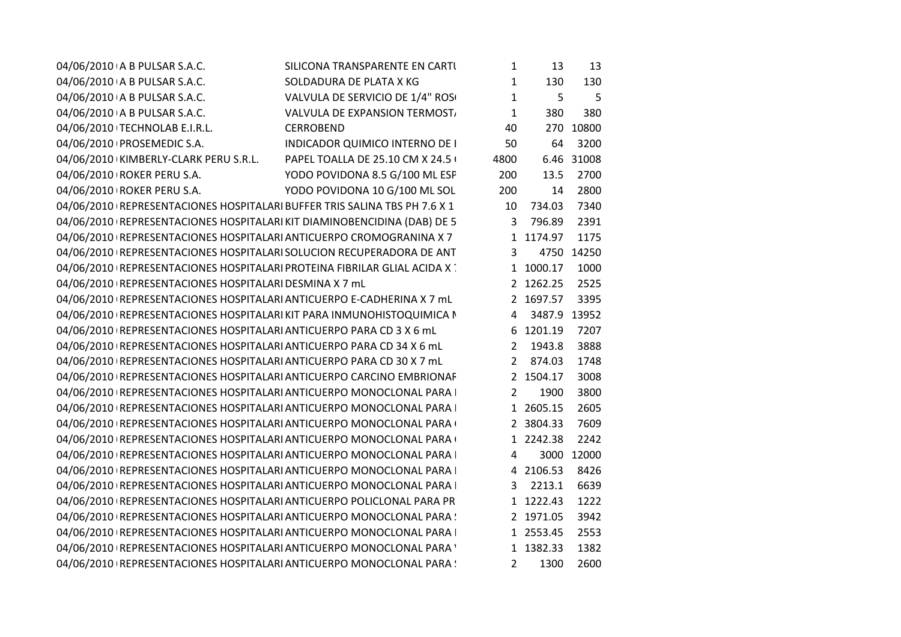| 04/06/2010 A B PULSAR S.A.C.                                                | SILICONA TRANSPARENTE EN CARTI    | 1            | 13             | 13         |
|-----------------------------------------------------------------------------|-----------------------------------|--------------|----------------|------------|
| 04/06/2010 A B PULSAR S.A.C.                                                | SOLDADURA DE PLATA X KG           | $\mathbf{1}$ | 130            | 130        |
| 04/06/2010 A B PULSAR S.A.C.                                                | VALVULA DE SERVICIO DE 1/4" ROSO  | $\mathbf{1}$ | 5              | 5          |
| 04/06/2010 A B PULSAR S.A.C.                                                | VALVULA DE EXPANSION TERMOST,     | $\mathbf{1}$ | 380            | 380        |
| 04/06/2010 TECHNOLAB E.I.R.L.                                               | <b>CERROBEND</b>                  | 40           |                | 270 10800  |
| 04/06/2010   PROSEMEDIC S.A.                                                | INDICADOR QUIMICO INTERNO DE I    | 50           | 64             | 3200       |
| 04/06/2010 KIMBERLY-CLARK PERU S.R.L.                                       | PAPEL TOALLA DE 25.10 CM X 24.5 ( | 4800         |                | 6.46 31008 |
| 04/06/2010 ROKER PERU S.A.                                                  | YODO POVIDONA 8.5 G/100 ML ESF    | 200          | 13.5           | 2700       |
| 04/06/2010 ROKER PERU S.A.                                                  | YODO POVIDONA 10 G/100 ML SOL     | 200          | 14             | 2800       |
| 04/06/2010   REPRESENTACIONES HOSPITALARI BUFFER TRIS SALINA TBS PH 7.6 X 1 |                                   | 10           | 734.03         | 7340       |
| 04/06/2010 REPRESENTACIONES HOSPITALARI KIT DIAMINOBENCIDINA (DAB) DE 5     |                                   | 3            | 796.89         | 2391       |
| 04/06/2010 REPRESENTACIONES HOSPITALARI ANTICUERPO CROMOGRANINA X 7         |                                   |              | 1 1174.97      | 1175       |
| 04/06/2010   REPRESENTACIONES HOSPITALARI SOLUCION RECUPERADORA DE ANT      |                                   | 3            |                | 4750 14250 |
| 04/06/2010 REPRESENTACIONES HOSPITALARI PROTEINA FIBRILAR GLIAL ACIDA X     |                                   |              | 1 1000.17      | 1000       |
| 04/06/2010 REPRESENTACIONES HOSPITALARI DESMINA X 7 mL                      |                                   |              | 2 1262.25      | 2525       |
| 04/06/2010 REPRESENTACIONES HOSPITALARI ANTICUERPO E-CADHERINA X 7 mL       |                                   |              | 2 1697.57      | 3395       |
| 04/06/2010 REPRESENTACIONES HOSPITALARI KIT PARA INMUNOHISTOQUIMICA N       |                                   |              | 4 3487.9 13952 |            |
| 04/06/2010   REPRESENTACIONES HOSPITALARI ANTICUERPO PARA CD 3 X 6 mL       |                                   |              | 6 1201.19      | 7207       |
| 04/06/2010   REPRESENTACIONES HOSPITALARI ANTICUERPO PARA CD 34 X 6 mL      |                                   |              | 2 1943.8       | 3888       |
| 04/06/2010 REPRESENTACIONES HOSPITALARI ANTICUERPO PARA CD 30 X 7 mL        |                                   |              | 2 874.03       | 1748       |
| 04/06/2010   REPRESENTACIONES HOSPITALARI ANTICUERPO CARCINO EMBRIONAF      |                                   |              | 2 1504.17      | 3008       |
| 04/06/2010   REPRESENTACIONES HOSPITALARI ANTICUERPO MONOCLONAL PARA        |                                   | 2            | 1900           | 3800       |
| 04/06/2010 REPRESENTACIONES HOSPITALARI ANTICUERPO MONOCLONAL PARA I        |                                   |              | 1 2605.15      | 2605       |
| 04/06/2010 REPRESENTACIONES HOSPITALARI ANTICUERPO MONOCLONAL PARA (        |                                   |              | 2 3804.33      | 7609       |
| 04/06/2010   REPRESENTACIONES HOSPITALARI ANTICUERPO MONOCLONAL PARA (      |                                   |              | 1 2242.38      | 2242       |
| 04/06/2010   REPRESENTACIONES HOSPITALARI ANTICUERPO MONOCLONAL PARA        |                                   | 4            |                | 3000 12000 |
| 04/06/2010   REPRESENTACIONES HOSPITALARI ANTICUERPO MONOCLONAL PARA        |                                   |              | 4 2106.53      | 8426       |
| 04/06/2010   REPRESENTACIONES HOSPITALARI ANTICUERPO MONOCLONAL PARA        |                                   | 3            | 2213.1         | 6639       |
| 04/06/2010 REPRESENTACIONES HOSPITALARI ANTICUERPO POLICLONAL PARA PR       |                                   |              | 1 1222.43      | 1222       |
| 04/06/2010 REPRESENTACIONES HOSPITALARI ANTICUERPO MONOCLONAL PARA :        |                                   |              | 2 1971.05      | 3942       |
| 04/06/2010   REPRESENTACIONES HOSPITALARI ANTICUERPO MONOCLONAL PARA        |                                   |              | 1 2553.45      | 2553       |
| 04/06/2010 REPRESENTACIONES HOSPITALARI ANTICUERPO MONOCLONAL PARA '        |                                   |              | 1 1382.33      | 1382       |
| 04/06/2010 REPRESENTACIONES HOSPITALARI ANTICUERPO MONOCLONAL PARA !        |                                   | 2            | 1300           | 2600       |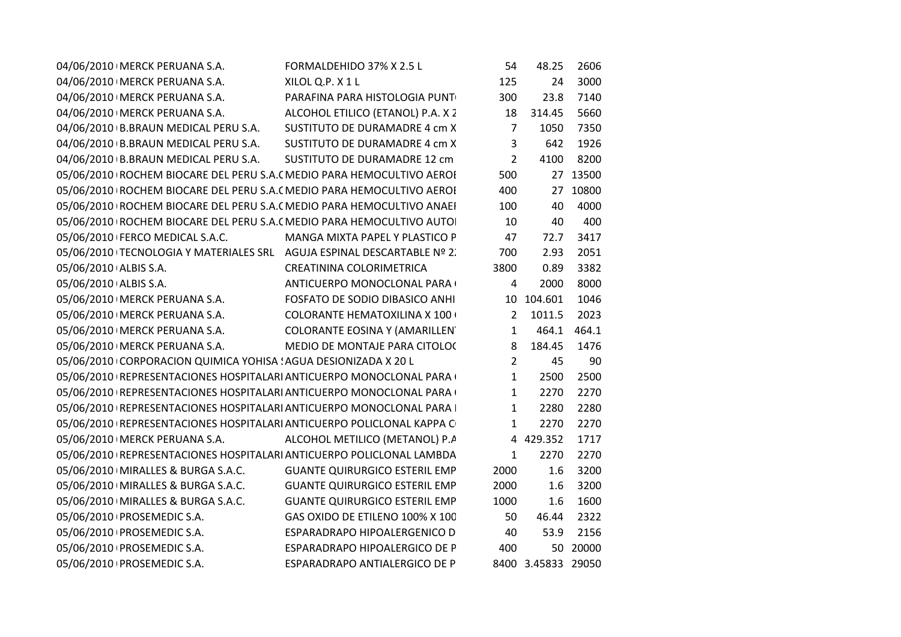|                            | 04/06/2010   MERCK PERUANA S.A.                                 | FORMALDEHIDO 37% X 2.5 L                                                 | 54             | 48.25              | 2606     |
|----------------------------|-----------------------------------------------------------------|--------------------------------------------------------------------------|----------------|--------------------|----------|
|                            | 04/06/2010   MERCK PERUANA S.A.                                 | XILOL Q.P. X 1 L                                                         | 125            | 24                 | 3000     |
|                            | 04/06/2010   MERCK PERUANA S.A.                                 | PARAFINA PARA HISTOLOGIA PUNT                                            | 300            | 23.8               | 7140     |
|                            | 04/06/2010   MERCK PERUANA S.A.                                 | ALCOHOL ETILICO (ETANOL) P.A. X 2                                        | 18             | 314.45             | 5660     |
|                            | 04/06/2010 B.BRAUN MEDICAL PERU S.A.                            | SUSTITUTO DE DURAMADRE 4 cm X                                            | 7              | 1050               | 7350     |
|                            | 04/06/2010 B.BRAUN MEDICAL PERU S.A.                            | SUSTITUTO DE DURAMADRE 4 cm X                                            | 3              | 642                | 1926     |
|                            | 04/06/2010 B.BRAUN MEDICAL PERU S.A.                            | SUSTITUTO DE DURAMADRE 12 cm                                             | $\overline{2}$ | 4100               | 8200     |
|                            |                                                                 | 05/06/2010   ROCHEM BIOCARE DEL PERU S.A. (MEDIO PARA HEMOCULTIVO AEROI  | 500            |                    | 27 13500 |
|                            |                                                                 | 05/06/2010 ROCHEM BIOCARE DEL PERU S.A. ( MEDIO PARA HEMOCULTIVO AEROI   | 400            |                    | 27 10800 |
|                            |                                                                 | 05/06/2010   ROCHEM BIOCARE DEL PERU S.A. ( MEDIO PARA HEMOCULTIVO ANAEI | 100            | 40                 | 4000     |
|                            |                                                                 | 05/06/2010   ROCHEM BIOCARE DEL PERU S.A. ( MEDIO PARA HEMOCULTIVO AUTO  | 10             | 40                 | 400      |
|                            | 05/06/2010 FERCO MEDICAL S.A.C.                                 | MANGA MIXTA PAPEL Y PLASTICO P                                           | 47             | 72.7               | 3417     |
|                            |                                                                 | 05/06/2010   TECNOLOGIA Y MATERIALES SRL AGUJA ESPINAL DESCARTABLE Nº 2. | 700            | 2.93               | 2051     |
| 05/06/2010 ALBIS S.A.      |                                                                 | CREATININA COLORIMETRICA                                                 | 3800           | 0.89               | 3382     |
| 05/06/2010 ALBIS S.A.      |                                                                 | ANTICUERPO MONOCLONAL PARA                                               | 4              | 2000               | 8000     |
|                            | 05/06/2010   MERCK PERUANA S.A.                                 | FOSFATO DE SODIO DIBASICO ANHI                                           |                | 10 104.601         | 1046     |
|                            | 05/06/2010   MERCK PERUANA S.A.                                 | <b>COLORANTE HEMATOXILINA X 100 +</b>                                    | $\overline{2}$ | 1011.5             | 2023     |
|                            | 05/06/2010   MERCK PERUANA S.A.                                 | COLORANTE EOSINA Y (AMARILLEN                                            | $\mathbf{1}$   | 464.1              | 464.1    |
|                            | 05/06/2010   MERCK PERUANA S.A.                                 | MEDIO DE MONTAJE PARA CITOLOC                                            | 8              | 184.45             | 1476     |
|                            | 05/06/2010 CORPORACION QUIMICA YOHISA ! AGUA DESIONIZADA X 20 L |                                                                          | $\overline{2}$ | 45                 | 90       |
|                            |                                                                 | 05/06/2010   REPRESENTACIONES HOSPITALARI ANTICUERPO MONOCLONAL PARA     | $\mathbf{1}$   | 2500               | 2500     |
|                            |                                                                 | 05/06/2010   REPRESENTACIONES HOSPITALARI ANTICUERPO MONOCLONAL PARA     | $\mathbf{1}$   | 2270               | 2270     |
|                            |                                                                 | 05/06/2010   REPRESENTACIONES HOSPITALARI ANTICUERPO MONOCLONAL PARA     | $\mathbf{1}$   | 2280               | 2280     |
|                            |                                                                 | 05/06/2010   REPRESENTACIONES HOSPITALARI ANTICUERPO POLICLONAL KAPPA C  | $\mathbf{1}$   | 2270               | 2270     |
|                            | 05/06/2010   MERCK PERUANA S.A.                                 | ALCOHOL METILICO (METANOL) P.A                                           |                | 4 429.352          | 1717     |
|                            |                                                                 | 05/06/2010   REPRESENTACIONES HOSPITALARI ANTICUERPO POLICLONAL LAMBDA   | 1              | 2270               | 2270     |
|                            | 05/06/2010   MIRALLES & BURGA S.A.C.                            | <b>GUANTE QUIRURGICO ESTERIL EMP</b>                                     | 2000           | 1.6                | 3200     |
|                            | 05/06/2010   MIRALLES & BURGA S.A.C.                            | <b>GUANTE QUIRURGICO ESTERIL EMP</b>                                     | 2000           | $1.6\,$            | 3200     |
|                            | 05/06/2010   MIRALLES & BURGA S.A.C.                            | <b>GUANTE QUIRURGICO ESTERIL EMP</b>                                     | 1000           | 1.6                | 1600     |
| 05/06/2010 PROSEMEDIC S.A. |                                                                 | GAS OXIDO DE ETILENO 100% X 100                                          | 50             | 46.44              | 2322     |
| 05/06/2010 PROSEMEDIC S.A. |                                                                 | ESPARADRAPO HIPOALERGENICO D                                             | 40             | 53.9               | 2156     |
| 05/06/2010 PROSEMEDIC S.A. |                                                                 | ESPARADRAPO HIPOALERGICO DE P                                            | 400            |                    | 50 20000 |
| 05/06/2010 PROSEMEDIC S.A. |                                                                 | ESPARADRAPO ANTIALERGICO DE P                                            |                | 8400 3.45833 29050 |          |
|                            |                                                                 |                                                                          |                |                    |          |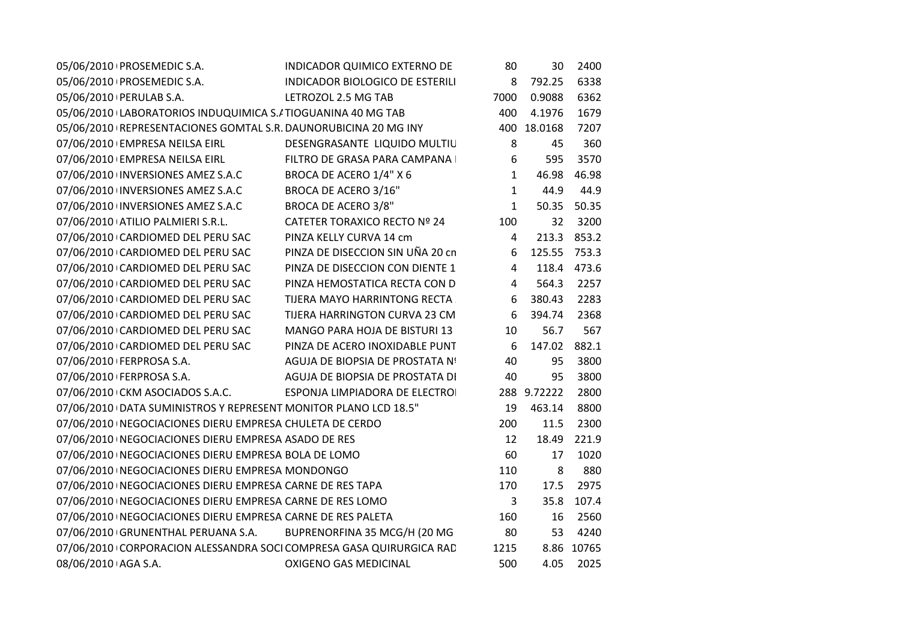| 05/06/2010 PROSEMEDIC S.A. |                                                                 | INDICADOR QUIMICO EXTERNO DE                                        | 80           | 30           | 2400        |
|----------------------------|-----------------------------------------------------------------|---------------------------------------------------------------------|--------------|--------------|-------------|
| 05/06/2010 PROSEMEDIC S.A. |                                                                 | INDICADOR BIOLOGICO DE ESTERILI                                     | 8            | 792.25       | 6338        |
| 05/06/2010 PERULAB S.A.    |                                                                 | LETROZOL 2.5 MG TAB                                                 | 7000         | 0.9088       | 6362        |
|                            | 05/06/2010 LABORATORIOS INDUQUIMICA S./ TIOGUANINA 40 MG TAB    |                                                                     | 400          | 4.1976       | 1679        |
|                            | 05/06/2010 REPRESENTACIONES GOMTAL S.R. DAUNORUBICINA 20 MG INY |                                                                     |              | 400 18.0168  | 7207        |
|                            | 07/06/2010 EMPRESA NEILSA EIRL                                  | DESENGRASANTE LIQUIDO MULTIU                                        | 8            | 45           | 360         |
|                            | 07/06/2010 EMPRESA NEILSA EIRL                                  | FILTRO DE GRASA PARA CAMPANA I                                      | 6            | 595          | 3570        |
|                            | 07/06/2010 INVERSIONES AMEZ S.A.C                               | BROCA DE ACERO 1/4" X 6                                             | $\mathbf{1}$ | 46.98        | 46.98       |
|                            | 07/06/2010 INVERSIONES AMEZ S.A.C                               | BROCA DE ACERO 3/16"                                                | $\mathbf{1}$ | 44.9         | 44.9        |
|                            | 07/06/2010 INVERSIONES AMEZ S.A.C                               | BROCA DE ACERO 3/8"                                                 | $\mathbf{1}$ |              | 50.35 50.35 |
|                            | 07/06/2010 ATILIO PALMIERI S.R.L.                               | CATETER TORAXICO RECTO Nº 24                                        | 100          | 32           | 3200        |
|                            | 07/06/2010 CARDIOMED DEL PERU SAC                               | PINZA KELLY CURVA 14 cm                                             | 4            |              | 213.3 853.2 |
|                            | 07/06/2010 CARDIOMED DEL PERU SAC                               | PINZA DE DISECCION SIN UÑA 20 cn                                    | 6            | 125.55 753.3 |             |
|                            | 07/06/2010 CARDIOMED DEL PERU SAC                               | PINZA DE DISECCION CON DIENTE 1                                     | 4            |              | 118.4 473.6 |
|                            | 07/06/2010 CARDIOMED DEL PERU SAC                               | PINZA HEMOSTATICA RECTA CON D                                       | 4            | 564.3        | 2257        |
|                            | 07/06/2010 CARDIOMED DEL PERU SAC                               | TIJERA MAYO HARRINTONG RECTA                                        | 6            | 380.43       | 2283        |
|                            | 07/06/2010 CARDIOMED DEL PERU SAC                               | TIJERA HARRINGTON CURVA 23 CM                                       | 6            | 394.74       | 2368        |
|                            | 07/06/2010 CARDIOMED DEL PERU SAC                               | MANGO PARA HOJA DE BISTURI 13                                       | 10           | 56.7         | 567         |
|                            | 07/06/2010 CARDIOMED DEL PERU SAC                               | PINZA DE ACERO INOXIDABLE PUNT                                      | 6            | 147.02 882.1 |             |
| 07/06/2010 FERPROSA S.A.   |                                                                 | AGUJA DE BIOPSIA DE PROSTATA Nº                                     | 40           | 95           | 3800        |
| 07/06/2010   FERPROSA S.A. |                                                                 | AGUJA DE BIOPSIA DE PROSTATA DI                                     | 40           | 95           | 3800        |
|                            | 07/06/2010 CKM ASOCIADOS S.A.C.                                 | ESPONJA LIMPIADORA DE ELECTROI                                      |              | 288 9.72222  | 2800        |
|                            | 07/06/2010 DATA SUMINISTROS Y REPRESENT MONITOR PLANO LCD 18.5" |                                                                     | 19           | 463.14       | 8800        |
|                            | 07/06/2010   NEGOCIACIONES DIERU EMPRESA CHULETA DE CERDO       |                                                                     | 200          | 11.5         | 2300        |
|                            | 07/06/2010   NEGOCIACIONES DIERU EMPRESA ASADO DE RES           |                                                                     | 12           | 18.49        | 221.9       |
|                            | 07/06/2010   NEGOCIACIONES DIERU EMPRESA BOLA DE LOMO           |                                                                     | 60           | 17           | 1020        |
|                            | 07/06/2010   NEGOCIACIONES DIERU EMPRESA MONDONGO               |                                                                     | 110          | 8            | 880         |
|                            | 07/06/2010   NEGOCIACIONES DIERU EMPRESA CARNE DE RES TAPA      |                                                                     | 170          | 17.5         | 2975        |
|                            | 07/06/2010   NEGOCIACIONES DIERU EMPRESA CARNE DE RES LOMO      |                                                                     | 3            | 35.8         | 107.4       |
|                            | 07/06/2010   NEGOCIACIONES DIERU EMPRESA CARNE DE RES PALETA    |                                                                     | 160          | 16           | 2560        |
|                            | 07/06/2010 GRUNENTHAL PERUANA S.A.                              | BUPRENORFINA 35 MCG/H (20 MG                                        | 80           | 53           | 4240        |
|                            |                                                                 | 07/06/2010 CORPORACION ALESSANDRA SOCI COMPRESA GASA QUIRURGICA RAD | 1215         |              | 8.86 10765  |
| 08/06/2010 AGA S.A.        |                                                                 | <b>OXIGENO GAS MEDICINAL</b>                                        | 500          | 4.05         | 2025        |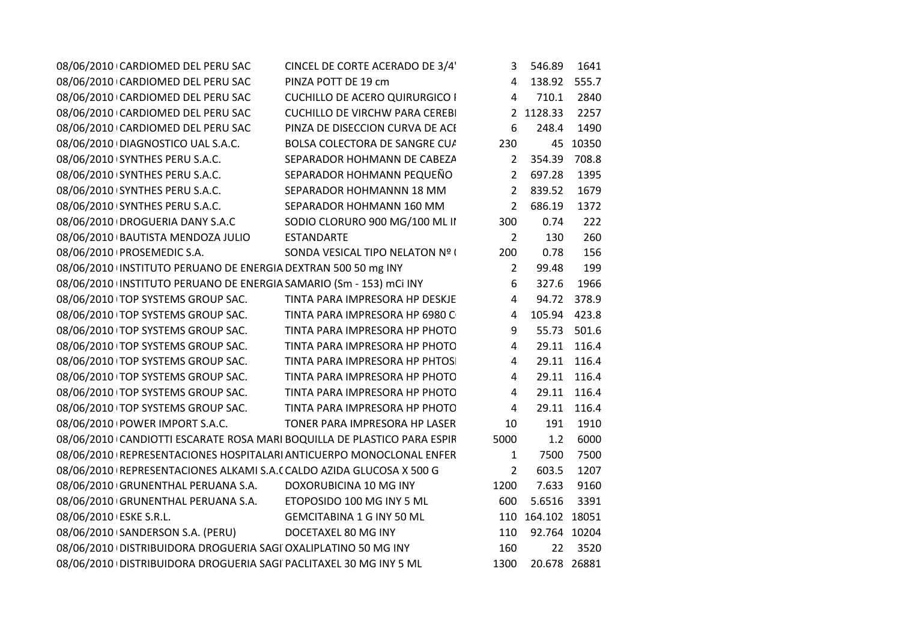| 08/06/2010 CARDIOMED DEL PERU SAC                                       | CINCEL DE CORTE ACERADO DE 3/4'       | 3              | 546.89            | 1641        |
|-------------------------------------------------------------------------|---------------------------------------|----------------|-------------------|-------------|
| 08/06/2010 CARDIOMED DEL PERU SAC                                       | PINZA POTT DE 19 cm                   | 4              | 138.92 555.7      |             |
| 08/06/2010 CARDIOMED DEL PERU SAC                                       | <b>CUCHILLO DE ACERO QUIRURGICO I</b> | 4              | 710.1             | 2840        |
| 08/06/2010 CARDIOMED DEL PERU SAC                                       | <b>CUCHILLO DE VIRCHW PARA CEREBI</b> |                | 2 1128.33         | 2257        |
| 08/06/2010 CARDIOMED DEL PERU SAC                                       | PINZA DE DISECCION CURVA DE ACI       | 6              | 248.4             | 1490        |
| 08/06/2010 DIAGNOSTICO UAL S.A.C.                                       | BOLSA COLECTORA DE SANGRE CU/         | 230            |                   | 45 10350    |
| 08/06/2010 SYNTHES PERU S.A.C.                                          | SEPARADOR HOHMANN DE CABEZA           | $\overline{2}$ | 354.39            | 708.8       |
| 08/06/2010 SYNTHES PERU S.A.C.                                          | SEPARADOR HOHMANN PEQUEÑO             | $2^{\circ}$    | 697.28            | 1395        |
| 08/06/2010 SYNTHES PERU S.A.C.                                          | SEPARADOR HOHMANNN 18 MM              |                | 2 839.52          | 1679        |
| 08/06/2010 SYNTHES PERU S.A.C.                                          | SEPARADOR HOHMANN 160 MM              | $2^{\circ}$    | 686.19            | 1372        |
| 08/06/2010 DROGUERIA DANY S.A.C                                         | SODIO CLORURO 900 MG/100 ML II        | 300            | 0.74              | 222         |
| 08/06/2010 BAUTISTA MENDOZA JULIO                                       | ESTANDARTE                            | $\overline{2}$ | 130               | 260         |
| 08/06/2010 PROSEMEDIC S.A.                                              | SONDA VESICAL TIPO NELATON Nº (       | 200            | 0.78              | 156         |
| 08/06/2010 INSTITUTO PERUANO DE ENERGIA DEXTRAN 500 50 mg INY           |                                       | 2              | 99.48             | 199         |
| 08/06/2010 INSTITUTO PERUANO DE ENERGIA SAMARIO (Sm - 153) mCi INY      |                                       | 6              | 327.6             | 1966        |
| 08/06/2010 TOP SYSTEMS GROUP SAC.                                       | TINTA PARA IMPRESORA HP DESKJE        | 4              |                   | 94.72 378.9 |
| 08/06/2010 TOP SYSTEMS GROUP SAC.                                       | TINTA PARA IMPRESORA HP 6980 C        | $\overline{4}$ | 105.94 423.8      |             |
| 08/06/2010 TOP SYSTEMS GROUP SAC.                                       | TINTA PARA IMPRESORA HP PHOTO         | 9              |                   | 55.73 501.6 |
| 08/06/2010 TOP SYSTEMS GROUP SAC.                                       | TINTA PARA IMPRESORA HP PHOTO         | $\overline{4}$ |                   | 29.11 116.4 |
| 08/06/2010 TOP SYSTEMS GROUP SAC.                                       | TINTA PARA IMPRESORA HP PHTOS         | 4              |                   | 29.11 116.4 |
| 08/06/2010 TOP SYSTEMS GROUP SAC.                                       | TINTA PARA IMPRESORA HP PHOTO         | 4              |                   | 29.11 116.4 |
| 08/06/2010 TOP SYSTEMS GROUP SAC.                                       | TINTA PARA IMPRESORA HP PHOTO         | 4              |                   | 29.11 116.4 |
| 08/06/2010 TOP SYSTEMS GROUP SAC.                                       | TINTA PARA IMPRESORA HP PHOTO         | 4              |                   | 29.11 116.4 |
| 08/06/2010 POWER IMPORT S.A.C.                                          | TONER PARA IMPRESORA HP LASER         | 10             | 191               | 1910        |
| 08/06/2010 CANDIOTTI ESCARATE ROSA MARI BOQUILLA DE PLASTICO PARA ESPIR |                                       | 5000           | 1.2               | 6000        |
| 08/06/2010 REPRESENTACIONES HOSPITALARI ANTICUERPO MONOCLONAL ENFER     |                                       | 1              | 7500              | 7500        |
| 08/06/2010   REPRESENTACIONES ALKAMI S.A.( CALDO AZIDA GLUCOSA X 500 G  |                                       | $\overline{2}$ | 603.5             | 1207        |
| 08/06/2010 GRUNENTHAL PERUANA S.A.                                      | DOXORUBICINA 10 MG INY                | 1200           | 7.633             | 9160        |
| 08/06/2010 GRUNENTHAL PERUANA S.A.                                      | ETOPOSIDO 100 MG INY 5 ML             | 600            | 5.6516            | 3391        |
| 08/06/2010 ESKE S.R.L.                                                  | <b>GEMCITABINA 1 G INY 50 ML</b>      |                | 110 164.102 18051 |             |
|                                                                         | DOCETAXEL 80 MG INY                   | 110            | 92.764 10204      |             |
| 08/06/2010 DISTRIBUIDORA DROGUERIA SAGI OXALIPLATINO 50 MG INY          |                                       | 160            |                   | 22 3520     |
| 08/06/2010 DISTRIBUIDORA DROGUERIA SAGI PACLITAXEL 30 MG INY 5 ML       |                                       |                | 1300 20.678 26881 |             |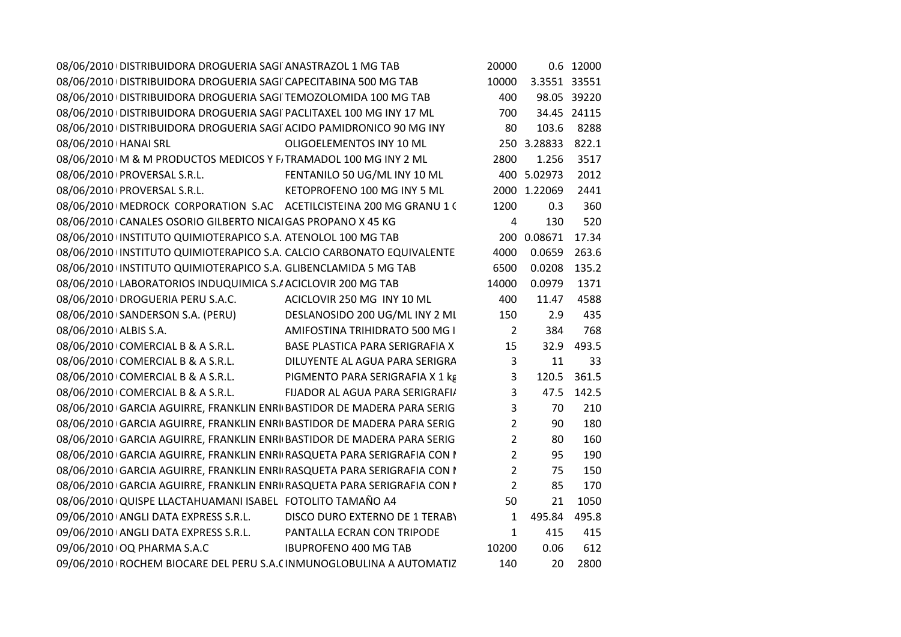| 08/06/2010 DISTRIBUIDORA DROGUERIA SAGI ANASTRAZOL 1 MG TAB             |                                 | 20000          |              | 0.6 12000   |
|-------------------------------------------------------------------------|---------------------------------|----------------|--------------|-------------|
| 08/06/2010 DISTRIBUIDORA DROGUERIA SAGI CAPECITABINA 500 MG TAB         |                                 | 10000          | 3.3551 33551 |             |
| 08/06/2010   DISTRIBUIDORA DROGUERIA SAGI TEMOZOLOMIDA 100 MG TAB       |                                 | 400            |              | 98.05 39220 |
| 08/06/2010 DISTRIBUIDORA DROGUERIA SAGI PACLITAXEL 100 MG INY 17 ML     |                                 | 700            |              | 34.45 24115 |
| 08/06/2010 DISTRIBUIDORA DROGUERIA SAGI ACIDO PAMIDRONICO 90 MG INY     |                                 | 80             | 103.6        | 8288        |
| 08/06/2010   HANAI SRL                                                  | OLIGOELEMENTOS INY 10 ML        |                | 250 3.28833  | 822.1       |
| 08/06/2010 IM & M PRODUCTOS MEDICOS Y F. TRAMADOL 100 MG INY 2 ML       |                                 | 2800           | 1.256        | 3517        |
| 08/06/2010   PROVERSAL S.R.L.                                           | FENTANILO 50 UG/ML INY 10 ML    |                | 400 5.02973  | 2012        |
| 08/06/2010   PROVERSAL S.R.L.                                           | KETOPROFENO 100 MG INY 5 ML     |                | 2000 1.22069 | 2441        |
| 08/06/2010   MEDROCK CORPORATION S.AC ACETILCISTEINA 200 MG GRANU 1 (   |                                 | 1200           | 0.3          | 360         |
| 08/06/2010 CANALES OSORIO GILBERTO NICAI GAS PROPANO X 45 KG            |                                 | $\overline{4}$ | 130          | 520         |
| 08/06/2010 INSTITUTO QUIMIOTERAPICO S.A. ATENOLOL 100 MG TAB            |                                 |                | 200 0.08671  | 17.34       |
| 08/06/2010 INSTITUTO QUIMIOTERAPICO S.A. CALCIO CARBONATO EQUIVALENTE   |                                 | 4000           | 0.0659       | 263.6       |
| 08/06/2010 INSTITUTO QUIMIOTERAPICO S.A. GLIBENCLAMIDA 5 MG TAB         |                                 | 6500           | 0.0208       | 135.2       |
| 08/06/2010 LABORATORIOS INDUQUIMICA S./ ACICLOVIR 200 MG TAB            |                                 | 14000          | 0.0979       | 1371        |
| 08/06/2010 DROGUERIA PERU S.A.C.                                        | ACICLOVIR 250 MG INY 10 ML      | 400            | 11.47        | 4588        |
| 08/06/2010 SANDERSON S.A. (PERU)                                        | DESLANOSIDO 200 UG/ML INY 2 ML  | 150            | 2.9          | 435         |
| 08/06/2010 ALBIS S.A.                                                   | AMIFOSTINA TRIHIDRATO 500 MG I  | $\overline{2}$ | 384          | 768         |
| 08/06/2010 COMERCIAL B & A S.R.L.                                       | BASE PLASTICA PARA SERIGRAFIA X | 15             | 32.9         | 493.5       |
| 08/06/2010 COMERCIAL B & A S.R.L.                                       | DILUYENTE AL AGUA PARA SERIGRA  | 3              | 11           | 33          |
| 08/06/2010 COMERCIAL B & A S.R.L.                                       | PIGMENTO PARA SERIGRAFIA X 1 kg | 3              | 120.5        | 361.5       |
| 08/06/2010 COMERCIAL B & A S.R.L.                                       | FIJADOR AL AGUA PARA SERIGRAFI/ | 3              | 47.5         | 142.5       |
| 08/06/2010 GARCIA AGUIRRE, FRANKLIN ENRI BASTIDOR DE MADERA PARA SERIG  |                                 | 3              | 70           | 210         |
| 08/06/2010 GARCIA AGUIRRE, FRANKLIN ENRI BASTIDOR DE MADERA PARA SERIG  |                                 | $\overline{2}$ | 90           | 180         |
| 08/06/2010 GARCIA AGUIRRE, FRANKLIN ENRI BASTIDOR DE MADERA PARA SERIG  |                                 | $\overline{2}$ | 80           | 160         |
| 08/06/2010 GARCIA AGUIRRE, FRANKLIN ENRI RASQUETA PARA SERIGRAFIA CON I |                                 | $\overline{2}$ | 95           | 190         |
| 08/06/2010 GARCIA AGUIRRE, FRANKLIN ENRI RASQUETA PARA SERIGRAFIA CON I |                                 | $\overline{2}$ | 75           | 150         |
| 08/06/2010 GARCIA AGUIRRE, FRANKLIN ENRI RASQUETA PARA SERIGRAFIA CON I |                                 | $\overline{2}$ | 85           | 170         |
| 08/06/2010 QUISPE LLACTAHUAMANI ISABEL FOTOLITO TAMAÑO A4               |                                 | 50             | 21           | 1050        |
| 09/06/2010 ANGLI DATA EXPRESS S.R.L.                                    | DISCO DURO EXTERNO DE 1 TERABY  | $\mathbf{1}$   | 495.84       | 495.8       |
| 09/06/2010 ANGLI DATA EXPRESS S.R.L.                                    | PANTALLA ECRAN CON TRIPODE      | $\mathbf{1}$   | 415          | 415         |
| 09/06/2010 OQ PHARMA S.A.C                                              | <b>IBUPROFENO 400 MG TAB</b>    | 10200          | 0.06         | 612         |
| 09/06/2010 ROCHEM BIOCARE DEL PERU S.A. (INMUNOGLOBULINA A AUTOMATIZ    |                                 | 140            | 20           | 2800        |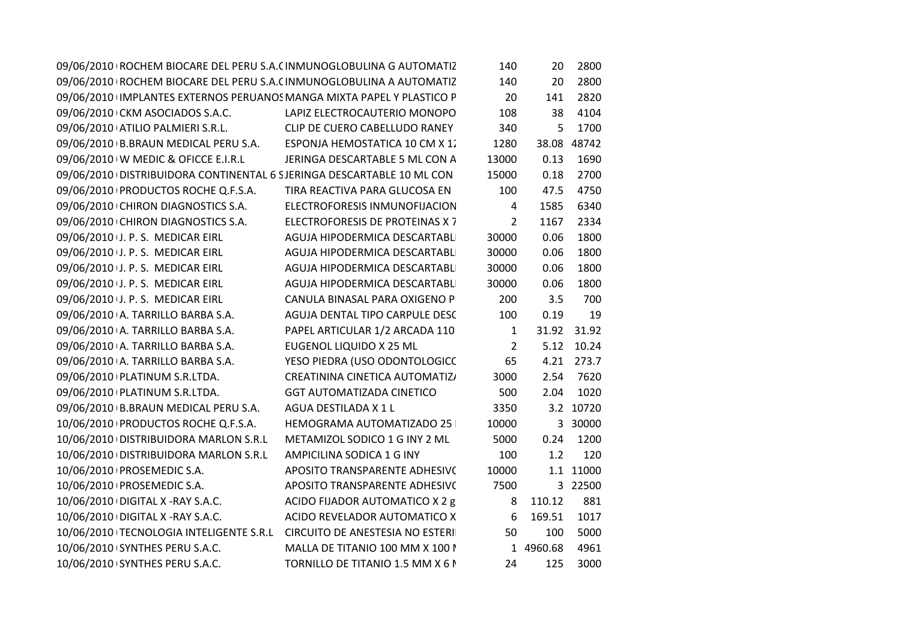| 09/06/2010 ROCHEM BIOCARE DEL PERU S.A. (INMUNOGLOBULINA G AUTOMATIZ      |                                  | 140            | 20        | 2800        |
|---------------------------------------------------------------------------|----------------------------------|----------------|-----------|-------------|
| 09/06/2010   ROCHEM BIOCARE DEL PERU S.A. (INMUNOGLOBULINA A AUTOMATIZ    |                                  | 140            | 20        | 2800        |
| 09/06/2010 IMPLANTES EXTERNOS PERUANOS MANGA MIXTA PAPEL Y PLASTICO P     |                                  | 20             | 141       | 2820        |
| 09/06/2010 CKM ASOCIADOS S.A.C.                                           | LAPIZ ELECTROCAUTERIO MONOPO     | 108            | 38        | 4104        |
| 09/06/2010 ATILIO PALMIERI S.R.L.                                         | CLIP DE CUERO CABELLUDO RANEY    | 340            | 5         | 1700        |
| 09/06/2010 B.BRAUN MEDICAL PERU S.A.                                      | ESPONJA HEMOSTATICA 10 CM X 1.   | 1280           |           | 38.08 48742 |
| 09/06/2010 W MEDIC & OFICCE E.I.R.L                                       | JERINGA DESCARTABLE 5 ML CON A   | 13000          | 0.13      | 1690        |
| 09/06/2010 DISTRIBUIDORA CONTINENTAL 6 SJERINGA DESCARTABLE 10 ML CON     |                                  | 15000          | 0.18      | 2700        |
| 09/06/2010 PRODUCTOS ROCHE Q.F.S.A.                                       | TIRA REACTIVA PARA GLUCOSA EN    | 100            | 47.5      | 4750        |
| 09/06/2010 CHIRON DIAGNOSTICS S.A.                                        | ELECTROFORESIS INMUNOFIJACION    | $\overline{4}$ | 1585      | 6340        |
| 09/06/2010 CHIRON DIAGNOSTICS S.A.                                        | ELECTROFORESIS DE PROTEINAS X 7  | $\overline{2}$ | 1167      | 2334        |
| 09/06/2010 J. P. S. MEDICAR EIRL                                          | AGUJA HIPODERMICA DESCARTABLI    | 30000          | 0.06      | 1800        |
| 09/06/2010 J. P. S. MEDICAR EIRL                                          | AGUJA HIPODERMICA DESCARTABLI    | 30000          | 0.06      | 1800        |
| 09/06/2010 J. P. S. MEDICAR EIRL                                          | AGUJA HIPODERMICA DESCARTABLI    | 30000          | 0.06      | 1800        |
| 09/06/2010 J. P. S. MEDICAR EIRL                                          | AGUJA HIPODERMICA DESCARTABLI    | 30000          | 0.06      | 1800        |
| 09/06/2010 J. P. S. MEDICAR EIRL                                          | CANULA BINASAL PARA OXIGENO PI   | 200            | 3.5       | 700         |
| 09/06/2010 A. TARRILLO BARBA S.A.                                         | AGUJA DENTAL TIPO CARPULE DESC   | 100            | 0.19      | 19          |
| 09/06/2010 A. TARRILLO BARBA S.A.                                         | PAPEL ARTICULAR 1/2 ARCADA 110   | $\mathbf{1}$   |           | 31.92 31.92 |
| 09/06/2010 A. TARRILLO BARBA S.A.                                         | <b>EUGENOL LIQUIDO X 25 ML</b>   | $\overline{2}$ |           | 5.12 10.24  |
| 09/06/2010 A. TARRILLO BARBA S.A.                                         | YESO PIEDRA (USO ODONTOLOGICC    | 65             |           | 4.21 273.7  |
| 09/06/2010 PLATINUM S.R.LTDA.                                             | CREATININA CINETICA AUTOMATIZ/   | 3000           | 2.54      | 7620        |
| 09/06/2010 PLATINUM S.R.LTDA.                                             | <b>GGT AUTOMATIZADA CINETICO</b> | 500            | 2.04      | 1020        |
| 09/06/2010 B.BRAUN MEDICAL PERU S.A.                                      | AGUA DESTILADA X 1 L             | 3350           |           | 3.2 10720   |
| 10/06/2010 PRODUCTOS ROCHE Q.F.S.A.                                       | HEMOGRAMA AUTOMATIZADO 25        | 10000          |           | 3 30000     |
| 10/06/2010 DISTRIBUIDORA MARLON S.R.L                                     | METAMIZOL SODICO 1 G INY 2 ML    | 5000           | 0.24      | 1200        |
| 10/06/2010 DISTRIBUIDORA MARLON S.R.L                                     | AMPICILINA SODICA 1 G INY        | 100            | 1.2       | 120         |
| 10/06/2010 PROSEMEDIC S.A.                                                | APOSITO TRANSPARENTE ADHESIVO    | 10000          |           | 1.1 11000   |
| 10/06/2010   PROSEMEDIC S.A.                                              | APOSITO TRANSPARENTE ADHESIVO    | 7500           |           | 3 22500     |
| 10/06/2010 DIGITAL X - RAY S.A.C.                                         | ACIDO FIJADOR AUTOMATICO X 2 g   | 8              | 110.12    | 881         |
| 10/06/2010 DIGITAL X -RAY S.A.C.                                          | ACIDO REVELADOR AUTOMATICO X     | 6              | 169.51    | 1017        |
| 10/06/2010   TECNOLOGIA INTELIGENTE S.R.L CIRCUITO DE ANESTESIA NO ESTERI |                                  | 50             | 100       | 5000        |
| 10/06/2010 SYNTHES PERU S.A.C.                                            | MALLA DE TITANIO 100 MM X 100 I  |                | 1 4960.68 | 4961        |
| 10/06/2010 SYNTHES PERU S.A.C.                                            | TORNILLO DE TITANIO 1.5 MM X 6 N | 24             | 125       | 3000        |
|                                                                           |                                  |                |           |             |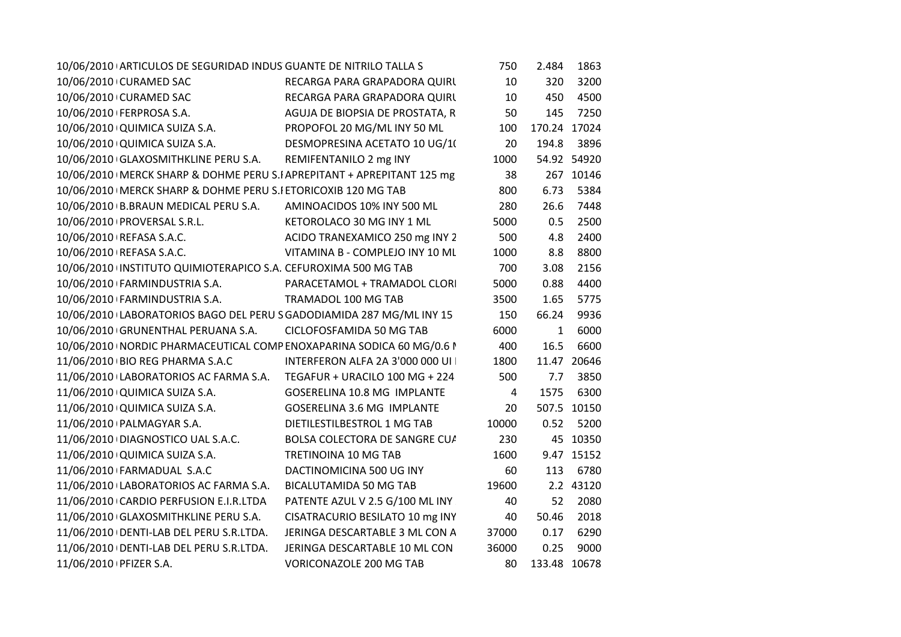|                        | 10/06/2010 ARTICULOS DE SEGURIDAD INDUS GUANTE DE NITRILO TALLA S |                                                                         | 750   | 2.484        | 1863        |
|------------------------|-------------------------------------------------------------------|-------------------------------------------------------------------------|-------|--------------|-------------|
|                        | 10/06/2010 CURAMED SAC                                            | RECARGA PARA GRAPADORA QUIRL                                            | 10    | 320          | 3200        |
|                        | 10/06/2010 CURAMED SAC                                            | RECARGA PARA GRAPADORA QUIRL                                            | 10    | 450          | 4500        |
|                        | 10/06/2010 FERPROSA S.A.                                          | AGUJA DE BIOPSIA DE PROSTATA, R                                         | 50    | 145          | 7250        |
|                        | 10/06/2010 QUIMICA SUIZA S.A.                                     | PROPOFOL 20 MG/ML INY 50 ML                                             | 100   | 170.24 17024 |             |
|                        | 10/06/2010 QUIMICA SUIZA S.A.                                     | DESMOPRESINA ACETATO 10 UG/10                                           | 20    | 194.8        | 3896        |
|                        | 10/06/2010 GLAXOSMITHKLINE PERU S.A.                              | REMIFENTANILO 2 mg INY                                                  | 1000  |              | 54.92 54920 |
|                        |                                                                   | 10/06/2010   MERCK SHARP & DOHME PERU S.IAPREPITANT + APREPITANT 125 mg | 38    |              | 267 10146   |
|                        | 10/06/2010   MERCK SHARP & DOHME PERU S.I ETORICOXIB 120 MG TAB   |                                                                         | 800   | 6.73         | 5384        |
|                        | 10/06/2010 B.BRAUN MEDICAL PERU S.A. AMINOACIDOS 10% INY 500 ML   |                                                                         | 280   | 26.6         | 7448        |
|                        | 10/06/2010 PROVERSAL S.R.L.                                       | KETOROLACO 30 MG INY 1 ML                                               | 5000  | 0.5          | 2500        |
|                        | 10/06/2010 REFASA S.A.C.                                          | ACIDO TRANEXAMICO 250 mg INY 2                                          | 500   | 4.8          | 2400        |
|                        | 10/06/2010 REFASA S.A.C.                                          | VITAMINA B - COMPLEJO INY 10 ML                                         | 1000  | 8.8          | 8800        |
|                        | 10/06/2010 INSTITUTO QUIMIOTERAPICO S.A. CEFUROXIMA 500 MG TAB    |                                                                         | 700   | 3.08         | 2156        |
|                        | 10/06/2010 FARMINDUSTRIA S.A.                                     | PARACETAMOL + TRAMADOL CLORI                                            | 5000  | 0.88         | 4400        |
|                        | 10/06/2010   FARMINDUSTRIA S.A.                                   | TRAMADOL 100 MG TAB                                                     | 3500  | 1.65         | 5775        |
|                        |                                                                   | 10/06/2010 LABORATORIOS BAGO DEL PERU S GADODIAMIDA 287 MG/ML INY 15    | 150   | 66.24        | 9936        |
|                        | 10/06/2010 GRUNENTHAL PERUANA S.A.                                | CICLOFOSFAMIDA 50 MG TAB                                                | 6000  | $\mathbf{1}$ | 6000        |
|                        |                                                                   | 10/06/2010   NORDIC PHARMACEUTICAL COMP ENOXAPARINA SODICA 60 MG/0.6    | 400   | 16.5         | 6600        |
|                        | 11/06/2010 BIO REG PHARMA S.A.C                                   | INTERFERON ALFA 2A 3'000 000 UI                                         | 1800  |              | 11.47 20646 |
|                        |                                                                   | 11/06/2010 LABORATORIOS AC FARMA S.A. TEGAFUR + URACILO 100 MG + 224    | 500   | 7.7          | 3850        |
|                        | 11/06/2010 QUIMICA SUIZA S.A.                                     | GOSERELINA 10.8 MG IMPLANTE                                             | 4     | 1575         | 6300        |
|                        | 11/06/2010 QUIMICA SUIZA S.A.                                     | <b>GOSERELINA 3.6 MG IMPLANTE</b>                                       | 20    |              | 507.5 10150 |
|                        | 11/06/2010 PALMAGYAR S.A.                                         | DIETILESTILBESTROL 1 MG TAB                                             | 10000 | 0.52         | 5200        |
|                        | 11/06/2010 DIAGNOSTICO UAL S.A.C.                                 | BOLSA COLECTORA DE SANGRE CUA                                           | 230   |              | 45 10350    |
|                        | 11/06/2010 QUIMICA SUIZA S.A.                                     | TRETINOINA 10 MG TAB                                                    | 1600  |              | 9.47 15152  |
|                        | 11/06/2010 FARMADUAL S.A.C                                        | DACTINOMICINA 500 UG INY                                                | 60    | 113          | 6780        |
|                        | 11/06/2010 LABORATORIOS AC FARMA S.A.                             | BICALUTAMIDA 50 MG TAB                                                  | 19600 |              | 2.2 43120   |
|                        | 11/06/2010 CARDIO PERFUSION E.I.R.LTDA                            | PATENTE AZUL V 2.5 G/100 ML INY                                         | 40    | 52           | 2080        |
|                        | 11/06/2010 GLAXOSMITHKLINE PERU S.A.                              | CISATRACURIO BESILATO 10 mg INY                                         | 40    | 50.46        | 2018        |
|                        | 11/06/2010 DENTI-LAB DEL PERU S.R.LTDA.                           | JERINGA DESCARTABLE 3 ML CON A                                          | 37000 | 0.17         | 6290        |
|                        | 11/06/2010 DENTI-LAB DEL PERU S.R.LTDA.                           | JERINGA DESCARTABLE 10 ML CON                                           | 36000 | 0.25         | 9000        |
| 11/06/2010 PFIZER S.A. |                                                                   | <b>VORICONAZOLE 200 MG TAB</b>                                          | 80    | 133.48 10678 |             |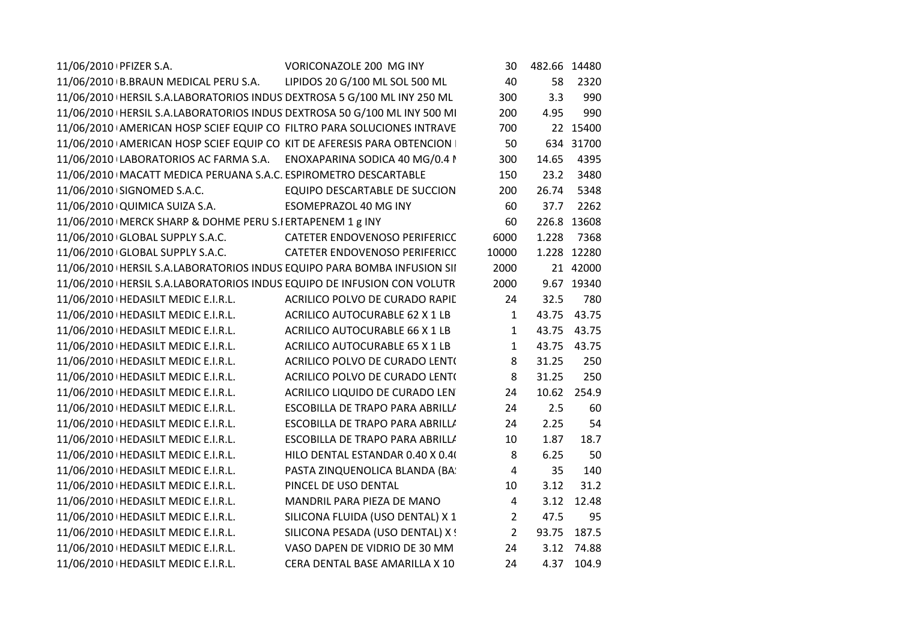| 11/06/2010 PFIZER S.A.                                                     | VORICONAZOLE 200 MG INY               | 30             | 482.66 14480 |             |
|----------------------------------------------------------------------------|---------------------------------------|----------------|--------------|-------------|
| 11/06/2010 B.BRAUN MEDICAL PERU S.A. LIPIDOS 20 G/100 ML SOL 500 ML        |                                       | 40             | 58           | 2320        |
| 11/06/2010   HERSIL S.A.LABORATORIOS INDUS DEXTROSA 5 G/100 ML INY 250 ML  |                                       | 300            | 3.3          | 990         |
| 11/06/2010   HERSIL S.A.LABORATORIOS INDUS DEXTROSA 50 G/100 ML INY 500 MI |                                       | 200            | 4.95         | 990         |
| 11/06/2010 AMERICAN HOSP SCIEF EQUIP CO FILTRO PARA SOLUCIONES INTRAVE     |                                       | 700            |              | 22 15400    |
| 11/06/2010 AMERICAN HOSP SCIEF EQUIP CO KIT DE AFERESIS PARA OBTENCION I   |                                       | 50             |              | 634 31700   |
| 11/06/2010 LABORATORIOS AC FARMA S.A. ENOXAPARINA SODICA 40 MG/0.4 I       |                                       | 300            | 14.65        | 4395        |
| 11/06/2010   MACATT MEDICA PERUANA S.A.C. ESPIROMETRO DESCARTABLE          |                                       | 150            | 23.2         | 3480        |
| 11/06/2010 SIGNOMED S.A.C.                                                 | <b>EQUIPO DESCARTABLE DE SUCCION</b>  | 200            | 26.74        | 5348        |
| 11/06/2010 QUIMICA SUIZA S.A.                                              | <b>ESOMEPRAZOL 40 MG INY</b>          | 60             | 37.7         | 2262        |
| 11/06/2010   MERCK SHARP & DOHME PERU S.I ERTAPENEM 1 g INY                |                                       | 60             |              | 226.8 13608 |
| 11/06/2010 GLOBAL SUPPLY S.A.C.                                            | CATETER ENDOVENOSO PERIFERICC         | 6000           | 1.228        | 7368        |
| 11/06/2010 GLOBAL SUPPLY S.A.C.                                            | <b>CATETER ENDOVENOSO PERIFERICC</b>  | 10000          |              | 1.228 12280 |
| 11/06/2010   HERSIL S.A.LABORATORIOS INDUS EQUIPO PARA BOMBA INFUSION SII  |                                       | 2000           |              | 21 42000    |
| 11/06/2010   HERSIL S.A.LABORATORIOS INDUS EQUIPO DE INFUSION CON VOLUTR   |                                       | 2000           |              | 9.67 19340  |
| 11/06/2010   HEDASILT MEDIC E.I.R.L.                                       | ACRILICO POLVO DE CURADO RAPIE        | 24             | 32.5         | 780         |
| 11/06/2010   HEDASILT MEDIC E.I.R.L.                                       | <b>ACRILICO AUTOCURABLE 62 X 1 LB</b> | $\mathbf{1}$   | 43.75        | 43.75       |
| 11/06/2010   HEDASILT MEDIC E.I.R.L.                                       | <b>ACRILICO AUTOCURABLE 66 X 1 LB</b> | $\mathbf{1}$   | 43.75        | 43.75       |
| 11/06/2010   HEDASILT MEDIC E.I.R.L.                                       | <b>ACRILICO AUTOCURABLE 65 X 1 LB</b> | $\mathbf{1}$   | 43.75        | 43.75       |
| 11/06/2010   HEDASILT MEDIC E.I.R.L.                                       | ACRILICO POLVO DE CURADO LENTO        | 8              | 31.25        | 250         |
| 11/06/2010   HEDASILT MEDIC E.I.R.L.                                       | ACRILICO POLVO DE CURADO LENTO        | 8              | 31.25        | 250         |
| 11/06/2010   HEDASILT MEDIC E.I.R.L.                                       | ACRILICO LIQUIDO DE CURADO LEN        | 24             | 10.62        | 254.9       |
| 11/06/2010   HEDASILT MEDIC E.I.R.L.                                       | ESCOBILLA DE TRAPO PARA ABRILLI       | 24             | 2.5          | 60          |
| 11/06/2010   HEDASILT MEDIC E.I.R.L.                                       | ESCOBILLA DE TRAPO PARA ABRILLI       | 24             | 2.25         | 54          |
| 11/06/2010   HEDASILT MEDIC E.I.R.L.                                       | ESCOBILLA DE TRAPO PARA ABRILLI       | 10             | 1.87         | 18.7        |
| 11/06/2010   HEDASILT MEDIC E.I.R.L.                                       | HILO DENTAL ESTANDAR 0.40 X 0.40      | 8              | 6.25         | 50          |
| 11/06/2010   HEDASILT MEDIC E.I.R.L.                                       | PASTA ZINQUENOLICA BLANDA (BA:        | $\overline{4}$ | 35           | 140         |
| 11/06/2010   HEDASILT MEDIC E.I.R.L.                                       | PINCEL DE USO DENTAL                  | 10             | 3.12         | 31.2        |
| 11/06/2010   HEDASILT MEDIC E.I.R.L.                                       | MANDRIL PARA PIEZA DE MANO            | 4              | 3.12         | 12.48       |
| 11/06/2010   HEDASILT MEDIC E.I.R.L.                                       | SILICONA FLUIDA (USO DENTAL) X 1      | $\overline{2}$ | 47.5         | 95          |
| 11/06/2010   HEDASILT MEDIC E.I.R.L.                                       | SILICONA PESADA (USO DENTAL) X !      | $\overline{2}$ | 93.75        | 187.5       |
| 11/06/2010   HEDASILT MEDIC E.I.R.L.                                       | VASO DAPEN DE VIDRIO DE 30 MM         | 24             | 3.12         | 74.88       |
| 11/06/2010   HEDASILT MEDIC E.I.R.L.                                       | CERA DENTAL BASE AMARILLA X 10        | 24             | 4.37         | 104.9       |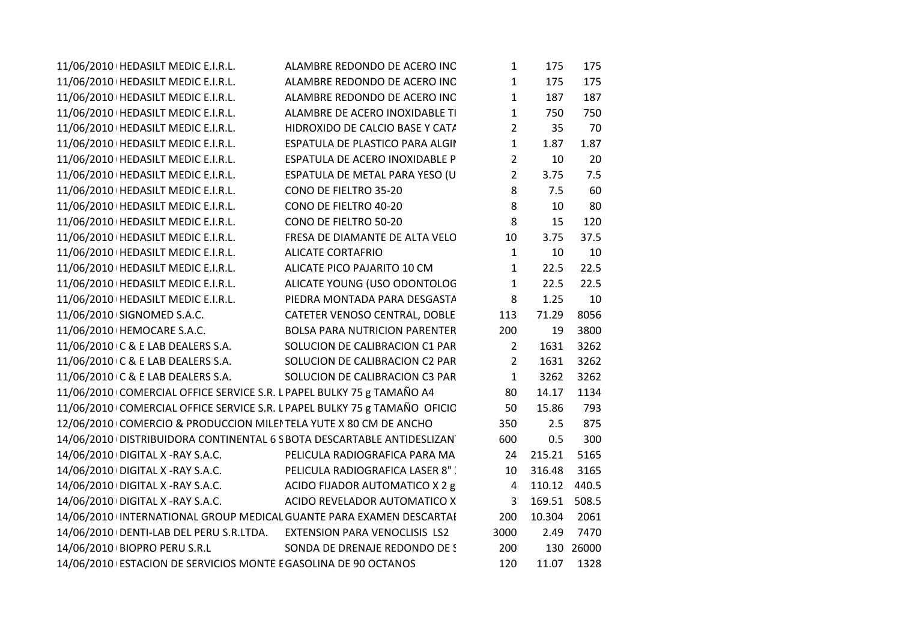| 11/06/2010   HEDASILT MEDIC E.I.R.L.                                  | ALAMBRE REDONDO DE ACERO INC                                              | $\mathbf{1}$   | 175          | 175        |
|-----------------------------------------------------------------------|---------------------------------------------------------------------------|----------------|--------------|------------|
| 11/06/2010   HEDASILT MEDIC E.I.R.L.                                  | ALAMBRE REDONDO DE ACERO INC                                              | $\mathbf{1}$   | 175          | 175        |
| 11/06/2010   HEDASILT MEDIC E.I.R.L.                                  | ALAMBRE REDONDO DE ACERO INC                                              | $\mathbf{1}$   | 187          | 187        |
| 11/06/2010   HEDASILT MEDIC E.I.R.L.                                  | ALAMBRE DE ACERO INOXIDABLE TI                                            | $\mathbf{1}$   | 750          | 750        |
| 11/06/2010   HEDASILT MEDIC E.I.R.L.                                  | HIDROXIDO DE CALCIO BASE Y CATA                                           | $2^{\circ}$    | 35           | 70         |
| 11/06/2010   HEDASILT MEDIC E.I.R.L.                                  | ESPATULA DE PLASTICO PARA ALGII                                           | $\mathbf{1}$   | 1.87         | 1.87       |
| 11/06/2010   HEDASILT MEDIC E.I.R.L.                                  | ESPATULA DE ACERO INOXIDABLE P                                            | $\overline{2}$ | 10           | 20         |
| 11/06/2010   HEDASILT MEDIC E.I.R.L.                                  | ESPATULA DE METAL PARA YESO (U                                            | $\overline{2}$ | 3.75         | 7.5        |
| 11/06/2010   HEDASILT MEDIC E.I.R.L.                                  | CONO DE FIELTRO 35-20                                                     | 8              | 7.5          | 60         |
| 11/06/2010   HEDASILT MEDIC E.I.R.L.                                  | CONO DE FIELTRO 40-20                                                     | 8              | 10           | 80         |
| 11/06/2010   HEDASILT MEDIC E.I.R.L.                                  | CONO DE FIELTRO 50-20                                                     | 8              | 15           | 120        |
| 11/06/2010   HEDASILT MEDIC E.I.R.L.                                  | FRESA DE DIAMANTE DE ALTA VELO                                            | 10             | 3.75         | 37.5       |
| 11/06/2010   HEDASILT MEDIC E.I.R.L.                                  | <b>ALICATE CORTAFRIO</b>                                                  | $\mathbf{1}$   | 10           | 10         |
| 11/06/2010   HEDASILT MEDIC E.I.R.L.                                  | ALICATE PICO PAJARITO 10 CM                                               | $\mathbf{1}$   | 22.5         | 22.5       |
| 11/06/2010   HEDASILT MEDIC E.I.R.L.                                  | ALICATE YOUNG (USO ODONTOLOG                                              | $\mathbf{1}$   | 22.5         | 22.5       |
| 11/06/2010   HEDASILT MEDIC E.I.R.L.                                  | PIEDRA MONTADA PARA DESGASTA                                              | 8              | 1.25         | 10         |
| 11/06/2010 SIGNOMED S.A.C.                                            | CATETER VENOSO CENTRAL, DOBLE                                             | 113            | 71.29        | 8056       |
| 11/06/2010   HEMOCARE S.A.C.                                          | <b>BOLSA PARA NUTRICION PARENTER</b>                                      | 200            | 19           | 3800       |
| 11/06/2010 C & E LAB DEALERS S.A.                                     | SOLUCION DE CALIBRACION C1 PAR                                            | $\overline{2}$ | 1631         | 3262       |
| 11/06/2010+C & E LAB DEALERS S.A.                                     | SOLUCION DE CALIBRACION C2 PAR                                            | $\overline{2}$ | 1631         | 3262       |
| 11/06/2010 C & E LAB DEALERS S.A.                                     | SOLUCION DE CALIBRACION C3 PAR                                            | $\mathbf{1}$   | 3262         | 3262       |
| 11/06/2010 COMERCIAL OFFICE SERVICE S.R. L PAPEL BULKY 75 g TAMAÑO A4 |                                                                           | 80             | 14.17        | 1134       |
|                                                                       | 11/06/2010 COMERCIAL OFFICE SERVICE S.R. L PAPEL BULKY 75 g TAMAÑO OFICIC | 50             | 15.86        | 793        |
| 12/06/2010 COMERCIO & PRODUCCION MILEI TELA YUTE X 80 CM DE ANCHO     |                                                                           | 350            | 2.5          | 875        |
|                                                                       | 14/06/2010 DISTRIBUIDORA CONTINENTAL 6 S BOTA DESCARTABLE ANTIDESLIZAN    | 600            | 0.5          | 300        |
| 14/06/2010 DIGITAL X - RAY S.A.C.                                     | PELICULA RADIOGRAFICA PARA MA                                             | 24             | 215.21       | 5165       |
| 14/06/2010 DIGITAL X -RAY S.A.C.                                      | PELICULA RADIOGRAFICA LASER 8"                                            | 10             | 316.48       | 3165       |
| 14/06/2010 DIGITAL X -RAY S.A.C.                                      | ACIDO FIJADOR AUTOMATICO X 2 g                                            | 4              | 110.12 440.5 |            |
| 14/06/2010 DIGITAL X - RAY S.A.C.                                     | ACIDO REVELADOR AUTOMATICO X                                              | $\overline{3}$ | 169.51       | 508.5      |
|                                                                       | 14/06/2010 INTERNATIONAL GROUP MEDICAL GUANTE PARA EXAMEN DESCARTAI       | 200            | 10.304       | 2061       |
|                                                                       | 14/06/2010   DENTI-LAB DEL PERU S.R.LTDA. EXTENSION PARA VENOCLISIS LS2   | 3000           | 2.49         | 7470       |
| 14/06/2010 BIOPRO PERU S.R.L                                          | SONDA DE DRENAJE REDONDO DE S                                             | 200            |              | 130 26000  |
| 14/06/2010 ESTACION DE SERVICIOS MONTE E GASOLINA DE 90 OCTANOS       |                                                                           | 120            |              | 11.07 1328 |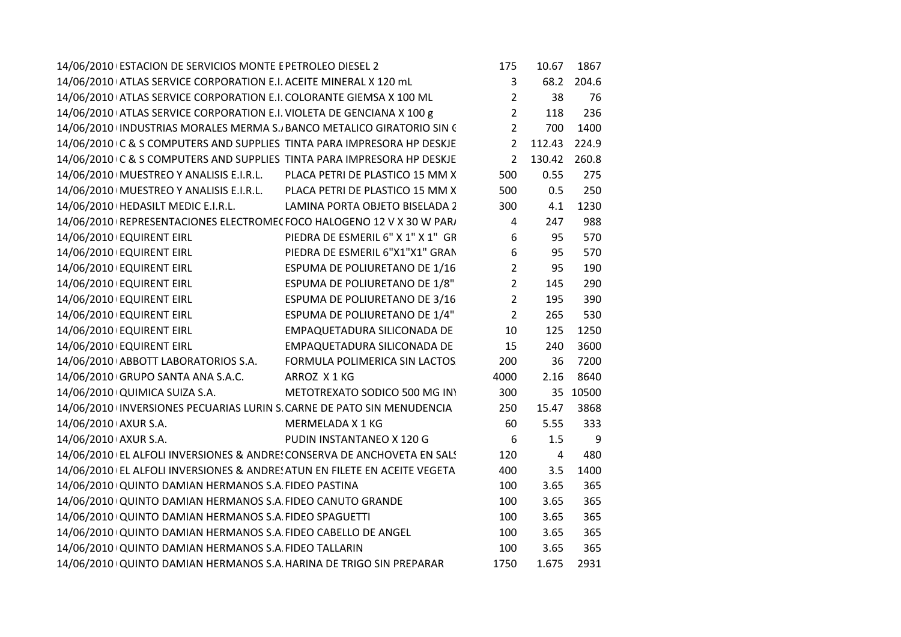|                      | 14/06/2010 ESTACION DE SERVICIOS MONTE E PETROLEO DIESEL 2            |                                                                           | 175              | 10.67          | 1867     |
|----------------------|-----------------------------------------------------------------------|---------------------------------------------------------------------------|------------------|----------------|----------|
|                      | 14/06/2010 ATLAS SERVICE CORPORATION E.I. ACEITE MINERAL X 120 mL     |                                                                           | $\mathbf{3}$     | 68.2           | 204.6    |
|                      | 14/06/2010 ATLAS SERVICE CORPORATION E.I. COLORANTE GIEMSA X 100 ML   |                                                                           | $\overline{2}$   | 38             | 76       |
|                      | 14/06/2010 ATLAS SERVICE CORPORATION E.I. VIOLETA DE GENCIANA X 100 g |                                                                           | $\overline{2}$   | 118            | 236      |
|                      |                                                                       | 14/06/2010 INDUSTRIAS MORALES MERMA S. BANCO METALICO GIRATORIO SIN C     | $\overline{2}$   | 700            | 1400     |
|                      |                                                                       | 14/06/2010 C & S COMPUTERS AND SUPPLIES TINTA PARA IMPRESORA HP DESKJE    | $\overline{2}$   | 112.43         | 224.9    |
|                      |                                                                       | 14/06/2010 C & S COMPUTERS AND SUPPLIES TINTA PARA IMPRESORA HP DESKJE    | $\overline{2}$   | 130.42         | 260.8    |
|                      |                                                                       | 14/06/2010   MUESTREO Y ANALISIS E.I.R.L. PLACA PETRI DE PLASTICO 15 MM X | 500              | 0.55           | 275      |
|                      |                                                                       | 14/06/2010   MUESTREO Y ANALISIS E.I.R.L. PLACA PETRI DE PLASTICO 15 MM X | 500              | 0.5            | 250      |
|                      | 14/06/2010   HEDASILT MEDIC E.I.R.L.                                  | LAMINA PORTA OBJETO BISELADA 2                                            | 300              | 4.1            | 1230     |
|                      |                                                                       | 14/06/2010 REPRESENTACIONES ELECTROMEC FOCO HALOGENO 12 V X 30 W PAR/     | $\overline{4}$   | 247            | 988      |
|                      | 14/06/2010 EQUIRENT EIRL                                              | PIEDRA DE ESMERIL 6" X 1" X 1" GR                                         | $\boldsymbol{6}$ | 95             | 570      |
|                      | 14/06/2010 EQUIRENT EIRL                                              | PIEDRA DE ESMERIL 6"X1"X1" GRAN                                           | $\boldsymbol{6}$ | 95             | 570      |
|                      | 14/06/2010 EQUIRENT EIRL                                              | ESPUMA DE POLIURETANO DE 1/16                                             | $\overline{2}$   | 95             | 190      |
|                      | 14/06/2010 EQUIRENT EIRL                                              | ESPUMA DE POLIURETANO DE 1/8"                                             | $\overline{2}$   | 145            | 290      |
|                      | 14/06/2010 EQUIRENT EIRL                                              | ESPUMA DE POLIURETANO DE 3/16                                             | $\overline{2}$   | 195            | 390      |
|                      | 14/06/2010 EQUIRENT EIRL                                              | ESPUMA DE POLIURETANO DE 1/4"                                             | $\overline{2}$   | 265            | 530      |
|                      | 14/06/2010 EQUIRENT EIRL                                              | EMPAQUETADURA SILICONADA DE                                               | 10               | 125            | 1250     |
|                      | 14/06/2010 EQUIRENT EIRL                                              | EMPAQUETADURA SILICONADA DE                                               | 15               | 240            | 3600     |
|                      | 14/06/2010 ABBOTT LABORATORIOS S.A.                                   | FORMULA POLIMERICA SIN LACTOS                                             | 200              | 36             | 7200     |
|                      | 14/06/2010 GRUPO SANTA ANA S.A.C.                                     | ARROZ X1KG                                                                | 4000             | 2.16           | 8640     |
|                      | 14/06/2010 QUIMICA SUIZA S.A.                                         | METOTREXATO SODICO 500 MG INY                                             | 300              |                | 35 10500 |
|                      |                                                                       | 14/06/2010 INVERSIONES PECUARIAS LURIN S. CARNE DE PATO SIN MENUDENCIA    | 250              | 15.47          | 3868     |
| 14/06/2010 AXUR S.A. |                                                                       | MERMELADA X 1 KG                                                          | 60               | 5.55           | 333      |
| 14/06/2010 AXUR S.A. |                                                                       | PUDIN INSTANTANEO X 120 G                                                 | 6                | 1.5            | 9        |
|                      |                                                                       | 14/06/2010 EL ALFOLI INVERSIONES & ANDRE! CONSERVA DE ANCHOVETA EN SAL!   | 120              | $\overline{4}$ | 480      |
|                      |                                                                       | 14/06/2010 EL ALFOLI INVERSIONES & ANDRE: ATUN EN FILETE EN ACEITE VEGETA | 400              | 3.5            | 1400     |
|                      | 14/06/2010 QUINTO DAMIAN HERMANOS S.A FIDEO PASTINA                   |                                                                           | 100              | 3.65           | 365      |
|                      | 14/06/2010 QUINTO DAMIAN HERMANOS S.A FIDEO CANUTO GRANDE             |                                                                           | 100              | 3.65           | 365      |
|                      | 14/06/2010 QUINTO DAMIAN HERMANOS S.A. FIDEO SPAGUETTI                |                                                                           | 100              | 3.65           | 365      |
|                      | 14/06/2010 QUINTO DAMIAN HERMANOS S.A. FIDEO CABELLO DE ANGEL         |                                                                           | 100              | 3.65           | 365      |
|                      | 14/06/2010 QUINTO DAMIAN HERMANOS S.A. FIDEO TALLARIN                 |                                                                           | 100              | 3.65           | 365      |
|                      | 14/06/2010 QUINTO DAMIAN HERMANOS S.A. HARINA DE TRIGO SIN PREPARAR   |                                                                           | 1750             | 1.675          | 2931     |
|                      |                                                                       |                                                                           |                  |                |          |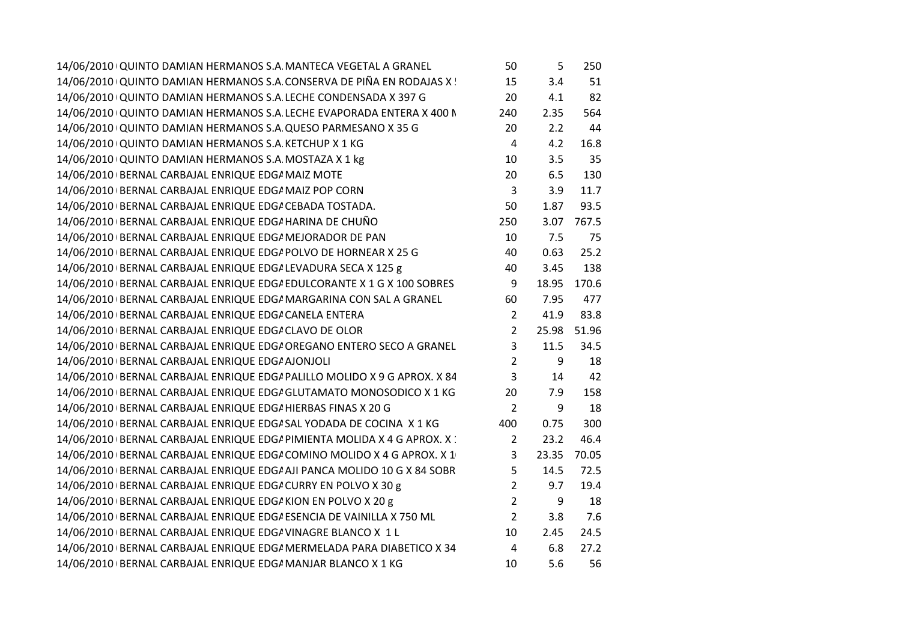| 14/06/2010 QUINTO DAMIAN HERMANOS S.A. MANTECA VEGETAL A GRANEL            | 50             | 5     | 250   |
|----------------------------------------------------------------------------|----------------|-------|-------|
| 14/06/2010 QUINTO DAMIAN HERMANOS S.A. CONSERVA DE PIÑA EN RODAJAS X !     | 15             | 3.4   | 51    |
| 14/06/2010 QUINTO DAMIAN HERMANOS S.A. LECHE CONDENSADA X 397 G            | 20             | 4.1   | 82    |
| 14/06/2010 QUINTO DAMIAN HERMANOS S.A. LECHE EVAPORADA ENTERA X 400 N      | 240            | 2.35  | 564   |
| 14/06/2010 QUINTO DAMIAN HERMANOS S.A QUESO PARMESANO X 35 G               | 20             | 2.2   | 44    |
| 14/06/2010 QUINTO DAMIAN HERMANOS S.A. KETCHUP X 1 KG                      | $\overline{4}$ | 4.2   | 16.8  |
| 14/06/2010 QUINTO DAMIAN HERMANOS S.A. MOSTAZA X 1 kg                      | 10             | 3.5   | 35    |
| 14/06/2010 BERNAL CARBAJAL ENRIQUE EDG/ MAIZ MOTE                          | 20             | 6.5   | 130   |
| 14/06/2010 BERNAL CARBAJAL ENRIQUE EDG/ MAIZ POP CORN                      | $\overline{3}$ | 3.9   | 11.7  |
| 14/06/2010   BERNAL CARBAJAL ENRIQUE EDG/ CEBADA TOSTADA.                  | 50             | 1.87  | 93.5  |
| 14/06/2010 BERNAL CARBAJAL ENRIQUE EDG/ HARINA DE CHUÑO                    | 250            | 3.07  | 767.5 |
| 14/06/2010 BERNAL CARBAJAL ENRIQUE EDG/ MEJORADOR DE PAN                   | 10             | 7.5   | 75    |
| 14/06/2010   BERNAL CARBAJAL ENRIQUE EDG/ POLVO DE HORNEAR X 25 G          | 40             | 0.63  | 25.2  |
| 14/06/2010 BERNAL CARBAJAL ENRIQUE EDG/ LEVADURA SECA X 125 g              | 40             | 3.45  | 138   |
| 14/06/2010   BERNAL CARBAJAL ENRIQUE EDG/ EDULCORANTE X 1 G X 100 SOBRES   | 9              | 18.95 | 170.6 |
| 14/06/2010 BERNAL CARBAJAL ENRIQUE EDG/ MARGARINA CON SAL A GRANEL         | 60             | 7.95  | 477   |
| 14/06/2010 BERNAL CARBAJAL ENRIQUE EDG/ CANELA ENTERA                      | $\overline{2}$ | 41.9  | 83.8  |
| 14/06/2010 BERNAL CARBAJAL ENRIQUE EDG/ CLAVO DE OLOR                      | $\overline{2}$ | 25.98 | 51.96 |
| 14/06/2010 BERNAL CARBAJAL ENRIQUE EDG/ OREGANO ENTERO SECO A GRANEL       | 3              | 11.5  | 34.5  |
| 14/06/2010   BERNAL CARBAJAL ENRIQUE EDG/ AJONJOLI                         | $\overline{2}$ | 9     | 18    |
| 14/06/2010   BERNAL CARBAJAL ENRIQUE EDG/ PALILLO MOLIDO X 9 G APROX. X 84 | 3              | 14    | 42    |
| 14/06/2010 BERNAL CARBAJAL ENRIQUE EDGA GLUTAMATO MONOSODICO X 1 KG        | 20             | 7.9   | 158   |
| 14/06/2010   BERNAL CARBAJAL ENRIQUE EDG/ HIERBAS FINAS X 20 G             | $\overline{2}$ | 9     | 18    |
| 14/06/2010   BERNAL CARBAJAL ENRIQUE EDG/ SAL YODADA DE COCINA X 1 KG      | 400            | 0.75  | 300   |
| 14/06/2010 BERNAL CARBAJAL ENRIQUE EDG/ PIMIENTA MOLIDA X 4 G APROX. X :   | $\overline{2}$ | 23.2  | 46.4  |
| 14/06/2010 BERNAL CARBAJAL ENRIQUE EDG/ COMINO MOLIDO X 4 G APROX. X 1     | 3              | 23.35 | 70.05 |
| 14/06/2010 BERNAL CARBAJAL ENRIQUE EDG/ AJI PANCA MOLIDO 10 G X 84 SOBR    | 5              | 14.5  | 72.5  |
| 14/06/2010 BERNAL CARBAJAL ENRIQUE EDG/ CURRY EN POLVO X 30 g              | $\overline{2}$ | 9.7   | 19.4  |
| 14/06/2010 BERNAL CARBAJAL ENRIQUE EDG/ KION EN POLVO X 20 g               | $\overline{2}$ | 9     | 18    |
| 14/06/2010 BERNAL CARBAJAL ENRIQUE EDG/ ESENCIA DE VAINILLA X 750 ML       | $\overline{2}$ | 3.8   | 7.6   |
| 14/06/2010 BERNAL CARBAJAL ENRIQUE EDG/ VINAGRE BLANCO X 1 L               | 10             | 2.45  | 24.5  |
| 14/06/2010 BERNAL CARBAJAL ENRIQUE EDG/ MERMELADA PARA DIABETICO X 34      | $\overline{4}$ | 6.8   | 27.2  |
| 14/06/2010 BERNAL CARBAJAL ENRIQUE EDG/ MANJAR BLANCO X 1 KG               | 10             | 5.6   | 56    |
|                                                                            |                |       |       |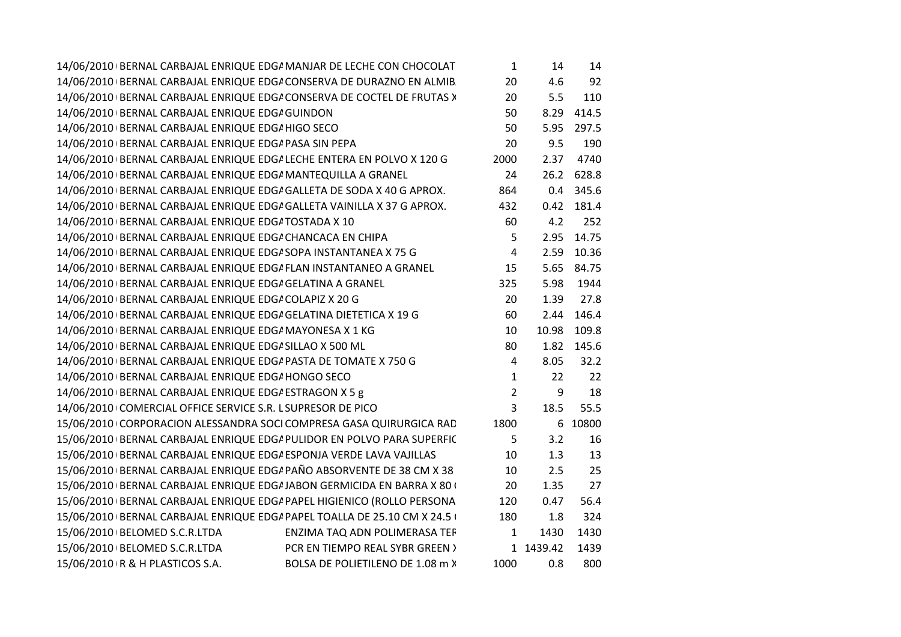|                                                                       | 14/06/2010 BERNAL CARBAJAL ENRIQUE EDG/ MANJAR DE LECHE CON CHOCOLAT      | $\mathbf{1}$   | 14        | 14        |
|-----------------------------------------------------------------------|---------------------------------------------------------------------------|----------------|-----------|-----------|
|                                                                       | 14/06/2010 BERNAL CARBAJAL ENRIQUE EDGI CONSERVA DE DURAZNO EN ALMIB      | 20             | 4.6       | 92        |
|                                                                       | 14/06/2010   BERNAL CARBAJAL ENRIQUE EDG/ CONSERVA DE COCTEL DE FRUTAS >  | 20             | 5.5       | 110       |
| 14/06/2010 BERNAL CARBAJAL ENRIQUE EDG/ GUINDON                       |                                                                           | 50             | 8.29      | 414.5     |
| 14/06/2010 BERNAL CARBAJAL ENRIQUE EDG/ HIGO SECO                     |                                                                           | 50             | 5.95      | 297.5     |
| 14/06/2010 BERNAL CARBAJAL ENRIQUE EDG/ PASA SIN PEPA                 |                                                                           | 20             | 9.5       | 190       |
|                                                                       | 14/06/2010   BERNAL CARBAJAL ENRIQUE EDG/ LECHE ENTERA EN POLVO X 120 G   | 2000           | 2.37      | 4740      |
| 14/06/2010 BERNAL CARBAJAL ENRIQUE EDG/ MANTEQUILLA A GRANEL          |                                                                           | 24             | 26.2      | 628.8     |
| 14/06/2010 BERNAL CARBAJAL ENRIQUE EDG/ GALLETA DE SODA X 40 G APROX. |                                                                           | 864            |           | 0.4 345.6 |
|                                                                       | 14/06/2010 BERNAL CARBAJAL ENRIQUE EDG/ GALLETA VAINILLA X 37 G APROX.    | 432            | 0.42      | 181.4     |
| 14/06/2010 BERNAL CARBAJAL ENRIQUE EDG/ TOSTADA X 10                  |                                                                           | 60             | 4.2       | 252       |
| 14/06/2010 BERNAL CARBAJAL ENRIQUE EDG/ CHANCACA EN CHIPA             |                                                                           | 5              | 2.95      | 14.75     |
| 14/06/2010 BERNAL CARBAJAL ENRIQUE EDG/ SOPA INSTANTANEA X 75 G       |                                                                           | 4              | 2.59      | 10.36     |
| 14/06/2010 BERNAL CARBAJAL ENRIQUE EDG/ FLAN INSTANTANEO A GRANEL     |                                                                           | 15             | 5.65      | 84.75     |
| 14/06/2010 BERNAL CARBAJAL ENRIQUE EDG/ GELATINA A GRANEL             |                                                                           | 325            | 5.98      | 1944      |
| 14/06/2010 BERNAL CARBAJAL ENRIQUE EDGA COLAPIZ X 20 G                |                                                                           | 20             | 1.39      | 27.8      |
| 14/06/2010 BERNAL CARBAJAL ENRIQUE EDG/ GELATINA DIETETICA X 19 G     |                                                                           | 60             | 2.44      | 146.4     |
| 14/06/2010 BERNAL CARBAJAL ENRIQUE EDG/ MAYONESA X 1 KG               |                                                                           | 10             | 10.98     | 109.8     |
| 14/06/2010   BERNAL CARBAJAL ENRIQUE EDG/ SILLAO X 500 ML             |                                                                           | 80             | 1.82      | 145.6     |
| 14/06/2010 BERNAL CARBAJAL ENRIQUE EDG/ PASTA DE TOMATE X 750 G       |                                                                           | 4              | 8.05      | 32.2      |
| 14/06/2010 BERNAL CARBAJAL ENRIQUE EDG/ HONGO SECO                    |                                                                           | $\mathbf 1$    | 22        | 22        |
| 14/06/2010 BERNAL CARBAJAL ENRIQUE EDG/ ESTRAGON X 5 g                |                                                                           | $\overline{2}$ | 9         | 18        |
| 14/06/2010 COMERCIAL OFFICE SERVICE S.R. L SUPRESOR DE PICO           |                                                                           | 3              | 18.5      | 55.5      |
|                                                                       | 15/06/2010 CORPORACION ALESSANDRA SOCI COMPRESA GASA QUIRURGICA RAD       | 1800           |           | 6 10800   |
|                                                                       | 15/06/2010   BERNAL CARBAJAL ENRIQUE EDG/ PULIDOR EN POLVO PARA SUPERFIC  | 5              | 3.2       | 16        |
| 15/06/2010   BERNAL CARBAJAL ENRIQUE EDG/ ESPONJA VERDE LAVA VAJILLAS |                                                                           | 10             | 1.3       | 13        |
|                                                                       | 15/06/2010 BERNAL CARBAJAL ENRIQUE EDG/ PAÑO ABSORVENTE DE 38 CM X 38     | 10             | 2.5       | 25        |
|                                                                       | 15/06/2010   BERNAL CARBAJAL ENRIQUE EDG/ JABON GERMICIDA EN BARRA X 80 ( | 20             | 1.35      | 27        |
|                                                                       | 15/06/2010 BERNAL CARBAJAL ENRIQUE EDG/ PAPEL HIGIENICO (ROLLO PERSONA    | 120            | 0.47      | 56.4      |
|                                                                       | 15/06/2010 BERNAL CARBAJAL ENRIQUE EDG/ PAPEL TOALLA DE 25.10 CM X 24.5 ( | 180            | 1.8       | 324       |
| 15/06/2010   BELOMED S.C.R.LTDA                                       | ENZIMA TAQ ADN POLIMERASA TEF                                             | $\mathbf{1}$   | 1430      | 1430      |
| 15/06/2010 BELOMED S.C.R.LTDA                                         | PCR EN TIEMPO REAL SYBR GREEN >                                           |                | 1 1439.42 | 1439      |
| 15/06/2010 R & H PLASTICOS S.A.                                       | BOLSA DE POLIETILENO DE 1.08 m X                                          | 1000           | 0.8       | 800       |
|                                                                       |                                                                           |                |           |           |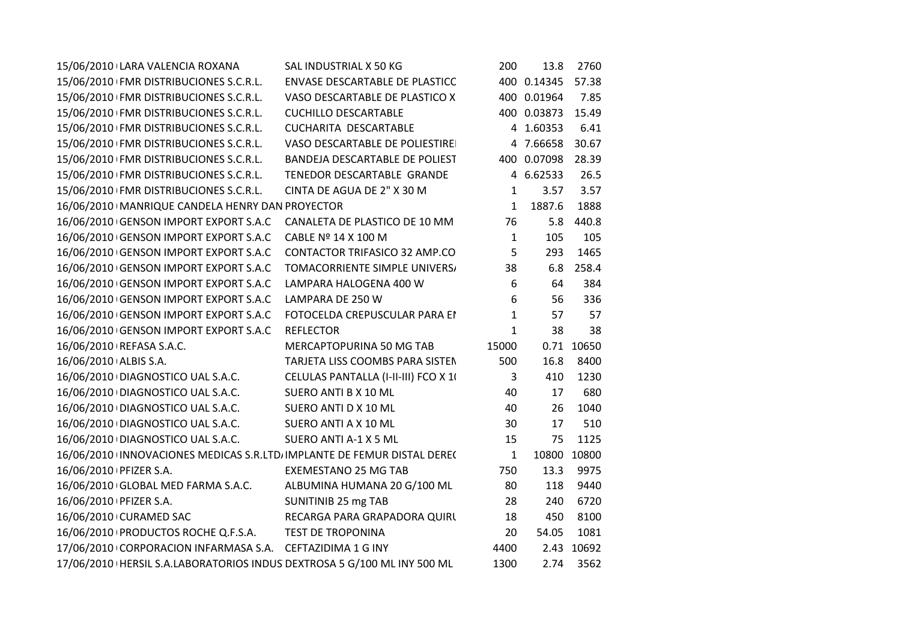| 15/06/2010 LARA VALENCIA ROXANA                                           | SAL INDUSTRIAL X 50 KG               | 200          | 13.8        | 2760       |  |
|---------------------------------------------------------------------------|--------------------------------------|--------------|-------------|------------|--|
| 15/06/2010 FMR DISTRIBUCIONES S.C.R.L.                                    | ENVASE DESCARTABLE DE PLASTICC       |              | 400 0.14345 | 57.38      |  |
| 15/06/2010 FMR DISTRIBUCIONES S.C.R.L.                                    | VASO DESCARTABLE DE PLASTICO X       |              | 400 0.01964 | 7.85       |  |
| 15/06/2010 FMR DISTRIBUCIONES S.C.R.L.                                    | <b>CUCHILLO DESCARTABLE</b>          |              | 400 0.03873 | 15.49      |  |
| 15/06/2010 FMR DISTRIBUCIONES S.C.R.L.                                    | CUCHARITA DESCARTABLE                |              | 4 1.60353   | 6.41       |  |
| 15/06/2010 FMR DISTRIBUCIONES S.C.R.L.                                    | VASO DESCARTABLE DE POLIESTIRE       |              | 4 7.66658   | 30.67      |  |
| 15/06/2010 FMR DISTRIBUCIONES S.C.R.L.                                    | BANDEJA DESCARTABLE DE POLIEST       |              | 400 0.07098 | 28.39      |  |
| 15/06/2010 FMR DISTRIBUCIONES S.C.R.L.                                    | TENEDOR DESCARTABLE GRANDE           |              | 4 6.62533   | 26.5       |  |
| 15/06/2010 FMR DISTRIBUCIONES S.C.R.L.                                    | CINTA DE AGUA DE 2" X 30 M           | 1            | 3.57        | 3.57       |  |
| 16/06/2010   MANRIQUE CANDELA HENRY DAN PROYECTOR                         |                                      | $\mathbf{1}$ | 1887.6      | 1888       |  |
| 16/06/2010 GENSON IMPORT EXPORT S.A.C                                     | CANALETA DE PLASTICO DE 10 MM        | 76           | 5.8         | 440.8      |  |
| 16/06/2010 GENSON IMPORT EXPORT S.A.C                                     | CABLE Nº 14 X 100 M                  | $\mathbf{1}$ | 105         | 105        |  |
| 16/06/2010 GENSON IMPORT EXPORT S.A.C                                     | CONTACTOR TRIFASICO 32 AMP.CO        | 5            | 293         | 1465       |  |
| 16/06/2010 GENSON IMPORT EXPORT S.A.C                                     | TOMACORRIENTE SIMPLE UNIVERS/        | 38           | 6.8         | 258.4      |  |
| 16/06/2010 GENSON IMPORT EXPORT S.A.C                                     | LAMPARA HALOGENA 400 W               | 6            | 64          | 384        |  |
| 16/06/2010 GENSON IMPORT EXPORT S.A.C                                     | LAMPARA DE 250 W                     | 6            | 56          | 336        |  |
| 16/06/2010 GENSON IMPORT EXPORT S.A.C                                     | FOTOCELDA CREPUSCULAR PARA EI        | $\mathbf{1}$ | 57          | 57         |  |
| 16/06/2010 GENSON IMPORT EXPORT S.A.C                                     | <b>REFLECTOR</b>                     | $\mathbf{1}$ | 38          | 38         |  |
| 16/06/2010   REFASA S.A.C.                                                | MERCAPTOPURINA 50 MG TAB             | 15000        |             | 0.71 10650 |  |
| 16/06/2010 ALBIS S.A.                                                     | TARJETA LISS COOMBS PARA SISTEN      | 500          | 16.8        | 8400       |  |
| 16/06/2010 DIAGNOSTICO UAL S.A.C.                                         | CELULAS PANTALLA (I-II-III) FCO X 10 | 3            | 410         | 1230       |  |
| 16/06/2010   DIAGNOSTICO UAL S.A.C.                                       | SUERO ANTI B X 10 ML                 | 40           | 17          | 680        |  |
| 16/06/2010 DIAGNOSTICO UAL S.A.C.                                         | SUERO ANTI D X 10 ML                 | 40           | 26          | 1040       |  |
| 16/06/2010 DIAGNOSTICO UAL S.A.C.                                         | SUERO ANTI A X 10 ML                 | 30           | 17          | 510        |  |
| 16/06/2010 DIAGNOSTICO UAL S.A.C.                                         | SUERO ANTI A-1 X 5 ML                | 15           | 75          | 1125       |  |
| 16/06/2010 INNOVACIONES MEDICAS S.R.LTD, IMPLANTE DE FEMUR DISTAL DERE(   |                                      | $\mathbf{1}$ | 10800       | 10800      |  |
| 16/06/2010 PFIZER S.A.                                                    | <b>EXEMESTANO 25 MG TAB</b>          | 750          | 13.3        | 9975       |  |
| 16/06/2010 GLOBAL MED FARMA S.A.C.                                        | ALBUMINA HUMANA 20 G/100 ML          | 80           | 118         | 9440       |  |
| 16/06/2010   PFIZER S.A.                                                  | SUNITINIB 25 mg TAB                  | 28           | 240         | 6720       |  |
| 16/06/2010 CURAMED SAC                                                    | RECARGA PARA GRAPADORA QUIRL         | 18           | 450         | 8100       |  |
| 16/06/2010 PRODUCTOS ROCHE Q.F.S.A.                                       | <b>TEST DE TROPONINA</b>             | 20           | 54.05       | 1081       |  |
| 17/06/2010 CORPORACION INFARMASA S.A. CEFTAZIDIMA 1 G INY                 |                                      | 4400         |             | 2.43 10692 |  |
| 17/06/2010   HERSIL S.A.LABORATORIOS INDUS DEXTROSA 5 G/100 ML INY 500 ML |                                      | 1300         | 2.74        | 3562       |  |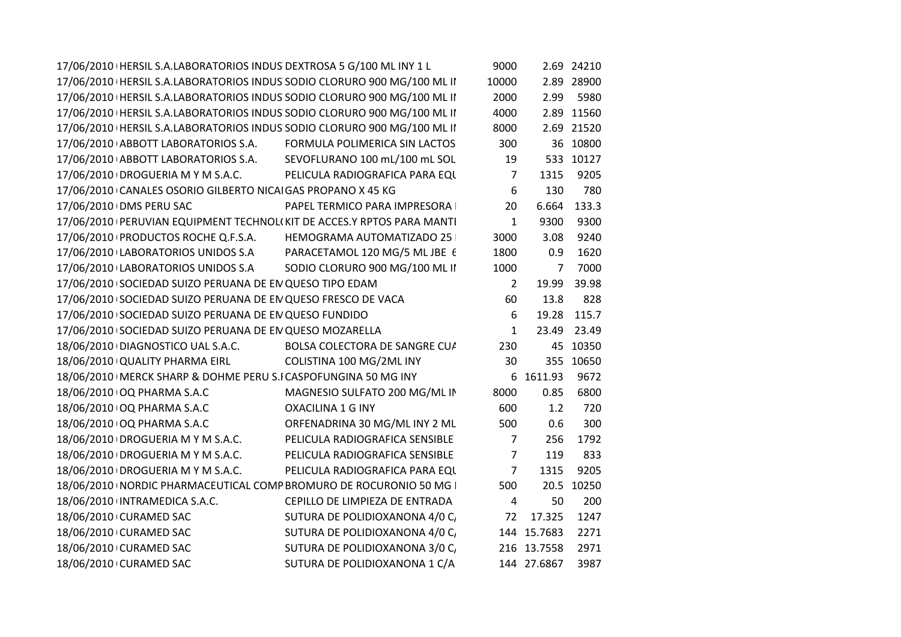| 17/06/2010   HERSIL S.A.LABORATORIOS INDUS DEXTROSA 5 G/100 ML INY 1 L    |                                | 9000           |             | 2.69 24210  |
|---------------------------------------------------------------------------|--------------------------------|----------------|-------------|-------------|
| 17/06/2010   HERSIL S.A.LABORATORIOS INDUS SODIO CLORURO 900 MG/100 ML II |                                | 10000          |             | 2.89 28900  |
| 17/06/2010   HERSIL S.A.LABORATORIOS INDUS SODIO CLORURO 900 MG/100 ML II |                                | 2000           | 2.99        | 5980        |
| 17/06/2010   HERSIL S.A.LABORATORIOS INDUS SODIO CLORURO 900 MG/100 ML II |                                | 4000           |             | 2.89 11560  |
| 17/06/2010   HERSIL S.A.LABORATORIOS INDUS SODIO CLORURO 900 MG/100 ML II |                                | 8000           |             | 2.69 21520  |
| 17/06/2010 ABBOTT LABORATORIOS S.A.                                       | FORMULA POLIMERICA SIN LACTOS  | 300            |             | 36 10800    |
| 17/06/2010 ABBOTT LABORATORIOS S.A.                                       | SEVOFLURANO 100 mL/100 mL SOL  | 19             |             | 533 10127   |
| 17/06/2010 DROGUERIA M Y M S.A.C.                                         | PELICULA RADIOGRAFICA PARA EQU | 7              | 1315        | 9205        |
| 17/06/2010 CANALES OSORIO GILBERTO NICAI GAS PROPANO X 45 KG              |                                | 6              | 130         | 780         |
| 17/06/2010 DMS PERU SAC                                                   | PAPEL TERMICO PARA IMPRESORA   | 20             |             | 6.664 133.3 |
| 17/06/2010   PERUVIAN EQUIPMENT TECHNOL(KIT DE ACCES.Y RPTOS PARA MANTI   |                                | $\mathbf{1}$   | 9300        | 9300        |
| 17/06/2010 PRODUCTOS ROCHE Q.F.S.A.                                       | HEMOGRAMA AUTOMATIZADO 25      | 3000           | 3.08        | 9240        |
| 17/06/2010 LABORATORIOS UNIDOS S.A                                        | PARACETAMOL 120 MG/5 ML JBE 6  | 1800           | 0.9         | 1620        |
| 17/06/2010 LABORATORIOS UNIDOS S.A                                        | SODIO CLORURO 900 MG/100 ML II | 1000           | 7           | 7000        |
| 17/06/2010 SOCIEDAD SUIZO PERUANA DE EN QUESO TIPO EDAM                   |                                | $\overline{2}$ | 19.99       | 39.98       |
| 17/06/2010 SOCIEDAD SUIZO PERUANA DE EN QUESO FRESCO DE VACA              |                                | 60             | 13.8        | 828         |
| 17/06/2010 SOCIEDAD SUIZO PERUANA DE EN QUESO FUNDIDO                     |                                | 6              |             | 19.28 115.7 |
| 17/06/2010 SOCIEDAD SUIZO PERUANA DE EN QUESO MOZARELLA                   |                                | $\mathbf{1}$   |             | 23.49 23.49 |
| 18/06/2010 DIAGNOSTICO UAL S.A.C.                                         | BOLSA COLECTORA DE SANGRE CU/  | 230            |             | 45 10350    |
| 18/06/2010 QUALITY PHARMA EIRL                                            | COLISTINA 100 MG/2ML INY       | 30             |             | 355 10650   |
| 18/06/2010   MERCK SHARP & DOHME PERU S.I CASPOFUNGINA 50 MG INY          |                                |                | 6 1611.93   | 9672        |
| 18/06/2010 OQ PHARMA S.A.C                                                | MAGNESIO SULFATO 200 MG/ML IN  | 8000           | 0.85        | 6800        |
| 18/06/2010 OQ PHARMA S.A.C                                                | <b>OXACILINA 1 G INY</b>       | 600            | 1.2         | 720         |
| 18/06/2010 OQ PHARMA S.A.C                                                | ORFENADRINA 30 MG/ML INY 2 ML  | 500            | 0.6         | 300         |
| 18/06/2010 DROGUERIA M Y M S.A.C.                                         | PELICULA RADIOGRAFICA SENSIBLE | 7              | 256         | 1792        |
| 18/06/2010 DROGUERIA M Y M S.A.C.                                         | PELICULA RADIOGRAFICA SENSIBLE | $\overline{7}$ | 119         | 833         |
| 18/06/2010 DROGUERIA M Y M S.A.C.                                         | PELICULA RADIOGRAFICA PARA EQU | $\overline{7}$ | 1315        | 9205        |
| 18/06/2010   NORDIC PHARMACEUTICAL COMP BROMURO DE ROCURONIO 50 MG        |                                | 500            |             | 20.5 10250  |
| 18/06/2010 INTRAMEDICA S.A.C.                                             | CEPILLO DE LIMPIEZA DE ENTRADA | 4              | 50          | 200         |
| 18/06/2010 CURAMED SAC                                                    | SUTURA DE POLIDIOXANONA 4/0 C  | 72             | 17.325      | 1247        |
| 18/06/2010 CURAMED SAC                                                    | SUTURA DE POLIDIOXANONA 4/0 C  |                | 144 15.7683 | 2271        |
| 18/06/2010 CURAMED SAC                                                    | SUTURA DE POLIDIOXANONA 3/0 C  |                | 216 13.7558 | 2971        |
| 18/06/2010 CURAMED SAC                                                    | SUTURA DE POLIDIOXANONA 1 C/A  |                | 144 27.6867 | 3987        |
|                                                                           |                                |                |             |             |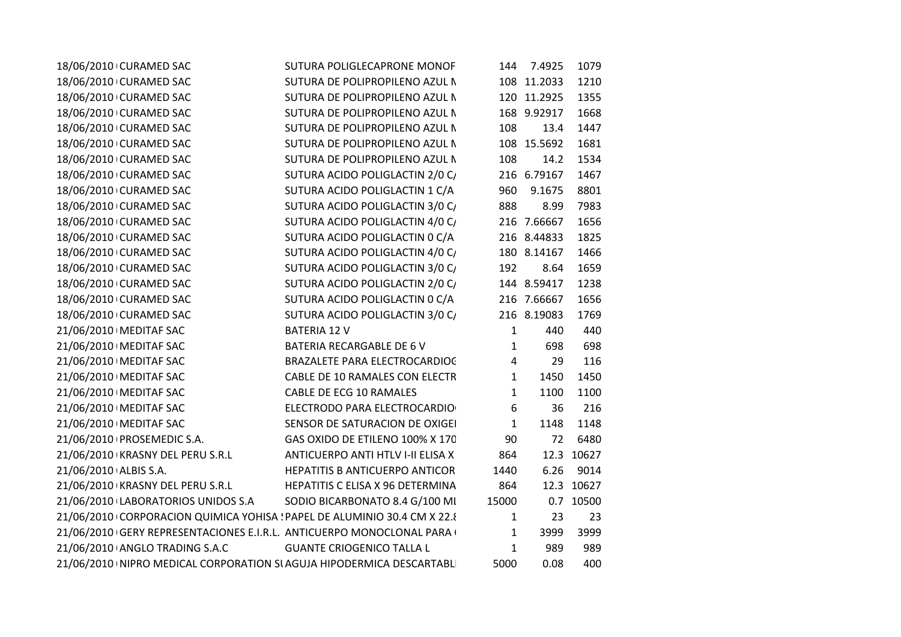| 18/06/2010 CURAMED SAC                                                   | SUTURA POLIGLECAPRONE MONOF       | 144          | 7.4925      | 1079       |
|--------------------------------------------------------------------------|-----------------------------------|--------------|-------------|------------|
| 18/06/2010 CURAMED SAC                                                   | SUTURA DE POLIPROPILENO AZUL N    |              | 108 11.2033 | 1210       |
| 18/06/2010 CURAMED SAC                                                   | SUTURA DE POLIPROPILENO AZUL N    |              | 120 11.2925 | 1355       |
| 18/06/2010 CURAMED SAC                                                   | SUTURA DE POLIPROPILENO AZUL N    |              | 168 9.92917 | 1668       |
| 18/06/2010 CURAMED SAC                                                   | SUTURA DE POLIPROPILENO AZUL N    | 108          | 13.4        | 1447       |
| 18/06/2010 CURAMED SAC                                                   | SUTURA DE POLIPROPILENO AZUL N    |              | 108 15.5692 | 1681       |
| 18/06/2010 CURAMED SAC                                                   | SUTURA DE POLIPROPILENO AZUL N    | 108          | 14.2        | 1534       |
| 18/06/2010 CURAMED SAC                                                   | SUTURA ACIDO POLIGLACTIN 2/0 C/   |              | 216 6.79167 | 1467       |
| 18/06/2010 CURAMED SAC                                                   | SUTURA ACIDO POLIGLACTIN 1 C/A    | 960          | 9.1675      | 8801       |
| 18/06/2010 CURAMED SAC                                                   | SUTURA ACIDO POLIGLACTIN 3/0 C/   | 888          | 8.99        | 7983       |
| 18/06/2010 CURAMED SAC                                                   | SUTURA ACIDO POLIGLACTIN 4/0 C/   |              | 216 7.66667 | 1656       |
| 18/06/2010 CURAMED SAC                                                   | SUTURA ACIDO POLIGLACTIN 0 C/A    |              | 216 8.44833 | 1825       |
| 18/06/2010 CURAMED SAC                                                   | SUTURA ACIDO POLIGLACTIN 4/0 C/   |              | 180 8.14167 | 1466       |
| 18/06/2010 CURAMED SAC                                                   | SUTURA ACIDO POLIGLACTIN 3/0 C/   | 192          | 8.64        | 1659       |
| 18/06/2010 CURAMED SAC                                                   | SUTURA ACIDO POLIGLACTIN 2/0 C/   |              | 144 8.59417 | 1238       |
| 18/06/2010 CURAMED SAC                                                   | SUTURA ACIDO POLIGLACTIN 0 C/A    |              | 216 7.66667 | 1656       |
| 18/06/2010 CURAMED SAC                                                   | SUTURA ACIDO POLIGLACTIN 3/0 C/   |              | 216 8.19083 | 1769       |
| 21/06/2010   MEDITAF SAC                                                 | <b>BATERIA 12 V</b>               | $\mathbf{1}$ | 440         | 440        |
| 21/06/2010   MEDITAF SAC                                                 | BATERIA RECARGABLE DE 6 V         | 1            | 698         | 698        |
| 21/06/2010   MEDITAF SAC                                                 | BRAZALETE PARA ELECTROCARDIOC     | 4            | 29          | 116        |
| 21/06/2010   MEDITAF SAC                                                 | CABLE DE 10 RAMALES CON ELECTR    | 1            | 1450        | 1450       |
| 21/06/2010   MEDITAF SAC                                                 | <b>CABLE DE ECG 10 RAMALES</b>    | 1            | 1100        | 1100       |
| 21/06/2010   MEDITAF SAC                                                 | ELECTRODO PARA ELECTROCARDIO      | 6            | 36          | 216        |
| 21/06/2010   MEDITAF SAC                                                 | SENSOR DE SATURACION DE OXIGEI    | $\mathbf{1}$ | 1148        | 1148       |
| 21/06/2010   PROSEMEDIC S.A.                                             | GAS OXIDO DE ETILENO 100% X 170   | 90           | 72          | 6480       |
| 21/06/2010 KRASNY DEL PERU S.R.L                                         | ANTICUERPO ANTI HTLV I-II ELISA X | 864          |             | 12.3 10627 |
| 21/06/2010 ALBIS S.A.                                                    | HEPATITIS B ANTICUERPO ANTICOR    | 1440         | 6.26        | 9014       |
| 21/06/2010 KRASNY DEL PERU S.R.L                                         | HEPATITIS C ELISA X 96 DETERMINA  | 864          |             | 12.3 10627 |
| 21/06/2010 LABORATORIOS UNIDOS S.A                                       | SODIO BICARBONATO 8.4 G/100 MI    | 15000        |             | 0.7 10500  |
| 21/06/2010 CORPORACION QUIMICA YOHISA ! PAPEL DE ALUMINIO 30.4 CM X 22.8 |                                   | $\mathbf{1}$ | 23          | 23         |
| 21/06/2010 GERY REPRESENTACIONES E.I.R.L. ANTICUERPO MONOCLONAL PARA (   |                                   | $\mathbf{1}$ | 3999        | 3999       |
| 21/06/2010 ANGLO TRADING S.A.C                                           | <b>GUANTE CRIOGENICO TALLA L</b>  | $\mathbf{1}$ | 989         | 989        |
| 21/06/2010 INIPRO MEDICAL CORPORATION SI AGUJA HIPODERMICA DESCARTABLI   |                                   | 5000         | 0.08        | 400        |
|                                                                          |                                   |              |             |            |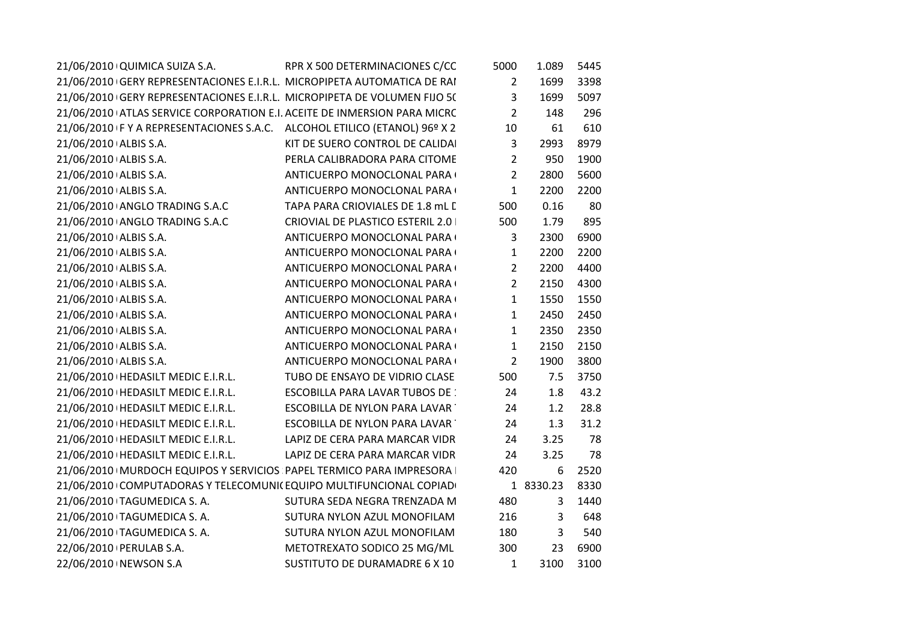| 21/06/2010 QUIMICA SUIZA S.A.                                             | RPR X 500 DETERMINACIONES C/CC         | 5000           | 1.089     | 5445 |
|---------------------------------------------------------------------------|----------------------------------------|----------------|-----------|------|
| 21/06/2010 GERY REPRESENTACIONES E.I.R.L. MICROPIPETA AUTOMATICA DE RAI   |                                        | $\overline{2}$ | 1699      | 3398 |
| 21/06/2010 GERY REPRESENTACIONES E.I.R.L. MICROPIPETA DE VOLUMEN FIJO 5(  |                                        | 3              | 1699      | 5097 |
| 21/06/2010 ATLAS SERVICE CORPORATION E.I. ACEITE DE INMERSION PARA MICRC  |                                        | $\overline{2}$ | 148       | 296  |
| 21/06/2010 F Y A REPRESENTACIONES S.A.C. ALCOHOL ETILICO (ETANOL) 96º X 2 |                                        | 10             | 61        | 610  |
| 21/06/2010 ALBIS S.A.                                                     | KIT DE SUERO CONTROL DE CALIDAI        | 3              | 2993      | 8979 |
| 21/06/2010 ALBIS S.A.                                                     | PERLA CALIBRADORA PARA CITOME          | $\overline{2}$ | 950       | 1900 |
| 21/06/2010 ALBIS S.A.                                                     | ANTICUERPO MONOCLONAL PARA (           | $\overline{2}$ | 2800      | 5600 |
| 21/06/2010 ALBIS S.A.                                                     | ANTICUERPO MONOCLONAL PARA (           | $\mathbf{1}$   | 2200      | 2200 |
| 21/06/2010 ANGLO TRADING S.A.C                                            | TAPA PARA CRIOVIALES DE 1.8 mL L       | 500            | 0.16      | 80   |
| 21/06/2010 ANGLO TRADING S.A.C                                            | CRIOVIAL DE PLASTICO ESTERIL 2.0       | 500            | 1.79      | 895  |
| 21/06/2010 ALBIS S.A.                                                     | ANTICUERPO MONOCLONAL PARA (           | 3              | 2300      | 6900 |
| 21/06/2010 ALBIS S.A.                                                     | ANTICUERPO MONOCLONAL PARA (           | 1              | 2200      | 2200 |
| 21/06/2010 ALBIS S.A.                                                     | ANTICUERPO MONOCLONAL PARA (           | $\overline{2}$ | 2200      | 4400 |
| 21/06/2010 ALBIS S.A.                                                     | ANTICUERPO MONOCLONAL PARA (           | $\overline{2}$ | 2150      | 4300 |
| 21/06/2010 ALBIS S.A.                                                     | ANTICUERPO MONOCLONAL PARA (           | $\mathbf{1}$   | 1550      | 1550 |
| 21/06/2010 ALBIS S.A.                                                     | ANTICUERPO MONOCLONAL PARA (           | $\mathbf{1}$   | 2450      | 2450 |
| 21/06/2010 ALBIS S.A.                                                     | ANTICUERPO MONOCLONAL PARA (           | $\mathbf{1}$   | 2350      | 2350 |
| 21/06/2010 ALBIS S.A.                                                     | ANTICUERPO MONOCLONAL PARA (           | $\mathbf{1}$   | 2150      | 2150 |
| 21/06/2010 ALBIS S.A.                                                     | ANTICUERPO MONOCLONAL PARA (           | $\overline{2}$ | 1900      | 3800 |
| 21/06/2010   HEDASILT MEDIC E.I.R.L.                                      | TUBO DE ENSAYO DE VIDRIO CLASE         | 500            | 7.5       | 3750 |
| 21/06/2010   HEDASILT MEDIC E.I.R.L.                                      | <b>ESCOBILLA PARA LAVAR TUBOS DE :</b> | 24             | 1.8       | 43.2 |
| 21/06/2010   HEDASILT MEDIC E.I.R.L.                                      | <b>ESCOBILLA DE NYLON PARA LAVAR</b>   | 24             | 1.2       | 28.8 |
| 21/06/2010   HEDASILT MEDIC E.I.R.L.                                      | ESCOBILLA DE NYLON PARA LAVAR          | 24             | 1.3       | 31.2 |
| 21/06/2010   HEDASILT MEDIC E.I.R.L.                                      | LAPIZ DE CERA PARA MARCAR VIDR         | 24             | 3.25      | 78   |
| 21/06/2010   HEDASILT MEDIC E.I.R.L.                                      | LAPIZ DE CERA PARA MARCAR VIDR         | 24             | 3.25      | 78   |
| 21/06/2010   MURDOCH EQUIPOS Y SERVICIOS PAPEL TERMICO PARA IMPRESORA     |                                        | 420            | 6         | 2520 |
| 21/06/2010 COMPUTADORAS Y TELECOMUNI(EQUIPO MULTIFUNCIONAL COPIAD         |                                        |                | 1 8330.23 | 8330 |
| 21/06/2010 TAGUMEDICA S.A.                                                | SUTURA SEDA NEGRA TRENZADA M           | 480            | 3         | 1440 |
| 21/06/2010 TAGUMEDICA S. A.                                               | SUTURA NYLON AZUL MONOFILAM            | 216            | 3         | 648  |
| 21/06/2010 TAGUMEDICA S.A.                                                | SUTURA NYLON AZUL MONOFILAM            | 180            | 3         | 540  |
| 22/06/2010   PERULAB S.A.                                                 | METOTREXATO SODICO 25 MG/ML            | 300            | 23        | 6900 |
| 22/06/2010   NEWSON S.A                                                   | SUSTITUTO DE DURAMADRE 6 X 10          | 1              | 3100      | 3100 |
|                                                                           |                                        |                |           |      |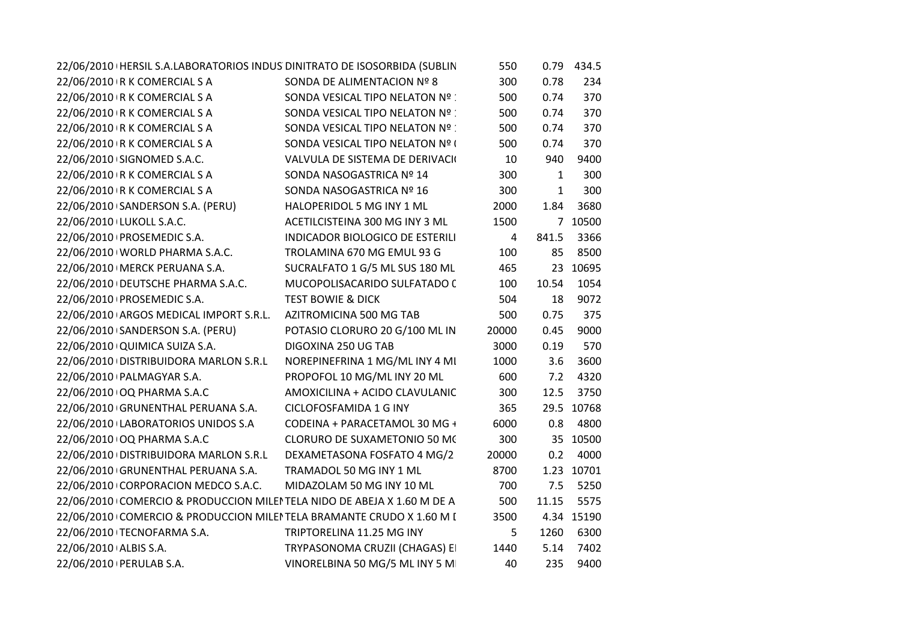|                               |                                                            | 22/06/2010   HERSIL S.A.LABORATORIOS INDUS DINITRATO DE ISOSORBIDA (SUBLIN | 550   |              | 0.79 434.5 |
|-------------------------------|------------------------------------------------------------|----------------------------------------------------------------------------|-------|--------------|------------|
| 22/06/2010 R K COMERCIAL S A  |                                                            | SONDA DE ALIMENTACION Nº 8                                                 | 300   | 0.78         | 234        |
| 22/06/2010 R K COMERCIAL S A  |                                                            | SONDA VESICAL TIPO NELATON Nº                                              | 500   | 0.74         | 370        |
| 22/06/2010 R K COMERCIAL S A  |                                                            | SONDA VESICAL TIPO NELATON Nº                                              | 500   | 0.74         | 370        |
| 22/06/2010 R K COMERCIAL S A  |                                                            | SONDA VESICAL TIPO NELATON Nº                                              | 500   | 0.74         | 370        |
| 22/06/2010 R K COMERCIAL S A  |                                                            | SONDA VESICAL TIPO NELATON Nº (                                            | 500   | 0.74         | 370        |
| 22/06/2010 SIGNOMED S.A.C.    |                                                            | VALVULA DE SISTEMA DE DERIVACIO                                            | 10    | 940          | 9400       |
| 22/06/2010 R K COMERCIAL S A  |                                                            | SONDA NASOGASTRICA Nº 14                                                   | 300   | $\mathbf{1}$ | 300        |
| 22/06/2010 R K COMERCIAL S A  |                                                            | SONDA NASOGASTRICA Nº 16                                                   | 300   | $\mathbf{1}$ | 300        |
|                               | 22/06/2010 SANDERSON S.A. (PERU)                           | HALOPERIDOL 5 MG INY 1 ML                                                  | 2000  | 1.84         | 3680       |
| 22/06/2010 LUKOLL S.A.C.      |                                                            | ACETILCISTEINA 300 MG INY 3 ML                                             | 1500  |              | 7 10500    |
| 22/06/2010 PROSEMEDIC S.A.    |                                                            | INDICADOR BIOLOGICO DE ESTERILI                                            | 4     | 841.5        | 3366       |
|                               | 22/06/2010   WORLD PHARMA S.A.C.                           | TROLAMINA 670 MG EMUL 93 G                                                 | 100   | 85           | 8500       |
|                               | 22/06/2010   MERCK PERUANA S.A.                            | SUCRALFATO 1 G/5 ML SUS 180 ML                                             | 465   |              | 23 10695   |
|                               | 22/06/2010   DEUTSCHE PHARMA S.A.C.                        | MUCOPOLISACARIDO SULFATADO (                                               | 100   | 10.54        | 1054       |
| 22/06/2010 PROSEMEDIC S.A.    |                                                            | TEST BOWIE & DICK                                                          | 504   | 18           | 9072       |
|                               | 22/06/2010 ARGOS MEDICAL IMPORT S.R.L.                     | AZITROMICINA 500 MG TAB                                                    | 500   | 0.75         | 375        |
|                               | 22/06/2010 SANDERSON S.A. (PERU)                           | POTASIO CLORURO 20 G/100 ML IN                                             | 20000 | 0.45         | 9000       |
| 22/06/2010 QUIMICA SUIZA S.A. |                                                            | DIGOXINA 250 UG TAB                                                        | 3000  | 0.19         | 570        |
|                               | 22/06/2010 DISTRIBUIDORA MARLON S.R.L                      | NOREPINEFRINA 1 MG/ML INY 4 MI                                             | 1000  | 3.6          | 3600       |
| 22/06/2010   PALMAGYAR S.A.   |                                                            | PROPOFOL 10 MG/ML INY 20 ML                                                | 600   | 7.2          | 4320       |
| 22/06/2010 OQ PHARMA S.A.C    |                                                            | AMOXICILINA + ACIDO CLAVULANIC                                             | 300   | 12.5         | 3750       |
|                               | 22/06/2010 GRUNENTHAL PERUANA S.A.                         | CICLOFOSFAMIDA 1 G INY                                                     | 365   |              | 29.5 10768 |
|                               | 22/06/2010 LABORATORIOS UNIDOS S.A                         | CODEINA + PARACETAMOL 30 MG +                                              | 6000  |              | 0.8 4800   |
| 22/06/2010 OQ PHARMA S.A.C    |                                                            | CLORURO DE SUXAMETONIO 50 MC                                               | 300   |              | 35 10500   |
|                               |                                                            | 22/06/2010 DISTRIBUIDORA MARLON S.R.L DEXAMETASONA FOSFATO 4 MG/2          | 20000 | 0.2          | 4000       |
|                               | 22/06/2010 GRUNENTHAL PERUANA S.A. TRAMADOL 50 MG INY 1 ML |                                                                            | 8700  |              | 1.23 10701 |
|                               | 22/06/2010 CORPORACION MEDCO S.A.C.                        | MIDAZOLAM 50 MG INY 10 ML                                                  | 700   | 7.5          | 5250       |
|                               |                                                            | 22/06/2010 COMERCIO & PRODUCCION MILEI TELA NIDO DE ABEJA X 1.60 M DE A    | 500   | 11.15        | 5575       |
|                               |                                                            | 22/06/2010 COMERCIO & PRODUCCION MILEI TELA BRAMANTE CRUDO X 1.60 M I      | 3500  |              | 4.34 15190 |
| 22/06/2010 TECNOFARMA S.A.    |                                                            | TRIPTORELINA 11.25 MG INY                                                  | 5     | 1260         | 6300       |
| 22/06/2010 ALBIS S.A.         |                                                            | TRYPASONOMA CRUZII (CHAGAS) EI                                             | 1440  | 5.14         | 7402       |
| 22/06/2010   PERULAB S.A.     |                                                            | VINORELBINA 50 MG/5 ML INY 5 M                                             | 40    | 235          | 9400       |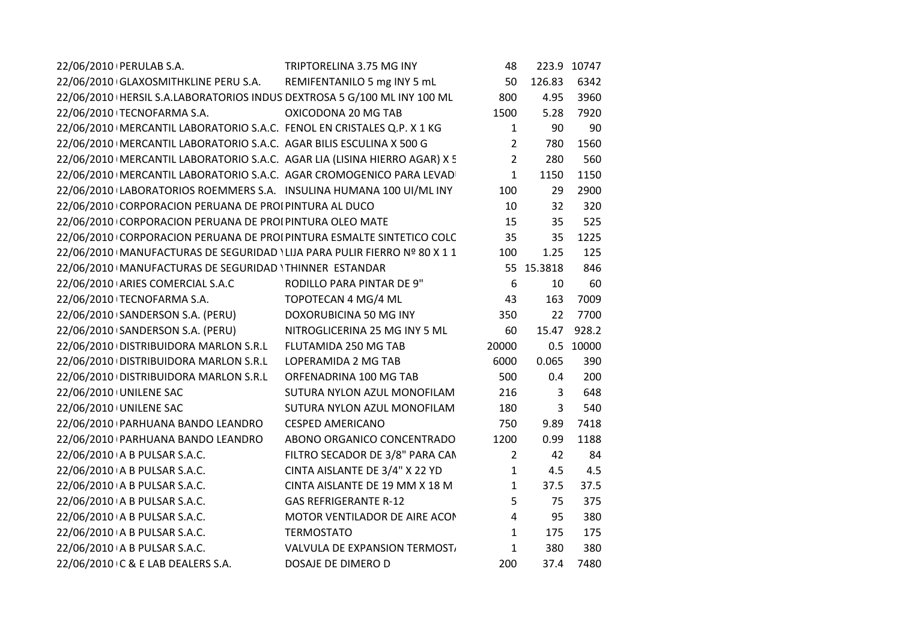| 22/06/2010   PERULAB S.A.                                                   | TRIPTORELINA 3.75 MG INY        | 48             |              | 223.9 10747 |
|-----------------------------------------------------------------------------|---------------------------------|----------------|--------------|-------------|
| 22/06/2010 GLAXOSMITHKLINE PERU S.A. REMIFENTANILO 5 mg INY 5 mL            |                                 | 50             | 126.83       | 6342        |
| 22/06/2010 HERSIL S.A.LABORATORIOS INDUS DEXTROSA 5 G/100 ML INY 100 ML     |                                 | 800            | 4.95         | 3960        |
| 22/06/2010 TECNOFARMA S.A.                                                  | OXICODONA 20 MG TAB             | 1500           | 5.28         | 7920        |
| 22/06/2010   MERCANTIL LABORATORIO S.A.C. FENOL EN CRISTALES Q.P. X 1 KG    |                                 | $\mathbf{1}$   | 90           | 90          |
| 22/06/2010   MERCANTIL LABORATORIO S.A.C. AGAR BILIS ESCULINA X 500 G       |                                 | $\overline{2}$ | 780          | 1560        |
| 22/06/2010   MERCANTIL LABORATORIO S.A.C. AGAR LIA (LISINA HIERRO AGAR) X 5 |                                 | $\overline{2}$ | 280          | 560         |
| 22/06/2010   MERCANTIL LABORATORIO S.A.C. AGAR CROMOGENICO PARA LEVAD       |                                 | $\mathbf{1}$   | 1150         | 1150        |
| 22/06/2010 LABORATORIOS ROEMMERS S.A. INSULINA HUMANA 100 UI/ML INY         |                                 | 100            | 29           | 2900        |
| 22/06/2010 CORPORACION PERUANA DE PROI PINTURA AL DUCO                      |                                 | 10             | 32           | 320         |
| 22/06/2010 CORPORACION PERUANA DE PROI PINTURA OLEO MATE                    |                                 | 15             | 35           | 525         |
| 22/06/2010 CORPORACION PERUANA DE PROI PINTURA ESMALTE SINTETICO COLC       |                                 | 35             | 35           | 1225        |
| 22/06/2010   MANUFACTURAS DE SEGURIDAD ' LIJA PARA PULIR FIERRO Nº 80 X 1 1 |                                 | 100            | 1.25         | 125         |
| 22/06/2010   MANUFACTURAS DE SEGURIDAD ' THINNER ESTANDAR                   |                                 |                | 55 15.3818   | 846         |
| 22/06/2010 ARIES COMERCIAL S.A.C                                            | RODILLO PARA PINTAR DE 9"       | 6              | 10           | 60          |
| 22/06/2010 TECNOFARMA S.A.                                                  | TOPOTECAN 4 MG/4 ML             | 43             | 163          | 7009        |
| 22/06/2010 SANDERSON S.A. (PERU)                                            | DOXORUBICINA 50 MG INY          | 350            | 22           | 7700        |
| 22/06/2010 SANDERSON S.A. (PERU)                                            | NITROGLICERINA 25 MG INY 5 ML   | 60             | 15.47        | 928.2       |
| 22/06/2010 DISTRIBUIDORA MARLON S.R.L                                       | FLUTAMIDA 250 MG TAB            | 20000          |              | 0.5 10000   |
| 22/06/2010 DISTRIBUIDORA MARLON S.R.L                                       | LOPERAMIDA 2 MG TAB             | 6000           | 0.065        | 390         |
| 22/06/2010 DISTRIBUIDORA MARLON S.R.L                                       | ORFENADRINA 100 MG TAB          | 500            | 0.4          | 200         |
| 22/06/2010 UNILENE SAC                                                      | SUTURA NYLON AZUL MONOFILAM     | 216            | $\mathbf{3}$ | 648         |
| 22/06/2010 UNILENE SAC                                                      | SUTURA NYLON AZUL MONOFILAM     | 180            | 3            | 540         |
| 22/06/2010 PARHUANA BANDO LEANDRO                                           | <b>CESPED AMERICANO</b>         | 750            | 9.89         | 7418        |
| 22/06/2010 PARHUANA BANDO LEANDRO                                           | ABONO ORGANICO CONCENTRADO      | 1200           | 0.99         | 1188        |
| 22/06/2010 A B PULSAR S.A.C.                                                | FILTRO SECADOR DE 3/8" PARA CAN | $\overline{2}$ | 42           | 84          |
| 22/06/2010 A B PULSAR S.A.C.                                                | CINTA AISLANTE DE 3/4" X 22 YD  | $\mathbf{1}$   | 4.5          | 4.5         |
| 22/06/2010 A B PULSAR S.A.C.                                                | CINTA AISLANTE DE 19 MM X 18 M  | $\mathbf{1}$   | 37.5         | 37.5        |
| 22/06/2010 A B PULSAR S.A.C.                                                | <b>GAS REFRIGERANTE R-12</b>    | 5              | 75           | 375         |
| 22/06/2010 A B PULSAR S.A.C.                                                | MOTOR VENTILADOR DE AIRE ACON   | 4              | 95           | 380         |
| 22/06/2010 A B PULSAR S.A.C.                                                | <b>TERMOSTATO</b>               | $\mathbf{1}$   | 175          | 175         |
| 22/06/2010 A B PULSAR S.A.C.                                                | VALVULA DE EXPANSION TERMOST.   | $\mathbf{1}$   | 380          | 380         |
| 22/06/2010 C & E LAB DEALERS S.A.                                           | DOSAJE DE DIMERO D              | 200            | 37.4         | 7480        |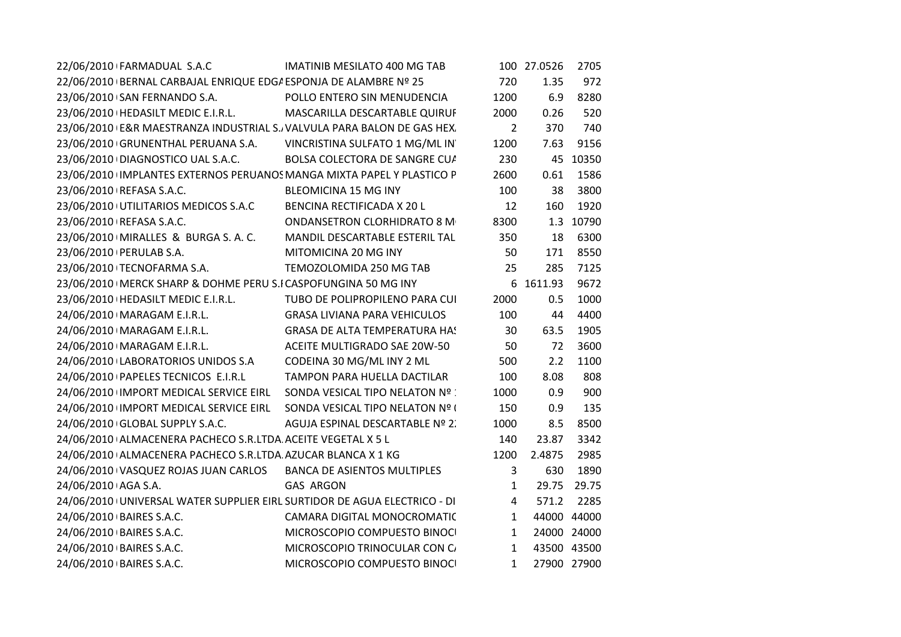| 22/06/2010 FARMADUAL S.A.C                                                                                                                              | <b>IMATINIB MESILATO 400 MG TAB</b> |                | 100 27.0526 | 2705        |
|---------------------------------------------------------------------------------------------------------------------------------------------------------|-------------------------------------|----------------|-------------|-------------|
| 22/06/2010 BERNAL CARBAJAL ENRIQUE EDG/ESPONJA DE ALAMBRE Nº 25                                                                                         |                                     | 720            | 1.35        | 972         |
| 23/06/2010 SAN FERNANDO S.A. POLLO ENTERO SIN MENUDENCIA                                                                                                |                                     | 1200           | 6.9         | 8280        |
| 23/06/2010   HEDASILT MEDIC E.I.R.L. MASCARILLA DESCARTABLE QUIRUF                                                                                      |                                     | 2000           | 0.26        | 520         |
| 23/06/2010 E&R MAESTRANZA INDUSTRIAL S. VALVULA PARA BALON DE GAS HEX.                                                                                  |                                     | $\overline{2}$ | 370         | 740         |
| 23/06/2010 GRUNENTHAL PERUANA S.A. VINCRISTINA SULFATO 1 MG/ML IN                                                                                       |                                     | 1200           | 7.63        | 9156        |
| 23/06/2010 DIAGNOSTICO UAL S.A.C. BOLSA COLECTORA DE SANGRE CUA                                                                                         |                                     | 230            |             | 45 10350    |
| 23/06/2010 IMPLANTES EXTERNOS PERUANOS MANGA MIXTA PAPEL Y PLASTICO P                                                                                   |                                     | 2600           | 0.61        | 1586        |
| 23/06/2010   REFASA S.A.C.                                                                                                                              | <b>BLEOMICINA 15 MG INY</b>         | 100            | 38          | 3800        |
| 23/06/2010 UTILITARIOS MEDICOS S.A.C BENCINA RECTIFICADA X 20 L                                                                                         |                                     | 12             | 160         | 1920        |
| 23/06/2010 IREFASA S.A.C.<br>23/06/2010 IMIRALLES & BURGA S.A.C. MANDIL DESCARTABLE ESTERIL TAL                                                         |                                     | 8300           |             | 1.3 10790   |
|                                                                                                                                                         |                                     | 350            | 18          | 6300        |
| 23/06/2010   PERULAB S.A.                                                                                                                               | MITOMICINA 20 MG INY                | 50             | 171         | 8550        |
| 23/06/2010 TECNOFARMA S.A.                                                                                                                              | TEMOZOLOMIDA 250 MG TAB             | 25             | 285         | 7125        |
| 23/06/2010   MERCK SHARP & DOHME PERU S.I CASPOFUNGINA 50 MG INY                                                                                        |                                     |                | 6 1611.93   | 9672        |
| 23/06/2010   HEDASILT MEDIC E.I.R.L. TUBO DE POLIPROPILENO PARA CUI                                                                                     |                                     | 2000           | 0.5         | 1000        |
| 24/06/2010   MARAGAM E.I.R.L. GRASA LIVIANA PARA VEHICULOS                                                                                              |                                     | 100            | 44          | 4400        |
| 24/06/2010   MARAGAM E.I.R.L. GRASA DE ALTA TEMPERATURA HA!                                                                                             |                                     | 30             | 63.5        | 1905        |
| 24/06/2010 MARAGAM E.I.R.L.<br>24/06/2010 MARAGAM E.I.R.L. ACEITE MULTIGRADO SAE 20W-50<br>24/06/2010 LABORATORIOS UNIDOS S.A CODEINA 30 MG/ML INY 2 ML |                                     | 50             | 72          | 3600        |
|                                                                                                                                                         |                                     | 500            | 2.2         | 1100        |
| 24/06/2010   PAPELES TECNICOS E.I.R.L TAMPON PARA HUELLA DACTILAR                                                                                       |                                     | 100            | 8.08        | 808         |
| 24/06/2010 IMPORT MEDICAL SERVICE EIRL SONDA VESICAL TIPO NELATON Nº :                                                                                  |                                     | 1000           | 0.9         | 900         |
| 24/06/2010 IMPORT MEDICAL SERVICE EIRL SONDA VESICAL TIPO NELATON Nº I                                                                                  |                                     | 150            | 0.9         | 135         |
| 24/06/2010 GLOBAL SUPPLY S.A.C. AGUJA ESPINAL DESCARTABLE Nº 2.                                                                                         |                                     | 1000           | 8.5         | 8500        |
| 24/06/2010 ALMACENERA PACHECO S.R.LTDA ACEITE VEGETAL X 5 L                                                                                             |                                     | 140            | 23.87       | 3342        |
| 24/06/2010 ALMACENERA PACHECO S.R.LTDA AZUCAR BLANCA X 1 KG                                                                                             |                                     | 1200           | 2.4875      | 2985        |
| 24/06/2010 VASQUEZ ROJAS JUAN CARLOS BANCA DE ASIENTOS MULTIPLES                                                                                        |                                     | $\mathbf{3}$   | 630         | 1890        |
| 24/06/2010 AGA S.A.                                                                                                                                     | <b>GAS ARGON</b>                    | 1              |             | 29.75 29.75 |
| 24/06/2010 UNIVERSAL WATER SUPPLIER EIRL SURTIDOR DE AGUA ELECTRICO - DI                                                                                |                                     | $\overline{4}$ | 571.2       | 2285        |
| 24/06/2010 BAIRES S.A.C.                                                                                                                                | <b>CAMARA DIGITAL MONOCROMATIC</b>  | 1              | 44000 44000 |             |
| 24/06/2010 BAIRES S.A.C.<br>24/06/2010 BAIRES S.A.C.                                                                                                    | MICROSCOPIO COMPUESTO BINOCI        | 1              |             | 24000 24000 |
|                                                                                                                                                         | MICROSCOPIO TRINOCULAR CON C        | 1              | 43500 43500 |             |
| 24/06/2010 BAIRES S.A.C.                                                                                                                                | MICROSCOPIO COMPUESTO BINOCI        | 1              | 27900 27900 |             |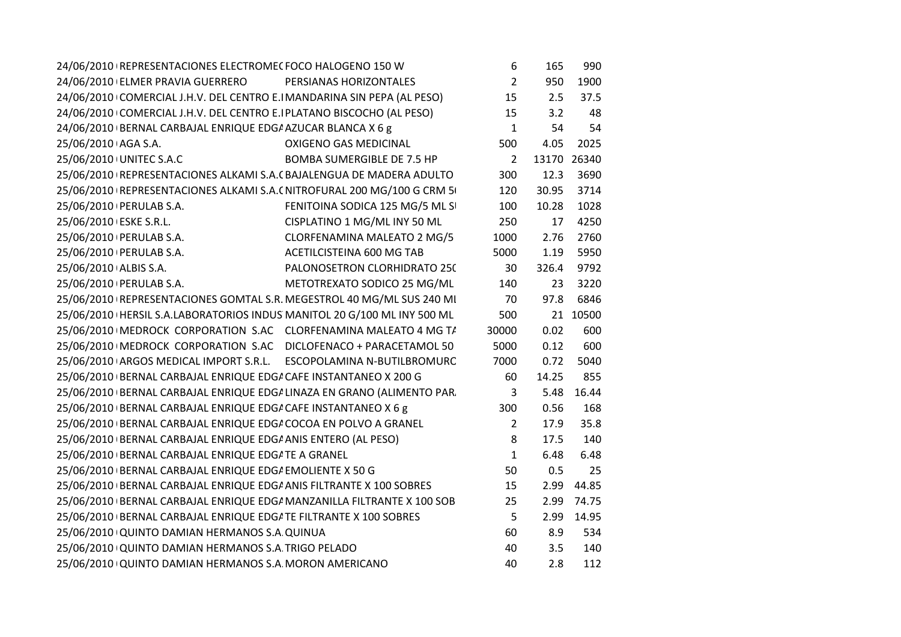| 24/06/2010 REPRESENTACIONES ELECTROMEC FOCO HALOGENO 150 W                |                                   | 6              | 165         | 990      |
|---------------------------------------------------------------------------|-----------------------------------|----------------|-------------|----------|
| 24/06/2010 ELMER PRAVIA GUERRERO PERSIANAS HORIZONTALES                   |                                   | $\overline{2}$ | 950         | 1900     |
| 24/06/2010 COMERCIAL J.H.V. DEL CENTRO E.I MANDARINA SIN PEPA (AL PESO)   |                                   | 15             | 2.5         | 37.5     |
| 24/06/2010 COMERCIAL J.H.V. DEL CENTRO E.I PLATANO BISCOCHO (AL PESO)     |                                   | 15             | 3.2         | 48       |
| 24/06/2010 BERNAL CARBAJAL ENRIQUE EDG/ AZUCAR BLANCA X 6 g               |                                   | $\mathbf{1}$   | 54          | 54       |
| 25/06/2010 AGA S.A.                                                       | <b>OXIGENO GAS MEDICINAL</b>      | 500            | 4.05        | 2025     |
| 25/06/2010 UNITEC S.A.C                                                   | <b>BOMBA SUMERGIBLE DE 7.5 HP</b> | $\overline{2}$ | 13170 26340 |          |
| 25/06/2010   REPRESENTACIONES ALKAMI S.A. (BAJALENGUA DE MADERA ADULTO    |                                   | 300            | 12.3        | 3690     |
| 25/06/2010 REPRESENTACIONES ALKAMI S.A. (NITROFURAL 200 MG/100 G CRM 5    |                                   | 120            | 30.95       | 3714     |
| 25/06/2010   PERULAB S.A.                                                 | FENITOINA SODICA 125 MG/5 ML SI   | 100            | 10.28       | 1028     |
| 25/06/2010 ESKE S.R.L.                                                    | CISPLATINO 1 MG/ML INY 50 ML      | 250            | 17          | 4250     |
| 25/06/2010   PERULAB S.A.                                                 | CLORFENAMINA MALEATO 2 MG/5       | 1000           | 2.76        | 2760     |
| 25/06/2010   PERULAB S.A.                                                 | ACETILCISTEINA 600 MG TAB         | 5000           | 1.19        | 5950     |
| 25/06/2010 ALBIS S.A.                                                     | PALONOSETRON CLORHIDRATO 250      | 30             | 326.4       | 9792     |
| 25/06/2010   PERULAB S.A.                                                 | METOTREXATO SODICO 25 MG/ML       | 140            | 23          | 3220     |
| 25/06/2010   REPRESENTACIONES GOMTAL S.R. MEGESTROL 40 MG/ML SUS 240 MI   |                                   | 70             | 97.8        | 6846     |
| 25/06/2010   HERSIL S.A.LABORATORIOS INDUS MANITOL 20 G/100 ML INY 500 ML |                                   | 500            |             | 21 10500 |
| 25/06/2010   MEDROCK CORPORATION S.AC CLORFENAMINA MALEATO 4 MG T/        |                                   | 30000          | 0.02        | 600      |
| 25/06/2010   MEDROCK CORPORATION S.AC DICLOFENACO + PARACETAMOL 50        |                                   | 5000           | 0.12        | 600      |
| 25/06/2010 ARGOS MEDICAL IMPORT S.R.L. ESCOPOLAMINA N-BUTILBROMURC        |                                   | 7000           | 0.72        | 5040     |
| 25/06/2010 BERNAL CARBAJAL ENRIQUE EDG/ CAFE INSTANTANEO X 200 G          |                                   | 60             | 14.25       | 855      |
| 25/06/2010 BERNAL CARBAJAL ENRIQUE EDGI LINAZA EN GRANO (ALIMENTO PAR.    |                                   | 3              | 5.48        | 16.44    |
| 25/06/2010 BERNAL CARBAJAL ENRIQUE EDG/ CAFE INSTANTANEO X 6 g            |                                   | 300            | 0.56        | 168      |
| 25/06/2010 BERNAL CARBAJAL ENRIQUE EDG/ COCOA EN POLVO A GRANEL           |                                   | $\overline{2}$ | 17.9        | 35.8     |
| 25/06/2010 BERNAL CARBAJAL ENRIQUE EDG/ ANIS ENTERO (AL PESO)             |                                   | 8              | 17.5        | 140      |
| 25/06/2010 BERNAL CARBAJAL ENRIQUE EDG/ TE A GRANEL                       |                                   | $\mathbf{1}$   | 6.48        | 6.48     |
| 25/06/2010 BERNAL CARBAJAL ENRIQUE EDG/ EMOLIENTE X 50 G                  |                                   | 50             | 0.5         | 25       |
| 25/06/2010 BERNAL CARBAJAL ENRIQUE EDG/ ANIS FILTRANTE X 100 SOBRES       |                                   | 15             | 2.99        | 44.85    |
| 25/06/2010   BERNAL CARBAJAL ENRIQUE EDG/ MANZANILLA FILTRANTE X 100 SOB  |                                   | 25             | 2.99        | 74.75    |
| 25/06/2010   BERNAL CARBAJAL ENRIQUE EDG/ TE FILTRANTE X 100 SOBRES       |                                   | 5              | 2.99        | 14.95    |
| 25/06/2010 QUINTO DAMIAN HERMANOS S.A QUINUA                              |                                   | 60             | 8.9         | 534      |
| 25/06/2010 QUINTO DAMIAN HERMANOS S.A. TRIGO PELADO                       |                                   | 40             | 3.5         | 140      |
| 25/06/2010 QUINTO DAMIAN HERMANOS S.A. MORON AMERICANO                    |                                   | 40             | 2.8         | 112      |
|                                                                           |                                   |                |             |          |